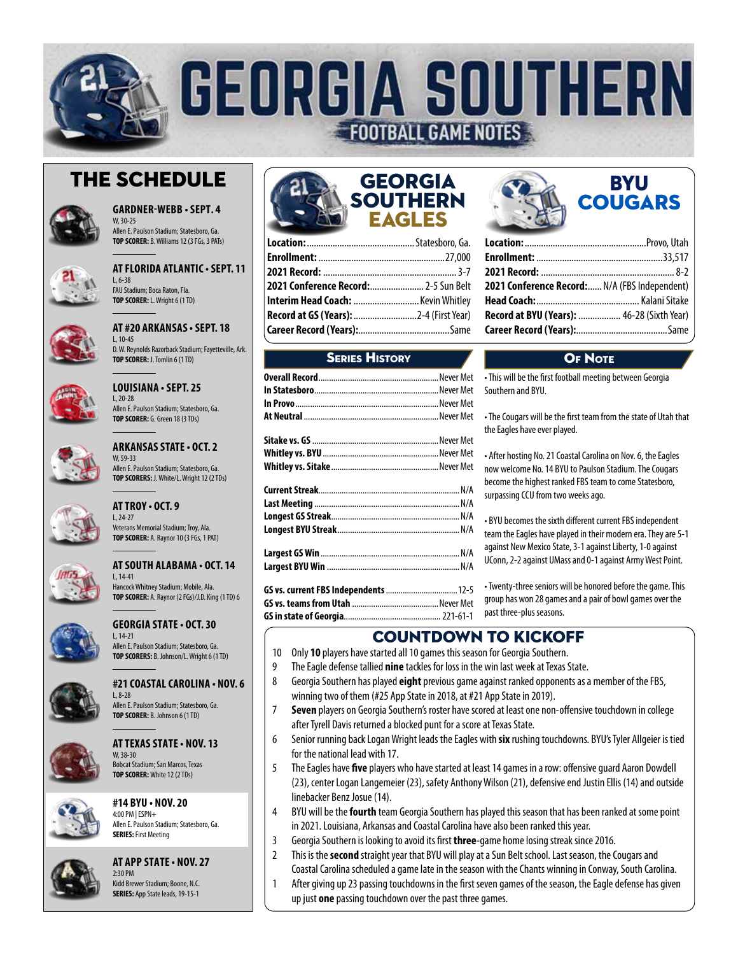

# The Schedule



**GARDNER-WEBB • SEPT. 4** W, 30-25 Allen E. Paulson Stadium; Statesboro, Ga.

**TOP SCORER:** B. Williams 12 (3 FGs, 3 PATs)



**AT FLORIDA ATLANTIC • SEPT. 11** L, 6-38 FAU Stadium; Boca Raton, Fla. **TOP SCORER:** L. Wright 6 (1 TD)



**AT #20 ARKANSAS • SEPT. 18** L, 10-45



**LOUISIANA • SEPT. 25** L, 20-28 Allen E. Paulson Stadium; Statesboro, Ga. **TOP SCORER:** G. Green 18 (3 TDs)



**ARKANSAS STATE • OCT. 2** W, 59-33 Allen E. Paulson Stadium; Statesboro, Ga. **TOP SCORERS:** J. White/L. Wright 12 (2 TDs)



## **AT TROY • OCT. 9**  $1, 24-27$ Veterans Memorial Stadium; Troy, Ala. **TOP SCORER:** A. Raynor 10 (3 FGs, 1 PAT)



**AT SOUTH ALABAMA • OCT. 14** L, 14-41

Hancock Whitney Stadium; Mobile, Ala. **TOP SCORER:** A. Raynor (2 FGs)/J.D. King (1 TD) 6



## **GEORGIA STATE • OCT. 30** L, 14-21 Allen E. Paulson Stadium; Statesboro, Ga.

**TOP SCORERS:** B. Johnson/L. Wright 6 (1 TD)



# **#21 COASTAL CAROLINA • NOV. 6** L, 8-28

Allen E. Paulson Stadium; Statesboro, Ga. **TOP SCORER:** B. Johnson 6 (1 TD)



## **AT TEXAS STATE • NOV. 13** W, 38-30 Bobcat Stadium; San Marcos, Texas **TOP SCORER:** White 12 (2 TDs)

**#14 BYU • NOV. 20** 4:00 PM | ESPN+ Allen E. Paulson Stadium; Statesboro, Ga.



**AT APP STATE • NOV. 27** 2:30 PM

Kidd Brewer Stadium; Boone, N.C. **SERIES:** App State leads, 19-15-1

**SERIES:** First Meeting



| <b>2021 Conference Record:</b> 2-5 Sun Belt   |  |
|-----------------------------------------------|--|
| Interim Head Coach:  Kevin Whitley            |  |
| <b>Record at GS (Years):</b> 2-4 (First Year) |  |
|                                               |  |

# **SEDIES HISTORY**

| GS vs. current FBS Independents  12-5 |  |
|---------------------------------------|--|
|                                       |  |

**GS vs. teams from Utah** .........................................Never Met **GS in state of Georgia**..............................................221-61-1

| 2021 Conference Record: N/A (FBS Independent) |  |
|-----------------------------------------------|--|
|                                               |  |
| Record at BYU (Years):  46-28 (Sixth Year)    |  |
|                                               |  |
|                                               |  |

**BYU COUGARS** 

# OF NOTE

• This will be the first football meeting between Georgia Southern and BYU.

• The Cougars will be the first team from the state of Utah that the Eagles have ever played.

• After hosting No. 21 Coastal Carolina on Nov. 6, the Eagles now welcome No. 14 BYU to Paulson Stadium. The Cougars become the highest ranked FBS team to come Statesboro, surpassing CCU from two weeks ago.

• BYU becomes the sixth different current FBS independent team the Eagles have played in their modern era. They are 5-1 against New Mexico State, 3-1 against Liberty, 1-0 against UConn, 2-2 against UMass and 0-1 against Army West Point.

• Twenty-three seniors will be honored before the game. This group has won 28 games and a pair of bowl games over the past three-plus seasons.

# COUNTDOWN TO KICKOFF

- 10 Only **10** players have started all 10 games this season for Georgia Southern.
- 9 The Eagle defense tallied **nine** tackles for loss in the win last week at Texas State.
- 8 Georgia Southern has played **eight** previous game against ranked opponents as a member of the FBS, winning two of them (#25 App State in 2018, at #21 App State in 2019).
- 7 **Seven** players on Georgia Southern's roster have scored at least one non-offensive touchdown in college after Tyrell Davis returned a blocked punt for a score at Texas State.
- 6 Senior running back Logan Wright leads the Eagles with **six** rushing touchdowns. BYU's Tyler Allgeier is tied for the national lead with 17.
- 5 The Eagles have **five** players who have started at least 14 games in a row: offensive guard Aaron Dowdell (23), center Logan Langemeier (23), safety Anthony Wilson (21), defensive end Justin Ellis (14) and outside linebacker Benz Josue (14).
- 4 BYU will be the **fourth** team Georgia Southern has played this season that has been ranked at some point in 2021. Louisiana, Arkansas and Coastal Carolina have also been ranked this year.
- 3 Georgia Southern is looking to avoid its first **three**-game home losing streak since 2016.
- 2 This is the **second** straight year that BYU will play at a Sun Belt school. Last season, the Cougars and Coastal Carolina scheduled a game late in the season with the Chants winning in Conway, South Carolina.
- 1 After giving up 23 passing touchdowns in the first seven games of the season, the Eagle defense has given up just **one** passing touchdown over the past three games.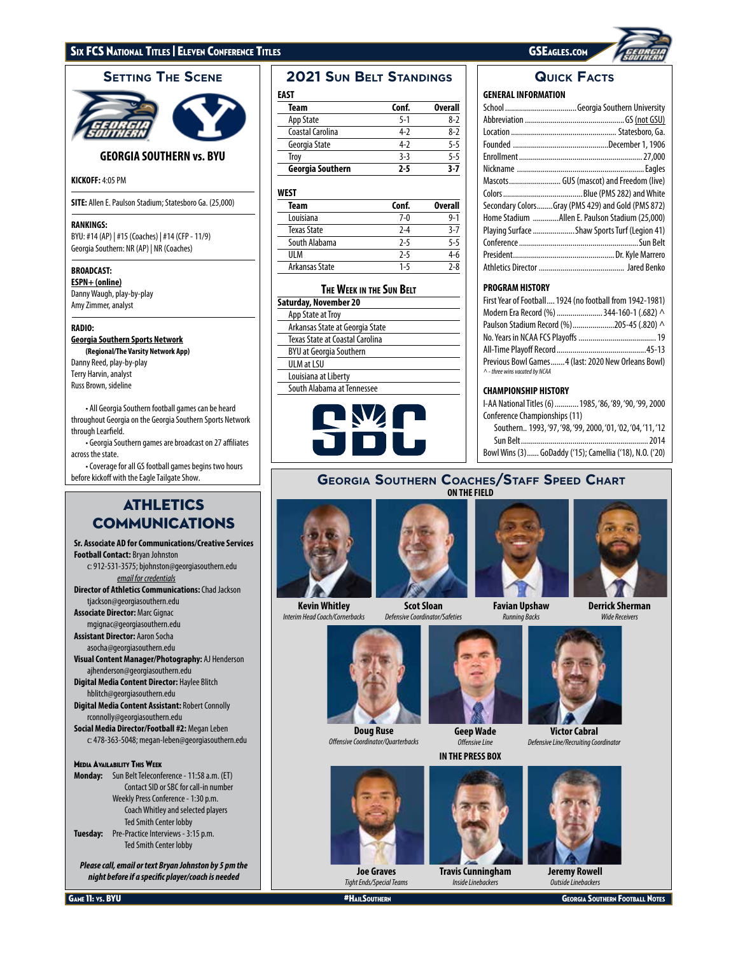

# **GEORGIA SOUTHERN vs. BYU**

## **KICKOFF:** 4:05 PM

**SITE:** Allen E. Paulson Stadium; Statesboro Ga. (25,000)

## **RANKINGS:**

BYU: #14 (AP) | #15 (Coaches) | #14 (CFP - 11/9) Georgia Southern: NR (AP) | NR (Coaches)

## **BROADCAST:**

**ESPN+ (online)** Danny Waugh, play-by-play Amy Zimmer, analyst

## **RADIO:**

**Georgia Southern Sports Network**

**(Regional/The Varsity Network App)** Danny Reed, play-by-play Terry Harvin, analyst Russ Brown, sideline

• All Georgia Southern football games can be heard throughout Georgia on the Georgia Southern Sports Network through Learfield.

• Georgia Southern games are broadcast on 27 affiliates across the state.

• Coverage for all GS football games begins two hours before kickoff with the Eagle Tailgate Show.

# **ATHLETICS** COMMUNICATIONS

**Sr. Associate AD for Communications/Creative Services Football Contact:** Bryan Johnston c: 912-531-3575; bjohnston@georgiasouthern.edu *email for credentials* **Director of Athletics Communications:** Chad Jackson tjackson@georgiasouthern.edu **Associate Director:** Marc Gignac mgignac@georgiasouthern.edu **Assistant Director:** Aaron Socha asocha@georgiasouthern.edu **Visual Content Manager/Photography:** AJ Henderson ajhenderson@georgiasouthern.edu **Digital Media Content Director:** Haylee Blitch hblitch@georgiasouthern.edu **Digital Media Content Assistant:** Robert Connolly rconnolly@georgiasouthern.edu **Social Media Director/Football #2:** Megan Leben c: 478-363-5048; megan-leben@georgiasouthern.edu Media Availability This Week **Monday:** Sun Belt Teleconference - 11:58 a.m. (ET) Contact SID or SBC for call-in number Weekly Press Conference - 1:30 p.m. Coach Whitley and selected players

 Ted Smith Center lobby **Tuesday:** Pre-Practice Interviews - 3:15 p.m. Ted Smith Center lobby

*Please call, email or text Bryan Johnston by 5 pm the night before if a specific player/coach is needed*

# $\blacksquare$ **2021 Sun Belt Standings | Quick Facts**

| $\sim$ |  |
|--------|--|
|        |  |

| Team             | Conf.   | Overall |
|------------------|---------|---------|
| App State        | $5 - 1$ | 8-2     |
| Coastal Carolina | 4-2     | 8-7     |
| Georgia State    | 4-2     | $5 - 5$ |
| Troy             | $3-3$   | $5 - 5$ |
| Georgia Southern | 7-5     | 3.7     |

## **WEST**

| Team           | Conf.   | <b>Overall</b> |
|----------------|---------|----------------|
| Louisiana      | $7-0$   | $9 - 1$        |
| Texas State    | $2 - 4$ | $3 - 7$        |
| South Alabama  | $2 - 5$ | $5 - 5$        |
| UI M           | $2-5$   | 4-6            |
| Arkansas State | 1-5     | $2 - 8$        |
|                |         |                |

## **The Week in the Sun Belt**

| Saturday, November 20           |
|---------------------------------|
| App State at Troy               |
| Arkansas State at Georgia State |
| Texas State at Coastal Carolina |
| BYU at Georgia Southern         |
| <b>ULM at LSU</b>               |
| Louisiana at Liberty            |
| South Alabama at Tennessee      |
|                                 |



## **GENERAL INFORMATION**

| Secondary ColorsGray (PMS 429) and Gold (PMS 872) |
|---------------------------------------------------|
| Home Stadium Allen E. Paulson Stadium (25,000)    |
| Playing Surface  Shaw Sports Turf (Legion 41)     |
|                                                   |
|                                                   |
|                                                   |

# **PROGRAM HISTORY**

| First Year of Football 1924 (no football from 1942-1981)                                    |  |
|---------------------------------------------------------------------------------------------|--|
| Modern Era Record (%)  344-160-1 (.682) ^                                                   |  |
| Paulson Stadium Record (%)205-45 (.820) ^                                                   |  |
|                                                                                             |  |
|                                                                                             |  |
| Previous Bowl Games4 (last: 2020 New Orleans Bowl)<br>$\wedge$ - three wins vacated by NCAA |  |

## **CHAMPIONSHIP HISTORY**

| I-AA National Titles (6)  1985, '86, '89, '90, '99, 2000 |
|----------------------------------------------------------|
| Conference Championships (11)                            |
| Southern., 1993.'97.'98.'99.2000.'01.'02.'04.'11.'12     |
|                                                          |
| Bowl Wins (3) GoDaddy ('15); Camellia ('18), N.O. ('20)  |

## **Georgia Southern Coaches/Staff Speed Chart ON THE FIELD**



**Kevin Whitley** *Interim Head Coach/Cornerbacks*





**Favian Upshaw** *Running Backs*



**Derrick Sherman** *Wide Receivers*



**Doug Ruse** *Offensive Coordinator/Quarterbacks*



**Geep Wade** *Offensive Line*

**IN THE PRESS BOX**



**Travis Cunningham** *Inside Linebackers*





**Jeremy Rowell** *Outside Linebackers*

**Joe Graves** *Tight Ends/Special Teams*

**GAME 11: VS. BYU AND A HALLSOUTHERN GEORGIA SOUTHERN GEORGIA SOUTHERN GEORGIA SOUTHERN FOOTBALL NOTES** 

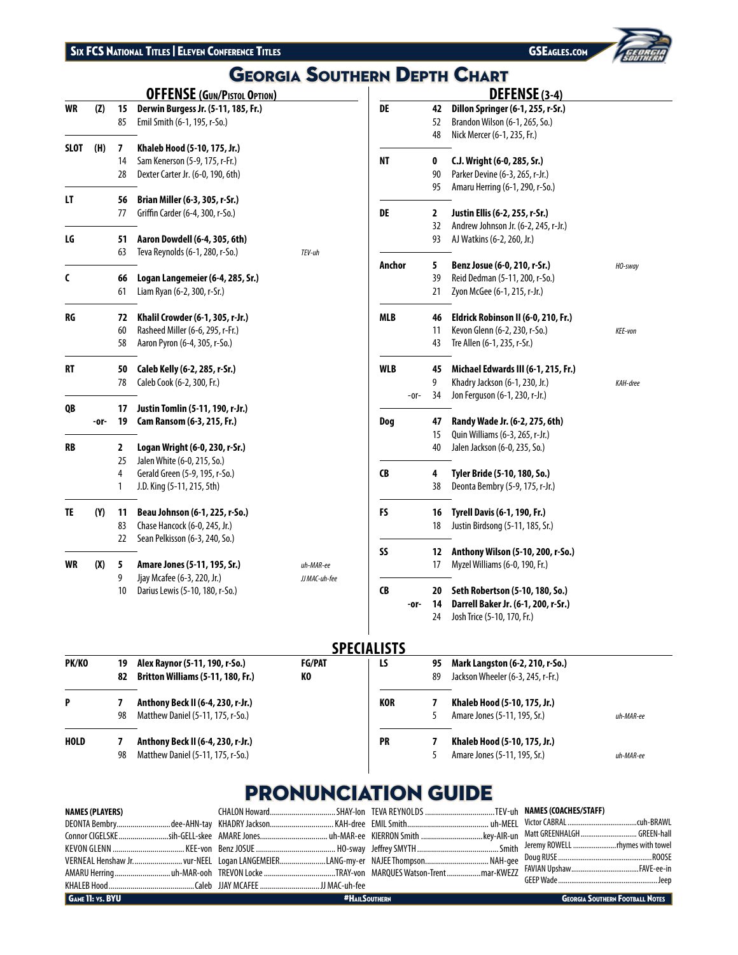

# **Georgia Southern Depth Chart**

|             |      |    | <b>OFFENSE (GUN/PISTOL OPTION)</b>  |               |
|-------------|------|----|-------------------------------------|---------------|
| <b>WR</b>   | (Z)  | 15 | Derwin Burgess Jr. (5-11, 185, Fr.) |               |
|             |      | 85 | Emil Smith (6-1, 195, r-So.)        |               |
| <b>SLOT</b> | (H)  | 7  | Khaleb Hood (5-10, 175, Jr.)        |               |
|             |      | 14 | Sam Kenerson (5-9, 175, r-Fr.)      |               |
|             |      | 28 | Dexter Carter Jr. (6-0, 190, 6th)   |               |
| LT          |      | 56 | Brian Miller (6-3, 305, r-Sr.)      |               |
|             |      | 77 | Griffin Carder (6-4, 300, r-So.)    |               |
| LG          |      | 51 | Aaron Dowdell (6-4, 305, 6th)       |               |
|             |      | 63 | Teva Reynolds (6-1, 280, r-So.)     | TEV-uh        |
| C           |      | 66 | Logan Langemeier (6-4, 285, Sr.)    |               |
|             |      | 61 | Liam Ryan (6-2, 300, r-Sr.)         |               |
| RG          |      | 72 | Khalil Crowder (6-1, 305, r-Jr.)    |               |
|             |      | 60 | Rasheed Miller (6-6, 295, r-Fr.)    |               |
|             |      | 58 | Aaron Pyron (6-4, 305, r-So.)       |               |
| <b>RT</b>   |      | 50 | Caleb Kelly (6-2, 285, r-Sr.)       |               |
|             |      | 78 | Caleb Cook (6-2, 300, Fr.)          |               |
| QB          |      | 17 | Justin Tomlin (5-11, 190, r-Jr.)    |               |
|             | -or- | 19 | Cam Ransom (6-3, 215, Fr.)          |               |
| RB          |      | 2  | Logan Wright (6-0, 230, r-Sr.)      |               |
|             |      | 25 | Jalen White (6-0, 215, So.)         |               |
|             |      | 4  | Gerald Green (5-9, 195, r-So.)      |               |
|             |      | 1  | J.D. King (5-11, 215, 5th)          |               |
| TE          | (Y)  | 11 | Beau Johnson (6-1, 225, r-So.)      |               |
|             |      | 83 | Chase Hancock (6-0, 245, Jr.)       |               |
|             |      | 22 | Sean Pelkisson (6-3, 240, So.)      |               |
| WR          | (X)  | 5  | Amare Jones (5-11, 195, Sr.)        | uh-MAR-ee     |
|             |      | 9  | Jjay Mcafee (6-3, 220, Jr.)         | JJ MAC-uh-fee |
|             |      | 10 | Darius Lewis (5-10, 180, r-So.)     |               |
|             |      |    |                                     |               |

|            |    | DEFENSE (3-4)                        |          |
|------------|----|--------------------------------------|----------|
| DE         | 42 | Dillon Springer (6-1, 255, r-Sr.)    |          |
|            | 52 | Brandon Wilson (6-1, 265, So.)       |          |
|            | 48 | Nick Mercer (6-1, 235, Fr.)          |          |
| <b>NT</b>  | 0  | C.J. Wright (6-0, 285, Sr.)          |          |
|            | 90 | Parker Devine (6-3, 265, r-Jr.)      |          |
|            | 95 | Amaru Herring (6-1, 290, r-So.)      |          |
| DE         | 2  | Justin Ellis (6-2, 255, r-Sr.)       |          |
|            | 32 | Andrew Johnson Jr. (6-2, 245, r-Jr.) |          |
|            | 93 | AJ Watkins (6-2, 260, Jr.)           |          |
| Anchor     | 5  | Benz Josue (6-0, 210, r-Sr.)         | HO-sway  |
|            | 39 | Reid Dedman (5-11, 200, r-So.)       |          |
|            | 21 | Zyon McGee (6-1, 215, r-Jr.)         |          |
| <b>MLB</b> | 46 | Eldrick Robinson II (6-0, 210, Fr.)  |          |
|            | 11 | Kevon Glenn (6-2, 230, r-So.)        | KEE-von  |
|            | 43 | Tre Allen (6-1, 235, r-Sr.)          |          |
| <b>WLB</b> | 45 | Michael Edwards III (6-1, 215, Fr.)  |          |
|            | 9  | Khadry Jackson (6-1, 230, Jr.)       | KAH-dree |
| -or-       | 34 | Jon Ferguson (6-1, 230, r-Jr.)       |          |
| Dog        | 47 | Randy Wade Jr. (6-2, 275, 6th)       |          |
|            | 15 | Quin Williams (6-3, 265, r-Jr.)      |          |
|            | 40 | Jalen Jackson (6-0, 235, So.)        |          |
| <b>CB</b>  | 4  | Tyler Bride (5-10, 180, So.)         |          |
|            | 38 | Deonta Bembry (5-9, 175, r-Jr.)      |          |
| FS         | 16 | Tyrell Davis (6-1, 190, Fr.)         |          |
|            | 18 | Justin Birdsong (5-11, 185, Sr.)     |          |
| SS         | 12 | Anthony Wilson (5-10, 200, r-So.)    |          |
|            | 17 | Myzel Williams (6-0, 190, Fr.)       |          |
| <b>CB</b>  | 20 | Seth Robertson (5-10, 180, So.)      |          |
| -or-       | 14 | Darrell Baker Jr. (6-1, 200, r-Sr.)  |          |
|            |    | Josh Trice (5-10, 170, Fr.)          |          |

# **SPECIALISTS**

| PK/KO       | 19<br>82 | Alex Raynor (5-11, 190, r-So.)<br><b>Britton Williams (5-11, 180, Fr.)</b> | <b>FG/PAT</b><br>KО | LS         | 95<br>89 | Mark Langston (6-2, 210, r-So.)<br>Jackson Wheeler (6-3, 245, r-Fr.) |           |
|-------------|----------|----------------------------------------------------------------------------|---------------------|------------|----------|----------------------------------------------------------------------|-----------|
| P           | 98       | Anthony Beck II (6-4, 230, r-Jr.)<br>Matthew Daniel (5-11, 175, r-So.)     |                     | <b>KOR</b> |          | Khaleb Hood (5-10, 175, Jr.)<br>Amare Jones (5-11, 195, Sr.)         | uh-MAR-ee |
| <b>HOLD</b> | 98       | Anthony Beck II (6-4, 230, r-Jr.)<br>Matthew Daniel (5-11, 175, r-So.)     |                     | <b>PR</b>  |          | Khaleb Hood (5-10, 175, Jr.)<br>Amare Jones (5-11, 195, Sr.)         | uh-MAR-ee |

# **PRONUNCIATION GUIDE**

| NAMES (PLAYERS)         |                      |                                        |
|-------------------------|----------------------|----------------------------------------|
| <b>GAME 11: VS. BYU</b> | <b>#HAILSOUTHERN</b> | <b>GEORGIA SOUTHERN FOOTBALL NOTES</b> |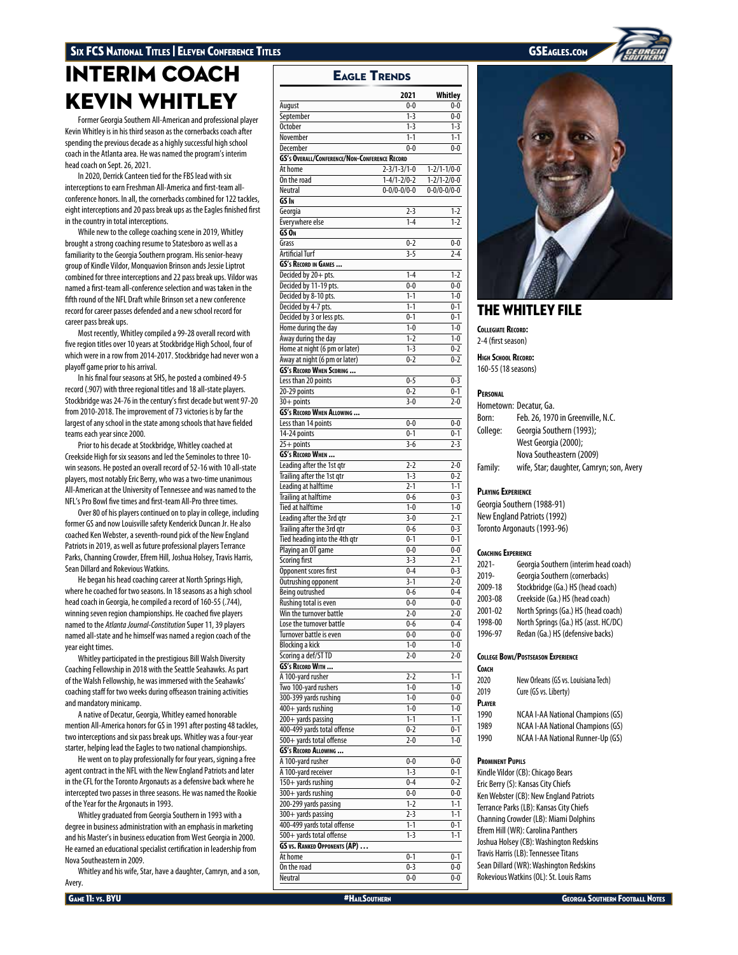# INTERIM COACH KEVIN WHITLEY

Former Georgia Southern All-American and professional player Kevin Whitley is in his third season as the cornerbacks coach after spending the previous decade as a highly successful high school coach in the Atlanta area. He was named the program's interim head coach on Sept. 26, 2021.

In 2020, Derrick Canteen tied for the FBS lead with six interceptions to earn Freshman All-America and first-team allconference honors. In all, the cornerbacks combined for 122 tackles, eight interceptions and 20 pass break ups as the Eagles finished first in the country in total interceptions.

While new to the college coaching scene in 2019, Whitley brought a strong coaching resume to Statesboro as well as a familiarity to the Georgia Southern program. His senior-heavy group of Kindle Vildor, Monquavion Brinson ands Jessie Liptrot combined for three interceptions and 22 pass break ups. Vildor was named a first-team all-conference selection and was taken in the fifth round of the NFL Draft while Brinson set a new conference record for career passes defended and a new school record for career pass break ups.

Most recently, Whitley compiled a 99-28 overall record with five region titles over 10 years at Stockbridge High School, four of which were in a row from 2014-2017. Stockbridge had never won a playoff game prior to his arrival.

In his final four seasons at SHS, he posted a combined 49-5 record (.907) with three regional titles and 18 all-state players. Stockbridge was 24-76 in the century's first decade but went 97-20 from 2010-2018. The improvement of 73 victories is by far the largest of any school in the state among schools that have fielded teams each year since 2000.

Prior to his decade at Stockbridge, Whitley coached at Creekside High for six seasons and led the Seminoles to three 10 win seasons. He posted an overall record of 52-16 with 10 all-state players, most notably Eric Berry, who was a two-time unanimous All-American at the University of Tennessee and was named to the NFL's Pro Bowl five times and first-team All-Pro three times.

Over 80 of his players continued on to play in college, including former GS and now Louisville safety Kenderick Duncan Jr. He also coached Ken Webster, a seventh-round pick of the New England Patriots in 2019, as well as future professional players Terrance Parks, Channing Crowder, Efrem Hill, Joshua Holsey, Travis Harris, Sean Dillard and Rokevious Watkins.

He began his head coaching career at North Springs High, where he coached for two seasons. In 18 seasons as a high school head coach in Georgia, he compiled a record of 160-55 (.744), winning seven region championships. He coached five players named to the *Atlanta Journal-Constitution* Super 11, 39 players named all-state and he himself was named a region coach of the year eight times.

Whitley participated in the prestigious Bill Walsh Diversity Coaching Fellowship in 2018 with the Seattle Seahawks. As part of the Walsh Fellowship, he was immersed with the Seahawks' coaching staff for two weeks during offseason training activities and mandatory minicamp.

A native of Decatur, Georgia, Whitley earned honorable mention All-America honors for GS in 1991 after posting 48 tackles, two interceptions and six pass break ups. Whitley was a four-year starter, helping lead the Eagles to two national championships.

He went on to play professionally for four years, signing a free agent contract in the NFL with the New England Patriots and later in the CFL for the Toronto Argonauts as a defensive back where he intercepted two passes in three seasons. He was named the Rookie of the Year for the Argonauts in 1993.

Whitley graduated from Georgia Southern in 1993 with a degree in business administration with an emphasis in marketing and his Master's in business education from West Georgia in 2000. He earned an educational specialist certification in leadership from Nova Southeastern in 2009.

Whitley and his wife, Star, have a daughter, Camryn, and a son, Avery.

**2021 Whitley** August 0-0 0-0 September 1-3 0-0 October 1-3 1-3 November 1-1 1-1 1-1 December 0-0 0-0 **GS's Overall/Conference/Non-Conference Record** At home 2-3/1-3/1-0 1-2/1-1/0-0 On the road 1-4/1-2/0-2 1-2/1-2/0-0 Neutral 0-0/0-0/0-0 **GS In** Georgia 2-3 1-2 Everywhere else 1-4 1-2 **GS On** Grass 0-2 0-0 Artificial Turf 3-5 2-4 **GS's Record in Games ...** Decided by  $20 + \text{pts.}$  1-4 1-2 Decided by 11-19 pts. 0-0 0-0 0-0<br>Decided by 8-10 pts. 1-1 1-1 0-0 Decided by 8-10 pts.  $1-1$   $1-0$ <br>Decided by 4-7 pts  $1-1$   $0-1$ Decided by 4-7 pts. 1-1 Decided by 3 or less pts. 0-1 0-1 Home during the day 1-0 1-0 1-0<br>Away during the day 1-2 1-0 Away during the day Home at night (6 pm or later) 1-3 0-2 Away at night (6 pm or later) 0-2 0-2 **GS's Record When Scoring ...** Less than 20 points 0-5 0-3<br>
20-29 points 0-2 0-1  $\frac{20-29 \text{ points}}{30+\text{points}}$  0-2 0-1<br>3-0 2-0  $30+$  points **GS's Record When Allowing ...** Less than 14 points 0-0 0-0 14-24 points 0-1  $25 + points$   $3-6$   $2-3$ **GS's Record When ...** Leading after the 1st qtr<br>
Trailing after the 1st gtr
1-3 0-2 Trailing after the 1st gtr Leading at halftime 2-1 1-1<br>
Trailing at halftime 2-6 0-6 0-3 **Trailing at halftime** Tied at halftime 1-0 1-0 Leading after the 3rd qtr<br>
Trailing after the 3rd qtr<br>
3-0 2-1<br>
0-6 0-3 Trailing after the 3rd qtr Tied heading into the 4th gtr 0-1 0-1 0-1 Playing an OT game 0-0 0-0 0-0 Scoring first 3-3 2-1<br>
Opponent scores first 3-4 0-4 0-3 Opponent scores first 0-4 Outrushing opponent 3-1 2-0<br>Being outrushed 0-6 0-4 Being outrushed 0-6 0-4<br>
Rushing total is even 0-0 0-0 0-0 Rushing total is even Win the turnover battle <br>
Lose the turnover battle <br>
2-0 2-6 2-4 2-0 Lose the turnover battle **1996**<br>
Turnover battle is even **1996**<br>
O-0 0-0 0-0 Turnover battle is even Blocking a kick 1-0 1-0<br>
Scoring a def/STTD 2-0 2-0 Scoring a def/ST TD 2-0 **GS's Record With ...** A 100-yard rusher 2-2 1-1 <u>Two 100-yard rushers 1-0</u><br>
1-0 1-0 1-0<br>
1-0 0-0<br>
1-0 0-0 300-399 yards rushing 400+ yards rushing 1-0 1-0 200+ yards passing<br>
400-499 yards total offense<br>
20-2 0-1 400-499 yards total offense 500+ yards total offense 2-0 1-0 **GS's Record Allowing ...**  $\overline{A}$  100-yard rusher 0-0 0-0 0-0 A 100-yard receiver 1-3 0-1  $150+$  yards rushing  $0-4$  0-2  $\overline{300+$  yards rushing 0-0 0-0 200-299 yards passing 1-2 1-2 1-1<br>
300+ yards passing 2-3 1-1 300+ yards passing 2-3 400-499 yards total offense 1-1 0-1 500+ yards total offense 1-3 1-1 **GS vs. Ranked Opponents (AP) …** At home 0-1 0-1 On the road  $0-3$ Neutral 0-0 0-0 0-0



# THE WHITLEY FILE

**COLLEGIATE RECORDS** 

2-4 (first season)

**High School Record:** 160-55 (18 seasons)

## **Personal**

|          | Hometown: Decatur, Ga.                   |
|----------|------------------------------------------|
| Born:    | Feb. 26, 1970 in Greenville, N.C.        |
| College: | Georgia Southern (1993);                 |
|          | West Georgia (2000);                     |
|          | Nova Southeastern (2009)                 |
| Family:  | wife, Star; daughter, Camryn; son, Avery |

## **Playing Experience**

Georgia Southern (1988-91) New England Patriots (1992) Toronto Argonauts (1993-96)

## **Coaching Experience**

| $2021 -$ | Georgia Southern (interim head coach) |
|----------|---------------------------------------|
| 2019-    | Georgia Southern (cornerbacks)        |
| 2009-18  | Stockbridge (Ga.) HS (head coach)     |
| 2003-08  | Creekside (Ga.) HS (head coach)       |
| 2001-02  | North Springs (Ga.) HS (head coach)   |
| 1998-00  | North Springs (Ga.) HS (asst. HC/DC)  |
| 1996-97  | Redan (Ga.) HS (defensive backs)      |

## **College Bowl/Postseason Experience**

## **Coach**

| 2020   | New Orleans (GS vs. Louisiana Tech)      |
|--------|------------------------------------------|
| 2019   | Cure (GS vs. Liberty)                    |
| PLAYER |                                          |
| 1990   | <b>NCAA I-AA National Champions (GS)</b> |
| 1989   | <b>NCAA I-AA National Champions (GS)</b> |
| 1990   | NCAA I-AA National Runner-Up (GS)        |
|        |                                          |

## **Prominent Pupils**

Kindle Vildor (CB): Chicago Bears Eric Berry (S): Kansas City Chiefs Ken Webster (CB): New England Patriots Terrance Parks (LB): Kansas City Chiefs Channing Crowder (LB): Miami Dolphins Efrem Hill (WR): Carolina Panthers Joshua Holsey (CB): Washington Redskins Travis Harris (LB): Tennessee Titans Sean Dillard (WR): Washington Redskins Rokevious Watkins (OL): St. Louis Rams



Eagle Trends

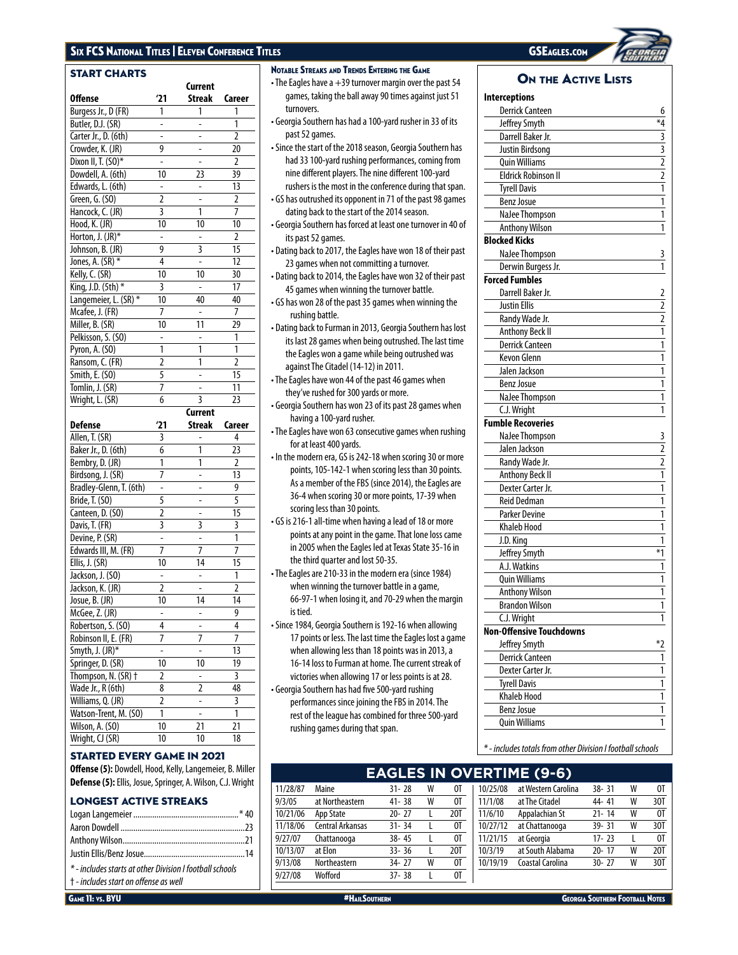# Six FCS National Titles | Eleven Conference Titles GSEAGLES.com GSEAGLES.com GSEAGLES.com

| <b>START CHARTS</b>                |                         |               |                |
|------------------------------------|-------------------------|---------------|----------------|
|                                    |                         | Current       |                |
| <b>Offense</b>                     | '21                     | Streak        | Career         |
| Burgess Jr., D (FR)                | 1                       | 1             | 1              |
| Butler, D.J. (SR)                  |                         |               | 1              |
| Carter Jr., D. (6th)               | $\overline{a}$          | -             | $\overline{2}$ |
| Crowder, K. (JR)                   | 9                       | -             | 20             |
| Dixon II, T. (SO)*                 | -                       |               | 2              |
| Dowdell, A. (6th)                  | 10                      | 23            | 39             |
| Edwards, L. (6th)                  | ÷                       | -             | 13             |
| Green, G. (SO)                     | $\overline{2}$          |               | 2              |
| Hancock, C. (JR)                   | $\overline{\mathbf{3}}$ | 1             | 7              |
| Hood, K. (JR)                      | 10                      | 10            | 10             |
| Horton, J. (JR)*                   |                         |               | $\overline{2}$ |
| Johnson, B. (JR)                   | 9                       | 3             | 15             |
| Jones, A. (SR) *                   | 4                       | -             | 12             |
| Kelly, C. (SR)                     | 10                      | 10            | 30             |
| King, J.D. (5th) *                 | 3                       | -             | 17             |
| Langemeier, L. (SR) *              | 10                      | 40            | 40             |
| Mcafee, J. (FR)                    | 7                       |               | $\overline{7}$ |
| Miller, B. (SR)                    | 10                      | 11            | 29             |
| Pelkisson, S. (SO)                 | -                       |               | 1              |
| Pyron, A. (SO)                     | 1                       | 1             | 1              |
| Ransom, C. (FR)                    | $\overline{2}$          | 1             | $\overline{2}$ |
| Smith, E. (SO)                     | 5                       | -             | 15             |
| Tomlin, J. (SR)                    | 7                       |               | 11             |
| Wright, L. (SR)                    | 6                       | 3             | 23             |
|                                    |                         |               |                |
|                                    |                         | Current       |                |
| <b>Defense</b>                     | 21                      | <b>Streak</b> | Career         |
| Allen, T. (SR)                     | 3                       |               | 4              |
| Baker Jr., D. (6th)                | 6                       | 1             | 23             |
| Bembry, D. (JR)                    | 1                       | 1             | 2              |
| Birdsong, J. (SR)                  | 7                       | -             | 13             |
| Bradley-Glenn, T. (6th)            | -                       | -             | 9              |
| Bride, T. (SO)                     | $\overline{5}$          |               | 5              |
| Canteen, D. (SO)                   | 2                       | -             | 15             |
| Davis, T. (FR)                     | 3                       | 3             | 3              |
| Devine, P. (SR)                    | -                       | -             | 1              |
| Edwards III, M. (FR)               | 7                       | 7             | $\overline{1}$ |
| Ellis, J. (SR)                     | 10                      | 14            | 15             |
| Jackson, J. (SO)                   |                         |               | 1              |
| Jackson, K. (JR)                   | $\overline{2}$          |               | $\overline{2}$ |
| Josue, B. (JR)                     | 10                      | 14            | 14             |
| McGee, Z. (JR)                     |                         |               | 9              |
| Robertson, S. (SO)                 | 4                       |               | 4              |
| Robinson II, E. (FR)               | 7                       | 7             | 7              |
| Smyth, J. (JR)*                    | -                       | -             | 13             |
| Springer, D. (SR)                  | 10                      | 10            | 19             |
| Thompson, N. (SR) +                | 2                       |               | 3              |
| Wade Jr., R (6th)                  | 8                       | 2             | 48             |
| Williams, Q. (JR)                  | 2                       | ÷,            | 3              |
| Watson-Trent, M. (SO)              | 1                       | -             | 1              |
| Wilson, A. (SO)<br>Wright, CJ (SR) | 10                      | 21<br>10      | 21             |

## STARTED EVERY GAME IN 2021

**Offense (5):** Dowdell, Hood, Kelly, Langemeier, B. Miller **Defense (5):**Ellis, Josue, Springer, A. Wilson, C.J. Wright

## LONGEST ACTIVE STREAKS

| * - includes starts at other Division I football schools |  |
|----------------------------------------------------------|--|

† - *includes start on offense as well*

Notable Streaks and Trends Entering the Game

- $\cdot$  The Eagles have a  $+39$  turnover margin over the past 54 games, taking the ball away 90 times against just 51 turnovers.
- Georgia Southern has had a 100-yard rusher in 33 of its past 52 games.
- Since the start of the 2018 season, Georgia Southern has had 33 100-yard rushing performances, coming from nine different players. The nine different 100-yard rushers is the most in the conference during that span.
- GS has outrushed its opponent in 71 of the past 98 games dating back to the start of the 2014 season.
- Georgia Southern has forced at least one turnover in 40 of its past 52 games.
- Dating back to 2017, the Eagles have won 18 of their past 23 games when not committing a turnover.
- Dating back to 2014, the Eagles have won 32 of their past 45 games when winning the turnover battle.
- GS has won 28 of the past 35 games when winning the rushing battle.
- Dating back to Furman in 2013, Georgia Southern has lost its last 28 games when being outrushed. The last time the Eagles won a game while being outrushed was against The Citadel (14-12) in 2011.
- The Eagles have won 44 of the past 46 games when they've rushed for 300 yards or more.
- Georgia Southern has won 23 of its past 28 games when having a 100-yard rusher.
- The Eagles have won 63 consecutive games when rushing for at least 400 yards.
- In the modern era, GS is 242-18 when scoring 30 or more points, 105-142-1 when scoring less than 30 points. As a member of the FBS (since 2014), the Eagles are 36-4 when scoring 30 or more points, 17-39 when scoring less than 30 points.
- GS is 216-1 all-time when having a lead of 18 or more points at any point in the game. That lone loss came in 2005 when the Eagles led at Texas State 35-16 in the third quarter and lost 50-35.
- The Eagles are 210-33 in the modern era (since 1984) when winning the turnover battle in a game, 66-97-1 when losing it, and 70-29 when the margin is tied.
- Since 1984, Georgia Southern is 192-16 when allowing 17 points or less. The last time the Eagles lost a game when allowing less than 18 points was in 2013, a 16-14 loss to Furman at home. The current streak of victories when allowing 17 or less points is at 28.
- Georgia Southern has had five 500-yard rushing performances since joining the FBS in 2014. The rest of the league has combined for three 500-yard rushing games during that span.

| <b>Interceptions</b>                          |                             |
|-----------------------------------------------|-----------------------------|
| <b>Derrick Canteen</b>                        | 6                           |
| Jeffrey Smyth                                 | *4                          |
| Darrell Baker Jr.                             |                             |
| Justin Birdsona                               | $\frac{3}{2}$ $\frac{2}{1}$ |
| <b>Quin Williams</b>                          |                             |
| <b>Eldrick Robinson II</b>                    |                             |
|                                               |                             |
| <b>Tyrell Davis</b>                           | $\overline{1}$              |
| <b>Benz Josue</b>                             | $\overline{1}$              |
| NaJee Thompson                                | 1                           |
| <b>Anthony Wilson</b><br><b>Blocked Kicks</b> |                             |
|                                               |                             |
| NaJee Thompson                                | 3                           |
| Derwin Burgess Jr.                            | 1                           |
| <b>Forced Fumbles</b>                         |                             |
| Darrell Baker Jr.                             |                             |
| <b>Justin Ellis</b>                           |                             |
| Randy Wade Jr.                                |                             |
| <b>Anthony Beck II</b>                        | $\frac{2}{2}$ $\frac{1}{1}$ |
| <b>Derrick Canteen</b>                        |                             |
| <b>Kevon Glenn</b>                            | $\overline{1}$              |
| Jalen Jackson                                 | 1                           |
| <b>Benz Josue</b>                             | $\overline{1}$              |
| NaJee Thompson                                | 1                           |
| C.J. Wright                                   | 1                           |
| <b>Fumble Recoveries</b>                      |                             |
| NaJee Thompson                                |                             |
| Jalen Jackson                                 |                             |
| Randy Wade Jr.                                |                             |
| <b>Anthony Beck II</b>                        | $\frac{2}{2}$ $\frac{1}{1}$ |
| Dexter Carter Jr.                             |                             |
| <b>Reid Dedman</b>                            | 1                           |
| Parker Devine                                 | $\overline{1}$              |
| Khaleb Hood                                   | 1                           |
| J.D. King                                     | $\overline{1}$              |
| Jeffrey Smyth                                 | $*1$                        |
| A.J. Watkins                                  |                             |
| <b>Quin Williams</b>                          | 1                           |
| <b>Anthony Wilson</b>                         | 1                           |
| <b>Brandon Wilson</b>                         | $\overline{1}$              |
| C.J. Wright                                   | 1                           |
| Non-Offensive Touchdowns                      |                             |
| Jeffrey Smyth                                 |                             |
| <b>Derrick Canteen</b>                        | 1                           |
| Dexter Carter Jr.                             | 1                           |
| <b>Tyrell Davis</b>                           | 1                           |
| <b>Khaleb Hood</b>                            | $\overline{\mathbf{1}}$     |
| <b>Benz Josue</b>                             | 1                           |
| <b>Ouin Williams</b>                          | 1                           |
|                                               |                             |

*\* - includes totals from other Division I football schools*

# **EAGLES IN OVERTIME (9-6)**

| 11/28/87 | Maine                   | $31 - 28$ | W | OT  | 10/25  |
|----------|-------------------------|-----------|---|-----|--------|
| 9/3/05   | at Northeastern         | $41 - 38$ | W | 0T  | 11/1/0 |
| 10/21/06 | App State               | $20 - 27$ |   | 20T | 11/6/1 |
| 11/18/06 | <b>Central Arkansas</b> | $31 - 34$ |   | 0T  | 10/27  |
| 9/27/07  | Chattanooga             | $38 - 45$ |   | 0T  | 11/21  |
| 10/13/07 | at Elon                 | $33 - 36$ | L | 20T | 10/3/1 |
| 9/13/08  | Northeastern            | $34 - 27$ | W | 0T  | 10/19/ |
| 9/27/08  | Wofford                 | $37 - 38$ |   | 0T  |        |
|          |                         |           |   |     |        |

| 10/25/08 | at Western Carolina | $38 - 31$ | W | 0T  |
|----------|---------------------|-----------|---|-----|
| 11/1/08  | at The Citadel      | 44-41     | W | 30T |
| 11/6/10  | Appalachian St      | $21 - 14$ | W | 0T  |
| 10/27/12 | at Chattanooga      | 39-31     | W | 30T |
| 11/21/15 | at Georgia          | $17 - 23$ |   | 0T  |
| 10/3/19  | at South Alabama    | $20 - 17$ | W | 20T |
| 10/19/19 | Coastal Carolina    | $30 - 27$ | W | 30T |
|          |                     |           |   |     |



# ON THE **ACTIVE** LISTS

**GAME 11: VS. BYU ALLYSON CONTRIGATES AND A HAILSOUTHERN AND SECTION CONTRIGATES AND GEORGIA SOUTHERN FOOTBALL NOTES**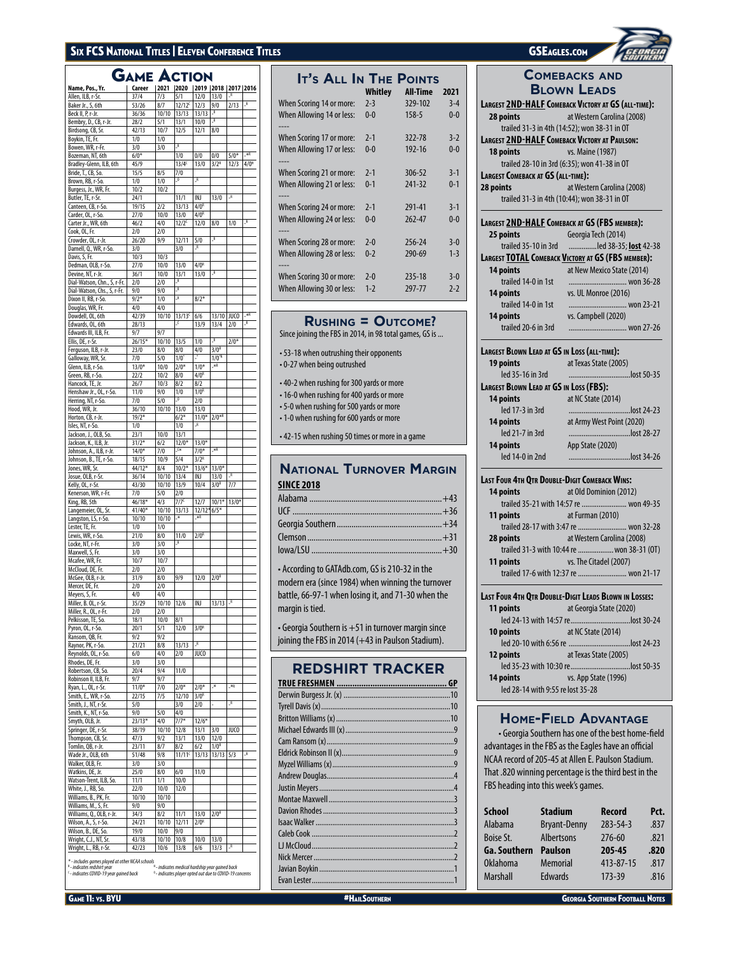# SIX FCS NATIONAL TITLES | ELEVEN CONFERENCE TITLES GSEAGLES.COM

# GAME ACTION

|                             | АМЕ      | Æ     | <b>UIUN</b>              |                               |                  |             |                         |
|-----------------------------|----------|-------|--------------------------|-------------------------------|------------------|-------------|-------------------------|
| Name, Pos., Yr.             | Career   | 2021  | 2020 2019 2018 2017 2016 |                               |                  |             |                         |
| Allen, ILB, r-Sr.           | 37/4     | 7/3   | 5/1                      | 12/0                          | 13/0             |             |                         |
| Baker Jr., S, 6th           | 53/26    | 8/7   | 12/12 <sup>c</sup>       | 12/3                          | 9/0              | 2/13        | $\overline{\mathbf{R}}$ |
| Beck II, P, r-Jr.           | 36/36    | 10/10 | 13/13                    | 13/13                         | $\overline{R}$   |             |                         |
| Bembry, D., CB, r-Jr.       | 28/2     | 5/1   | 13/1                     | 10/0                          | $\overline{R}$   |             |                         |
| Birdsong, CB, Sr.           | 42/13    | 10/7  | 12/5                     | 12/1                          | 8/0              |             |                         |
| Boykin, TE, Fr.             | 1/0      | 1/0   |                          |                               |                  |             |                         |
| Bowen, WR, r-Fr.            | 3/0      | 3/0   | R                        |                               |                  |             |                         |
| Bozeman, NT, 6th            | $6/0*$   |       | 1/0                      | 0/0                           | 0/0              | $5/0*$      | $**$                    |
| Bradley-Glenn, ILB, 6th     | 45/9     |       | $13/4^c$                 | 13/0                          | $3/2^R$          | 12/3        | 4/0 <sup>H</sup>        |
| Bride, T., CB, So.          | 15/5     | 8/5   | 7/0                      |                               |                  |             |                         |
| Brown, RB, r-So.            | 1/0      | 1/0   | $\overline{0}$           | <u>R</u>                      |                  |             |                         |
| Burgess, Jr., WR, Fr.       | 10/2     | 10/2  |                          |                               |                  |             |                         |
| Butler, TE, r-Sr.           | 24/1     |       | 11/1                     | INJ                           | 13/0             | R           |                         |
| Canteen, CB, r-So.          |          | 2/2   |                          | 4/0 <sup>R</sup>              |                  |             |                         |
|                             | 19/15    |       | 13/13                    |                               |                  |             |                         |
| Carder, OL, r-So.           | 27/0     | 10/0  | 13/0                     | 4/0 <sup>R</sup>              | 8/0              |             | <u>R</u>                |
| Carter Jr., WR, 6th         | 46/2     | 4/0   | $12/2^c$                 | 12/0                          |                  | 1/0         |                         |
| Cook, OL, Fr.               | 2/0      | 2/0   |                          |                               | R                |             |                         |
| Crowder, OL, r-Jr.          | 26/20    | 9/9   | 12/11                    | 5/0                           |                  |             |                         |
| Darnell, Q., WR, r-So.      | 3/0      |       | 3/0                      | $\_R$                         |                  |             |                         |
| Davis, S, Fr.               | 10/3     | 10/3  |                          |                               |                  |             |                         |
| Dedman, OLB, r-So.          | 27/0     | 10/0  | 13/0                     | 4/0 <sup>R</sup>              |                  |             |                         |
| Devine, NT, r-Jr.           | 36/1     | 10/0  | 13/1                     | 13/0                          | R                |             |                         |
| Dial-Watson, Chn., S, r-Fr. | 2/0      | 2/0   | $\overline{\mathbf{R}}$  |                               |                  |             |                         |
| Dial-Watson, Chs., S, r-Fr. | 9/0      | 9/0   | $\overline{R}$           |                               |                  |             |                         |
| Dixon II, RB, r-So.         | $9/2*$   | 1/0   | $\overline{R}$           | $8/2*$                        |                  |             |                         |
| Douglas, WR, Fr.            | 4/0      | 4/0   |                          |                               |                  |             |                         |
| Dowdell, OL, 6th            | 42/39    | 10/10 | $13/13^c$                | 6/6                           | 13/10            | JUCO        | $*$ R                   |
| Edwards, OL, 6th            | 28/13    |       | $\overline{\phantom{a}}$ | 13/9                          | 13/4             | 2/0         | <u>R</u>                |
| Edwards III, ILB, Fr.       | 9/7      | 9/7   |                          |                               |                  |             |                         |
| Ellis, DE, r-Sr.            | $26/15*$ | 10/10 | 13/5                     | 1/0                           | $\overline{R}$   | $2/0*$      |                         |
| Ferguson, ILB, r-Jr.        | 23/0     | 8/0   | 8/0                      | 4/0                           | 3/0 <sup>R</sup> |             |                         |
| Galloway, WR, Sr.           | 7/0      | 5/0   | $1/0$ <sup>*</sup>       |                               | $1/0^{\circ R}$  |             |                         |
| Glenn, ILB, r-So.           | $13/0*$  | 10/0  | $2/0*$                   | $1/0*$                        | $*$ R            |             |                         |
| Green, RB, r-So.            | 22/2     | 10/2  | 8/0                      | 4/0 <sup>R</sup>              |                  |             |                         |
| Hancock, TE, Jr.            | 26/7     | 10/3  | 8/2                      | 8/2                           |                  |             |                         |
| Henshaw Jr., OL, r-So.      | 11/0     | 9/0   | 1/0                      | 1/0 <sup>R</sup>              |                  |             |                         |
| Herring, NT, r-So.          | 7/0      | 5/0   | $\overline{\phantom{0}}$ | 2/0                           |                  |             |                         |
| Hood, WR, Jr.               |          |       |                          |                               |                  |             |                         |
|                             | 36/10    | 10/10 | 13/0                     | 13/0                          |                  |             |                         |
| Horton, CB, r-Jr.           | $19/2*$  |       | $6/2*$                   | $11/0*$<br>R                  | $2/0**$          |             |                         |
| Isles, NT, r-So.            | 1/0      |       | 1/0                      |                               |                  |             |                         |
| Jackson, J., OLB, So.       | 23/1     | 10/0  | 13/1                     |                               |                  |             |                         |
| Jackson, K., ILB, Jr.       | $31/2*$  | 6/2   | $12/0*$                  | $13/0*$                       |                  |             |                         |
| Johnson, A., ILB, r-Jr.     | $14/0*$  | 7/0   | $\xi$                    | $7/0*$                        | $**R$            |             |                         |
| Johnson, B., TE, r-So.      | 18/15    | 10/9  | 5/4                      | $3/2^R$                       |                  |             |                         |
| Jones, WR, Sr.              | 44/12*   | 8/4   | $10/2*$                  | $13/6*$                       | $13/0*$          |             |                         |
| Josue, OLB, r-Sr.           | 36/14    | 10/10 | 13/4                     | INJ                           | 13/0             | R           |                         |
| Kelly, OL, r-Sr.            | 43/30    | 10/10 | 13/9                     | 10/4                          | 3/0 <sup>R</sup> | 7/7         |                         |
| Kenerson, WR, r-Fr.         | 7/0      | 5/0   | 2/0                      |                               |                  |             |                         |
| King, RB, 5th               | 46/18*   | 4/3   | $7/7^c$                  | 12/7                          | $10/1*$          | $13/0*$     |                         |
| Langemeier, OL, Sr.         | 41/40*   | 10/10 | 13/13                    | 12/1216/5*                    |                  |             |                         |
| Langston, LS, r-So.         | 10/10    | 10/10 | $\cdot^*$                | $*$                           |                  |             |                         |
| Lester, TE, Fr.             | 1/0      | 1/0   |                          |                               |                  |             |                         |
| Lewis, WR, r-So.            | 21/0     | 8/0   | 11/0                     | 2/0 <sup>R</sup>              |                  |             |                         |
| Locke, NT, r-Fr.            | 3/0      | 3/0   | R                        |                               |                  |             |                         |
| Maxwell, S, Fr.             | 3/0      | 3/0   |                          |                               |                  |             |                         |
| Mcafee, WR, Fr.             | 10/7     | 10/7  |                          |                               |                  |             |                         |
| McCloud, DE, Fr.            | 2/0      | 2/0   |                          |                               |                  |             |                         |
| McGee, OLB, r-Jr.           | 31/9     | 8/0   | 9/9                      | 12/0                          | 2/0 <sup>R</sup> |             |                         |
| Mercer, DE, Fr.             | 2/0      | 2/0   |                          |                               |                  |             |                         |
| Meyers, S, Fr.              | 4/0      | 4/0   |                          |                               |                  |             |                         |
| Miller, B. OL, r-Sr.        | 35/29    | 10/10 | 12/6                     | ÎNJ                           | 13/13            | $\mathbb R$ |                         |
| Miller, R., OL, r-Fr.       | 2/0      | 2/0   |                          |                               |                  |             |                         |
| Pelkisson, TE, So.          | 18/1     | 10/0  | 8/1                      |                               |                  |             |                         |
| Pyron, OL, r-So.            | 20/1     | 5/1   | 12/0                     | 3/0 <sup>R</sup>              |                  |             |                         |
| Ransom, QB, Fr.             | 9/2      | 9/2   |                          |                               |                  |             |                         |
| Raynor, PK, r-So.           | 21/21    | 8/8   | 13/13                    | <u>R</u>                      |                  |             |                         |
| Reynolds, OL, r-So.         | 6/0      | 4/0   | 2/0                      | JUCO                          |                  |             |                         |
| Rhodes, DE, Fr.             | 3/0      | 3/0   |                          |                               |                  |             |                         |
| Robertson, CB, So.          | 20/4     | 9/4   | 11/0                     |                               |                  |             |                         |
| Robinson II, ILB, Fr.       | 9/7      | 9/7   |                          |                               |                  |             |                         |
| Ryan, L., OL, r-Sr.         | $11/0*$  | 7/0   | $2/0*$                   | $2/0*$                        | ÷,               | _*R         |                         |
|                             |          |       |                          | $\frac{1}{3}$ /0 <sup>R</sup> |                  |             |                         |
| Smith, E., WR, r-So.        | 22/15    | 7/5   | 12/10                    |                               |                  | <b>R</b>    |                         |
| Smith, J., NT, r-Sr.        | 5/0      |       | 3/0                      | 2/0                           |                  |             |                         |
| Smith, K., NT, r-So.        | 9/0      | 5/0   | 4/0                      |                               |                  |             |                         |
| Smyth, OLB, Jr.             | $23/13*$ | 4/0   | $7/7*$                   | $12/6*$                       |                  | <b>JUCO</b> |                         |
| Springer, DE, r-Sr.         | 38/19    | 10/10 | 12/8                     | 13/1                          | 3/0              |             |                         |
| Thompson, CB, Sr.           | 47/3     | 9/2   | 13/1                     | 13/0                          | 12/0             |             |                         |
| Tomlin, QB, r-Jr.           | 23/11    | 8/7   | 8/2                      | 6/2                           | 1/0 <sup>R</sup> |             |                         |
| Wade Jr., OLB, 6th          | 51/48    | 9/8   | 11/11 <sup>c</sup>       | 13/13                         | 13/13            | 5/3         | <u>R</u>                |
| Walker, OLB, Fr.            | 3/0      | 3/0   |                          |                               |                  |             |                         |
| Watkins, DE, Jr.            | 25/0     | 8/0   | 6/0                      | 11/0                          |                  |             |                         |
| Watson-Trent, ILB, So.      | 11/1     | 1/1   | 10/0                     |                               |                  |             |                         |
| White, J., RB, So.          | 22/0     | 10/0  | 12/0                     |                               |                  |             |                         |
| Williams, B., PK, Fr.       | 10/10    | 10/10 |                          |                               |                  |             |                         |
| Williams, M., S, Fr.        | 9/0      | 9/0   |                          |                               |                  |             |                         |
| Williams, Q., OLB, r-Jr.    | 34/3     | 8/2   | 11/1                     | 13/0                          | 2/0 <sup>R</sup> |             |                         |
| Wilson, A., S, r-So.        | 24/21    | 10/10 | 12/11                    | 2/0 <sup>R</sup>              |                  |             |                         |
| Wilson, B., DE, So.         | 19/0     | 10/0  | 9/0                      |                               |                  |             |                         |
| Wright, C.J., NT, Sr.       | 43/18    | 10/10 | 10/8                     | 10/0                          | 13/0             |             |                         |
| Wright, L., RB, r-Sr.       | 42/23    | 10/6  | 13/8                     | 6/6                           | 13/3             | JR.         |                         |
|                             |          |       |                          |                               |                  |             |                         |

a includes games played at other NCAA schools<br><sup>16</sup> - indicates redshirt year and the simulates medical hardship year gained back<br><sup>1</sup> - indicates COVID-19 concerns <sup>0</sup> - indicates player opted out due to COVID-19 concerns

| <b>IT'S ALL IN THE POINTS</b>    |         |                 |         |
|----------------------------------|---------|-----------------|---------|
|                                  | Whitley | <b>All-Time</b> | 2021    |
| When Scoring 14 or more:         | $2 - 3$ | 329-102         | $3 - 4$ |
| When Allowing 14 or less:        | $0 - 0$ | $158 - 5$       | $0 - 0$ |
| When Scoring 17 or more:         | $2 - 1$ | 322-78          | $3-2$   |
| When Allowing 17 or less:        | $0 - 0$ | 192-16          | $0 - 0$ |
| ----<br>When Scoring 21 or more: | $2 - 1$ | 306-52          | $3 - 1$ |
| When Allowing 21 or less:        | $0 - 1$ | 241-32          | $0 - 1$ |
|                                  |         |                 |         |
| When Scoring 24 or more:         | $2 - 1$ | 291-41          | $3 - 1$ |
| When Allowing 24 or less:        | $0 - 0$ | 262-47          | $0 - 0$ |
|                                  |         |                 |         |
| When Scoring 28 or more:         | $2 - 0$ | 256-24          | $3 - 0$ |
| When Allowing 28 or less:        | $0 - 2$ | 290-69          | $1 - 3$ |
|                                  |         |                 |         |
| When Scoring 30 or more:         | $2 - 0$ | 235-18          | $3 - 0$ |
| When Allowing 30 or less:        | $1 - 2$ | 297-77          | $2 - 2$ |

# **Rushing = Outcome?**

Since joining the FBS in 2014, in 98 total games, GS is ...

- 53-18 when outrushing their opponents • 0-27 when being outrushed
- 40-2 when rushing for 300 yards or more
- 16-0 when rushing for 400 yards or more
- 5-0 when rushing for 500 yards or more
- 1-0 when rushing for 600 yards or more
- 42-15 when rushing 50 times or more in a game

# **National Turnover Margin SINCE 2018**

• According to GATAdb.com, GS is 210-32 in the modern era (since 1984) when winning the turnover battle, 66-97-1 when losing it, and 71-30 when the margin is tied.

• Georgia Southern is +51 in turnover margin since joining the FBS in 2014 (+43 in Paulson Stadium).

# **REDSHIRT TRACKER**



|                                                     | <i><b>SOUTHERN</b></i>                                                   |
|-----------------------------------------------------|--------------------------------------------------------------------------|
|                                                     | <b>COMEBACKS AND</b>                                                     |
|                                                     | <b>BLOWN LEADS</b>                                                       |
|                                                     | LARGEST 2ND-HALF COMEBACK VICTORY AT GS (ALL-TIME):                      |
| 28 points                                           | at Western Carolina (2008)                                               |
| trailed 31-3 in 4th (14:52); won 38-31 in OT        |                                                                          |
| LARGEST 2ND-HALF COMEBACK VICTORY AT PAULSON:       |                                                                          |
| 18 points                                           | vs. Maine (1987)                                                         |
| trailed 28-10 in 3rd (6:35); won 41-38 in OT        |                                                                          |
| LARGEST COMEBACK AT GS (ALL-TIME):                  |                                                                          |
| 28 points                                           | at Western Carolina (2008)                                               |
| trailed 31-3 in 4th (10:44); won 38-31 in OT        |                                                                          |
|                                                     |                                                                          |
| LARGEST 2ND-HALF COMEBACK AT GS (FBS MEMBER):       |                                                                          |
| 25 points                                           | Georgia Tech (2014)                                                      |
|                                                     | trailed 35-10 in 3rd led 38-35; lost 42-38                               |
|                                                     | LARGEST TOTAL COMEBACK VICTORY AT GS (FBS MEMBER):                       |
| 14 points                                           | at New Mexico State (2014)                                               |
| trailed 14-0 in 1st                                 | won 36-28                                                                |
| 14 points                                           | vs. UL Monroe (2016)                                                     |
| trailed 14-0 in 1st                                 | won 23-21                                                                |
| 14 points                                           | vs. Campbell (2020)                                                      |
| trailed 20-6 in 3rd                                 | won 27-26                                                                |
|                                                     |                                                                          |
| <b>LARGEST BLOWN LEAD AT GS IN LOSS (ALL-TIME):</b> |                                                                          |
| 19 points                                           | at Texas State (2005)                                                    |
| led 35-16 in 3rd                                    | lost 50-35                                                               |
| <b>LARGEST BLOWN LEAD AT GS IN LOSS (FBS):</b>      |                                                                          |
| 14 points                                           | at NC State (2014)                                                       |
| led 17-3 in 3rd                                     | lost 24-23                                                               |
| 14 points                                           | at Army West Point (2020)                                                |
| led 21-7 in 3rd                                     | lost 28-27                                                               |
| 14 points                                           | App State (2020)                                                         |
| led 14-0 in 2nd                                     | lost 34-26                                                               |
|                                                     |                                                                          |
| LAST FOUR 4TH QTR DOUBLE-DIGIT COMEBACK WINS:       |                                                                          |
| 14 points                                           | at Old Dominion (2012)                                                   |
|                                                     | trailed 35-21 with 14:57 re  won 49-35                                   |
| 11 points                                           | at Furman (2010)                                                         |
|                                                     | trailed 28-17 with 3:47 re  won 32-28                                    |
| 28 points                                           | at Western Carolina (2008)<br>trailed 31-3 with 10:44 re  won 38-31 (OT) |
|                                                     | vs. The Citadel (2007)                                                   |
| 11 points                                           | trailed 17-6 with 12:37 re  won 21-17                                    |
|                                                     |                                                                          |
|                                                     | LAST FOUR 4TH QTR DOUBLE-DIGIT LEADS BLOWN IN LOSSES:                    |
| 11 points                                           | at Georgia State (2020)                                                  |
|                                                     | led 24-13 with 14:57 relost 30-24                                        |
| 10 points                                           | at NC State (2014)                                                       |
|                                                     |                                                                          |
| 12 points                                           | at Texas State (2005)                                                    |
|                                                     | led 35-23 with 10:30 relost 50-35                                        |
| 14 points                                           | vs. App State (1996)                                                     |
| led 28-14 with 9:55 re lost 35-28                   |                                                                          |
|                                                     |                                                                          |

# **Home-Field Advantage**

• Georgia Southern has one of the best home-field advantages in the FBS as the Eagles have an official NCAA record of 205-45 at Allen E. Paulson Stadium. That .820 winning percentage is the third best in the FBS heading into this week's games.

| <b>School</b>       | <b>Stadium</b>      | <b>Record</b> | Pct. |
|---------------------|---------------------|---------------|------|
| Alabama             | <b>Bryant-Denny</b> | 283-54-3      | .837 |
| Boise St.           | <b>Albertsons</b>   | $776 - 60$    | .821 |
| <b>Ga. Southern</b> | <b>Paulson</b>      | 205-45        | .820 |
|                     |                     |               |      |
| <b>Oklahoma</b>     | <b>Memorial</b>     | 413-87-15     | .817 |
| Marshall            | <b>Edwards</b>      | 173-39        | .816 |

**GAME 11: VS. BYU AND AND A HALLSOUTHERN GEORGIA SOUTHERN GEORGIA SOUTHERN GEORGIA SOUTHERN FOOTBALL NOTES**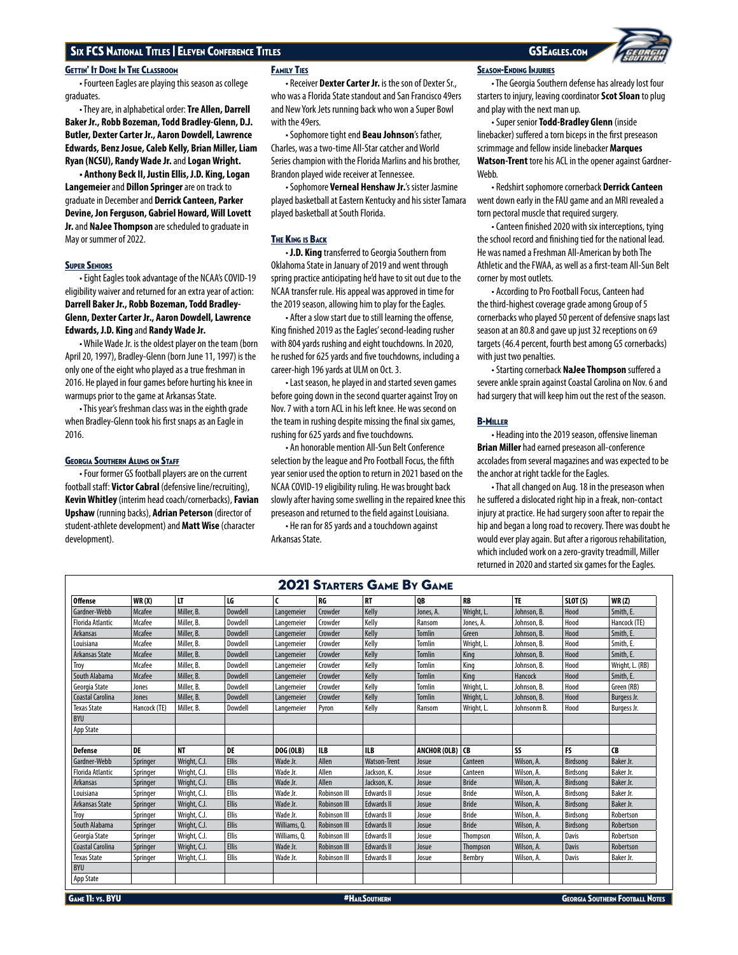## **GETTIN' IT DONE IN THE CLASSROOM**

• Fourteen Eagles are playing this season as college graduates.

• They are, in alphabetical order: **Tre Allen, Darrell Baker Jr., Robb Bozeman, Todd Bradley-Glenn, D.J. Butler, Dexter Carter Jr., Aaron Dowdell, Lawrence Edwards, Benz Josue, Caleb Kelly, Brian Miller, Liam Ryan (NCSU), Randy Wade Jr.** and **Logan Wright.**

**• Anthony Beck II, Justin Ellis, J.D. King, Logan Langemeier** and **Dillon Springer** are on track to graduate in December and **Derrick Canteen, Parker Devine, Jon Ferguson, Gabriel Howard, Will Lovett Jr.** and **NaJee Thompson** are scheduled to graduate in May or summer of 2022.

## **SUPER SENIORS**

• Eight Eagles took advantage of the NCAA's COVID-19 eligibility waiver and returned for an extra year of action: **Darrell Baker Jr., Robb Bozeman, Todd Bradley-Glenn, Dexter Carter Jr., Aaron Dowdell, Lawrence Edwards, J.D. King** and **Randy Wade Jr.**

• While Wade Jr. is the oldest player on the team (born April 20, 1997), Bradley-Glenn (born June 11, 1997) is the only one of the eight who played as a true freshman in 2016. He played in four games before hurting his knee in warmups prior to the game at Arkansas State.

• This year's freshman class was in the eighth grade when Bradley-Glenn took his first snaps as an Eagle in 2016.

## Georgia Southern Alums on Staff

• Four former GS football players are on the current football staff: **Victor Cabral** (defensive line/recruiting), **Kevin Whitley** (interim head coach/cornerbacks), **Favian Upshaw** (running backs), **Adrian Peterson** (director of student-athlete development) and **Matt Wise** (character development).

## Family Ties

• Receiver **Dexter Carter Jr.** is the son of Dexter Sr., who was a Florida State standout and San Francisco 49ers and New York Jets running back who won a Super Bowl with the 49ers.

• Sophomore tight end **Beau Johnson**'s father, Charles, was a two-time All-Star catcher and World Series champion with the Florida Marlins and his brother, Brandon played wide receiver at Tennessee.

• Sophomore **Verneal Henshaw Jr.**'s sister Jasmine played basketball at Eastern Kentucky and his sister Tamara played basketball at South Florida.

## **THE KING IS BACK**

• **J.D. King** transferred to Georgia Southern from Oklahoma State in January of 2019 and went through spring practice anticipating he'd have to sit out due to the NCAA transfer rule. His appeal was approved in time for the 2019 season, allowing him to play for the Eagles.

• After a slow start due to still learning the offense, King finished 2019 as the Eagles' second-leading rusher with 804 yards rushing and eight touchdowns. In 2020, he rushed for 625 yards and five touchdowns, including a career-high 196 yards at ULM on Oct. 3.

• Last season, he played in and started seven games before going down in the second quarter against Troy on Nov. 7 with a torn ACL in his left knee. He was second on the team in rushing despite missing the final six games, rushing for 625 yards and five touchdowns.

• An honorable mention All-Sun Belt Conference selection by the league and Pro Football Focus, the fifth year senior used the option to return in 2021 based on the NCAA COVID-19 eligibility ruling. He was brought back slowly after having some swelling in the repaired knee this preseason and returned to the field against Louisiana.

• He ran for 85 yards and a touchdown against Arkansas State.

## Season-Ending Injuries

• The Georgia Southern defense has already lost four starters to injury, leaving coordinator **Scot Sloan** to plug and play with the next man up.

• Super senior **Todd-Bradley Glenn** (inside linebacker) suffered a torn biceps in the first preseason scrimmage and fellow inside linebacker **Marques Watson-Trent** tore his ACL in the opener against Gardner-Webb.

• Redshirt sophomore cornerback **Derrick Canteen** went down early in the FAU game and an MRI revealed a torn pectoral muscle that required surgery.

• Canteen finished 2020 with six interceptions, tying the school record and finishing tied for the national lead. He was named a Freshman All-American by both The Athletic and the FWAA, as well as a first-team All-Sun Belt corner by most outlets.

• According to Pro Football Focus, Canteen had the third-highest coverage grade among Group of 5 cornerbacks who played 50 percent of defensive snaps last season at an 80.8 and gave up just 32 receptions on 69 targets (46.4 percent, fourth best among G5 cornerbacks) with just two penalties.

• Starting cornerback **NaJee Thompson** suffered a severe ankle sprain against Coastal Carolina on Nov. 6 and had surgery that will keep him out the rest of the season.

## B-Miller

• Heading into the 2019 season, offensive lineman **Brian Miller** had earned preseason all-conference accolades from several magazines and was expected to be the anchor at right tackle for the Eagles.

• That all changed on Aug. 18 in the preseason when he suffered a dislocated right hip in a freak, non-contact injury at practice. He had surgery soon after to repair the hip and began a long road to recovery. There was doubt he would ever play again. But after a rigorous rehabilitation, which included work on a zero-gravity treadmill, Miller returned in 2020 and started six games for the Eagles.

| <b>2021 STARTERS GAME BY GAME</b> |                 |              |              |                  |                     |                     |                 |              |             |              |                 |
|-----------------------------------|-----------------|--------------|--------------|------------------|---------------------|---------------------|-----------------|--------------|-------------|--------------|-----------------|
| <b>Offense</b>                    | WR(X)           | LT.          | LG           | C                | RG                  | <b>RT</b>           | <b>OB</b>       | RB           | <b>TE</b>   | SLOT(S)      | WR(2)           |
| Gardner-Webb                      | Mcafee          | Miller, B.   | Dowdell      | Langemeier       | Crowder             | Kelly               | Jones, A.       | Wright, L.   | Johnson, B. | Hood         | Smith, E.       |
| <b>Florida Atlantic</b>           | Mcafee          | Miller, B.   | Dowdell      | Langemeier       | Crowder             | Kelly               | Ransom          | Jones, A.    | Johnson, B. | Hood         | Hancock (TE)    |
| Arkansas                          | Mcafee          | Miller, B.   | Dowdell      | Langemeier       | Crowder             | Kelly               | <b>Tomlin</b>   | Green        | Johnson, B. | Hood         | Smith, E.       |
| Louisiana                         | Mcafee          | Miller, B.   | Dowdell      | Langemeier       | Crowder             | Kelly               | Tomlin          | Wright, L.   | Johnson, B. | Hood         | Smith, E.       |
| Arkansas State                    | <b>Mcafee</b>   | Miller, B.   | Dowdell      | Langemeier       | Crowder             | Kelly               | <b>Tomlin</b>   | King         | Johnson, B. | Hood         | Smith, E.       |
| Troy                              | Mcafee          | Miller, B.   | Dowdell      | Langemeier       | Crowder             | Kelly               | <b>Tomlin</b>   | King         | Johnson, B. | Hood         | Wright, L. (RB) |
| South Alabama                     | Mcafee          | Miller, B.   | Dowdell      | Langemeier       | Crowder             | Kelly               | <b>Tomlin</b>   | King         | Hancock     | Hood         | Smith, E.       |
| Georgia State                     | Jones           | Miller, B.   | Dowdell      | Langemeier       | Crowder             | Kelly               | <b>Tomlin</b>   | Wright, L.   | Johnson, B. | Hood         | Green (RB)      |
| Coastal Carolina                  | Jones           | Miller, B.   | Dowdell      | Langemeier       | Crowder             | Kelly               | <b>Tomlin</b>   | Wright, L.   | Johnson, B. | Hood         | Burgess Jr.     |
| <b>Texas State</b>                | Hancock (TE)    | Miller, B.   | Dowdell      | Langemeier       | Pyron               | Kelly               | Ransom          | Wright, L.   | Johnsonm B. | Hood         | Burgess Jr.     |
| <b>BYU</b>                        |                 |              |              |                  |                     |                     |                 |              |             |              |                 |
| App State                         |                 |              |              |                  |                     |                     |                 |              |             |              |                 |
|                                   |                 |              |              |                  |                     |                     |                 |              |             |              |                 |
| <b>Defense</b>                    | DE              | <b>NT</b>    | <b>DE</b>    | <b>DOG (OLB)</b> | <b>ILB</b>          | <b>ILB</b>          | ANCHOR (OLB) CB |              | SS          | <b>FS</b>    | CB              |
| Gardner-Webb                      | Springer        | Wright, C.J. | <b>Ellis</b> | Wade Jr.         | Allen               | <b>Watson-Trent</b> | Josue           | Canteen      | Wilson, A.  | Birdsong     | Baker Jr.       |
| <b>Florida Atlantic</b>           | Springer        | Wright, C.J. | <b>Ellis</b> | Wade Jr.         | Allen               | Jackson, K.         | Josue           | Canteen      | Wilson, A.  | Birdsong     | Baker Jr.       |
| Arkansas                          | Springer        | Wright, C.J. | <b>Ellis</b> | Wade Jr.         | Allen               | Jackson, K.         | Josue           | <b>Bride</b> | Wilson, A.  | Birdsong     | Baker Jr.       |
| Louisiana                         | Springer        | Wright, C.J. | <b>Ellis</b> | Wade Jr.         | <b>Robinson III</b> | <b>Edwards II</b>   | Josue           | <b>Bride</b> | Wilson, A.  | Birdsong     | Baker Jr.       |
| Arkansas State                    | Springer        | Wright, C.J. | <b>Ellis</b> | Wade Jr.         | <b>Robinson III</b> | <b>Edwards II</b>   | Josue           | <b>Bride</b> | Wilson, A.  | Birdsong     | Baker Jr.       |
| Trov                              | Springer        | Wright, C.J. | <b>Ellis</b> | Wade Jr.         | Robinson III        | <b>Edwards II</b>   | Josue           | <b>Bride</b> | Wilson, A.  | Birdsong     | Robertson       |
| South Alabama                     | <b>Springer</b> | Wright, C.J. | <b>Ellis</b> | Williams, Q.     | <b>Robinson III</b> | <b>Edwards II</b>   | Josue           | <b>Bride</b> | Wilson, A.  | Birdsong     | Robertson       |
| Georgia State                     | Springer        | Wright, C.J. | <b>Ellis</b> | Williams, Q.     | Robinson III        | <b>Edwards II</b>   | Josue           | Thompson     | Wilson, A.  | Davis        | Robertson       |
| Coastal Carolina                  | Springer        | Wright, C.J. | <b>Ellis</b> | Wade Jr.         | <b>Robinson III</b> | <b>Edwards II</b>   | Josue           | Thompson     | Wilson, A.  | <b>Davis</b> | Robertson       |
| <b>Texas State</b>                | Springer        | Wright, C.J. | Ellis        | Wade Jr.         | Robinson III        | Edwards II          | Josue           | Bembry       | Wilson, A.  | Davis        | Baker Jr.       |
| <b>BYU</b>                        |                 |              |              |                  |                     |                     |                 |              |             |              |                 |
| App State                         |                 |              |              |                  |                     |                     |                 |              |             |              |                 |

**GAME 11: VS. BYU AND AND A HAILSOUTHERN AND A HAILSOUTHERN GEORGIA SOUTHERN GEORGIA SOUTHERN FOOTBALL NOTES** 

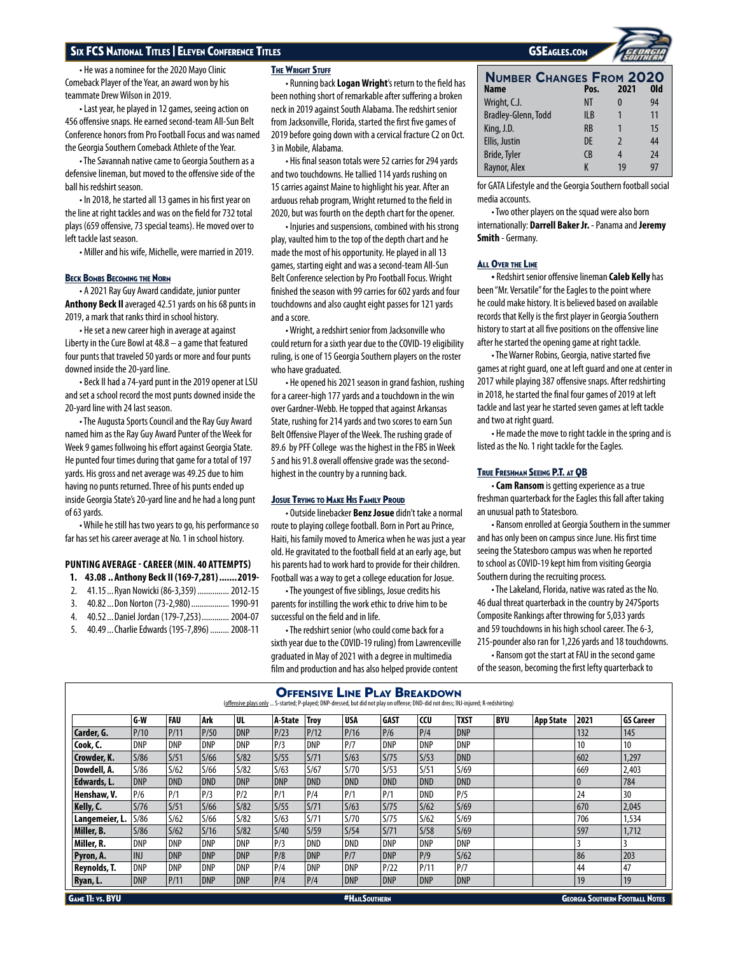• He was a nominee for the 2020 Mayo Clinic Comeback Player of the Year, an award won by his teammate Drew Wilson in 2019.

• Last year, he played in 12 games, seeing action on 456 offensive snaps. He earned second-team All-Sun Belt Conference honors from Pro Football Focus and was named the Georgia Southern Comeback Athlete of the Year.

• The Savannah native came to Georgia Southern as a defensive lineman, but moved to the offensive side of the ball his redshirt season.

• In 2018, he started all 13 games in his first year on the line at right tackles and was on the field for 732 total plays (659 offensive, 73 special teams). He moved over to left tackle last season.

• Miller and his wife, Michelle, were married in 2019.

## **BECK BOMBS BECOMING THE NORM**

• A 2021 Ray Guy Award candidate, junior punter **Anthony Beck Il** averaged 42.51 yards on his 68 punts in 2019, a mark that ranks third in school history.

• He set a new career high in average at against Liberty in the Cure Bowl at 48.8 – a game that featured four punts that traveled 50 yards or more and four punts downed inside the 20-yard line.

• Beck II had a 74-yard punt in the 2019 opener at LSU and set a school record the most punts downed inside the 20-yard line with 24 last season.

• The Augusta Sports Council and the Ray Guy Award named him as the Ray Guy Award Punter of the Week for Week 9 games follwoing his effort against Georgia State. He punted four times during that game for a total of 197 yards. His gross and net average was 49.25 due to him having no punts returned. Three of his punts ended up inside Georgia State's 20-yard line and he had a long punt of 63 yards.

• While he still has two years to go, his performance so far has set his career average at No. 1 in school history.

## **PUNTING AVERAGE - CAREER (MIN. 40 ATTEMPTS)**

- **1. 43.08 .. Anthony Beck II (169-7,281).......2019-**
- 2. 41.15...Ryan Nowicki (86-3,359)...............2012-15
- 3. 40.82...Don Norton (73-2,980)..................1990-91
- 4. 40.52...Daniel Jordan (179-7,253).............2004-07
- 5. 40.49...Charlie Edwards (195-7,896) .........2008-11

## **THE WRIGHT STUFF**

• Running back **Logan Wright**'s return to the field has been nothing short of remarkable after suffering a broken neck in 2019 against South Alabama. The redshirt senior from Jacksonville, Florida, started the first five games of 2019 before going down with a cervical fracture C2 on Oct. 3 in Mobile, Alabama.

• His final season totals were 52 carries for 294 yards and two touchdowns. He tallied 114 yards rushing on 15 carries against Maine to highlight his year. After an arduous rehab program, Wright returned to the field in 2020, but was fourth on the depth chart for the opener.

• Injuries and suspensions, combined with his strong play, vaulted him to the top of the depth chart and he made the most of his opportunity. He played in all 13 games, starting eight and was a second-team All-Sun Belt Conference selection by Pro Football Focus. Wright finished the season with 99 carries for 602 yards and four touchdowns and also caught eight passes for 121 yards and a score.

• Wright, a redshirt senior from Jacksonville who could return for a sixth year due to the COVID-19 eligibility ruling, is one of 15 Georgia Southern players on the roster who have graduated.

• He opened his 2021 season in grand fashion, rushing for a career-high 177 yards and a touchdown in the win over Gardner-Webb. He topped that against Arkansas State, rushing for 214 yards and two scores to earn Sun Belt Offensive Player of the Week. The rushing grade of 89.6 by PFF College was the highest in the FBS in Week 5 and his 91.8 overall offensive grade was the secondhighest in the country by a running back.

## **JOSUE TRYING TO MAKE HIS FAMILY PROUD**

• Outside linebacker **Benz Josue** didn't take a normal route to playing college football. Born in Port au Prince, Haiti, his family moved to America when he was just a year old. He gravitated to the football field at an early age, but his parents had to work hard to provide for their children. Football was a way to get a college education for Josue.

• The youngest of five siblings, Josue credits his parents for instilling the work ethic to drive him to be successful on the field and in life.

• The redshirt senior (who could come back for a sixth year due to the COVID-19 ruling) from Lawrenceville graduated in May of 2021 with a degree in multimedia film and production and has also helped provide content

**Number Changes From 2020 Name Pos. 2021 Old** Wright, C.J. **NT 0** 94 Bradley-Glenn, Todd ILB 1 11 King, J.D. RB 1 15 Ellis, Justin DE 2 44 Bride, Tyler CB 4 24 Raynor, Alex K 19 97

for GATA Lifestyle and the Georgia Southern football social media accounts.

• Two other players on the squad were also born internationally: **Darrell Baker Jr.** - Panama and **Jeremy Smith** - Germany.

## **ALL OVER THE LINE**

• Redshirt senior offensive lineman **Caleb Kelly** has been "Mr. Versatile" for the Eagles to the point where he could make history. It is believed based on available records that Kelly is the first player in Georgia Southern history to start at all five positions on the offensive line after he started the opening game at right tackle.

• The Warner Robins, Georgia, native started five games at right guard, one at left guard and one at center in 2017 while playing 387 offensive snaps. After redshirting in 2018, he started the final four games of 2019 at left tackle and last year he started seven games at left tackle and two at right guard.

• He made the move to right tackle in the spring and is listed as the No. 1 right tackle for the Eagles.

## True Freshman Seeing P.T. at QB

• **Cam Ransom** is getting experience as a true freshman quarterback for the Eagles this fall after taking an unusual path to Statesboro.

• Ransom enrolled at Georgia Southern in the summer and has only been on campus since June. His first time seeing the Statesboro campus was when he reported to school as COVID-19 kept him from visiting Georgia Southern during the recruiting process.

• The Lakeland, Florida, native was rated as the No. 46 dual threat quarterback in the country by 247Sports Composite Rankings after throwing for 5,033 yards and 59 touchdowns in his high school career. The 6-3, 215-pounder also ran for 1,226 yards and 18 touchdowns.

• Ransom got the start at FAU in the second game of the season, becoming the first lefty quarterback to

| <b>OFFENSIVE LINE PLAY BREAKDOWN</b><br>(offensive plays only  S-started; P-played; DNP-dressed, but did not play on offense; DND-did not dress; INJ-injured; R-redshirting) |            |            |            |            |            |                |            |             |            |             |     |                  |                 |                  |
|------------------------------------------------------------------------------------------------------------------------------------------------------------------------------|------------|------------|------------|------------|------------|----------------|------------|-------------|------------|-------------|-----|------------------|-----------------|------------------|
|                                                                                                                                                                              | G W        | <b>FAU</b> | Ark        | UL         | A-State    | <b>Trov</b>    | <b>USA</b> | <b>GAST</b> | CCU        | <b>TXST</b> | BYU | <b>App State</b> | 2021            | <b>GS Career</b> |
| Carder, G.                                                                                                                                                                   | P/10       | P/11       | P/50       | <b>DNP</b> | P/23       | P/12           | P/16       | P/6         | P/4        | <b>DNP</b>  |     |                  | 132             | 145              |
| Cook, C.                                                                                                                                                                     | DNP        | DNP        | DNP        | <b>DNP</b> | P/3        | DNP            | P/7        | <b>DNP</b>  | <b>DNP</b> | <b>DNP</b>  |     |                  | 10 <sup>°</sup> | 10               |
| Crowder, K.                                                                                                                                                                  | S/86       | S/51       | S/66       | S/82       | S/55       | S/71           | S/63       | S/75        | S/53       | <b>DND</b>  |     |                  | 602             | 1,297            |
| Dowdell, A.                                                                                                                                                                  | S/86       | 5/62       | 5/66       | 5/82       | S/63       | S/67           | S/70       | S/53        | S/51       | S/69        |     |                  | 669             | 2,403            |
| Edwards, L.                                                                                                                                                                  | <b>DNP</b> | <b>DND</b> | <b>DND</b> | <b>DNP</b> | <b>DNP</b> | <b>DND</b>     | <b>DND</b> | <b>DND</b>  | <b>DND</b> | <b>DND</b>  |     |                  | $\mathbf{0}$    | 784              |
| Henshaw, V.                                                                                                                                                                  | P/6        | P/1        | P/3        | P/2        | P/1        | P/4            | P/1        | P/1         | <b>DND</b> | P/5         |     |                  | 24              | 30               |
| Kelly, C.                                                                                                                                                                    | S/76       | S/51       | S/66       | S/82       | S/55       | S/71           | S/63       | S/75        | S/62       | S/69        |     |                  | 670             | 2,045            |
| Langemeier, L.                                                                                                                                                               | S/86       | 5/62       | 5/66       | S/82       | S/63       | S/71           | S/70       | S/75        | S/62       | S/69        |     |                  | 706             | 1,534            |
| Miller, B.                                                                                                                                                                   | 5/86       | 5/62       | S/16       | S/82       | S/40       | $\frac{5}{59}$ | S/54       | S/71        | S/58       | S/69        |     |                  | 597             | 1,712            |
| Miller, R.                                                                                                                                                                   | <b>DNP</b> | DNP        | <b>DNP</b> | <b>DNP</b> | P/3        | DND            | DND        | <b>DNP</b>  | DNP        | <b>DNP</b>  |     |                  |                 |                  |
| Pyron, A.                                                                                                                                                                    | <b>INJ</b> | <b>DNP</b> | <b>DNP</b> | <b>DNP</b> | P/8        | <b>DNP</b>     | P/7        | <b>DNP</b>  | P/9        | S/62        |     |                  | 86              | 203              |
| Reynolds, T.                                                                                                                                                                 | <b>DNP</b> | DNP        | DNP        | <b>DNP</b> | P/4        | DNP            | DNP        | P/22        | P/11       | P/7         |     |                  | 44              | 47               |
| Ryan, L.                                                                                                                                                                     | <b>DNP</b> | P/11       | <b>DNP</b> | <b>DNP</b> | P/4        | P/4            | <b>DNP</b> | DNP         | <b>DNP</b> | <b>DNP</b>  |     |                  | 19              | 19               |

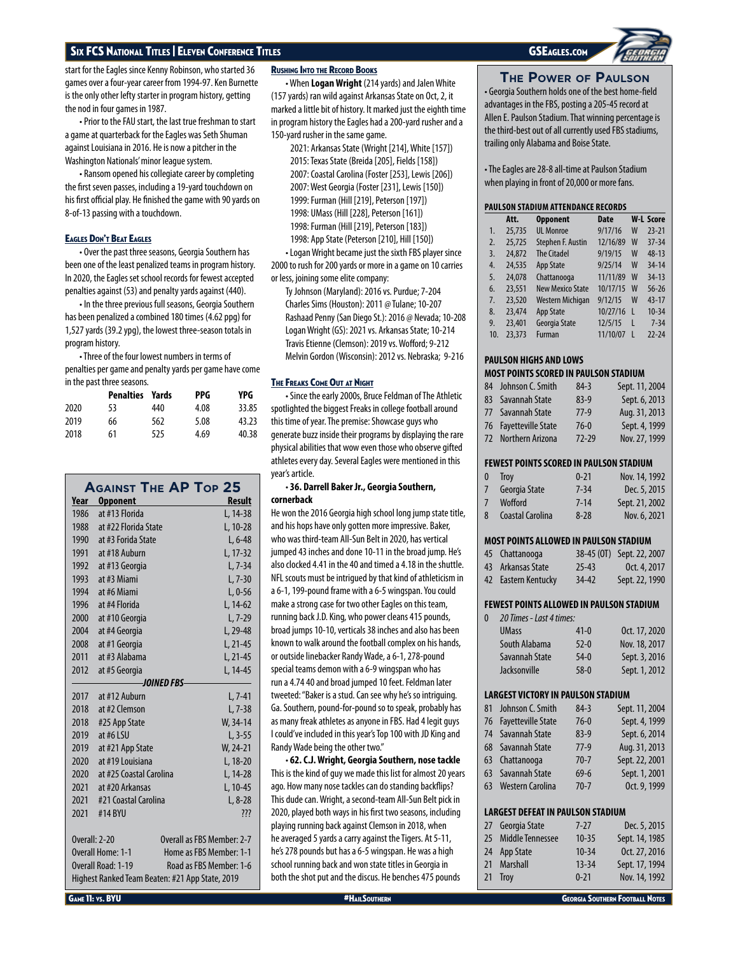start for the Eagles since Kenny Robinson, who started 36 games over a four-year career from 1994-97. Ken Burnette is the only other lefty starter in program history, getting the nod in four games in 1987.

• Prior to the FAU start, the last true freshman to start a game at quarterback for the Eagles was Seth Shuman against Louisiana in 2016. He is now a pitcher in the Washington Nationals' minor league system.

• Ransom opened his collegiate career by completing the first seven passes, including a 19-yard touchdown on his first official play. He finished the game with 90 yards on 8-of-13 passing with a touchdown.

## Eagles Don't Beat Eagles

• Over the past three seasons, Georgia Southern has been one of the least penalized teams in program history. In 2020, the Eagles set school records for fewest accepted penalties against (53) and penalty yards against (440).

• In the three previous full seasons, Georgia Southern has been penalized a combined 180 times (4.62 ppg) for 1,527 yards (39.2 ypg), the lowest three-season totals in program history.

• Three of the four lowest numbers in terms of penalties per game and penalty yards per game have come in the past three seasons.

|      | <b>Penalties Yards</b> |     | PPG. | YPG.  |
|------|------------------------|-----|------|-------|
| 2020 | 53                     | 440 | 4.08 | 33.85 |
| 2019 | 66                     | 562 | 5.08 | 43.23 |
| 2018 | 61                     | 525 | 4.69 | 40.38 |

|               | <b>AGAINST THE AP TOP 25</b>                    |             |                            |
|---------------|-------------------------------------------------|-------------|----------------------------|
| Year          | <b>Opponent</b>                                 |             | <b>Result</b>              |
| 1986          | at #13 Florida                                  |             | L, 14-38                   |
| 1988          | at #22 Florida State                            |             | L, 10-28                   |
| 1990          | at #3 Forida State                              |             | $L, 6-48$                  |
| 1991          | at #18 Auburn                                   |             | L, 17-32                   |
| 1992          | at #13 Georgia                                  |             | $L, 7-34$                  |
| 1993          | at #3 Miami                                     |             | $L, 7-30$                  |
| 1994          | at #6 Miami                                     |             | $L, 0-56$                  |
| 1996          | at #4 Florida                                   |             | L, 14-62                   |
| 2000          | at #10 Georgia                                  |             | $L, 7-29$                  |
| 2004          | at #4 Georgia                                   |             | $L.29-48$                  |
| 2008          | at #1 Georgia                                   |             | L, 21-45                   |
| 2011          | at #3 Alabama                                   |             | L, 21-45                   |
| 2012          | at #5 Georgia                                   |             | L, 14-45                   |
|               |                                                 | -JOINED FBS |                            |
| 2017          | at #12 Auburn                                   |             | $L, 7-41$                  |
| 2018          | at #2 Clemson                                   |             | $L, 7-38$                  |
| 2018          | #25 App State                                   |             | W, 34-14                   |
| 2019          | at #6 LSU                                       |             | $L, 3-55$                  |
| 2019          | at #21 App State                                |             | $W. 24-21$                 |
| 2020          | at #19 Louisiana                                |             | L, 18-20                   |
| 2020          | at #25 Coastal Carolina                         |             | L, 14-28                   |
| 2021          | at #20 Arkansas                                 |             | L, 10-45                   |
| 2021          | #21 Coastal Carolina                            |             | $L, 8-28$                  |
| 2021          | #14 BYU                                         |             | ???                        |
|               |                                                 |             |                            |
| Overall: 2-20 |                                                 |             | Overall as FBS Member: 2-7 |
|               | Overall Home: 1-1                               |             | Home as FBS Member: 1-1    |
|               | Overall Road: 1-19                              |             | Road as FBS Member: 1-6    |
|               | Highest Ranked Team Beaten: #21 App State, 2019 |             |                            |

## Rushing Into the Record Books

• When **Logan Wright** (214 yards) and Jalen White (157 yards) ran wild against Arkansas State on Oct, 2, it marked a little bit of history. It marked just the eighth time in program history the Eagles had a 200-yard rusher and a 150-yard rusher in the same game.

> 2021: Arkansas State (Wright [214], White [157]) 2015: Texas State (Breida [205], Fields [158]) 2007: Coastal Carolina (Foster [253], Lewis [206]) 2007: West Georgia (Foster [231], Lewis [150]) 1999: Furman (Hill [219], Peterson [197]) 1998: UMass (Hill [228], Peterson [161]) 1998: Furman (Hill [219], Peterson [183]) 1998: App State (Peterson [210], Hill [150])

• Logan Wright became just the sixth FBS player since 2000 to rush for 200 yards or more in a game on 10 carries or less, joining some elite company:

Ty Johnson (Maryland): 2016 vs. Purdue; 7-204 Charles Sims (Houston): 2011 @ Tulane; 10-207 Rashaad Penny (San Diego St.): 2016 @ Nevada; 10-208 Logan Wright (GS): 2021 vs. Arkansas State; 10-214 Travis Etienne (Clemson): 2019 vs. Wofford; 9-212 Melvin Gordon (Wisconsin): 2012 vs. Nebraska; 9-216

## The Freaks Come Out at Night

• Since the early 2000s, Bruce Feldman of The Athletic spotlighted the biggest Freaks in college football around this time of year. The premise: Showcase guys who generate buzz inside their programs by displaying the rare physical abilities that wow even those who observe gifted athletes every day. Several Eagles were mentioned in this year's article.

## • **36. Darrell Baker Jr., Georgia Southern, cornerback**

He won the 2016 Georgia high school long jump state title, and his hops have only gotten more impressive. Baker, who was third-team All-Sun Belt in 2020, has vertical jumped 43 inches and done 10-11 in the broad jump. He's also clocked 4.41 in the 40 and timed a 4.18 in the shuttle. NFL scouts must be intrigued by that kind of athleticism in a 6-1, 199-pound frame with a 6-5 wingspan. You could make a strong case for two other Eagles on this team, running back J.D. King, who power cleans 415 pounds, broad jumps 10-10, verticals 38 inches and also has been known to walk around the football complex on his hands, or outside linebacker Randy Wade, a 6-1, 278-pound special teams demon with a 6-9 wingspan who has run a 4.74 40 and broad jumped 10 feet. Feldman later tweeted: "Baker is a stud. Can see why he's so intriguing. Ga. Southern, pound-for-pound so to speak, probably has as many freak athletes as anyone in FBS. Had 4 legit guys I could've included in this year's Top 100 with JD King and Randy Wade being the other two."

• **62. C.J. Wright, Georgia Southern, nose tackle** This is the kind of guy we made this list for almost 20 years ago. How many nose tackles can do standing backflips? This dude can. Wright, a second-team All-Sun Belt pick in 2020, played both ways in his first two seasons, including playing running back against Clemson in 2018, when he averaged 5 yards a carry against the Tigers. At 5-11, he's 278 pounds but has a 6-5 wingspan. He was a high school running back and won state titles in Georgia in both the shot put and the discus. He benches 475 pounds

**The Power of Paulson** • Georgia Southern holds one of the best home-field advantages in the FBS, posting a 205-45 record at Allen E. Paulson Stadium. That winning percentage is the third-best out of all currently used FBS stadiums, trailing only Alabama and Boise State.

• The Eagles are 28-8 all-time at Paulson Stadium when playing in front of 20,000 or more fans.

## **PAULSON STADIUM ATTENDANCE RECORDS**

|                  | Att.   | <b>Opponent</b>         | <b>Date</b> |              | <b>W-L Score</b> |
|------------------|--------|-------------------------|-------------|--------------|------------------|
| 1.               | 25,735 | <b>UL Monroe</b>        | 9/17/16     | W            | $23 - 21$        |
| $\overline{2}$ . | 25,725 | Stephen F. Austin       | 12/16/89    | W            | $37 - 34$        |
| $\overline{3}$ . | 24,872 | <b>The Citadel</b>      | 9/19/15     | W            | $48 - 13$        |
| 4.               | 24,535 | <b>App State</b>        | 9/25/14     | W            | 34-14            |
| 5.               | 24,078 | Chattanooga             | 11/11/89    | W            | $34 - 13$        |
| 6.               | 23,551 | <b>New Mexico State</b> | 10/17/15    | W            | $56 - 26$        |
| 7.               | 23,520 | Western Michigan        | 9/12/15     | W            | $43 - 17$        |
| 8.               | 23,474 | <b>App State</b>        | 10/27/16    | $\mathsf{I}$ | $10 - 34$        |
| 9.               | 23,401 | Georgia State           | 12/5/15     | L            | $7 - 34$         |
| 10.              | 23,373 | Furman                  | 11/10/07    | ı            | $22 - 24$        |

## **PAULSON HIGHS AND LOWS MOST POINTS SCORED IN PAULSON STADIUM**

| 84 Johnson C. Smith   | $84-3$  | Sept. 11, 2004 |
|-----------------------|---------|----------------|
| 83 Savannah State     | $83-9$  | Sept. 6, 2013  |
| 77 Savannah State     | $77-9$  | Aug. 31, 2013  |
| 76 Fayetteville State | $76-0$  | Sept. 4, 1999  |
| 72 Northern Arizona   | $72-29$ | Nov. 27, 1999  |
|                       |         |                |

## **FEWEST POINTS SCORED IN PAULSON STADIUM**

| 0 | <b>Trov</b>      | $0 - 21$ | Nov. 14, 1992  |
|---|------------------|----------|----------------|
|   | 7 Georgia State  | $7 - 34$ | Dec. 5, 2015   |
| 7 | Wofford          | $7 - 14$ | Sept. 21, 2002 |
| 8 | Coastal Carolina | $8 - 28$ | Nov. 6, 2021   |

## **MOST POINTS ALLOWED IN PAULSON STADIUM**

| 45 Chattanooga      |           | 38-45 (OT) Sept. 22, 2007 |
|---------------------|-----------|---------------------------|
| 43 Arkansas State   | $25 - 43$ | Oct. 4, 2017              |
| 42 Eastern Kentucky | 34-42     | Sept. 22, 1990            |

## **FEWEST POINTS ALLOWED IN PAULSON STADIUM**

| 0 | 20 Times - Last 4 times: |          |               |
|---|--------------------------|----------|---------------|
|   | <b>UMass</b>             | $41 - 0$ | Oct. 17, 2020 |
|   | South Alabama            | $52-0$   | Nov. 18, 2017 |
|   | Savannah State           | $54-0$   | Sept. 3, 2016 |
|   | <b>Jacksonville</b>      | $58-0$   | Sept. 1, 2012 |
|   |                          |          |               |

## **LARGEST VICTORY IN PAULSON STADIUM**

| 81 Johnson C. Smith   | $84 - 3$ | Sept. 11, 2004 |
|-----------------------|----------|----------------|
| 76 Fayetteville State | $76-0$   | Sept. 4, 1999  |
| 74 Savannah State     | $83 - 9$ | Sept. 6, 2014  |
| 68 Savannah State     | $77-9$   | Aug. 31, 2013  |
| 63 Chattanooga        | $70 - 7$ | Sept. 22, 2001 |
| 63 Savannah State     | $69-6$   | Sept. 1, 2001  |
| 63 Western Carolina   | $70 - 7$ | Oct. 9, 1999   |

## **LARGEST DEFEAT IN PAULSON STADIUM**

| 27 Georgia State    | $7 - 27$  | Dec. 5, 2015   |
|---------------------|-----------|----------------|
| 25 Middle Tennessee | $10 - 35$ | Sept. 14, 1985 |
| 24 App State        | $10 - 34$ | Oct. 27, 2016  |
| 21 Marshall         | $13 - 34$ | Sept. 17, 1994 |
| 21 Troy             | $0 - 21$  | Nov. 14, 1992  |
|                     |           |                |

**GAME 11: VS. BYU ALLYSON CONTRIGATES AND A HAILSOUTHERN AND SECTION CONTRIGATES AND GEORGIA SOUTHERN FOOTBALL NOTES**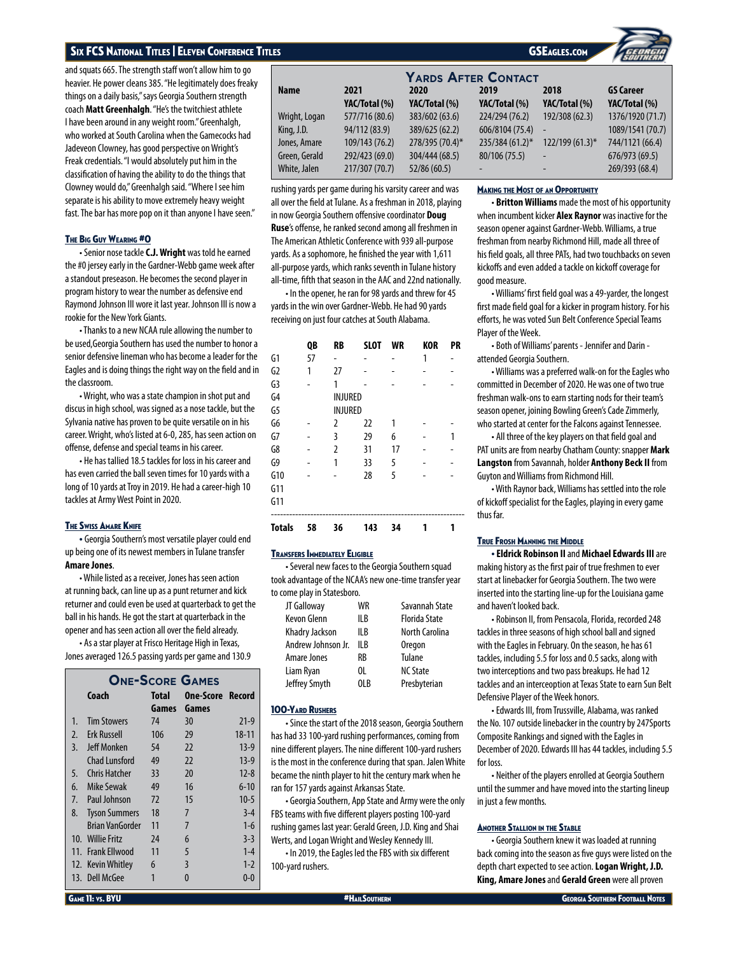## Six FCS National Titles | Eleven Conference Titles.com | International Conference Conference Titles.com | International Co

and squats 665. The strength staff won't allow him to go heavier. He power cleans 385. "He legitimately does freaky things on a daily basis," says Georgia Southern strength coach **Matt Greenhalgh**. "He's the twitchiest athlete I have been around in any weight room." Greenhalgh, who worked at South Carolina when the Gamecocks had Jadeveon Clowney, has good perspective on Wright's Freak credentials. "I would absolutely put him in the classification of having the ability to do the things that Clowney would do," Greenhalgh said. "Where I see him separate is his ability to move extremely heavy weight fast. The bar has more pop on it than anyone I have seen."

## The Big Guy Wearing #0

• Senior nose tackle **C.J. Wright** was told he earned the #0 jersey early in the Gardner-Webb game week after a standout preseason. He becomes the second player in program history to wear the number as defensive end Raymond Johnson III wore it last year. Johnson III is now a rookie for the New York Giants.

• Thanks to a new NCAA rule allowing the number to be used,Georgia Southern has used the number to honor a senior defensive lineman who has become a leader for the Eagles and is doing things the right way on the field and in the classroom.

• Wright, who was a state champion in shot put and discus in high school, was signed as a nose tackle, but the Sylvania native has proven to be quite versatile on in his career. Wright, who's listed at 6-0, 285, has seen action on offense, defense and special teams in his career.

• He has tallied 18.5 tackles for loss in his career and has even carried the ball seven times for 10 yards with a long of 10 yards at Troy in 2019. He had a career-high 10 tackles at Army West Point in 2020.

## **THE SWISS AMARE KNIFE**

• Georgia Southern's most versatile player could end up being one of its newest members in Tulane transfer **Amare Jones**.

• While listed as a receiver, Jones has seen action at running back, can line up as a punt returner and kick returner and could even be used at quarterback to get the ball in his hands. He got the start at quarterback in the opener and has seen action all over the field already.

• As a star player at Frisco Heritage High in Texas, Jones averaged 126.5 passing yards per game and 130.9

| <b>ONE-SCORE GAMES</b> |                                           |       |       |           |  |  |  |  |  |  |
|------------------------|-------------------------------------------|-------|-------|-----------|--|--|--|--|--|--|
|                        | Coach<br><b>One-Score Record</b><br>Total |       |       |           |  |  |  |  |  |  |
|                        |                                           | Games | Games |           |  |  |  |  |  |  |
| $1_{\cdot}$            | <b>Tim Stowers</b>                        | 74    | 30    | $21-9$    |  |  |  |  |  |  |
| 2.                     | <b>Erk Russell</b>                        | 106   | 29    | $18 - 11$ |  |  |  |  |  |  |
| 3.                     | Jeff Monken                               | 54    | 22    | $13-9$    |  |  |  |  |  |  |
|                        | Chad Lunsford                             | 49    | 22    | $13-9$    |  |  |  |  |  |  |
| 5.                     | Chris Hatcher                             | 33    | 20    | $12 - 8$  |  |  |  |  |  |  |
| 6.                     | Mike Sewak                                | 49    | 16    | $6 - 10$  |  |  |  |  |  |  |
| 7 <sub>1</sub>         | Paul Johnson                              | 72    | 15    | $10-5$    |  |  |  |  |  |  |
| 8.                     | <b>Tyson Summers</b>                      | 18    | 7     | $3 - 4$   |  |  |  |  |  |  |
|                        | <b>Brian VanGorder</b>                    | 11    | 7     | $1 - 6$   |  |  |  |  |  |  |
|                        | 10. Willie Fritz                          | 24    | 6     | $3-3$     |  |  |  |  |  |  |
|                        | 11. Frank Fllwood                         | 11    | 5     | $1 - 4$   |  |  |  |  |  |  |
|                        | 12. Kevin Whitley                         | 6     | 3     | $1 - 2$   |  |  |  |  |  |  |
|                        | 13. Dell McGee                            | 1     | U     | $0 - 0$   |  |  |  |  |  |  |
|                        |                                           |       |       |           |  |  |  |  |  |  |

| SEagles.com |  |
|-------------|--|

| <b>YARDS AFTER CONTACT</b> |                |                 |                 |                  |                  |  |  |  |  |
|----------------------------|----------------|-----------------|-----------------|------------------|------------------|--|--|--|--|
| Name                       | 2021           | 2020            | 2019            | 2018             | <b>GS Career</b> |  |  |  |  |
|                            | YAC/Total (%)  | YAC/Total (%)   | YAC/Total (%)   | YAC/Total (%)    | YAC/Total (%)    |  |  |  |  |
| Wright, Logan              | 577/716 (80.6) | 383/602 (63.6)  | 224/294 (76.2)  | 192/308 (62.3)   | 1376/1920 (71.7) |  |  |  |  |
| King, J.D.                 | 94/112 (83.9)  | 389/625 (62.2)  | 606/8104 (75.4) | $\sim$           | 1089/1541 (70.7) |  |  |  |  |
| Jones, Amare               | 109/143 (76.2) | 278/395 (70.4)* | 235/384 (61.2)* | $122/199(61.3)*$ | 744/1121 (66.4)  |  |  |  |  |
| Green, Gerald              | 292/423 (69.0) | 304/444 (68.5)  | 80/106 (75.5)   | ÷                | 676/973 (69.5)   |  |  |  |  |
| White, Jalen               | 217/307 (70.7) | 52/86 (60.5)    |                 | -                | 269/393 (68.4)   |  |  |  |  |

rushing yards per game during his varsity career and was all over the field at Tulane. As a freshman in 2018, playing in now Georgia Southern offensive coordinator **Doug Ruse**'s offense, he ranked second among all freshmen in The American Athletic Conference with 939 all-purpose yards. As a sophomore, he finished the year with 1,611 all-purpose yards, which ranks seventh in Tulane history all-time, fifth that season in the AAC and 22nd nationally.

• In the opener, he ran for 98 yards and threw for 45 yards in the win over Gardner-Webb. He had 90 yards receiving on just four catches at South Alabama.

|                | QB | <b>RB</b>      | <b>SLOT</b> | WR | <b>KOR</b> | PR |
|----------------|----|----------------|-------------|----|------------|----|
| G1             | 57 |                |             |    | 1          |    |
| G <sub>2</sub> | 1  | 27             |             |    |            |    |
| G3             |    | 1              |             |    |            |    |
| G <sub>4</sub> |    | <b>INJURED</b> |             |    |            |    |
| G5             |    | INJURED        |             |    |            |    |
| G6             |    | 2              | 22          | 1  |            |    |
| G7             |    | 3              | 29          | 6  |            | 1  |
| G8             |    | $\overline{2}$ | 31          | 17 |            |    |
| G9             |    | 1              | 33          | 5  |            |    |
| G10            |    |                | 28          | 5  |            |    |
| G11            |    |                |             |    |            |    |
| G11            |    |                |             |    |            |    |
| <b>Totals</b>  | 58 | 36             | 143         | 34 |            |    |

## Transfers Immediately Eligible

• Several new faces to the Georgia Southern squad took advantage of the NCAA's new one-time transfer year to come play in Statesboro.

| JT Galloway        | WR   | Savannah State       |
|--------------------|------|----------------------|
| <b>Kevon Glenn</b> | II B | <b>Florida State</b> |
| Khadry Jackson     | II B | North Carolina       |
| Andrew Johnson Jr. | II B | <b>Oregon</b>        |
| Amare Jones        | RB   | Tulane               |
| Liam Ryan          | 0L   | <b>NC State</b>      |
| Jeffrey Smyth      | OLB  | Presbyterian         |
|                    |      |                      |

## 100-Yard Rushers

• Since the start of the 2018 season, Georgia Southern has had 33 100-yard rushing performances, coming from nine different players. The nine different 100-yard rushers is the most in the conference during that span. Jalen White became the ninth player to hit the century mark when he ran for 157 yards against Arkansas State.

• Georgia Southern, App State and Army were the only FBS teams with five different players posting 100-yard rushing games last year: Gerald Green, J.D. King and Shai Werts, and Logan Wright and Wesley Kennedy III.

• In 2019, the Eagles led the FBS with six different 100-yard rushers.

## Making the Most of an Opportunity

• **Britton Williams** made the most of his opportunity when incumbent kicker **Alex Raynor** was inactive for the season opener against Gardner-Webb. Williams, a true freshman from nearby Richmond Hill, made all three of his field goals, all three PATs, had two touchbacks on seven kickoffs and even added a tackle on kickoff coverage for good measure.

• Williams' first field goal was a 49-yarder, the longest first made field goal for a kicker in program history. For his efforts, he was voted Sun Belt Conference Special Teams Player of the Week.

• Both of Williams' parents - Jennifer and Darin attended Georgia Southern.

• Williams was a preferred walk-on for the Eagles who committed in December of 2020. He was one of two true freshman walk-ons to earn starting nods for their team's season opener, joining Bowling Green's Cade Zimmerly, who started at center for the Falcons against Tennessee.

• All three of the key players on that field goal and PAT units are from nearby Chatham County: snapper **Mark Langston** from Savannah, holder **Anthony Beck II** from Guyton and Williams from Richmond Hill.

• With Raynor back, Williams has settled into the role of kickoff specialist for the Eagles, playing in every game thus far.

## True Frosh Manning the Middle

• **Eldrick Robinson II** and **Michael Edwards III** are making history as the first pair of true freshmen to ever start at linebacker for Georgia Southern. The two were inserted into the starting line-up for the Louisiana game and haven't looked back.

• Robinson II, from Pensacola, Florida, recorded 248 tackles in three seasons of high school ball and signed with the Eagles in February. On the season, he has 61 tackles, including 5.5 for loss and 0.5 sacks, along with two interceptions and two pass breakups. He had 12 tackles and an interceoption at Texas State to earn Sun Belt Defensive Player of the Week honors.

• Edwards III, from Trussville, Alabama, was ranked the No. 107 outside linebacker in the country by 247Sports Composite Rankings and signed with the Eagles in December of 2020. Edwards III has 44 tackles, including 5.5 for loss.

• Neither of the players enrolled at Georgia Southern until the summer and have moved into the starting lineup in just a few months.

## Another Stallion in the Stable

• Georgia Southern knew it was loaded at running back coming into the season as five guys were listed on the depth chart expected to see action. **Logan Wright, J.D. King, Amare Jones** and **Gerald Green** were all proven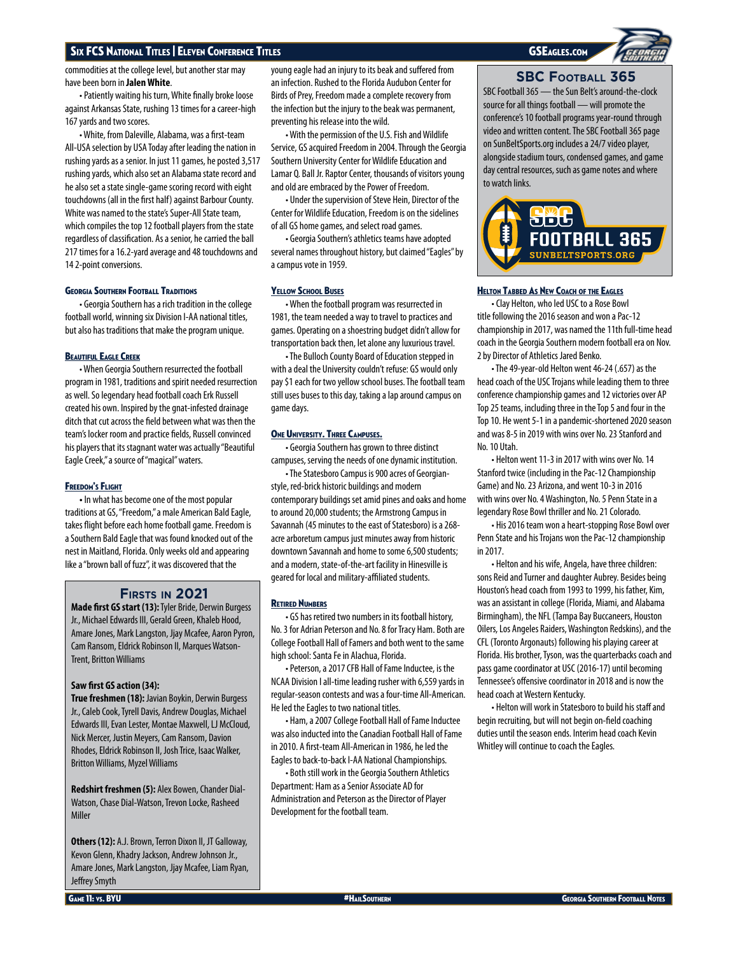commodities at the college level, but another star may have been born in **Jalen White**.

• Patiently waiting his turn, White finally broke loose against Arkansas State, rushing 13 times for a career-high 167 yards and two scores.

• White, from Daleville, Alabama, was a first-team All-USA selection by USA Today after leading the nation in rushing yards as a senior. In just 11 games, he posted 3,517 rushing yards, which also set an Alabama state record and he also set a state single-game scoring record with eight touchdowns (all in the first half) against Barbour County. White was named to the state's Super-All State team, which compiles the top 12 football players from the state regardless of classification. As a senior, he carried the ball 217 times for a 16.2-yard average and 48 touchdowns and 14 2-point conversions.

## Georgia Southern Football Traditions

• Georgia Southern has a rich tradition in the college football world, winning six Division I-AA national titles, but also has traditions that make the program unique.

## **BEAUTIFUL EAGLE CREEK**

• When Georgia Southern resurrected the football program in 1981, traditions and spirit needed resurrection as well. So legendary head football coach Erk Russell created his own. Inspired by the gnat-infested drainage ditch that cut across the field between what was then the team's locker room and practice fields, Russell convinced his players that its stagnant water was actually "Beautiful Eagle Creek," a source of "magical" waters.

## **FREEDOM'S FLIGHT**

**•** In what has become one of the most popular traditions at GS, "Freedom," a male American Bald Eagle, takes flight before each home football game. Freedom is a Southern Bald Eagle that was found knocked out of the nest in Maitland, Florida. Only weeks old and appearing like a "brown ball of fuzz", it was discovered that the

# **Firsts in 2021**

**Made first GS start (13):** Tyler Bride, Derwin Burgess Jr., Michael Edwards III, Gerald Green, Khaleb Hood, Amare Jones, Mark Langston, Jjay Mcafee, Aaron Pyron, Cam Ransom, Eldrick Robinson II, Marques Watson-Trent, Britton Williams

## **Saw first GS action (34):**

**True freshmen (18):** Javian Boykin, Derwin Burgess Jr., Caleb Cook, Tyrell Davis, Andrew Douglas, Michael Edwards III, Evan Lester, Montae Maxwell, LJ McCloud, Nick Mercer, Justin Meyers, Cam Ransom, Davion Rhodes, Eldrick Robinson II, Josh Trice, Isaac Walker, Britton Williams, Myzel Williams

**Redshirt freshmen (5):** Alex Bowen, Chander Dial-Watson, Chase Dial-Watson, Trevon Locke, Rasheed Miller

**Others (12):** A.J. Brown, Terron Dixon II, JT Galloway, Kevon Glenn, Khadry Jackson, Andrew Johnson Jr., Amare Jones, Mark Langston, Jjay Mcafee, Liam Ryan, Jeffrey Smyth

young eagle had an injury to its beak and suffered from an infection. Rushed to the Florida Audubon Center for Birds of Prey, Freedom made a complete recovery from the infection but the injury to the beak was permanent, preventing his release into the wild.

• With the permission of the U.S. Fish and Wildlife Service, GS acquired Freedom in 2004. Through the Georgia Southern University Center for Wildlife Education and Lamar Q. Ball Jr. Raptor Center, thousands of visitors young and old are embraced by the Power of Freedom.

• Under the supervision of Steve Hein, Director of the Center for Wildlife Education, Freedom is on the sidelines of all GS home games, and select road games.

• Georgia Southern's athletics teams have adopted several names throughout history, but claimed "Eagles" by a campus vote in 1959.

## **YELLOW SCHOOL BUSES**

• When the football program was resurrected in 1981, the team needed a way to travel to practices and games. Operating on a shoestring budget didn't allow for transportation back then, let alone any luxurious travel.

• The Bulloch County Board of Education stepped in with a deal the University couldn't refuse: GS would only pay \$1 each for two yellow school buses. The football team still uses buses to this day, taking a lap around campus on game days.

## ONE UNIVERSITY. THREE CAMPUSES.

• Georgia Southern has grown to three distinct campuses, serving the needs of one dynamic institution.

• The Statesboro Campus is 900 acres of Georgianstyle, red-brick historic buildings and modern contemporary buildings set amid pines and oaks and home to around 20,000 students; the Armstrong Campus in Savannah (45 minutes to the east of Statesboro) is a 268 acre arboretum campus just minutes away from historic downtown Savannah and home to some 6,500 students; and a modern, state-of-the-art facility in Hinesville is geared for local and military-affiliated students.

## **RETIRED NUMBERS**

• GS has retired two numbers in its football history, No. 3 for Adrian Peterson and No. 8 for Tracy Ham. Both are College Football Hall of Famers and both went to the same high school: Santa Fe in Alachua, Florida.

• Peterson, a 2017 CFB Hall of Fame Inductee, is the NCAA Division I all-time leading rusher with 6,559 yards in regular-season contests and was a four-time All-American. He led the Eagles to two national titles.

• Ham, a 2007 College Football Hall of Fame Inductee was also inducted into the Canadian Football Hall of Fame in 2010. A first-team All-American in 1986, he led the Eagles to back-to-back I-AA National Championships.

• Both still work in the Georgia Southern Athletics Department: Ham as a Senior Associate AD for Administration and Peterson as the Director of Player Development for the football team.

# **SBC Football 365**

SBC Football 365 — the Sun Belt's around-the-clock source for all things football — will promote the conference's 10 football programs year-round through video and written content. The SBC Football 365 page on SunBeltSports.org includes a 24/7 video player, alongside stadium tours, condensed games, and game day central resources, such as game notes and where to watch links.



## Helton Tabbed As New Coach of the Eagles

• Clay Helton, who led USC to a Rose Bowl title following the 2016 season and won a Pac-12 championship in 2017, was named the 11th full-time head coach in the Georgia Southern modern football era on Nov. 2 by Director of Athletics Jared Benko.

• The 49-year-old Helton went 46-24 (.657) as the head coach of the USC Trojans while leading them to three conference championship games and 12 victories over AP Top 25 teams, including three in the Top 5 and four in the Top 10. He went 5-1 in a pandemic-shortened 2020 season and was 8-5 in 2019 with wins over No. 23 Stanford and No. 10 Utah.

• Helton went 11-3 in 2017 with wins over No. 14 Stanford twice (including in the Pac-12 Championship Game) and No. 23 Arizona, and went 10-3 in 2016 with wins over No. 4 Washington, No. 5 Penn State in a legendary Rose Bowl thriller and No. 21 Colorado.

• His 2016 team won a heart-stopping Rose Bowl over Penn State and his Trojans won the Pac-12 championship in 2017.

• Helton and his wife, Angela, have three children: sons Reid and Turner and daughter Aubrey. Besides being Houston's head coach from 1993 to 1999, his father, Kim, was an assistant in college (Florida, Miami, and Alabama Birmingham), the NFL (Tampa Bay Buccaneers, Houston Oilers, Los Angeles Raiders, Washington Redskins), and the CFL (Toronto Argonauts) following his playing career at Florida. His brother, Tyson, was the quarterbacks coach and pass game coordinator at USC (2016-17) until becoming Tennessee's offensive coordinator in 2018 and is now the head coach at Western Kentucky.

• Helton will work in Statesboro to build his staff and begin recruiting, but will not begin on-field coaching duties until the season ends. Interim head coach Kevin Whitley will continue to coach the Eagles.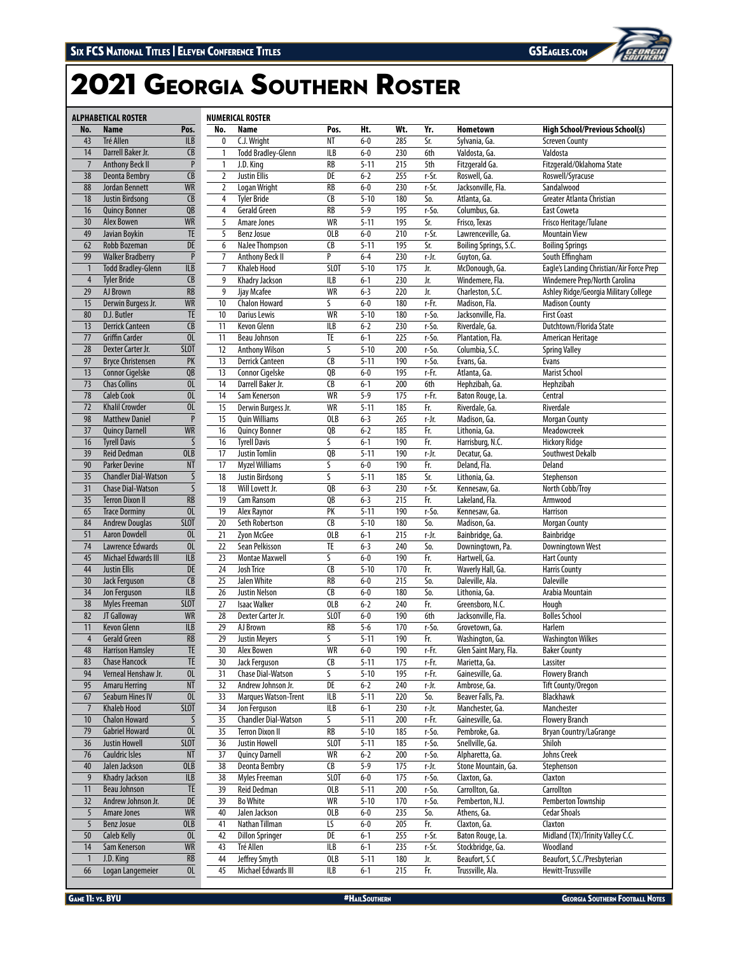# Georgia Southern Roster

|                 | <b>ALPHABETICAL ROSTER</b>        |                          |                 | <b>NUMERICAL ROSTER</b>     |                        |          |     |          |                       |                                           |
|-----------------|-----------------------------------|--------------------------|-----------------|-----------------------------|------------------------|----------|-----|----------|-----------------------|-------------------------------------------|
| No.             | Name                              | Pos.                     | No.             | Name                        | Pos.                   | Ht.      | Wt. | Yr.      | <b>Hometown</b>       | <b>High School/Previous School(s)</b>     |
| 43              | Tré Allen                         | <b>ILB</b>               | 0               | C.J. Wright                 | $N$ T                  | $6-0$    | 285 | Sr.      | Sylvania, Ga.         | <b>Screven County</b>                     |
| 14              | Darrell Baker Jr.                 | CB                       | $\mathbf{1}$    | <b>Todd Bradley-Glenn</b>   | ILB                    | $6-0$    | 230 | 6th      | Valdosta, Ga.         | Valdosta                                  |
| $\overline{7}$  | <b>Anthony Beck II</b>            | $\overline{P}$           | $\mathbf{1}$    | J.D. King                   | <b>RB</b>              | $5 - 11$ | 215 | 5th      | Fitzgerald Ga.        | Fitzgerald/Oklahoma State                 |
| 38              | <b>Deonta Bembry</b>              | $\overline{\mathsf{CB}}$ | $\overline{2}$  | <b>Justin Ellis</b>         | DE                     | $6 - 2$  | 255 | r-Sr.    | Roswell, Ga.          | Roswell/Syracuse                          |
| 88              | Jordan Bennett                    | <b>WR</b>                | $\overline{2}$  | Logan Wright                | RB                     | $6-0$    | 230 | r-Sr.    | Jacksonville, Fla.    | Sandalwood                                |
| 18              | <b>Justin Birdsong</b>            | CB                       | 4               | <b>Tyler Bride</b>          | CB                     | $5 - 10$ | 180 | So.      | Atlanta, Ga.          | Greater Atlanta Christian                 |
| 16              | <b>Quincy Bonner</b>              | QB                       | 4               | <b>Gerald Green</b>         | RB                     | $5 - 9$  | 195 | r-So.    | Columbus, Ga.         | <b>East Coweta</b>                        |
| 30              | <b>Alex Bowen</b>                 | <b>WR</b>                | 5               | Amare Jones                 | <b>WR</b>              | $5 - 11$ | 195 | Sr.      | Frisco, Texas         | Frisco Heritage/Tulane                    |
| 49              | Javian Boykin                     | <b>TE</b>                | 5               | <b>Benz Josue</b>           | OLB                    | $6-0$    | 210 |          | Lawrenceville, Ga.    | <b>Mountain View</b>                      |
|                 | <b>Robb Bozeman</b>               | DE                       |                 |                             |                        |          |     | r-Sr.    |                       |                                           |
| 62              |                                   |                          | 6               | NaJee Thompson              | CB                     | $5 - 11$ | 195 | Sr.      | Boiling Springs, S.C. | <b>Boiling Springs</b><br>South Effingham |
| 99              | <b>Walker Bradberry</b>           | $\, {\sf P}$             | 7               | <b>Anthony Beck II</b>      | P                      | $6 - 4$  | 230 | r-Jr.    | Guyton, Ga.           |                                           |
| $\mathbf{1}$    | <b>Todd Bradley-Glenn</b>         | ILB                      | $\overline{7}$  | <b>Khaleb Hood</b>          | <b>SLOT</b>            | $5 - 10$ | 175 | Jr.      | McDonough, Ga.        | Eagle's Landing Christian/Air Force Prep  |
| $\overline{4}$  | <b>Tyler Bride</b>                | $\overline{CB}$          | 9               | Khadry Jackson              | ILB                    | $6 - 1$  | 230 | Jr.      | Windemere, Fla.       | Windemere Prep/North Carolina             |
| 29              | AJ Brown                          | $\overline{RB}$          | 9               | Jjay Mcafee                 | WR                     | $6 - 3$  | 220 | Jr.      | Charleston, S.C.      | Ashley Ridge/Georgia Military College     |
| 15              | Derwin Burgess Jr.                | <b>WR</b>                | 10              | <b>Chalon Howard</b>        | S                      | $6-0$    | 180 | r-Fr.    | Madison, Fla.         | <b>Madison County</b>                     |
| 80              | D.J. Butler                       | TE                       | 10              | Darius Lewis                | WR                     | $5 - 10$ | 180 | r-So.    | Jacksonville, Fla.    | <b>First Coast</b>                        |
| 13              | <b>Derrick Canteen</b>            | CB                       | $\overline{11}$ | Kevon Glenn                 | ILB                    | $6 - 2$  | 230 | r-So.    | Riverdale, Ga.        | Dutchtown/Florida State                   |
| 77              | <b>Griffin Carder</b>             | $\overline{0}$           | 11              | Beau Johnson                | TE                     | $6 - 1$  | 225 | r-So.    | Plantation, Fla.      | American Heritage                         |
| 28              | Dexter Carter Jr.                 | <b>SLOT</b>              | 12              | <b>Anthony Wilson</b>       | S                      | $5 - 10$ | 200 | r-So.    | Columbia, S.C.        | <b>Spring Valley</b>                      |
| 97              | <b>Bryce Christensen</b>          | PK                       | 13              | <b>Derrick Canteen</b>      | CB                     | $5 - 11$ | 190 | r-So.    | Evans, Ga.            | Evans                                     |
| 13              | <b>Connor Cigelske</b>            | QB                       | 13              | Connor Cigelske             | QB                     | $6-0$    | 195 | r-Fr.    | Atlanta, Ga.          | <b>Marist School</b>                      |
| 73              | <b>Chas Collins</b>               | 0 <sub>L</sub>           | $\overline{14}$ | Darrell Baker Jr.           | $\overline{CB}$        | $6 - 1$  | 200 | 6th      | Hephzibah, Ga.        | Hephzibah                                 |
| 78              | <b>Caleb Cook</b>                 | $\overline{0}$           | 14              | Sam Kenerson                | <b>WR</b>              | $5 - 9$  | 175 | r-Fr.    | Baton Rouge, La.      | Central                                   |
| $\overline{72}$ | <b>Khalil Crowder</b>             | $\overline{0}$           | 15              | Derwin Burgess Jr.          | WR                     | $5 - 11$ | 185 | Fr.      | Riverdale, Ga.        | Riverdale                                 |
| 98              | <b>Matthew Daniel</b>             | $\, {\sf P}$             | 15              | <b>Quin Williams</b>        | OLB                    | $6 - 3$  | 265 | r-Jr.    | Madison, Ga.          | <b>Morgan County</b>                      |
| 37              | <b>Quincy Darnell</b>             | <b>WR</b>                | 16              | <b>Quincy Bonner</b>        | QB                     | $6 - 2$  | 185 | Fr.      | Lithonia, Ga.         | Meadowcreek                               |
| 16              | <b>Tyrell Davis</b>               | S                        | 16              | <b>Tyrell Davis</b>         | S                      | $6 - 1$  | 190 | Fr.      | Harrisburg, N.C.      | <b>Hickory Ridge</b>                      |
| 39              | <b>Reid Dedman</b>                | OLB                      | 17              | <b>Justin Tomlin</b>        | QB                     | $5 - 11$ | 190 | r-Jr.    | Decatur, Ga.          | Southwest Dekalb                          |
| 90              | <b>Parker Devine</b>              | <b>NT</b>                | 17              | <b>Myzel Williams</b>       | S                      | $6-0$    | 190 | Fr.      | Deland, Fla.          | Deland                                    |
| 35              | <b>Chandler Dial-Watson</b>       | $\sf S$                  | 18              | Justin Birdsong             | S                      | $5 - 11$ | 185 | Sr.      | Lithonia, Ga.         | Stephenson                                |
| 31              | <b>Chase Dial-Watson</b>          | $\overline{\mathsf{S}}$  | 18              | Will Lovett Jr.             | QB                     | $6 - 3$  | 230 | r-Sr.    | Kennesaw, Ga.         | North Cobb/Troy                           |
| 35              | <b>Terron Dixon II</b>            | $\overline{\mathsf{RB}}$ | 19              | Cam Ransom                  | QB                     | $6 - 3$  | 215 | Fr.      | Lakeland, Fla.        | Armwood                                   |
| 65              | <b>Trace Dorminy</b>              | $\overline{0}$           | 19              | Alex Raynor                 | PK                     | $5 - 11$ | 190 | r-So.    | Kennesaw, Ga.         | <b>Harrison</b>                           |
| 84              | <b>Andrew Douglas</b>             | <b>SLOT</b>              | 20              | Seth Robertson              | $\overline{CB}$        | $5 - 10$ | 180 | So.      | Madison, Ga.          | <b>Morgan County</b>                      |
| 51              | <b>Aaron Dowdell</b>              | OL                       | 21              | Zyon McGee                  | OLB                    | $6 - 1$  | 215 | r-Jr.    | Bainbridge, Ga.       | Bainbridge                                |
| 74              | Lawrence Edwards                  | OL                       | 22              | Sean Pelkisson              | $\overline{TE}$        | $6 - 3$  | 240 | So.      | Downingtown, Pa.      | Downingtown West                          |
| 45              | Michael Edwards III               | ILB                      | 23              | <b>Montae Maxwell</b>       | S                      | $6-0$    | 190 | Fr.      | Hartwell, Ga.         | <b>Hart County</b>                        |
| 44              | <b>Justin Ellis</b>               | $\overline{DE}$          | 24              | Josh Trice                  | CB                     | $5 - 10$ | 170 | Fr.      | Waverly Hall, Ga.     | <b>Harris County</b>                      |
| 30              |                                   | $\overline{CB}$          | 25              | Jalen White                 | RB                     | $6-0$    | 215 | So.      | Daleville, Ala.       | <b>Daleville</b>                          |
|                 | Jack Ferguson<br>Jon Ferguson     |                          |                 |                             |                        |          |     |          | Lithonia, Ga.         |                                           |
| 34              |                                   | ILB                      | 26              | <b>Justin Nelson</b>        | CB                     | $6-0$    | 180 | So.      |                       | Arabia Mountain                           |
| 38              | <b>Myles Freeman</b>              | <b>SLOT</b>              | 27              | <b>Isaac Walker</b>         | OLB                    | $6 - 2$  | 240 | Fr.      | Greensboro, N.C.      | Hough                                     |
| 82              | JT Galloway<br><b>Kevon Glenn</b> | <b>WR</b>                | 28              | Dexter Carter Jr.           | SLOT                   | $6 - 0$  | 190 | 6th      | Jacksonville, Fla.    | <b>Bolles School</b>                      |
| 11              |                                   | $\overline{ILB}$         | 29              | AJ Brown                    | RB                     | $5 - 6$  | 170 | r-So.    | Grovetown, Ga.        | Harlem                                    |
| $\overline{4}$  | <b>Gerald Green</b>               | $\overline{RB}$          | 29              | <b>Justin Meyers</b>        | S                      | $5 - 11$ | 190 | Fr.      | Washington, Ga.       | <b>Washington Wilkes</b>                  |
| 48              | <b>Harrison Hamsley</b>           | $\overline{\text{TE}}$   | 30              | Alex Bowen                  | $\overline{\text{WR}}$ | $6-0$    | 190 | $r$ -Fr. | Glen Saint Mary, Fla. | <b>Baker County</b>                       |
| 83              | <b>Chase Hancock</b>              | TE                       | 30              | Jack Ferguson               | CB                     | $5 - 11$ | 175 | r-Fr.    | Marietta, Ga.         | Lassiter                                  |
| 94              | Verneal Henshaw Jr.               | OL                       | 31              | <b>Chase Dial-Watson</b>    | S                      | $5 - 10$ | 195 | r-Fr.    | Gainesville, Ga.      | <b>Flowery Branch</b>                     |
| 95              | <b>Amaru Herring</b>              | $\overline{\text{NT}}$   | 32              | Andrew Johnson Jr.          | DE                     | $6 - 2$  | 240 | r-Jr.    | Ambrose, Ga.          | <b>Tift County/Oregon</b>                 |
| 67              | <b>Seaburn Hines IV</b>           | $\overline{0}$           | 33              | Marques Watson-Trent        | ILB                    | $5 - 11$ | 220 | So.      | Beaver Falls, Pa.     | Blackhawk                                 |
| $\overline{7}$  | <b>Khaleb Hood</b>                | <b>SLOT</b>              | 34              | Jon Ferguson                | ILB                    | $6 - 1$  | 230 | r-Jr.    | Manchester, Ga.       | Manchester                                |
| $10$            | <b>Chalon Howard</b>              | $\sf S$                  | 35              | <b>Chandler Dial-Watson</b> | S                      | $5 - 11$ | 200 | r-Fr.    | Gainesville, Ga.      | <b>Flowery Branch</b>                     |
| 79              | <b>Gabriel Howard</b>             | 0 <sub>L</sub>           | 35              | <b>Terron Dixon II</b>      | RB                     | $5 - 10$ | 185 | r-So.    | Pembroke, Ga.         | Bryan Country/LaGrange                    |
| 36              | <b>Justin Howell</b>              | <b>SLOT</b>              | 36              | <b>Justin Howell</b>        | <b>SLOT</b>            | $5 - 11$ | 185 | r-So.    | Snellville, Ga.       | Shiloh                                    |
| 76              | <b>Cauldric Isles</b>             | <b>NT</b>                | 37              | <b>Quincy Darnell</b>       | WR                     | $6 - 2$  | 200 | r-So.    | Alpharetta, Ga.       | Johns Creek                               |
| 40              | Jalen Jackson                     | <b>OLB</b>               | 38              | <b>Deonta Bembry</b>        | CB                     | $5 - 9$  | 175 | r-Jr.    | Stone Mountain, Ga.   | Stephenson                                |
| 9               | <b>Khadry Jackson</b>             | ILB                      | 38              | Myles Freeman               | <b>SLOT</b>            | $6-0$    | 175 | r-So.    | Claxton, Ga.          | Claxton                                   |
| 11              | <b>Beau Johnson</b>               | TE                       | 39              | Reid Dedman                 | OLB                    | $5 - 11$ | 200 | r-So.    | Carrollton, Ga.       | Carrollton                                |
| 32              | Andrew Johnson Jr.                | $\overline{DE}$          | 39              | <b>Bo White</b>             | WR                     | $5 - 10$ | 170 | r-So.    | Pemberton, N.J.       | Pemberton Township                        |
| 5               | Amare Jones                       | <b>WR</b>                | 40              | Jalen Jackson               | <b>OLB</b>             | $6-0$    | 235 | So.      | Athens, Ga.           | <b>Cedar Shoals</b>                       |
| 5               | <b>Benz Josue</b>                 | OLB                      | 41              | Nathan Tillman              | LS                     | $6-0$    | 205 | Fr.      | Claxton, Ga.          | Claxton                                   |
| 50              | <b>Caleb Kelly</b>                | 0 <sub>L</sub>           | 42              | <b>Dillon Springer</b>      | DE                     | $6 - 1$  | 255 | r-Sr.    | Baton Rouge, La.      | Midland (TX)/Trinity Valley C.C.          |
| 14              | Sam Kenerson                      | <b>WR</b>                | 43              | Tré Allen                   | ILB                    | $6 - 1$  | 235 | r-Sr.    | Stockbridge, Ga.      | Woodland                                  |
| $\mathbf{1}$    | J.D. King                         | $\overline{RB}$          | 44              | Jeffrey Smyth               | OLB                    | $5 - 11$ | 180 | Jr.      | Beaufort, S.C         | Beaufort, S.C./Presbyterian               |
| 66              | Logan Langemeier                  | $\overline{0}$           | 45              | Michael Edwards III         | ILB                    | $6 - 1$  | 215 | Fr.      | Trussville, Ala.      | Hewitt-Trussville                         |
|                 |                                   |                          |                 |                             |                        |          |     |          |                       |                                           |

ED ANE 11: VS. BYU ALLY AND THE RESERVE TO A CHARGE THE RESERVE TO A CHARGE THE RESERVE TO A GEORGIA SOUTHERN FOOTBALL NOTES TO A CHARGE THE RESERVE TO A CHARGE THE RESERVE TO A CHARGE THE RESERVE TO A CHARGE THE RESERVE T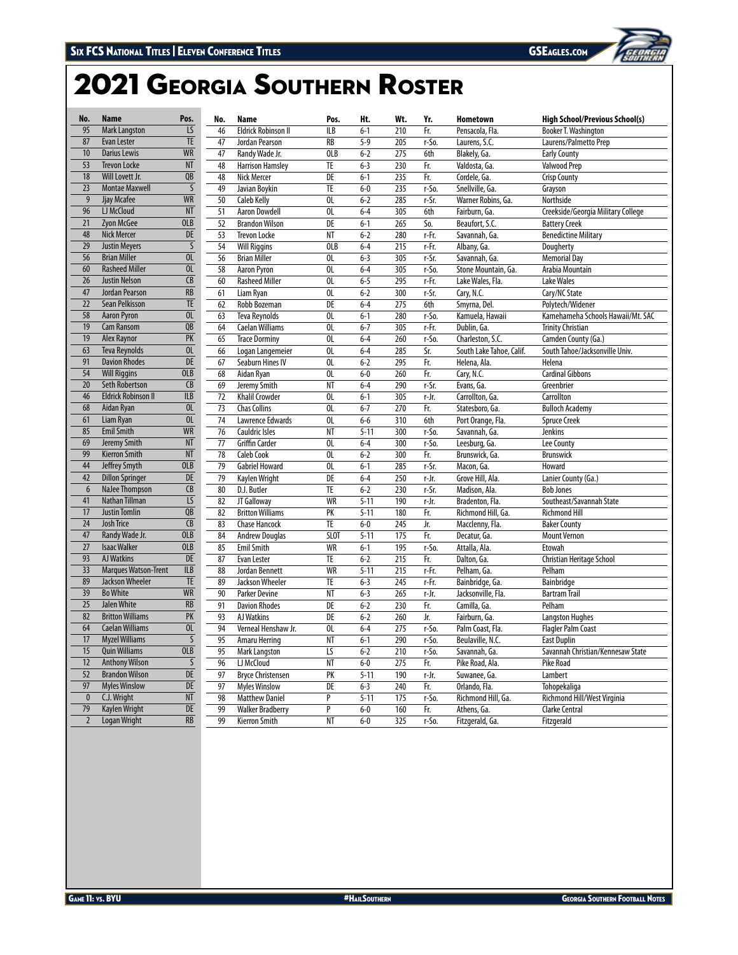# Georgia Southern Roster

| No.              | <b>Name</b>                 | Pos.                     | No.             | Name                       | Pos.            | Ht.      | Wt. | Yr.   | Hometown                 | <b>High School/Previous School(s)</b> |
|------------------|-----------------------------|--------------------------|-----------------|----------------------------|-----------------|----------|-----|-------|--------------------------|---------------------------------------|
| 95               | <b>Mark Langston</b>        | $\overline{LS}$          | 46              | <b>Eldrick Robinson II</b> | ILB             | $6 - 1$  | 210 | Fr.   | Pensacola, Fla.          | Booker T. Washington                  |
| 87               | Evan Lester                 | <b>TE</b>                | 47              | Jordan Pearson             | <b>RB</b>       | $5 - 9$  | 205 | r-So. | Laurens, S.C.            | Laurens/Palmetto Prep                 |
| 10 <sup>10</sup> | <b>Darius Lewis</b>         | <b>WR</b>                | 47              | Randy Wade Jr.             | <b>OLB</b>      | $6 - 2$  | 275 | 6th   | Blakely, Ga.             | <b>Early County</b>                   |
| 53               | <b>Trevon Locke</b>         | <b>NT</b>                | 48              | <b>Harrison Hamsley</b>    | <b>TE</b>       | $6 - 3$  | 230 | Fr.   | Valdosta, Ga.            | <b>Valwood Prep</b>                   |
| 18               | Will Lovett Jr.             | $\overline{OB}$          | 48              | <b>Nick Mercer</b>         | DE              | $6 - 1$  | 235 | Fr.   | Cordele, Ga.             | <b>Crisp County</b>                   |
| $\overline{23}$  | <b>Montae Maxwell</b>       | $\overline{\mathsf{S}}$  | 49              | Javian Boykin              | TE              | $6-0$    | 235 | r-So. | Snellville, Ga.          | Grayson                               |
| 9                | Jjay Mcafee                 | <b>WR</b>                | 50              | <b>Caleb Kelly</b>         | OL              | $6 - 2$  | 285 | r-Sr. | Warner Robins, Ga.       | Northside                             |
| 96               | LJ McCloud                  | <b>NT</b>                | 51              | <b>Aaron Dowdell</b>       | OL              | $6 - 4$  | 305 | 6th   | Fairburn, Ga.            | Creekside/Georgia Military College    |
| 21               | Zyon McGee                  | <b>OLB</b>               | $\overline{52}$ | <b>Brandon Wilson</b>      | $\overline{DE}$ | $6 - 1$  | 265 | So.   | Beaufort, S.C.           | <b>Battery Creek</b>                  |
| 48               | <b>Nick Mercer</b>          | DE                       | $\overline{53}$ | <b>Trevon Locke</b>        | NT              | $6 - 2$  | 280 | r-Fr. | Savannah, Ga.            | <b>Benedictine Military</b>           |
| 29               | <b>Justin Meyers</b>        | $\overline{\mathsf{S}}$  | 54              | <b>Will Riggins</b>        | <b>OLB</b>      | $6 - 4$  | 215 | r-Fr. | Albany, Ga.              | Dougherty                             |
| 56               | <b>Brian Miller</b>         | OL                       | 56              | <b>Brian Miller</b>        | OL              | $6 - 3$  | 305 | r-Sr. | Savannah, Ga.            | <b>Memorial Day</b>                   |
| 60               | <b>Rasheed Miller</b>       | OL                       | 58              | <b>Aaron Pyron</b>         | OL              | $6 - 4$  | 305 | r-So. | Stone Mountain, Ga.      | Arabia Mountain                       |
| 26               | <b>Justin Nelson</b>        | $\overline{CB}$          | 60              | <b>Rasheed Miller</b>      | $\overline{0}$  | $6 - 5$  | 295 | r-Fr. | Lake Wales, Fla.         | <b>Lake Wales</b>                     |
| 47               | Jordan Pearson              | $\overline{RB}$          | 61              | Liam Ryan                  | 0L              | $6 - 2$  | 300 | r-Sr. | Cary, N.C.               | Cary/NC State                         |
| 22               | Sean Pelkisson              | TE                       | 62              | Robb Bozeman               | DE              | $6 - 4$  | 275 | 6th   | Smyrna, Del.             | Polytech/Widener                      |
| 58               | <b>Aaron Pyron</b>          | OL                       | 63              | <b>Teva Reynolds</b>       | OL              | $6 - 1$  | 280 | r-So. | Kamuela, Hawaii          | Kamehameha Schools Hawaii/Mt. SAC     |
| 19               | <b>Cam Ransom</b>           | QB                       | 64              | <b>Caelan Williams</b>     | OL              | $6 - 7$  | 305 | r-Fr. | Dublin, Ga.              | <b>Trinity Christian</b>              |
| 19               | <b>Alex Ravnor</b>          | PK                       | 65              | <b>Trace Dorminy</b>       | $\overline{0}$  | $6 - 4$  | 260 | r-So. | Charleston, S.C.         | Camden County (Ga.)                   |
| 63               | <b>Teva Reynolds</b>        | 0 <sub>L</sub>           | 66              | Logan Langemeier           | OL              | $6 - 4$  | 285 | Sr.   | South Lake Tahoe, Calif. | South Tahoe/Jacksonville Univ.        |
| 91               | <b>Davion Rhodes</b>        | DE                       | 67              | Seaburn Hines IV           | OL              | $6 - 2$  | 295 | Fr.   | Helena, Ala.             | Helena                                |
| 54               | <b>Will Riggins</b>         | <b>OLB</b>               | 68              | Aidan Ryan                 | OL              | $6-0$    | 260 | Fr.   | Cary, N.C.               | <b>Cardinal Gibbons</b>               |
| 20               | <b>Seth Robertson</b>       | CB                       | 69              | Jeremy Smith               | NT              | $6 - 4$  | 290 | r-Sr. | Evans, Ga.               | Greenbrier                            |
| 46               | <b>Eldrick Robinson II</b>  | <b>ILB</b>               | $\overline{72}$ | <b>Khalil Crowder</b>      | $\overline{0}$  | $6 - 1$  | 305 | r-Jr. | Carrollton, Ga.          | Carrollton                            |
| 68               | Aidan Ryan                  | 0 <sub>L</sub>           | 73              | <b>Chas Collins</b>        | OL              | $6 - 7$  | 270 | Fr.   | Statesboro, Ga.          | <b>Bulloch Academy</b>                |
| 61               | Liam Ryan                   | OL                       | 74              | Lawrence Edwards           | OL              | $6-6$    | 310 | 6th   | Port Orange, Fla.        | <b>Spruce Creek</b>                   |
| 85               | <b>Emil Smith</b>           | <b>WR</b>                | 76              | <b>Cauldric Isles</b>      | NT              | $5 - 11$ | 300 | r-So. | Savannah, Ga.            | <b>Jenkins</b>                        |
| 69               | Jeremy Smith                | <b>NT</b>                | 77              | <b>Griffin Carder</b>      | OL              | $6-4$    | 300 | r-So. | Leesburg, Ga.            | Lee County                            |
| 99               | <b>Kierron Smith</b>        | <b>NT</b>                | $\overline{78}$ | <b>Caleb Cook</b>          | $\overline{0}$  | $6 - 2$  | 300 | Fr.   | Brunswick, Ga.           | <b>Brunswick</b>                      |
| 44               | Jeffrey Smyth               | <b>OLB</b>               | 79              | <b>Gabriel Howard</b>      | OL              | $6 - 1$  | 285 | r-Sr. | Macon, Ga.               | Howard                                |
| 42               | <b>Dillon Springer</b>      | DE                       | 79              | Kaylen Wright              | DE              | $6 - 4$  | 250 | r-Jr. | Grove Hill, Ala.         | Lanier County (Ga.)                   |
| 6                | NaJee Thompson              | CB                       | 80              | D.J. Butler                | TE              | $6 - 2$  | 230 | r-Sr. | Madison, Ala.            | <b>Bob Jones</b>                      |
| 41               | Nathan Tillman              | $\overline{LS}$          | 82              | JT Galloway                | <b>WR</b>       | $5 - 11$ | 190 | r-Jr. | Bradenton, Fla.          | Southeast/Savannah State              |
| 17               | <b>Justin Tomlin</b>        | QB                       | 82              | <b>Britton Williams</b>    | $\overline{PK}$ | $5 - 11$ | 180 | Fr.   | Richmond Hill, Ga.       | <b>Richmond Hill</b>                  |
| $\overline{24}$  | <b>Josh Trice</b>           | $\overline{CB}$          | 83              | <b>Chase Hancock</b>       | TE              | $6-0$    | 245 | Jr.   | Macclenny, Fla.          | <b>Baker County</b>                   |
| 47               | Randy Wade Jr.              | <b>OLB</b>               | 84              | <b>Andrew Douglas</b>      | <b>SLOT</b>     | $5 - 11$ | 175 | Fr.   | Decatur, Ga.             | <b>Mount Vernon</b>                   |
| 27               | <b>Isaac Walker</b>         | <b>OLB</b>               | 85              | <b>Emil Smith</b>          | <b>WR</b>       | $6 - 1$  | 195 | r-So. | Attalla, Ala.            | Etowah                                |
| 93               | <b>AJ Watkins</b>           | DE                       | 87              | Evan Lester                | TE              | $6 - 2$  | 215 | Fr.   | Dalton, Ga.              | Christian Heritage School             |
| 33               | <b>Marques Watson-Trent</b> | <b>ILB</b>               | 88              | Jordan Bennett             | <b>WR</b>       | $5 - 11$ | 215 | r-Fr. | Pelham, Ga.              | Pelham                                |
| 89               | Jackson Wheeler             | TE                       | 89              | Jackson Wheeler            | TE              | $6 - 3$  | 245 | r-Fr. | Bainbridge, Ga.          | Bainbridge                            |
| 39               | <b>Bo White</b>             | <b>WR</b>                | 90              | <b>Parker Devine</b>       | NT              | $6 - 3$  | 265 | r-Jr. | Jacksonville, Fla.       | <b>Bartram Trail</b>                  |
| 25               | Jalen White                 | <b>RB</b>                | 91              | <b>Davion Rhodes</b>       | DE              | $6 - 2$  | 230 | Fr.   | Camilla, Ga.             | Pelham                                |
| 82               | <b>Britton Williams</b>     | $\overline{\mathsf{PK}}$ | 93              | AJ Watkins                 | DE              | $6 - 2$  | 260 | Jr.   | Fairburn, Ga.            | <b>Langston Hughes</b>                |
| 64               | <b>Caelan Williams</b>      | 0 <sub>L</sub>           | 94              | Verneal Henshaw Jr.        | OL              | $6 - 4$  | 275 | r-So. | Palm Coast, Fla.         | <b>Flagler Palm Coast</b>             |
| 17               | <b>Myzel Williams</b>       | S                        | 95              | Amaru Herring              | NT              | $6 - 1$  | 290 | r-So. | Beulaville, N.C.         | <b>East Duplin</b>                    |
| 15               | <b>Quin Williams</b>        | <b>OLB</b>               | 95              | <b>Mark Langston</b>       | LS              | $6 - 2$  | 210 | r-So. | Savannah, Ga.            | Savannah Christian/Kennesaw State     |
| 12               | <b>Anthony Wilson</b>       | S                        | 96              | LJ McCloud                 | NT              | $6-0$    | 275 | Fr.   | Pike Road, Ala.          | <b>Pike Road</b>                      |
| 52               | <b>Brandon Wilson</b>       | <b>DE</b>                | 97              | <b>Bryce Christensen</b>   | PK              | $5 - 11$ | 190 | r-Jr. | Suwanee, Ga.             | Lambert                               |
| 97               | <b>Myles Winslow</b>        | DE                       | 97              | <b>Myles Winslow</b>       | DE              | $6 - 3$  | 240 | Fr.   | Orlando, Fla.            | Tohopekaliga                          |
| $\mathbf{0}$     | C.J. Wright                 | $\overline{\text{NT}}$   | 98              | <b>Matthew Daniel</b>      | P               | $5 - 11$ | 175 | r-So. | Richmond Hill, Ga.       | Richmond Hill/West Virginia           |
| 79               | Kaylen Wright               | DE                       | 99              | <b>Walker Bradberry</b>    | P               | $6-0$    | 160 | Fr.   | Athens, Ga.              | <b>Clarke Central</b>                 |
| $\overline{2}$   | <b>Logan Wright</b>         | <b>RB</b>                | 99              | <b>Kierron Smith</b>       | NT              | $6-0$    | 325 | r-So. | Fitzgerald, Ga.          | Fitzgerald                            |
|                  |                             |                          |                 |                            |                 |          |     |       |                          |                                       |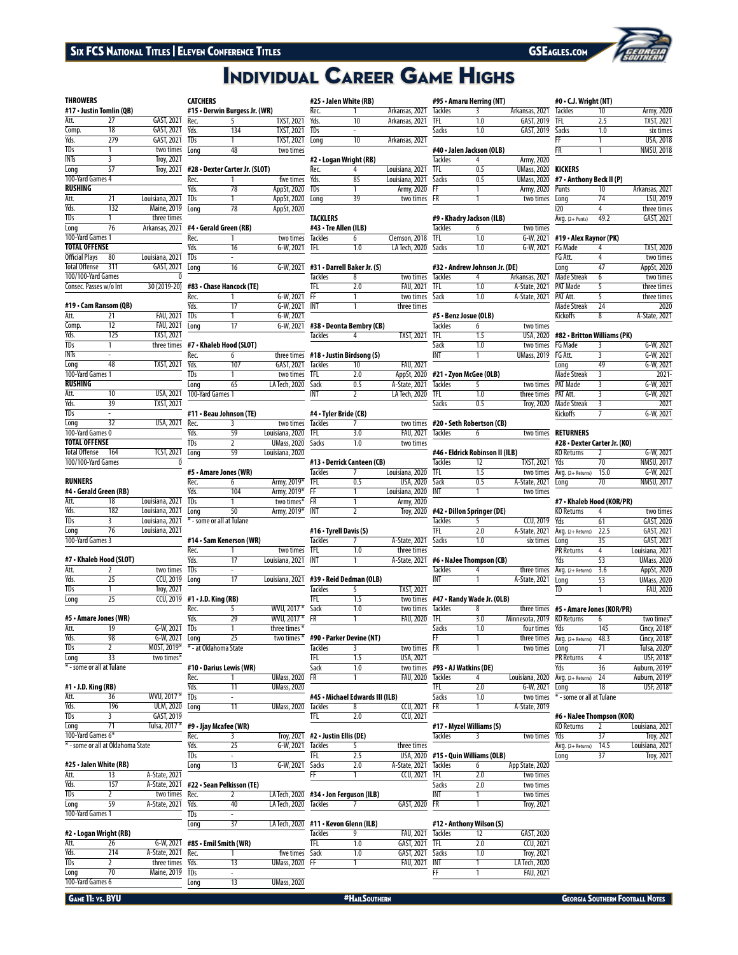# Six FCS National Titles | Eleven Conference Titles GSEAGLES.com GSEAGLES.com GSEAGLES.com

**CATCHERS**

# **INDIVIDUAL CAREER GAME HIGHS**

### **THROWERS #17 • Justin Tomlin (QB)**

| #17 • Justin Tomlin (QB)               |                         |                 | #15 • Derwin Burgess Jr. (WR) |                                |                  |  |
|----------------------------------------|-------------------------|-----------------|-------------------------------|--------------------------------|------------------|--|
| Att.                                   | 27                      | GAST, 2021      | Rec.                          | 5                              | <b>TXST, 202</b> |  |
| Comp.                                  | 18                      | GAST, 2021      | Yds.                          | 134                            | <b>TXST. 202</b> |  |
| Yds.                                   | 279                     | GAST, 2021      | <b>TDs</b>                    |                                | TXST, 202        |  |
| <b>TDs</b>                             |                         | two times       | Long                          | 48                             | two time         |  |
| <b>INTs</b>                            | $\overline{\mathbf{3}}$ | Troy, 2021      |                               |                                |                  |  |
| Long                                   | 57                      | Troy, 2021      |                               | #28 • Dexter Carter Jr. (SLOT) |                  |  |
| 100-Yard Games 4                       |                         |                 | Rec.                          |                                | five time        |  |
| <b>RUSHING</b>                         |                         |                 | Yds.                          | 78                             | AppSt, 202       |  |
| Att.                                   | 21                      | Louisiana, 2021 | <b>TDs</b>                    | 1                              | AppSt, 202       |  |
| Yds.                                   | 132                     | Maine, 2019     | Lona                          | 78                             | AppSt, 202       |  |
| <b>TDs</b>                             |                         | three times     |                               |                                |                  |  |
| Long                                   | 76                      | Arkansas, 2021  |                               | #4 • Gerald Green (RB)         |                  |  |
| 100-Yard Games 1                       |                         |                 | Rec.                          |                                | two time         |  |
| <b>TOTAL OFFENSE</b>                   |                         |                 | Yds.                          | 16                             | G-W, 202         |  |
| <b>Official Plays</b>                  | 80                      | Louisiana, 2021 | TDs                           |                                |                  |  |
| <b>Total Offense</b>                   | 311                     | GAST, 2021      | Long                          | 16                             | $G-W, 202$       |  |
| 100/100-Yard Games<br>0                |                         |                 |                               |                                |                  |  |
| Consec. Passes w/o Int<br>30 (2019-20) |                         |                 |                               | #83 • Chase Hancock (TE)       |                  |  |
|                                        |                         |                 | Rec.                          |                                | $G-W, 202$       |  |
| #19 • Cam Ransom (QB)                  |                         |                 | Yds.                          | 17                             | G-W. 202         |  |

# **#19 • Cam Ransom (QB)**

| #19 • Cam Ransom (OB) |     |                   | Yds.             | 17                      | G-W, 20       |
|-----------------------|-----|-------------------|------------------|-------------------------|---------------|
| Att.                  | 21  | <b>FAU. 2021</b>  | TDs              |                         | $G-W, 20$     |
| Comp.                 | 12  | <b>FAU. 2021</b>  | Lona             | 17                      | $G-W, 20$     |
| Yds.                  | 125 | <b>TXST, 2021</b> |                  |                         |               |
| <b>TDs</b>            | 1   | three times       |                  | #7 • Khaleb Hood (SLOT) |               |
| <b>INTs</b>           |     |                   | Rec.             | 6                       | three tim     |
| Long                  | 48  | <b>TXST, 2021</b> | Yds.             | 107                     | GAST, 20      |
| 100-Yard Games 1      |     |                   | TDs              | 1                       | two tim       |
| <b>RUSHING</b>        |     |                   | Long             | 65                      | LA Tech, 20   |
| Att.                  | 10  | <b>USA, 2021</b>  | 100-Yard Games 1 |                         |               |
| Yds.                  | 39  | <b>TXST, 2021</b> |                  |                         |               |
| <b>TDs</b>            | ۰   |                   |                  | #11 • Beau Johnson (TE) |               |
| Long                  | 32  | <b>USA, 2021</b>  | Rec.             | 3                       | two tim       |
| 100-Yard Games 0      |     |                   | Yds.             | 59                      | Louisiana, 20 |
| <b>TOTAL OFFENSE</b>  |     |                   | TDs              | $\overline{2}$          | UMass, 20     |
| <b>Total Offense</b>  | 164 | <b>TCST, 2021</b> | Long             | 59                      | Louisiana, 20 |
| 100/100-Yard Games    |     |                   |                  |                         |               |
|                       |     |                   |                  | #5 • Amare Jones (WR)   |               |
| <b>RUNNERS</b>        |     |                   | Rec              | 6                       | Army 201      |

## **RUNNERS**

|                  | #4 - Gerald Green (RB) |                 |
|------------------|------------------------|-----------------|
| Att              | 18                     | Louisiana, 2021 |
| Yds.             | 182                    | Louisiana, 2021 |
| <b>TDs</b>       | ς                      | Louisiana, 2021 |
| Long             | 76                     | Louisiana, 2021 |
| 100-Yard Games 3 |                        |                 |
|                  |                        |                 |

\* - some or all at Tulane

\* - at Oklahoma State

### **#7 • Khaleb Hood (SLOT)**

|      | #5 • Amare Jones (WR) |                   | Yds.                                  | 29 | <b>WVU.20</b> |
|------|-----------------------|-------------------|---------------------------------------|----|---------------|
|      |                       |                   | Rec.                                  |    | <b>WVU.20</b> |
| Long |                       |                   | $CCU, 2019$ #1 $\cdot$ J.D. King (RB) |    |               |
| TDs  |                       | <b>Trov. 2021</b> |                                       |    |               |
| Yds. |                       | <b>CCU, 2019</b>  | Lona                                  |    | Louisiana, 2  |
| Att. |                       | two times TDs     |                                       | ۰  |               |

## **#5 • Amare Jones (WR)**

| Att. | 19                        | G-W. 2021   |
|------|---------------------------|-------------|
| Yds. | 98                        | G-W. 2021   |
| TDs  |                           | MOST, 2019* |
| Long | 33                        | two times*  |
|      | * - some or all at Tulane |             |

## **#1 • J.D. King (RB)**

| Att.              | 36                                | WVU, 2017*       | <b>TDs</b> |                       |
|-------------------|-----------------------------------|------------------|------------|-----------------------|
| Yds.              | 196                               | <b>ULM, 2020</b> | Lona       | 11                    |
| <b>TDs</b>        |                                   | GAST, 2019       |            |                       |
| Long              |                                   | Tulsa, 2017*     |            | #9 • Jjay Mcafee (WR) |
| 100-Yard Games 6* |                                   |                  | Rec.       |                       |
|                   | * - some or all at Oklahoma State |                  | Yds.       | 25                    |
|                   |                                   |                  | <b>TDs</b> |                       |
|                   | #25 • Jalen White (RB)            |                  | Lona       | 13                    |

## **#25 • Jalen White (RB)**

| Att.             | 13  | A-State, 2021      |      |                                         |
|------------------|-----|--------------------|------|-----------------------------------------|
| Yds.             | 157 |                    |      | A-State, 2021 #22 · Sean Pelkisson (TE) |
| <b>TDs</b>       |     | two times Rec.     |      |                                         |
| Long             | 59  | A-State, 2021 Yds. |      | 40                                      |
| 100-Yard Games 1 |     |                    | TDs  | ٠                                       |
|                  |     |                    | Lona |                                         |

## **#2 • Logan Wright (RB)**

| Att.       |                  |                    |      | $G-W$ , 2021 #85 $\cdot$ Emil Smith (WR) |                    |
|------------|------------------|--------------------|------|------------------------------------------|--------------------|
| Yds.       | 214              | A-State, 2021 Rec. |      |                                          | five times         |
| <b>TDs</b> |                  | three times Yds.   |      |                                          | <b>UMass, 2020</b> |
| Long       |                  | Maine, 2019 TDs    |      | ۰                                        |                    |
|            | 100-Yard Games 6 |                    | Long |                                          | <b>UMass, 2020</b> |
|            |                  |                    |      |                                          |                    |

# Pec. 5 TXST, 202<br>Primes TXST, 2021<br>Primes TXST, 2021 **#25 • Jalen White (RB)**

| Rec. |    | Arkansas, 2021 |
|------|----|----------------|
| Yds. | 10 | Arkansas, 2021 |
| TDs  |    |                |
| Lona | 10 | Arkansas, 2021 |

| ırter Jr. (SLOT) |                  | Rec. |    | Louisiana, 2021 |
|------------------|------------------|------|----|-----------------|
|                  | five times Yds.  |      | 85 | Louisiana, 2021 |
| 78               | AppSt, 2020 TDs  |      |    | Army, 2020      |
|                  | AppSt, 2020 Long |      | 39 | two times       |
| 70               | $AnnG+ 2020$     |      |    |                 |

### **TACKLERS #43 • Tre Allen (ILB)**

|                   | .              |                                       |               |
|-------------------|----------------|---------------------------------------|---------------|
| two times Tackles |                |                                       | Clemson, 2018 |
| G-W, 2021 TFL     |                | 1.0                                   | LA Tech, 2020 |
|                   |                | G-W. 2021 #31 . Darrell Baker Jr. (S) |               |
|                   | <b>Tackles</b> |                                       | two times     |

|            |                | <b>Tackles</b> |                                    | two times        |
|------------|----------------|----------------|------------------------------------|------------------|
| ncock (TE) |                | TFL.           | 2.0                                | <b>FAU, 2021</b> |
|            | $G-W. 2021$ FF |                |                                    | two times        |
| 17         | G-W. 2021 INT  |                |                                    | three times      |
|            | G-W, 2021      |                |                                    |                  |
| 17         |                |                | G-W, 2021 #38 . Deonta Bembry (CB) |                  |

Tackles 4 TXST, 2021

|                    |                | three times $#18 \cdot$ Justin Birdsong (S) |                      |
|--------------------|----------------|---------------------------------------------|----------------------|
| GAST, 2021         | <b>Tackles</b> | 10                                          | FAU. 2021            |
| two times TFL      |                | 2.0                                         | AppSt, 2020          |
| LA Tech. 2020 Sack |                | 0 <sub>5</sub>                              | A-State, 2021        |
|                    | INT            | ำ                                           | <b>LA Tech. 2020</b> |

| #11 • Beau Johnson (TE) |    |                     | #4 • Tyler Bride (CB) |     |           |
|-------------------------|----|---------------------|-----------------------|-----|-----------|
| Rec.                    |    | two times Tackles   |                       |     | two times |
| Yds.                    | 59 | Louisiana, 2020 TFL |                       | 3.0 | FAU, 2021 |
| TDs                     |    | UMass, 2020 Sacks   |                       | 1.0 | two times |
| Lona                    | 59 | Louisiana, 2020     |                       |     |           |

|            |                           |                           |                | #13 • Derrick Canteen (CB) |                   |
|------------|---------------------------|---------------------------|----------------|----------------------------|-------------------|
|            | #5 · Amare Jones (WR)     |                           | <b>Tackles</b> |                            | Louisiana, 2020   |
| Rec.       |                           | Army, 2019* TFL           |                | 0.5                        | USA, 2020         |
| Yds.       | 104                       | Army, $2019*$ FF          |                |                            | Louisiana, 2020   |
| <b>TDs</b> |                           | two times <sup>*</sup> FR |                |                            | Army, 2020        |
| Long       | 50                        | Army, 2019* INT           |                |                            | <b>Troy, 2020</b> |
|            | * - some or all at Tulane |                           |                |                            |                   |

# **#16 • Tyrell Davis (S)**

|            | #14 • Sam Kenerson (WR) |                     | <b>Tackles</b> | A-State, 2021 |
|------------|-------------------------|---------------------|----------------|---------------|
| Rec.       |                         | two times TFL       |                | three times   |
| Yds.       | 17                      | Louisiana, 2021 INT |                | A-State, 2021 |
| <b>TDs</b> | ۰                       |                     |                |               |

### Long 17 Louisiana, 2021 **#39 • Reid Dedman (OLB)** Tackles 5 TXST, 2021

|            | $#1 \cdot J.D.$ King (RB) |                              |  | two times        |
|------------|---------------------------|------------------------------|--|------------------|
| Rec.       |                           | WVU, $201\overline{7*}$ Sack |  | two times        |
| Yds.       | 29                        | WVU. 2017 * FR               |  | <b>FAU, 2020</b> |
| <b>TDs</b> |                           | three times $*$              |  |                  |

### Long 25 two times \* **#90 • Parker Devine (NT)** Tackles 3 two times

|                         |  |                       |      | USA, 2021        |
|-------------------------|--|-----------------------|------|------------------|
| #10 • Darius Lewis (WR) |  |                       | Sack | two times        |
| Rec.                    |  | <b>UMass. 2020 FR</b> |      | <b>FAU, 2020</b> |
| Yds.                    |  | <b>UMass. 2020</b>    |      |                  |

ong 11 UMass, 2020 **#45 • Michael Edwards III (ILB)** Tackles 8 CCU, 202<br>TFL 2.0 CCU, 202  $TCU, 202$ 

|      | #9 • Jjay Mcafee (WK) |                   |                                         |     |              |
|------|-----------------------|-------------------|-----------------------------------------|-----|--------------|
| Rec. |                       |                   | Troy, 2021 #2 $\cdot$ Justin Ellis (DE) |     |              |
| Yds. |                       | G-W. 2021 Tackles |                                         |     | three time   |
| TDs  | ۰                     |                   |                                         |     | USA, 202     |
| Lona |                       | G-W. 2021 Sacks   |                                         | 2.0 | A-State, 202 |
|      |                       |                   |                                         |     |              |

|      |                           |                       | ٣F |                                                |  |
|------|---------------------------|-----------------------|----|------------------------------------------------|--|
|      | #22 • Sean Pelkisson (TE) |                       |    |                                                |  |
| Rec. |                           |                       |    | LA Tech, $2020$ #34 $\cdot$ Jon Ferguson (ILB) |  |
| Yds. | 40                        | LA Tech. 2020 Tackles |    |                                                |  |

| LA Tech, 2020 #11 · Kevon Glenn (ILB) |                |     |                      |    | #12 • Anthony Wilson (S) |                      |
|---------------------------------------|----------------|-----|----------------------|----|--------------------------|----------------------|
|                                       | <b>Tackles</b> |     | FAU. 2021 Tackles    |    |                          | GAST, 2020           |
|                                       | TFL.           | 1.0 | GAST, 2021 TFL       |    | 2.0                      | <b>CCU, 2021</b>     |
| five times Sack                       |                | 1.0 | GAST. 2021 Sacks     |    | 1.0                      | <b>Troy, 2021</b>    |
| <b>UMass, 2020 FF</b>                 |                |     | <b>FAU. 2021 INT</b> |    |                          | <b>LA Tech. 2020</b> |
|                                       |                |     |                      | FF |                          | <b>FAU. 2021</b>     |

|                           | #95 • Amaru Herring (NT) |                |  |  |  |
|---------------------------|--------------------------|----------------|--|--|--|
| <b>Tackles</b>            |                          | Arkansas, 2021 |  |  |  |
| TFL.                      | 10                       | GAST, 2019     |  |  |  |
| <b>Sacks</b>              | 1.0                      | GAST, 2019     |  |  |  |
| #40 - Jalen Jackson (OLR) |                          |                |  |  |  |

|                | $\pi$ - Juich Juckson (OLD) |     |                    |
|----------------|-----------------------------|-----|--------------------|
| <b>Tackles</b> |                             |     | Army, 2020         |
| TFI            |                             | 0.5 | <b>UMass. 2020</b> |
| <b>Sacks</b>   |                             | 0.5 | <b>UMass. 2020</b> |
| FF             |                             |     | Army, 2020         |
| FR             |                             |     | two times          |
|                |                             |     |                    |

### $\overline{\text{nson}}$ , 2018  $\overline{\text{TFL}}$ **#9 • Khadry Jackson (ILB)** Tackles 6 two times<br>TEI 10 G-W. 2021  $G-W, 2021$

| <b>Sacks</b>   | 10                            | G-W, 2021      |
|----------------|-------------------------------|----------------|
|                | #32 • Andrew Johnson Jr. (DE) |                |
| <b>Tackles</b> |                               | Arkansas, 2021 |
| TFI            | 10                            | A-State, 2021  |
| Sack           | 1 <sub>0</sub>                | A-State, 2021  |

| #5 · Benz Josue (OLB) |    |                    |  |
|-----------------------|----|--------------------|--|
| <b>Tackles</b>        |    | two times          |  |
| TFI                   | 15 | USA, 2020          |  |
| Sack                  | 10 | two times          |  |
| INT                   |    | <b>UMass, 2019</b> |  |

| 0              |                | #21 • Zyon McGee (OLB) |                   |
|----------------|----------------|------------------------|-------------------|
| 1              | <b>Tackles</b> |                        | two times         |
| $\overline{0}$ | TFL.           | 10                     | three times       |
|                | <b>Sacks</b>   | 0.5                    | <b>Troy, 2020</b> |

|                   | two times #20 . Seth Robertson (CB) |  |
|-------------------|-------------------------------------|--|
| FAU, 2021 Tackles | h                                   |  |

| #46 • Eldrick Robinson II (ILB) |    |                   |  |
|---------------------------------|----|-------------------|--|
| <b>Tackles</b>                  | 12 | <b>TXST, 2021</b> |  |
| TFL.                            | 15 | two times         |  |
| Sack                            | 05 | A-State, 2021     |  |
| <b>INT</b>                      |    | two times         |  |

| #42 • Dillon Springer (DE) |    |                  |  |
|----------------------------|----|------------------|--|
| <b>Tackles</b>             |    | <b>CCU, 2019</b> |  |
| TFL.                       | 20 | A-State, 2021    |  |
| <b>Sacks</b>               | 10 | six times        |  |

|                | #6 • NaJee Thompson (CB) |               |
|----------------|--------------------------|---------------|
| <b>Tackles</b> |                          | three times   |
| INT            |                          | A-State, 2021 |

## **#47 • Randy Wade Jr. (OLB)**

| vo times Tackles |           |                                | three times     |
|------------------|-----------|--------------------------------|-----------------|
| <b>AU. 2020</b>  | TFL.      | 3.0                            | Minnesota, 2019 |
|                  | Sacks     | 1.0                            | four times      |
|                  | FF        |                                | three times     |
| vo times         | <b>FR</b> |                                | two times       |
| SA.2021          |           |                                |                 |
|                  |           | vo times #93 • AJ Watkins (DE) |                 |

| <b>Tackles</b> |    | Louisiana, 2020 |
|----------------|----|-----------------|
| <b>TFL</b>     | 20 | G-W. 2021       |
| <b>Sacks</b>   | 10 | two times       |

| CCU, 2021        | FR             |                           | A-State, 2019     |
|------------------|----------------|---------------------------|-------------------|
| <b>CCU, 2021</b> |                |                           |                   |
|                  |                | #17 • Myzel Williams (S)  |                   |
|                  | <b>Tackles</b> |                           | two times         |
| three times      |                |                           |                   |
| <b>USA, 2020</b> |                | #15 · Quin Williams (OLB) |                   |
| -State, 2021     | <b>Tackles</b> | 6                         | App State, 2020   |
| CCU, 2021        | TFL.           | 2.0                       | two times         |
|                  | <b>Sacks</b>   | 2.0                       | two times         |
|                  | INT            |                           | two times         |
| GAST, 2020       | FR             | 1                         | <b>Troy, 2021</b> |
|                  |                |                           |                   |

# GAST, 2020  $TCU, 2021$ Troy, 2021

| (KOR/PR) |           |
|----------|-----------|
|          | two times |

| NU NELULIIS               | n    | LWO UTHES      |
|---------------------------|------|----------------|
| Yds                       | 145  | Cincy, $2018*$ |
| Avg. (2+ Returns)         | 48.3 | Cincy, 2018*   |
| Long                      | 71   | Tulsa, 2020*   |
| <b>PR Returns</b>         | 4    | USF, 2018*     |
| Yds                       | 36   | Auburn, 2019*  |
| Avg. (2+ Returns)         | 74   | Auburn, 2019*  |
| Long                      | 18   | USF, 2018*     |
| * - some or all at Tulane |      |                |

## **#6 • NaJee Thompson (KOR)**

|    | . .               |      |                 |
|----|-------------------|------|-----------------|
|    | <b>KO</b> Returns |      | Louisiana, 2021 |
| Pς | Yds               | 37   | Troy, 2021      |
|    | Avg. (2+ Returns) | 14.5 | Louisiana, 2021 |
|    | Lona              | 37   | Troy, 2021      |
| ភ  |                   |      |                 |

### **#0 • C.J. Wright (NT)** Tackles 10 Army, 2020<br>TFL 2.5 TXST, 2021 TFL 2.5 TXST, 2021<br>Sacks 1.0 six times Sacks 1.0 six times<br>FF 1 USA 2018 FF 1 USA, 2018<br>FR 1 NMSU, 2018 **NMSU, 2018**

| <b>KICKERS</b>           |      |                |  |  |
|--------------------------|------|----------------|--|--|
| #7 • Anthony Beck II (P) |      |                |  |  |
| Punts                    | 10   | Arkansas, 2021 |  |  |
| Long                     | 74   | LSU, 2019      |  |  |
| 120                      |      | three times    |  |  |
| $Avg. (2+Punts)$         | 49.2 | GAST, 2021     |  |  |
|                          |      |                |  |  |

## **#19 • Alex Raynor (PK)**

| <b>FG</b> Made  | 4  | <b>TXST, 2020</b> |
|-----------------|----|-------------------|
| FG Att.         | 4  | two times         |
| Long            | 47 | AppSt, 2020       |
| Made Streak     | 6  | two times         |
| PAT Made        | 5  | three times       |
| PAT Att.        | 5  | three times       |
| Made Streak     | 74 | 2020              |
| <b>Kickoffs</b> | 8  | A-State, 2021     |
|                 |    |                   |

## **#82 • Britton Williams (PK)**

| <b>FG Made</b>     | ς  | $G-W$ , 2021 |
|--------------------|----|--------------|
| FG Att.            | 3  | $G-W. 2021$  |
| Lona               | 49 | $G-W. 2021$  |
| <b>Made Streak</b> | 3  | $7021 -$     |
| <b>PAT Made</b>    | ξ  | $G-W, 2021$  |
| PAT Att.           | 3  | G-W. 2021    |
| <b>Made Streak</b> | ξ  | 2021         |
| <b>Kickoffs</b>    | 7  | $G-W. 2021$  |
|                    |    |              |

### two times **RETURNERS #28 • Dexter Carter Jr. (KO)**

| $\pi$ zo - peater turter artiko |      |                   |  |  |
|---------------------------------|------|-------------------|--|--|
| <b>KO Returns</b>               |      | G-W. 2021         |  |  |
| Yds                             | 70   | <b>NMSU, 2017</b> |  |  |
| $Avg. (2+ Returns)$             | 15.0 | G-W. 2021         |  |  |
| Long                            | 70   | <b>NMSU, 2017</b> |  |  |
|                                 |      |                   |  |  |

## **#7 • Khaleb Hood (KOR/PR)** KO Returns 4 two times

| Yds                 | 61   | GAST, 2020         |
|---------------------|------|--------------------|
| Avq. (2+ Returns)   | 22.5 | GAST. 2021         |
| Long                | 35   | GAST, 2021         |
| <b>PR Returns</b>   | 4    | Louisiana, 2021    |
| Yds                 | 53   | <b>UMass, 2020</b> |
| $Avg. (2+ Returns)$ | 3.6  | AppSt, 2020        |
| Long                | 53   | <b>UMass, 2020</b> |
| TD                  | 1    | <b>FAU, 2020</b>   |
|                     |      |                    |

| ree times         | #5 • Amare Jones (KOR/PR) |      |              |
|-------------------|---------------------------|------|--------------|
| ota <i>.</i> 2019 | <b>KO Returns</b>         |      | two times*   |
| our times         | <b>Yds</b>                | 145  | Cincy, 2018* |
| ree times         | $Avg. (2+ Returns)$       | 48.3 | Cincy, 2018* |
| wo times          | Long                      | 71   | Tulsa, 2020* |
|                   | PR Returns                | 4    | USF, 2018*   |

# \* - some or all at Tulane

|                |                     | .,,  | 11 U Y, 202      |
|----------------|---------------------|------|------------------|
|                | $Avg. (2+ Returns)$ | 14.5 | Louisiana, 202   |
|                | Long                | 37   | <b>Troy, 202</b> |
| $\overline{0}$ |                     |      |                  |
| J              |                     |      |                  |

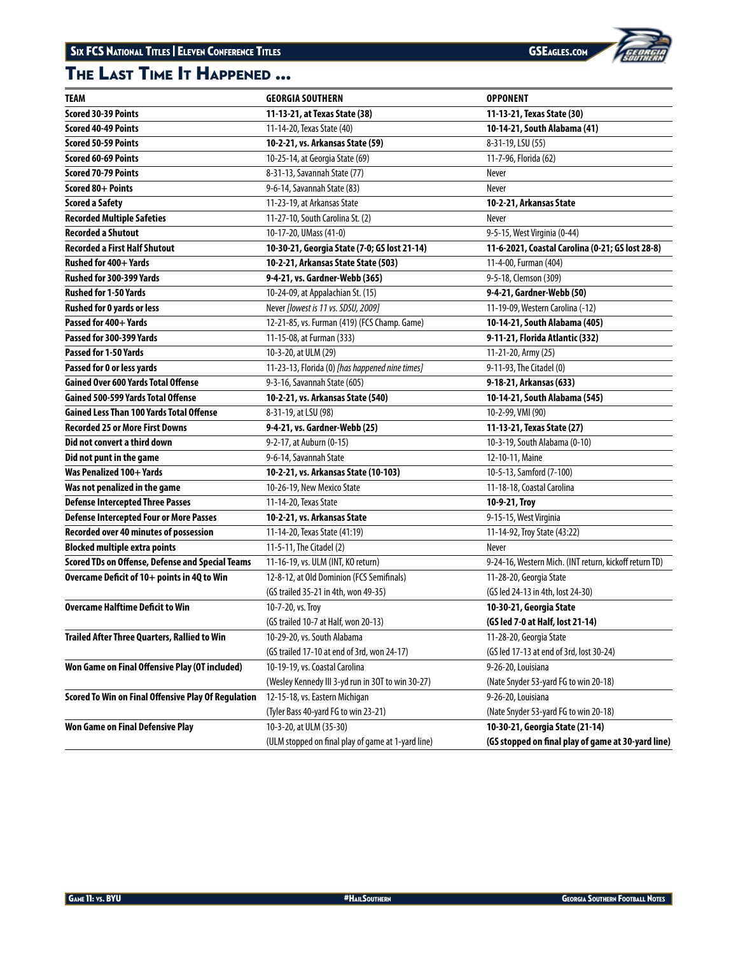# The Last Time It Happened ...



| TEAM                                                    | <b>GEORGIA SOUTHERN</b>                            | <b>OPPONENT</b>                                        |
|---------------------------------------------------------|----------------------------------------------------|--------------------------------------------------------|
| <b>Scored 30-39 Points</b>                              | 11-13-21, at Texas State (38)                      | 11-13-21, Texas State (30)                             |
| <b>Scored 40-49 Points</b>                              | 11-14-20, Texas State (40)                         | 10-14-21, South Alabama (41)                           |
| <b>Scored 50-59 Points</b>                              | 10-2-21, vs. Arkansas State (59)                   | 8-31-19, LSU (55)                                      |
| <b>Scored 60-69 Points</b>                              | 10-25-14, at Georgia State (69)                    | 11-7-96, Florida (62)                                  |
| <b>Scored 70-79 Points</b>                              | 8-31-13, Savannah State (77)                       | Never                                                  |
| Scored 80+ Points                                       | 9-6-14, Savannah State (83)                        | Never                                                  |
| <b>Scored a Safety</b>                                  | 11-23-19, at Arkansas State                        | 10-2-21, Arkansas State                                |
| <b>Recorded Multiple Safeties</b>                       | 11-27-10, South Carolina St. (2)                   | Never                                                  |
| <b>Recorded a Shutout</b>                               | 10-17-20, UMass (41-0)                             | 9-5-15, West Virginia (0-44)                           |
| <b>Recorded a First Half Shutout</b>                    | 10-30-21, Georgia State (7-0; GS lost 21-14)       | 11-6-2021, Coastal Carolina (0-21; GS lost 28-8)       |
| Rushed for 400+ Yards                                   | 10-2-21, Arkansas State State (503)                | 11-4-00, Furman (404)                                  |
| Rushed for 300-399 Yards                                | 9-4-21, vs. Gardner-Webb (365)                     | 9-5-18, Clemson (309)                                  |
| <b>Rushed for 1-50 Yards</b>                            | 10-24-09, at Appalachian St. (15)                  | 9-4-21, Gardner-Webb (50)                              |
| <b>Rushed for 0 yards or less</b>                       | Never [lowest is 11 vs. SDSU, 2009]                | 11-19-09, Western Carolina (-12)                       |
| Passed for 400+ Yards                                   | 12-21-85, vs. Furman (419) (FCS Champ. Game)       | 10-14-21, South Alabama (405)                          |
| Passed for 300-399 Yards                                | 11-15-08, at Furman (333)                          | 9-11-21, Florida Atlantic (332)                        |
| Passed for 1-50 Yards                                   | 10-3-20, at ULM (29)                               | 11-21-20, Army (25)                                    |
| Passed for 0 or less yards                              | 11-23-13, Florida (0) [has happened nine times]    | 9-11-93, The Citadel (0)                               |
| <b>Gained Over 600 Yards Total Offense</b>              | 9-3-16, Savannah State (605)                       | 9-18-21, Arkansas (633)                                |
| Gained 500-599 Yards Total Offense                      | 10-2-21, vs. Arkansas State (540)                  | 10-14-21, South Alabama (545)                          |
| <b>Gained Less Than 100 Yards Total Offense</b>         | 8-31-19, at LSU (98)                               | 10-2-99, VMI (90)                                      |
| <b>Recorded 25 or More First Downs</b>                  | 9-4-21, vs. Gardner-Webb (25)                      | 11-13-21, Texas State (27)                             |
| Did not convert a third down                            | 9-2-17, at Auburn (0-15)                           | 10-3-19, South Alabama (0-10)                          |
| Did not punt in the game                                | 9-6-14, Savannah State                             | 12-10-11, Maine                                        |
| Was Penalized 100+ Yards                                | 10-2-21, vs. Arkansas State (10-103)               | 10-5-13, Samford (7-100)                               |
| Was not penalized in the game                           | 10-26-19, New Mexico State                         | 11-18-18, Coastal Carolina                             |
| <b>Defense Intercepted Three Passes</b>                 | 11-14-20, Texas State                              | 10-9-21, Troy                                          |
| <b>Defense Intercepted Four or More Passes</b>          | 10-2-21, vs. Arkansas State                        | 9-15-15, West Virginia                                 |
| Recorded over 40 minutes of possession                  | 11-14-20, Texas State (41:19)                      | 11-14-92, Troy State (43:22)                           |
| <b>Blocked multiple extra points</b>                    | 11-5-11, The Citadel (2)                           | Never                                                  |
| <b>Scored TDs on Offense, Defense and Special Teams</b> | 11-16-19, vs. ULM (INT, KO return)                 | 9-24-16, Western Mich. (INT return, kickoff return TD) |
| Overcame Deficit of 10+ points in 4Q to Win             | 12-8-12, at Old Dominion (FCS Semifinals)          | 11-28-20, Georgia State                                |
|                                                         | (GS trailed 35-21 in 4th, won 49-35)               | (GS led 24-13 in 4th, lost 24-30)                      |
| <b>Overcame Halftime Deficit to Win</b>                 | 10-7-20, vs. Troy                                  | 10-30-21, Georgia State                                |
|                                                         | (GS trailed 10-7 at Half, won 20-13)               | (GS led 7-0 at Half, lost 21-14)                       |
| Trailed After Three Quarters, Rallied to Win            | 10-29-20, vs. South Alabama                        | 11-28-20, Georgia State                                |
|                                                         | (GS trailed 17-10 at end of 3rd, won 24-17)        | (GS led 17-13 at end of 3rd, lost 30-24)               |
| Won Game on Final Offensive Play (OT included)          | 10-19-19, vs. Coastal Carolina                     | 9-26-20, Louisiana                                     |
|                                                         | (Wesley Kennedy III 3-yd run in 30T to win 30-27)  | (Nate Snyder 53-yard FG to win 20-18)                  |
| Scored To Win on Final Offensive Play Of Regulation     | 12-15-18, vs. Eastern Michigan                     | 9-26-20, Louisiana                                     |
|                                                         | (Tyler Bass 40-yard FG to win 23-21)               | (Nate Snyder 53-yard FG to win 20-18)                  |
| <b>Won Game on Final Defensive Play</b>                 | 10-3-20, at ULM (35-30)                            | 10-30-21, Georgia State (21-14)                        |
|                                                         | (ULM stopped on final play of game at 1-yard line) | (GS stopped on final play of game at 30-yard line)     |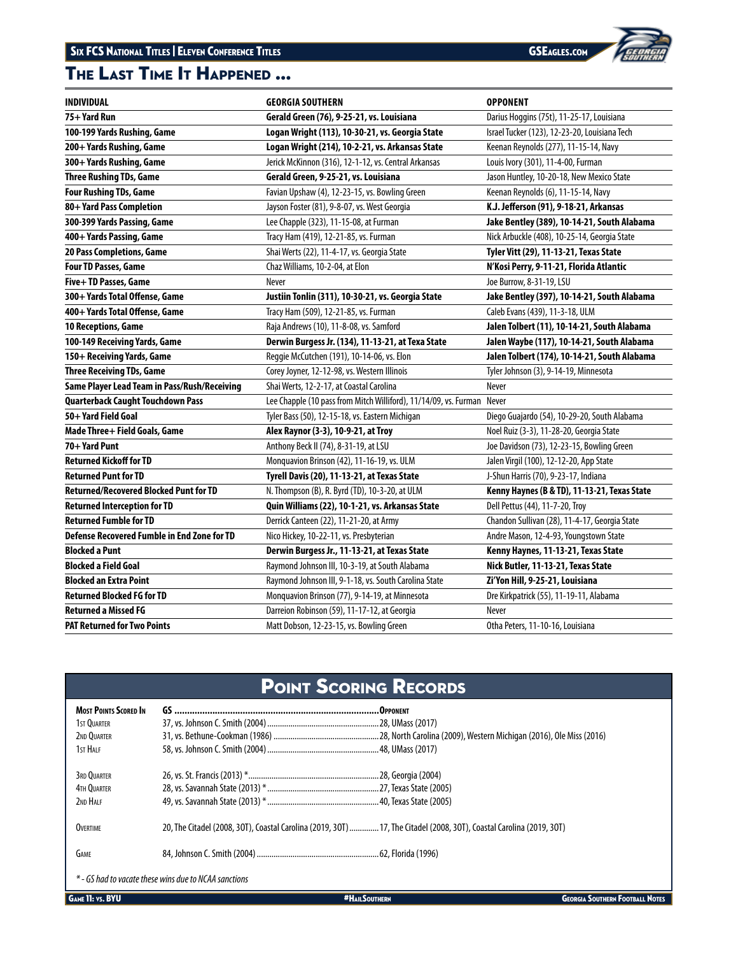# The Last Time It Happened ...



| <b>INDIVIDUAL</b>                             | <b>GEORGIA SOUTHERN</b>                                          | <b>OPPONENT</b>                               |
|-----------------------------------------------|------------------------------------------------------------------|-----------------------------------------------|
| 75+ Yard Run                                  | Gerald Green (76), 9-25-21, vs. Louisiana                        | Darius Hoggins (75t), 11-25-17, Louisiana     |
| 100-199 Yards Rushing, Game                   | Logan Wright (113), 10-30-21, vs. Georgia State                  | Israel Tucker (123), 12-23-20, Louisiana Tech |
| 200+ Yards Rushing, Game                      | Logan Wright (214), 10-2-21, vs. Arkansas State                  | Keenan Reynolds (277), 11-15-14, Navy         |
| 300+ Yards Rushing, Game                      | Jerick McKinnon (316), 12-1-12, vs. Central Arkansas             | Louis Ivory (301), 11-4-00, Furman            |
| <b>Three Rushing TDs, Game</b>                | Gerald Green, 9-25-21, vs. Louisiana                             | Jason Huntley, 10-20-18, New Mexico State     |
| <b>Four Rushing TDs, Game</b>                 | Favian Upshaw (4), 12-23-15, vs. Bowling Green                   | Keenan Reynolds (6), 11-15-14, Navy           |
| 80+ Yard Pass Completion                      | Jayson Foster (81), 9-8-07, vs. West Georgia                     | K.J. Jefferson (91), 9-18-21, Arkansas        |
| 300-399 Yards Passing, Game                   | Lee Chapple (323), 11-15-08, at Furman                           | Jake Bentley (389), 10-14-21, South Alabama   |
| 400+ Yards Passing, Game                      | Tracy Ham (419), 12-21-85, vs. Furman                            | Nick Arbuckle (408), 10-25-14, Georgia State  |
| 20 Pass Completions, Game                     | Shai Werts (22), 11-4-17, vs. Georgia State                      | Tyler Vitt (29), 11-13-21, Texas State        |
| <b>Four TD Passes, Game</b>                   | Chaz Williams, 10-2-04, at Elon                                  | N'Kosi Perry, 9-11-21, Florida Atlantic       |
| Five+TD Passes, Game                          | Never                                                            | Joe Burrow, 8-31-19, LSU                      |
| 300+ Yards Total Offense, Game                | Justiin Tonlin (311), 10-30-21, vs. Georgia State                | Jake Bentley (397), 10-14-21, South Alabama   |
| 400+ Yards Total Offense, Game                | Tracy Ham (509), 12-21-85, vs. Furman                            | Caleb Evans (439), 11-3-18, ULM               |
| 10 Receptions, Game                           | Raja Andrews (10), 11-8-08, vs. Samford                          | Jalen Tolbert (11), 10-14-21, South Alabama   |
| 100-149 Receiving Yards, Game                 | Derwin Burgess Jr. (134), 11-13-21, at Texa State                | Jalen Waybe (117), 10-14-21, South Alabama    |
| 150+ Receiving Yards, Game                    | Reggie McCutchen (191), 10-14-06, vs. Elon                       | Jalen Tolbert (174), 10-14-21, South Alabama  |
| <b>Three Receiving TDs, Game</b>              | Corey Joyner, 12-12-98, vs. Western Illinois                     | Tyler Johnson (3), 9-14-19, Minnesota         |
| Same Player Lead Team in Pass/Rush/Receiving  | Shai Werts, 12-2-17, at Coastal Carolina                         | Never                                         |
| <b>Quarterback Caught Touchdown Pass</b>      | Lee Chapple (10 pass from Mitch Williford), 11/14/09, vs. Furman | Never                                         |
| 50+ Yard Field Goal                           | Tyler Bass (50), 12-15-18, vs. Eastern Michigan                  | Diego Guajardo (54), 10-29-20, South Alabama  |
| Made Three+ Field Goals, Game                 | Alex Raynor (3-3), 10-9-21, at Troy                              | Noel Ruiz (3-3), 11-28-20, Georgia State      |
| 70+ Yard Punt                                 | Anthony Beck II (74), 8-31-19, at LSU                            | Joe Davidson (73), 12-23-15, Bowling Green    |
| <b>Returned Kickoff for TD</b>                | Monquavion Brinson (42), 11-16-19, vs. ULM                       | Jalen Virgil (100), 12-12-20, App State       |
| <b>Returned Punt for TD</b>                   | Tyrell Davis (20), 11-13-21, at Texas State                      | J-Shun Harris (70), 9-23-17, Indiana          |
| <b>Returned/Recovered Blocked Punt for TD</b> | N. Thompson (B), R. Byrd (TD), 10-3-20, at ULM                   | Kenny Haynes (B & TD), 11-13-21, Texas State  |
| <b>Returned Interception for TD</b>           | Quin Williams (22), 10-1-21, vs. Arkansas State                  | Dell Pettus (44), 11-7-20, Troy               |
| <b>Returned Fumble for TD</b>                 | Derrick Canteen (22), 11-21-20, at Army                          | Chandon Sullivan (28), 11-4-17, Georgia State |
| Defense Recovered Fumble in End Zone for TD   | Nico Hickey, 10-22-11, vs. Presbyterian                          | Andre Mason, 12-4-93, Youngstown State        |
| <b>Blocked a Punt</b>                         | Derwin Burgess Jr., 11-13-21, at Texas State                     | Kenny Haynes, 11-13-21, Texas State           |
| <b>Blocked a Field Goal</b>                   | Raymond Johnson III, 10-3-19, at South Alabama                   | Nick Butler, 11-13-21, Texas State            |
| <b>Blocked an Extra Point</b>                 | Raymond Johnson III, 9-1-18, vs. South Carolina State            | Zi'Yon Hill, 9-25-21, Louisiana               |
| <b>Returned Blocked FG for TD</b>             | Monquavion Brinson (77), 9-14-19, at Minnesota                   | Dre Kirkpatrick (55), 11-19-11, Alabama       |
| <b>Returned a Missed FG</b>                   | Darreion Robinson (59), 11-17-12, at Georgia                     | Never                                         |
| <b>PAT Returned for Two Points</b>            | Matt Dobson, 12-23-15, vs. Bowling Green                         | Otha Peters, 11-10-16, Louisiana              |

# Point Scoring Records

| <b>MOST POINTS SCORED IN</b> |                                                                                                                      |  |
|------------------------------|----------------------------------------------------------------------------------------------------------------------|--|
| 1ST OUARTER                  |                                                                                                                      |  |
| 2ND OUARTER                  |                                                                                                                      |  |
| 1st Half                     |                                                                                                                      |  |
| 3RD OUARTER                  |                                                                                                                      |  |
| 4TH OUARTER                  |                                                                                                                      |  |
| 2ND HALF                     |                                                                                                                      |  |
| <b>OVERTIME</b>              | 20. The Citadel (2008. 30T). Coastal Carolina (2019, 30T)  17, The Citadel (2008, 30T), Coastal Carolina (2019, 30T) |  |
| <b>GAME</b>                  |                                                                                                                      |  |
|                              | * - GS had to vacate these wins due to NCAA sanctions                                                                |  |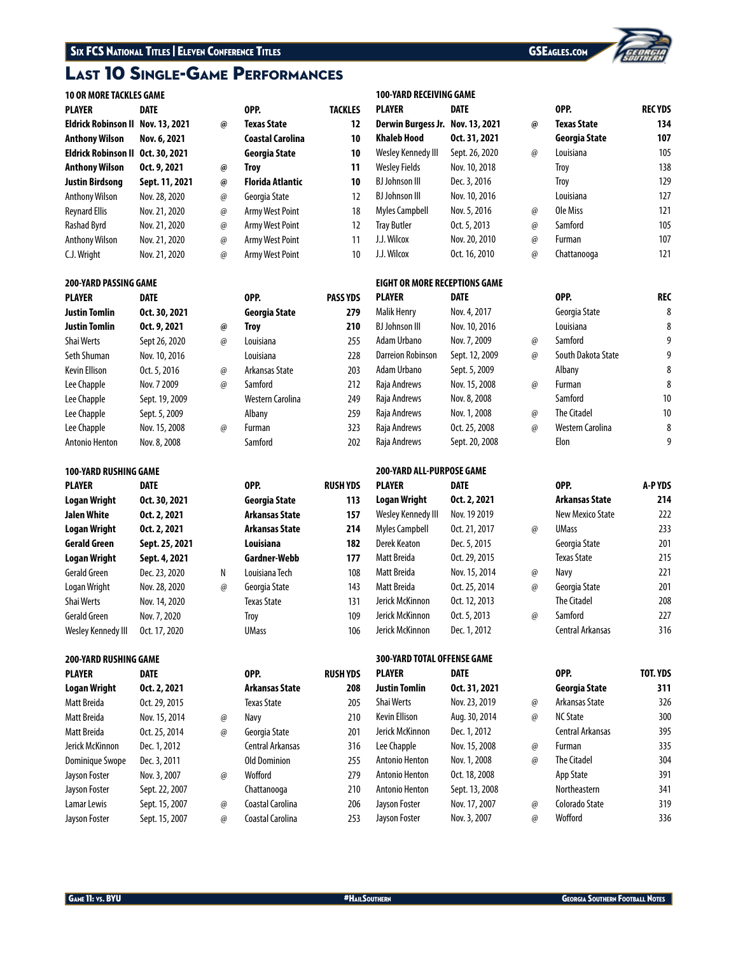# Last 10 Single-Game Performances

## **10 OR MORE TACKLES GAME**

| <b>PLAYER</b>                     | <b>DATE</b>    |    | OPP.                    | TACKLES |
|-----------------------------------|----------------|----|-------------------------|---------|
| Eldrick Robinson II Nov. 13, 2021 |                | @  | <b>Texas State</b>      | 12      |
| <b>Anthony Wilson</b>             | Nov. 6, 2021   |    | <b>Coastal Carolina</b> | 10      |
| Eldrick Robinson II               | Oct. 30, 2021  |    | Georgia State           | 10      |
| <b>Anthony Wilson</b>             | Oct. 9, 2021   | @) | <b>Trov</b>             | 11      |
| <b>Justin Birdsong</b>            | Sept. 11, 2021 | @) | <b>Florida Atlantic</b> | 10      |
| <b>Anthony Wilson</b>             | Nov. 28, 2020  | @) | Georgia State           | 12      |
| <b>Reynard Ellis</b>              | Nov. 21, 2020  | @) | <b>Army West Point</b>  | 18      |
| Rashad Byrd                       | Nov. 21, 2020  | @  | Army West Point         | 12      |
| <b>Anthony Wilson</b>             | Nov. 21, 2020  | @) | Army West Point         | 11      |
| C.J. Wright                       | Nov. 21, 2020  | @) | Army West Point         | 10      |

## **200-YARD PASSING GAME**

| <b>PLAYER</b>  | <b>DATE</b>    |                 | OPP.             | <b>PASS YDS</b> |
|----------------|----------------|-----------------|------------------|-----------------|
| Justin Tomlin  | Oct. 30, 2021  |                 | Georgia State    | 279             |
| Justin Tomlin  | Oct. 9, 2021   | $\omega$        | Troy             | 210             |
| Shai Werts     | Sept 26, 2020  | @               | Louisiana        | 255             |
| Seth Shuman    | Nov. 10, 2016  |                 | Louisiana        | 228             |
| Kevin Ellison  | Oct. 5, 2016   | $\omega$        | Arkansas State   | 203             |
| Lee Chapple    | Nov. 7 2009    | $\omega$        | Samford          | 212             |
| Lee Chapple    | Sept. 19, 2009 |                 | Western Carolina | 249             |
| Lee Chapple    | Sept. 5, 2009  |                 | Albany           | 259             |
| Lee Chapple    | Nov. 15, 2008  | $^{\copyright}$ | Furman           | 323             |
| Antonio Henton | Nov. 8, 2008   |                 | Samford          | 202             |

## **100-YARD RUSHING GAME**

| <b>PLAYER</b>       | <b>DATE</b>    |          | OPP.                  | <b>RUSH YDS</b> |
|---------------------|----------------|----------|-----------------------|-----------------|
| <b>Logan Wright</b> | Oct. 30, 2021  |          | Georgia State         | 113             |
| <b>Jalen White</b>  | Oct. 2, 2021   |          | <b>Arkansas State</b> | 157             |
| <b>Logan Wright</b> | Oct. 2, 2021   |          | Arkansas State        | 214             |
| <b>Gerald Green</b> | Sept. 25, 2021 |          | Louisiana             | 182             |
| <b>Logan Wright</b> | Sept. 4, 2021  |          | Gardner-Webb          | 177             |
| Gerald Green        | Dec. 23, 2020  | Ν        | Louisiana Tech        | 108             |
| Logan Wright        | Nov. 28, 2020  | $\omega$ | Georgia State         | 143             |
| <b>Shai Werts</b>   | Nov. 14, 2020  |          | <b>Texas State</b>    | 131             |
| <b>Gerald Green</b> | Nov. 7, 2020   |          | Troy                  | 109             |
| Wesley Kennedy III  | Oct. 17, 2020  |          | <b>UMass</b>          | 106             |

## **200-YARD RUSHING GAME**

| <b>PLAYER</b>       | <b>DATE</b>    |          | OPP.                | <b>RUSH YDS</b> |
|---------------------|----------------|----------|---------------------|-----------------|
| <b>Logan Wright</b> | Oct. 2, 2021   |          | Arkansas State      | 208             |
| Matt Breida         | Oct. 29, 2015  |          | <b>Texas State</b>  | 205             |
| Matt Breida         | Nov. 15, 2014  | @        | Navy                | 210             |
| Matt Breida         | Oct. 25, 2014  | $\omega$ | Georgia State       | 201             |
| Jerick McKinnon     | Dec. 1, 2012   |          | Central Arkansas    | 316             |
| Dominique Swope     | Dec. 3, 2011   |          | <b>Old Dominion</b> | 255             |
| Jayson Foster       | Nov. 3, 2007   | @        | Wofford             | 279             |
| Jayson Foster       | Sept. 22, 2007 |          | Chattanooga         | 210             |
| Lamar Lewis         | Sept. 15, 2007 | @        | Coastal Carolina    | 206             |
| Jayson Foster       | Sept. 15, 2007 | @        | Coastal Carolina    | 253             |

|          | OPP.               | <b>TACKLES</b> |
|----------|--------------------|----------------|
| @)       | <b>Texas State</b> | 12             |
|          | Coastal Carolina   | 10             |
|          | Georgia State      | 10             |
| $\omega$ | Troy               | 11             |
| $\omega$ | Florida Atlantic   | 10             |
| $\omega$ | Georgia State      | 12             |
| $\omega$ | Army West Point    | 18             |
| @)       | Army West Point    | 12             |
| $\omega$ | Army West Point    | 11             |
| $\omega$ | Armv West Point    | 10             |

# **Justin Tomlin Oct. 30, 2021 Georgia State 279** a Arkansas State 203 Western Carolina 249

## **100-YARD RECEIVING GAME PLAYER DATE OPP. REC YDS**

| Derwin Burgess Jr. Nov. 13, 2021 |                | $\omega$ | Texas State   | 134 |
|----------------------------------|----------------|----------|---------------|-----|
| Khaleb Hood                      | Oct. 31, 2021  |          | Georgia State | 107 |
| Wesley Kennedy III               | Sept. 26, 2020 | $\omega$ | Louisiana     | 105 |
| <b>Wesley Fields</b>             | Nov. 10, 2018  |          | Troy          | 138 |
| <b>BJ Johnson III</b>            | Dec. 3, 2016   |          | Troy          | 129 |
| <b>BJ Johnson III</b>            | Nov. 10, 2016  |          | Louisiana     | 127 |
| <b>Myles Campbell</b>            | Nov. 5, 2016   | $\omega$ | Ole Miss      | 121 |
| <b>Tray Butler</b>               | Oct. 5, 2013   | $\omega$ | Samford       | 105 |
| J.J. Wilcox                      | Nov. 20, 2010  | $\omega$ | Furman        | 107 |
| J.J. Wilcox                      | Oct. 16, 2010  | @        | Chattanooga   | 121 |

## **EIGHT OR MORE RECEPTIONS GAME**

| <b>PLAYER</b>            | <b>DATE</b>      |    | OPP.               | <b>REC</b> |
|--------------------------|------------------|----|--------------------|------------|
| <b>Malik Henry</b>       | Nov. 4, 2017     |    | Georgia State      | 8          |
| <b>BJ Johnson III</b>    | Nov. 10, 2016    |    | Louisiana          | 8          |
| Adam Urbano              | Nov. 7, 2009     | @) | Samford            | 9          |
| <b>Darreion Robinson</b> | Sept. 12, 2009   | @) | South Dakota State | 9          |
| Adam Urbano              | Sept. 5, 2009    |    | Albany             | 8          |
| Raja Andrews             | Nov. 15, 2008    | @) | Furman             | 8          |
| Raja Andrews             | Nov. 8, 2008     |    | Samford            | 10         |
| Raja Andrews             | Nov. 1, 2008     | @) | <b>The Citadel</b> | 10         |
| Raja Andrews             | Oct. 25, 2008    | @) | Western Carolina   | 8          |
| Raia Androws             | $Sent$ $20.2008$ |    | Flon               | q          |

## **200-YARD ALL-PURPOSE GAME**

| <b>PLAYER</b>         | DATE          |
|-----------------------|---------------|
| Logan Wright          | Oct. 2, 2021  |
| Wesley Kennedy III    | Nov. 19 2019  |
| <b>Myles Campbell</b> | Oct. 21, 2017 |
| Derek Keaton          | Dec. 5, 2015  |
| Matt Breida           | Oct. 29, 2015 |
| Matt Breida           | Nov. 15, 2014 |
| Matt Breida           | Oct. 25, 2014 |
| Jerick McKinnon       | Oct. 12, 2013 |
| Jerick McKinnon       | Oct. 5, 2013  |
| Jerick McKinnon       | Dec. 1. 2012  |

# **300-YARD TOTAL OFFENSE GAME**

| YDS | <b>PLAYER</b>        | DATE.          |    | OPP.               | TOT. YDS |
|-----|----------------------|----------------|----|--------------------|----------|
| 208 | <b>Justin Tomlin</b> | Oct. 31, 2021  |    | Georgia State      | 311      |
| 205 | <b>Shai Werts</b>    | Nov. 23, 2019  | @  | Arkansas State     | 326      |
| 210 | Kevin Ellison        | Aug. 30, 2014  | @  | <b>NC State</b>    | 300      |
| 201 | Jerick McKinnon      | Dec. 1, 2012   |    | Central Arkansas   | 395      |
| 316 | Lee Chapple          | Nov. 15, 2008  | @  | Furman             | 335      |
| 255 | Antonio Henton       | Nov. 1, 2008   | @  | <b>The Citadel</b> | 304      |
| 279 | Antonio Henton       | Oct. 18, 2008  |    | App State          | 391      |
| 210 | Antonio Henton       | Sept. 13, 2008 |    | Northeastern       | 341      |
| 206 | Jayson Foster        | Nov. 17, 2007  | @  | Colorado State     | 319      |
| 253 | Jayson Foster        | Nov. 3, 2007   | @) | Wofford            | 336      |

| Georgia State | 107 |
|---------------|-----|
| Louisiana     | 105 |
| Troy          | 138 |
| Troy          | 129 |
| Louisiana     | 127 |
| Ole Miss      | 121 |
| Samford       | 105 |
| Furman        | 107 |
| Chattanooga   | 121 |
|               |     |

# Georgia State 8, 2017 8, 2017 8, 2017 8, 2017 8, 2017 8, 2017 8, 2017 8, 2017 8, 2017 8, 2017 8, 2017 8, 2017 8, 2017 8, 2017 8, 2017 8, 2017 8, 2017 8, 2017 8, 2017 8, 2017 8, 2017 8, 2017 8, 2017 8, 2017 8, 2017 8, 2017 BJ Johnson III Nov. 10, 2016 Louisiana 8 South Dakota State 9 The Citadel **10** Raja Andrews Oct. 25, 2008 @ Western Carolina 8 Raja Andrews Sept. 20, 2008 Elon 9

| PLAYER             | <b>DATE</b>   |          | OPP.                  | A-PYDS |
|--------------------|---------------|----------|-----------------------|--------|
| Logan Wright       | Oct. 2, 2021  |          | <b>Arkansas State</b> | 214    |
| Wesley Kennedy III | Nov. 19 2019  |          | New Mexico State      | 222    |
| Myles Campbell     | Oct. 21, 2017 | $\omega$ | <b>UMass</b>          | 233    |
| Derek Keaton       | Dec. 5, 2015  |          | Georgia State         | 201    |
| Matt Breida        | Oct. 29, 2015 |          | Texas State           | 215    |
| Matt Breida        | Nov. 15, 2014 | $\omega$ | Navy                  | 221    |
| Matt Breida        | Oct. 25, 2014 | $\omega$ | Georgia State         | 201    |
| Jerick McKinnon    | Oct. 12, 2013 |          | <b>The Citadel</b>    | 208    |
| Jerick McKinnon    | Oct. 5, 2013  | $\omega$ | Samford               | 227    |
| Jerick McKinnon    | Dec. 1, 2012  |          | Central Arkansas      | 316    |
|                    |               |          |                       |        |

# **PLAYER DATE OPP. TOT. YDS Justin Tomlin Oct. 31, 2021 Georgia State 311** @ Arkansas State 326 Central Arkansas 395 Antonio Henton Nov. 1, 2008 @ The Citadel 304 App State 391 Northeastern 341 Jayson Foster Nov. 17, 2007 @ Colorado State 319 Jayson Foster Nov. 3, 2007 @ Wofford 336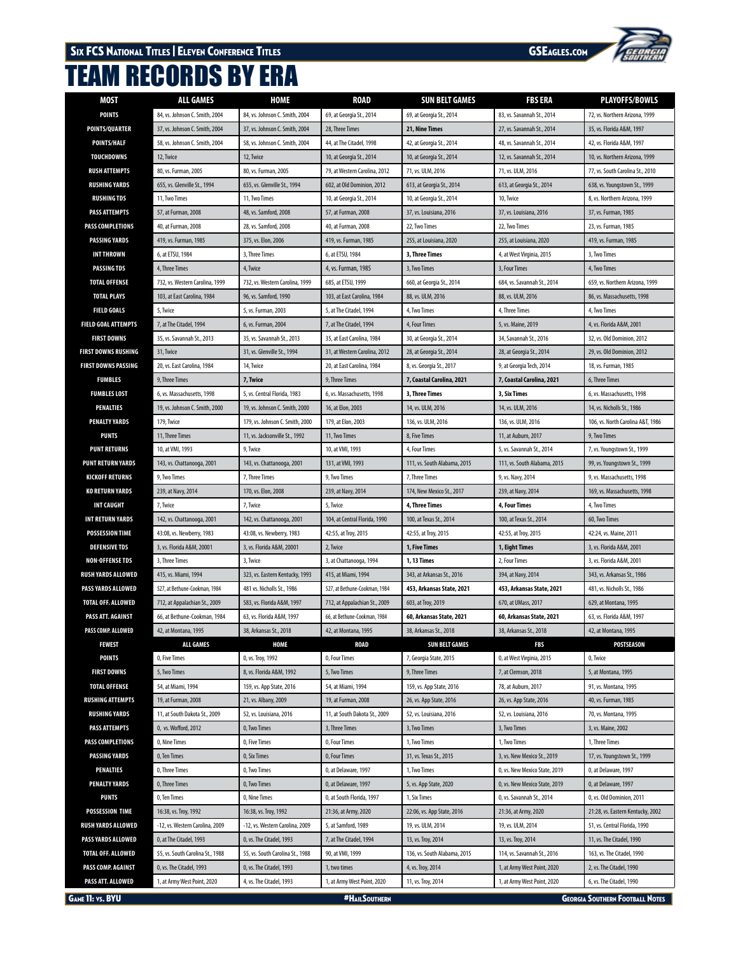

# TEAM RECORDS BY ERA

| MOST                       | <b>ALL GAMES</b>                 | HOME                             | <b>ROAD</b>                   | <b>SUN BELT GAMES</b>        | <b>FBS ERA</b>                | <b>PLAYOFFS/BOWLS</b>                  |
|----------------------------|----------------------------------|----------------------------------|-------------------------------|------------------------------|-------------------------------|----------------------------------------|
| POINTS                     | 84, vs. Johnson C. Smith, 2004   | 84, vs. Johnson C. Smith, 2004   | 69, at Georgia St., 2014      | 69, at Georgia St., 2014     | 83, vs. Savannah St., 2014    | 72, vs. Northern Arizona, 1999         |
| POINTS/QUARTER             | 37, vs. Johnson C. Smith, 2004   | 37, vs. Johnson C. Smith, 2004   | 28, Three Times               | 21, Nine Times               | 27, vs. Savannah St., 2014    | 35, vs. Florida A&M, 1997              |
| POINTS/HALF                | 58, vs. Johnson C. Smith, 2004   | 58, vs. Johnson C. Smith, 2004   | 44, at The Citadel, 1998      | 42, at Georgia St., 2014     | 48, vs. Savannah St., 2014    | 42, vs. Florida A&M, 1997              |
| TOUCHDOWNS                 | 12, Twice                        | 12, Twice                        | 10, at Georgia St., 2014      | 10, at Georgia St., 2014     | 12, vs. Savannah St., 2014    | 10, vs. Northern Arizona, 1999         |
| <b>RUSH ATTEMPTS</b>       | 80, vs. Furman, 2005             | 80, vs. Furman, 2005             | 79, at Western Carolina, 2012 | 71, vs. ULM, 2016            | 71, vs. ULM, 2016             | 77, vs. South Carolina St., 2010       |
| <b>RUSHING YARDS</b>       | 655, vs. Glenville St., 1994     | 655, vs. Glenville St., 1994     | 602, at Old Dominion, 2012    | 613, at Georgia St., 2014    | 613, at Georgia St., 2014     | 638, vs. Youngstown St., 1999          |
| <b>RUSHING TDS</b>         | 11, Two Times                    | 11, Two Times                    | 10, at Georgia St., 2014      | 10, at Georgia St., 2014     | 10, Twice                     | 8, vs. Northern Arizona, 1999          |
| <b>PASS ATTEMPTS</b>       | 57, at Furman, 2008              | 48, vs. Samford, 2008            | 57, at Furman, 2008           | 37, vs. Louisiana, 2016      | 37, vs. Louisiana, 2016       | 37, vs. Furman, 1985                   |
| PASS COMPLETIONS           | 40, at Furman, 2008              | 28, vs. Samford, 2008            | 40, at Furman, 2008           | 22, Two Times                | 22, Two Times                 | 23, vs. Furman, 1985                   |
| PASSING YARDS              | 419, vs. Furman, 1985            | 375, vs. Elon, 2006              | 419, vs. Furman, 1985         | 255, at Louisiana, 2020      | 255, at Louisiana, 2020       | 419, vs. Furman, 1985                  |
| INT THROWN                 | 6, at ETSU, 1984                 | 3, Three Times                   | 6, at ETSU, 1984              | 3, Three Times               | 4, at West Virginia, 2015     | 3, Two Times                           |
| PASSING TDS                | 4, Three Times                   | 4, Twice                         | 4, vs. Furman, 1985           | 3, Two Times                 | 3, Four Times                 | 4, Two Times                           |
| <b>TOTAL OFFENSE</b>       | 732, vs. Western Carolina, 1999  | 732, vs. Western Carolina, 1999  | 685, at ETSU, 1999            | 660, at Georgia St., 2014    | 684, vs. Savannah St., 2014   | 659, vs. Northern Arizona, 1999        |
| <b>TOTAL PLAYS</b>         | 103, at East Carolina, 1984      | 96, vs. Samford, 1990            | 103, at East Carolina, 1984   | 88, vs. ULM, 2016            | 88, vs. ULM, 2016             | 86, vs. Massachusetts, 1998            |
| <b>FIELD GOALS</b>         | 5, Twice                         | 5, vs. Furman, 2003              | 5, at The Citadel, 1994       | 4, Two Times                 | 4, Three Times                | 4, Two Times                           |
| <b>FIELD GOAL ATTEMPTS</b> | 7, at The Citadel, 1994          | 6, vs. Furman, 2004              | 7, at The Citadel, 1994       | 4, Four Times                | 5, vs. Maine, 2019            | 4, vs. Florida A&M, 2001               |
| <b>FIRST DOWNS</b>         | 35, vs. Savannah St., 2013       | 35, vs. Savannah St., 2013       | 35, at East Carolina, 1984    | 30, at Georgia St., 2014     | 34, Savannah St., 2016        | 32, vs. Old Dominion, 2012             |
| <b>FIRST DOWNS RUSHING</b> | 31, Twice                        | 31, vs. Glenville St., 1994      | 31, at Western Carolina, 2012 | 28, at Georgia St., 2014     | 28, at Georgia St., 2014      | 29, vs. Old Dominion, 2012             |
| <b>FIRST DOWNS PASSING</b> | 20, vs. East Carolina, 1984      | 14, Twice                        | 20, at East Carolina, 1984    | 8, vs. Georgia St., 2017     | 9, at Georgia Tech, 2014      | 18, vs. Furman, 1985                   |
| <b>FUMBLES</b>             | 9, Three Times                   | 7, Twice                         | 9, Three Times                | 7, Coastal Carolina, 2021    | 7, Coastal Carolina, 2021     | 6, Three Times                         |
| <b>FUMBLES LOST</b>        | 6, vs. Massachusetts, 1998       | 5, vs. Central Florida, 1983     | 6, vs. Massachusetts, 1998    | 3, Three Times               | 3, Six Times                  | 6, vs. Massachusetts, 1998             |
| PENALTIES                  | 19, vs. Johnson C. Smith, 2000   | 19, vs. Johnson C. Smith, 2000   | 16, at Elon, 2003             | 14, vs. ULM, 2016            | 14, vs. ULM, 2016             | 14, vs. Nicholls St., 1986             |
| <b>PENALTY YARDS</b>       | 179, Twice                       | 179, vs. Johnson C. Smith, 2000  | 179, at Elon, 2003            | 136, vs. ULM, 2016           | 136, vs. ULM, 2016            | 106, vs. North Carolina A&T, 1986      |
| <b>PUNTS</b>               | 11, Three Times                  | 11, vs. Jacksonville St., 1992   | 11, Two Times                 | 8, Five Times                | 11, at Auburn, 2017           | 9, Two Times                           |
| <b>PUNT RETURNS</b>        | 10, at VMI, 1993                 | 9, Twice                         | 10, at VMI, 1993              | 4, Four Times                | 5, vs. Savannah St., 2014     | 7, vs. Youngstown St., 1999            |
| <b>PUNT RETURN YARDS</b>   | 143, vs. Chattanooga, 2001       | 143, vs. Chattanooga, 2001       | 131, at VMI, 1993             | 111, vs. South Alabama, 2015 | 111, vs. South Alabama, 2015  | 99, vs. Youngstown St., 1999           |
| <b>KICKOFF RETURNS</b>     | 9, Two Times                     | 7, Three Times                   | 9, Two Times                  | 7, Three Times               | 9, vs. Navy, 2014             | 9, vs. Massachusetts, 1998             |
| <b>KO RETURN YARDS</b>     | 239, at Navy, 2014               | 170, vs. Elon, 2008              | 239, at Navy, 2014            | 174, New Mexico St., 2017    | 239, at Navy, 2014            | 169, vs. Massachusetts, 1998           |
| INT CAUGHT                 | 7, Twice                         | 7, Twice                         | 5, Twice                      | 4, Three Times               | 4, Four Times                 | 4, Two Times                           |
| INT RETURN YARDS           | 142, vs. Chattanooga, 2001       | 142, vs. Chattanooga, 2001       | 104, at Central Florida, 1990 | 100, at Texas St., 2014      | 100, at Texas St., 2014       | 60, Two Times                          |
| <b>POSSESSION TIME</b>     | 43:08, vs. Newberry, 1983        | 43:08, vs. Newberry, 1983        | 42:55, at Troy, 2015          | 42:55, at Troy, 2015         | 42:55, at Troy, 2015          | 42:24, vs. Maine, 2011                 |
| <b>DEFENSIVE TDS</b>       | 3, vs. Florida A&M, 20001        | 3, vs. Florida A&M, 20001        | 2, Twice                      | 1, Five Times                | 1, Eight Times                | 3, vs. Florida A&M, 2001               |
| <b>NON-OFFENSETDS</b>      | 3, Three Times                   | 3, Twice                         | 3, at Chattanooga, 1994       | <b>1, 13 Times</b>           | 2, Four Times                 | 3, vs. Florida A&M, 2001               |
| <b>RUSH YARDS ALLOWED</b>  | 415, vs. Miami, 1994             | 323, vs. Eastern Kentucky, 1993  | 415, at Miami, 1994           | 343, at Arkansas St., 2016   | 394, at Navy, 2014            | 343, vs. Arkansas St., 1986            |
| PASS YARDS ALLOWED         | 527, at Bethune-Cookman, 1984    | 481 vs. Nicholls St., 1986       | 527, at Bethune-Cookman, 1984 | 453, Arkansas State, 2021    | 453, Arkansas State, 2021     | 481, vs. Nicholls St., 1986            |
| TOTAL OFF. ALLOWED         | 712, at Appalachian St., 2009    | 583, vs. Florida A&M, 1997       | 712, at Appalachian St., 2009 | 603, at Troy, 2019           | 670, at UMass, 2017           | 629, at Montana, 1995                  |
| PASS ATT. AGAINST          | 66, at Bethune-Cookman, 1984     | 63, vs. Florida A&M, 1997        | 66, at Bethune-Cookman, 1984  | 60, Arkansas State, 2021     | 60, Arkansas State, 2021      | 63, vs. Florida A&M, 1997              |
| PASS COMP. ALLOWED         | 42, at Montana, 1995             | 38, Arkansas St., 2018           | 42, at Montana, 1995          | 38, Arkansas St., 2018       | 38, Arkansas St., 2018        | 42, at Montana, 1995                   |
| <b>FEWEST</b>              | <b>ALL GAMES</b>                 | <b>HOME</b>                      | <b>ROAD</b>                   | <b>SUN BELT GAMES</b>        | <b>FBS</b>                    | POSTSEASON                             |
| <b>POINTS</b>              | 0, Five Times                    | 0, vs. Troy, 1992                | 0, Four Times                 | 7, Georgia State, 2015       | 0, at West Virginia, 2015     | 0, Twice                               |
| <b>FIRST DOWNS</b>         | 5, Two Times                     | 8, vs. Florida A&M, 1992         | 5, Two Times                  | 9, Three Times               | 7, at Clemson, 2018           | 5, at Montana, 1995                    |
| <b>TOTAL OFFENSE</b>       | 54, at Miami, 1994               | 159, vs. App State, 2016         | 54, at Miami, 1994            | 159, vs. App State, 2016     | 78, at Auburn, 2017           | 91, vs. Montana, 1995                  |
| <b>RUSHING ATTEMPTS</b>    | 19, at Furman, 2008              | 21, vs. Albany, 2009             | 19, at Furman, 2008           | 26, vs. App State, 2016      | 26, vs. App State, 2016       | 40, vs. Furman, 1985                   |
| <b>RUSHING YARDS</b>       | 11, at South Dakota St., 2009    | 52, vs. Louisiana, 2016          | 11, at South Dakota St., 2009 | 52, vs. Louisiana, 2016      | 52, vs. Louisiana, 2016       | 70, vs. Montana, 1995                  |
| <b>PASS ATTEMPTS</b>       | 0, vs. Wofford, 2012             | 0, Two Times                     | 3, Three Times                | 3, Two Times                 | 3, Two Times                  | 3, vs. Maine, 2002                     |
| <b>PASS COMPLETIONS</b>    | 0. Nine Times                    | 0, Five Times                    | 0. Four Times                 | 1, Two Times                 | 1, Two Times                  | 1. Three Times                         |
| PASSING YARDS              | 0, Ten Times                     | 0, Six Times                     | 0, Four Times                 | 31, vs. Texas St., 2015      | 3, vs. New Mexico St., 2019   | 17, vs. Youngstown St., 1999           |
| PENALTIES                  | 0, Three Times                   | 0, Two Times                     | 0, at Delaware, 1997          | 1, Two Times                 | 0, vs. New Mexico State, 2019 | 0, at Delaware, 1997                   |
| <b>PENALTY YARDS</b>       | 0, Three Times                   | 0, Two Times                     | 0, at Delaware, 1997          | 5, vs. App State, 2020       | 0, vs. New Mexico State, 2019 | 0, at Delaware, 1997                   |
| <b>PUNTS</b>               | 0, Ten Times                     | 0, Nine Times                    | 0, at South Florida, 1997     | 1, Six Times                 | 0, vs. Savannah St., 2014     | 0, vs. Old Dominion, 2011              |
| <b>POSSESSION TIME</b>     | 16:38, vs. Troy, 1992            | 16:38, vs. Troy, 1992            | 21:36, at Army, 2020          | 22:06, vs. App State, 2016   | 21:36, at Army, 2020          | 21:28, vs. Eastern Kentucky, 2002      |
| RUSH YARDS ALLOWED         | -12, vs. Western Carolina, 2009  | -12, vs. Western Carolina, 2009  | 5, at Samford, 1989           | 19, vs. ULM, 2014            | 19, vs. ULM, 2014             | 51, vs. Central Florida, 1990          |
| PASS YARDS ALLOWED         | 0, at The Citadel, 1993          | 0, vs. The Citadel, 1993         | 7, at The Citadel, 1994       | 13, vs. Troy, 2014           | 13, vs. Troy, 2014            | 11, vs. The Citadel, 1990              |
| TOTAL OFF. ALLOWED         | 55, vs. South Carolina St., 1988 | 55, vs. South Carolina St., 1988 | 90, at VMI, 1999              | 136, vs. South Alabama, 2015 | 114, vs. Savannah St., 2016   | 163, vs. The Citadel, 1990             |
| PASS COMP. AGAINST         | 0, vs. The Citadel, 1993         | 0, vs. The Citadel, 1993         | 1, two times                  | 4, vs. Troy, 2014            | 1, at Army West Point, 2020   | 2, vs. The Citadel, 1990               |
| PASS ATT. ALLOWED          | 1, at Army West Point, 2020      | 4, vs. The Citadel, 1993         | 1, at Army West Point, 2020   | 11, vs. Troy, 2014           | 1, at Army West Point, 2020   | 6, vs. The Citadel, 1990               |
|                            |                                  |                                  |                               |                              |                               |                                        |
| <b>GAME 11: VS. BYU</b>    |                                  |                                  | <b>#HAILSOUTHERN</b>          |                              |                               | <b>GEORGIA SOUTHERN FOOTBALL NOTES</b> |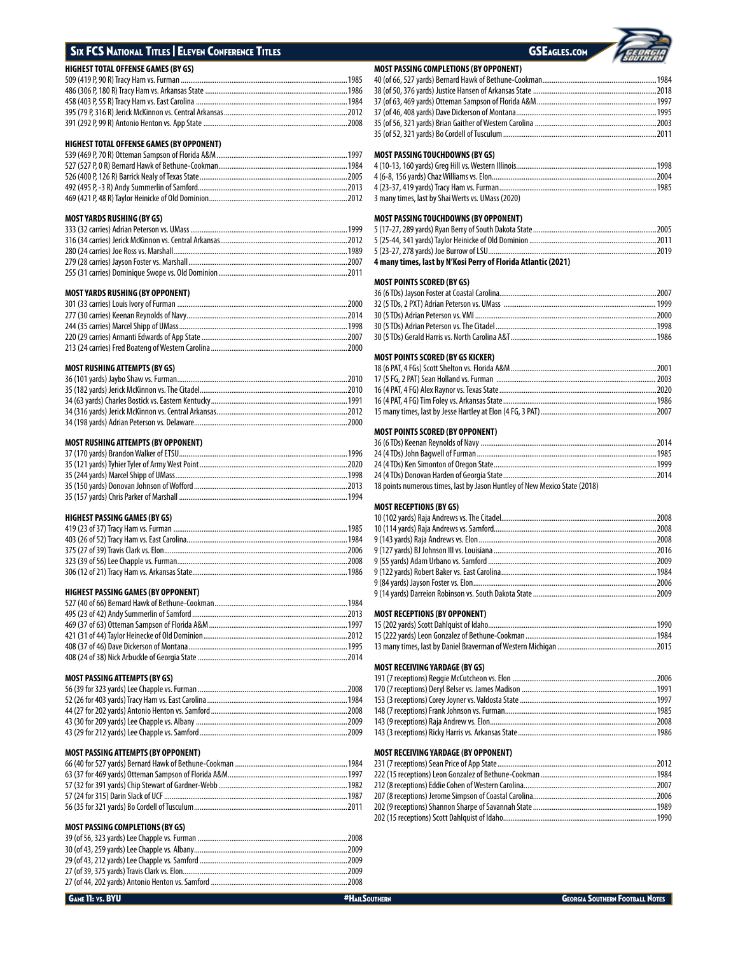# SIX FCS NATIONAL TITLES | ELEVEN CONFERENCE TITLES GSEAGLES.COM

## **HIGHEST TOTAL OFFENSE GAMES (BY GS)**

## **HIGHEST TOTAL OFFENSE GAMES (BY OPPONENT)**

## **MOST YARDS RUSHING (BY GS)**

## **MOST YARDS RUSHING (BY OPPONENT)**

## **MOST RUSHING ATTEMPTS (BY GS)**

## **MOST RUSHING ATTEMPTS (BY OPPONENT)**

## **HIGHEST PASSING GAMES (BY GS)**

## **HIGHEST PASSING GAMES (BY OPPONENT)**

## **MOST PASSING ATTEMPTS (BY GS)**

## **MOST PASSING ATTEMPTS (BY OPPONENT)**

## **MOST PASSING COMPLETIONS (BY GS)**

## **MOST PASSING COMPLETIONS (BY OPPONENT)**

| <b>MOST PASSING TOUCHDOWNS (BY GS)</b> |  |
|----------------------------------------|--|
|                                        |  |
|                                        |  |
|                                        |  |
|                                        |  |
|                                        |  |
|                                        |  |
|                                        |  |

## 4 (10-13, 160 yards) Greg Hill vs. Western Illinois...........................................................................1998 4 (6-8, 156 yards) Chaz Williams vs. Elon........................................................................................2004 4 (23-37, 419 yards) Tracy Ham vs. Furman....................................................................................1985 3 many times, last by Shai Werts vs. UMass (2020)

# **MOST PASSING TOUCHDOWNS (BY OPPONENT)**

| <u>ן ואשאוט ווען כאומטעטענט אווככה וכטוא</u> |  |
|----------------------------------------------|--|
|                                              |  |
|                                              |  |
|                                              |  |
|                                              |  |

## **4 many times, last by N'Kosi Perry of Florida Atlantic (2021)**

## **MOST POINTS SCORED (BY GS)**

## **MOST POINTS SCORED (BY GS KICKER)**

## **MOST POINTS SCORED (BY OPPONENT)**

| 18 points numerous times, last by Jason Huntley of New Mexico State (2018) |  |
|----------------------------------------------------------------------------|--|

## **MOST RECEPTIONS (BY GS)**

### **MOST RECEPTIONS (BY OPPONENT)**

## **MOST RECEIVING YARDAGE (BY GS)**

## **MOST RECEIVING YARDAGE (BY OPPONENT)**

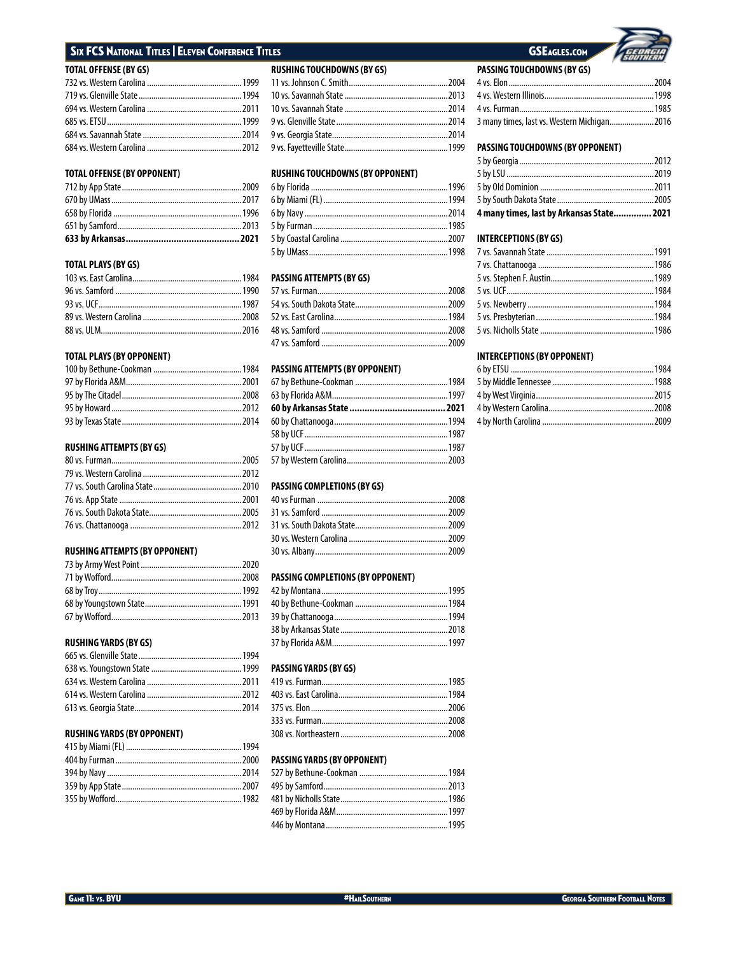# **SIX FCS NATIONAL TITLES | ELEVEN CONFERENCE TITLES**

| <b>JOIAL OFFENSE (BY GS)</b> |  |
|------------------------------|--|
|                              |  |
|                              |  |
|                              |  |
|                              |  |
|                              |  |
|                              |  |

## **TOTAL OFFENSE (BY OPPONENT)**

## **TOTAL PLAYS (BY GS)**

## **TOTAL PLAYS (BY OPPONENT)**

## **RUSHING ATTEMPTS (BY GS)**

## **RUSHING ATTEMPTS (BY OPPONENT)**

## **RUSHING YARDS (BY GS)**

## **RUSHING YARDS (BY OPPONENT)**

## **RUSHING TOUCHDOWNS (BY GS)**

## **RUSHING TOUCHDOWNS (BY OPPONENT)**

# **PASSING ATTEMPTS (BY GS)**

## 4 PASSING ATTEMPTS (BY OPPONENT)

## **PASSING COMPLETIONS (BY GS)**

## PASSING COMPLETIONS (BY OPPONENT)

## PASSING YARDS (BY GS)

## PASSING YARDS (BY OPPONENT)

# **GSEAGLES.COM**



## PASSING TOUCHDOWNS (BY OPPONENT)

| 4 many times, last by Arkansas State 2021 |  |
|-------------------------------------------|--|
|                                           |  |
|                                           |  |
|                                           |  |
|                                           |  |

## **INTERCEPTIONS (BY GS)**

## **INTERCEPTIONS (BY OPPONENT)**

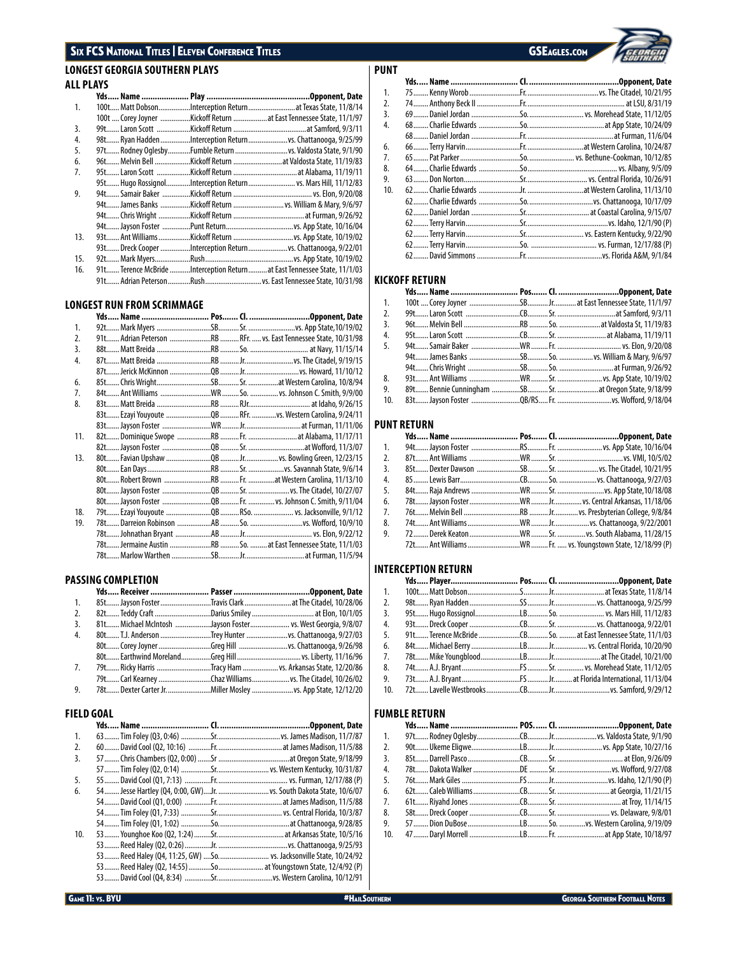# SIX FCS National Titles | Eleven Conference Titles GSEAGLES.com

# **LONGEST GEORGIA SOUTHERN PLAYS ALL PLAYS**

| 1.  |  | 100t Matt DobsonInterception Returnat Texas State, 11/8/14                |
|-----|--|---------------------------------------------------------------------------|
|     |  | 100t  Corey Joyner Kickoff Return  at East Tennessee State, 11/1/97       |
| 3.  |  |                                                                           |
| 4.  |  | 98t Ryan Hadden Interception Return  vs. Chattanooga, 9/25/99             |
| 5.  |  |                                                                           |
| 6.  |  | 96t Melvin Bell Kickoff Return  at Valdosta State, 11/19/83               |
| 7.  |  |                                                                           |
|     |  | 95t Hugo RossignolInterception Return vs. Mars Hill, 11/12/83             |
| 9.  |  |                                                                           |
|     |  | 94t James Banks Kickoff Return  vs. William & Mary, 9/6/97                |
|     |  |                                                                           |
|     |  |                                                                           |
| 13. |  |                                                                           |
|     |  | 93t Dreck Cooper Interception Return  vs. Chattanooga, 9/22/01            |
| 15. |  |                                                                           |
| 16. |  | 91t Terence McBride Interception Return  at East Tennessee State, 11/1/03 |
|     |  | 91t Adrian Peterson Rush  vs. East Tennessee State, 10/31/98              |

## **LONGEST RUN FROM SCRIMMAGE**

| 1.  |                                                                  |  |  |
|-----|------------------------------------------------------------------|--|--|
| 2.  | 91t Adrian Peterson RB  RFr.  vs. East Tennessee State, 10/31/98 |  |  |
| 3.  |                                                                  |  |  |
| 4.  |                                                                  |  |  |
|     |                                                                  |  |  |
| 6.  |                                                                  |  |  |
| 7.  |                                                                  |  |  |
| 8.  |                                                                  |  |  |
|     |                                                                  |  |  |
|     |                                                                  |  |  |
| 11. |                                                                  |  |  |
|     |                                                                  |  |  |
| 13. |                                                                  |  |  |
|     |                                                                  |  |  |
|     |                                                                  |  |  |
|     |                                                                  |  |  |
|     |                                                                  |  |  |
| 18. |                                                                  |  |  |
| 19. |                                                                  |  |  |
|     |                                                                  |  |  |
|     | 78t  Jermaine Austin RB  So.  at East Tennessee State, 11/1/03   |  |  |
|     |                                                                  |  |  |
|     |                                                                  |  |  |

## **PASSING COMPLETION**

| 1. | 85t Jayson Foster Travis Clark  at The Citadel, 10/28/06     |  |
|----|--------------------------------------------------------------|--|
| 2. |                                                              |  |
| 3. | 81 t Michael McIntosh Jayson Foster vs. West Georgia, 9/8/07 |  |
| 4. | 80t T.J. Anderson Trey Hunter vs. Chattanooga, 9/27/03       |  |
|    |                                                              |  |
|    |                                                              |  |
| 7. | 79t Ricky Harris Tracy Ham  vs. Arkansas State, 12/20/86     |  |
|    | 79t Carl Kearney Chaz Williams  vs. The Citadel, 10/26/02    |  |
| 9. | 78t Dexter Carter Jr. Miller Mosley  vs. App State, 12/12/20 |  |
|    |                                                              |  |

## **FIELD GOAL**

| 1.  |  |                                                                      |
|-----|--|----------------------------------------------------------------------|
| 2.  |  |                                                                      |
| 3.  |  |                                                                      |
|     |  |                                                                      |
| 5.  |  |                                                                      |
| 6.  |  | 54 Jesse Hartley (Q4, 0:00, GW)Jr.  vs. South Dakota State, 10/6/07  |
|     |  |                                                                      |
|     |  |                                                                      |
|     |  |                                                                      |
| 10. |  |                                                                      |
|     |  |                                                                      |
|     |  | 53 Reed Haley (Q4, 11:25, GW)  So.  vs. Jacksonville State, 10/24/92 |
|     |  |                                                                      |
|     |  |                                                                      |



| PUNT |  |  |
|------|--|--|
|      |  |  |
| 1.   |  |  |
| 2.   |  |  |
| 3.   |  |  |
| 4.   |  |  |
|      |  |  |
| 6.   |  |  |
| 7.   |  |  |
| 8.   |  |  |
| 9.   |  |  |
| 10.  |  |  |
|      |  |  |
|      |  |  |
|      |  |  |
|      |  |  |
|      |  |  |
|      |  |  |

## **KICKOFF RETURN**

| 1.  |  |  |
|-----|--|--|
| 2.  |  |  |
| 3.  |  |  |
| 4.  |  |  |
| 5.  |  |  |
|     |  |  |
|     |  |  |
| 8.  |  |  |
| 9.  |  |  |
| 10. |  |  |

# **PUNT RETURN**

| 1.               |  |  |
|------------------|--|--|
| 2.               |  |  |
| $\overline{3}$ . |  |  |
| 4.               |  |  |
| 5.               |  |  |
| 6.               |  |  |
| 7.               |  |  |
| 8.               |  |  |
| 9.               |  |  |
|                  |  |  |

## **INTERCEPTION RETURN**

| 1.              |  |  |
|-----------------|--|--|
| 2.              |  |  |
| 3.              |  |  |
| 4.              |  |  |
| 5.              |  |  |
| 6.              |  |  |
| 7.              |  |  |
| 8.              |  |  |
| 9.              |  |  |
| 10 <sup>1</sup> |  |  |

## **FUMBLE RETURN**

| 1.  |  |  |
|-----|--|--|
| 2.  |  |  |
| 3.  |  |  |
| 4.  |  |  |
| 5.  |  |  |
| 6.  |  |  |
| 7.  |  |  |
| 8.  |  |  |
| 9.  |  |  |
| 10. |  |  |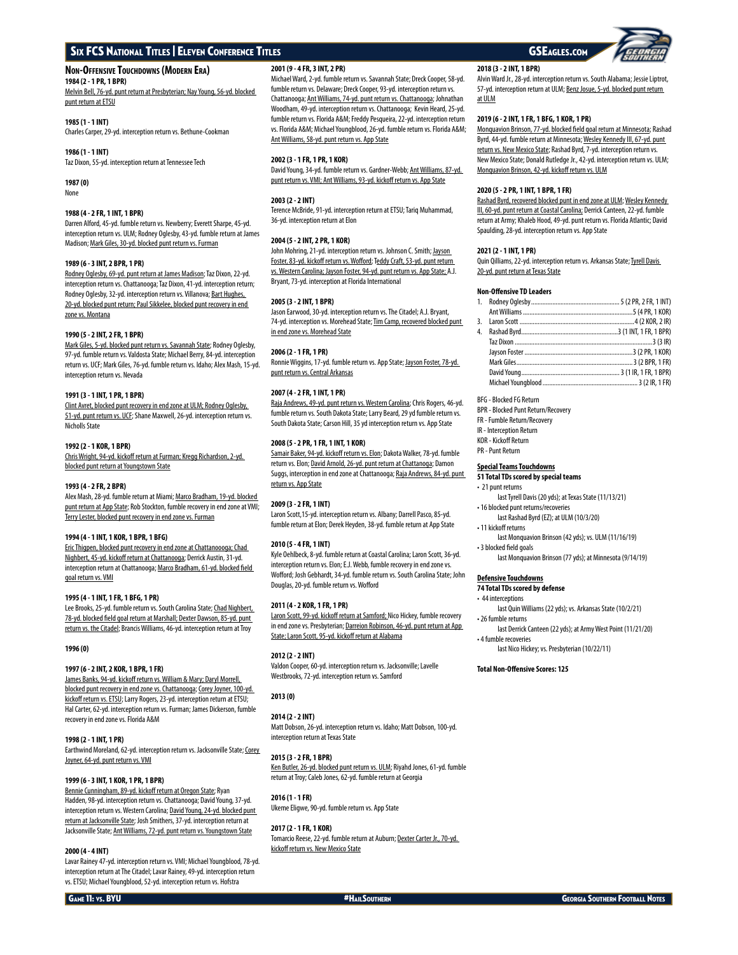## **Non-Offensive Touchdowns (Modern Era)**

**1984 (2 - 1 PR, 1 BPR)**

Melvin Bell, 76-yd. punt return at Presbyterian; Nay Young, 56-yd. blocked punt return at ETSU

## **1985 (1 - 1 INT)**

Charles Carper, 29-yd. interception return vs. Bethune-Cookman

## **1986 (1 - 1 INT)**

Taz Dixon, 55-yd. interception return at Tennessee Tech

**1987 (0)** None

## **1988 (4 - 2 FR, 1 INT, 1 BPR)**

Darren Alford, 45-yd. fumble return vs. Newberry; Everett Sharpe, 45-yd. interception return vs. ULM; Rodney Oglesby, 43-yd. fumble return at James Madison; Mark Giles, 30-yd. blocked punt return vs. Furman

## **1989 (6 - 3 INT, 2 BPR, 1 PR)**

Rodney Oglesby, 69-yd. punt return at James Madison; Taz Dixon, 22-yd. interception return vs. Chattanooga; Taz Dixon, 41-yd. interception return; Rodney Oglesby, 32-yd. interception return vs. Villanova; Bart Hughes, 20-yd. blocked punt return; Paul Sikkelee, blocked punt recovery in end zone vs. Montana

### **1990 (5 - 2 INT, 2 FR, 1 BPR)**

Mark Giles, 5-yd. blocked punt return vs. Savannah State; Rodney Oglesby, 97-yd. fumble return vs. Valdosta State; Michael Berry, 84-yd. interception return vs. UCF; Mark Giles, 76-yd. fumble return vs. Idaho; Alex Mash, 15-yd. interception return vs. Nevada

### **1991 (3 - 1 INT, 1 PR, 1 BPR)**

Clint Avret, blocked punt recovery in end zone at ULM; Rodney Oglesby, 51-yd. punt return vs. UCE; Shane Maxwell, 26-yd. interception return vs. Nicholls State

## **1992 (2 - 1 KOR, 1 BPR)**

Chris Wright, 94-yd. kickoff return at Furman; Kregg Richardson, 2-yd. blocked punt return at Youngstown State

## **1993 (4 - 2 FR, 2 BPR)**

Alex Mash, 28-yd. fumble return at Miami; Marco Bradham, 19-yd. blocked punt return at App State; Rob Stockton, fumble recovery in end zone at VMI; Terry Lester, blocked punt recovery in end zone vs. Furman

### **1994 (4 - 1 INT, 1 KOR, 1 BPR, 1 BFG)**

Eric Thigpen, blocked punt recovery in end zone at Chattanoooga; Chad Nighbert, 45-yd. kickoff return at Chattanooga; Derrick Austin, 31-yd. interception return at Chattanooga; Marco Bradham, 61-yd. blocked field goal return vs. VMI

### **1995 (4 - 1 INT, 1 FR, 1 BFG, 1 PR)**

Lee Brooks, 25-yd. fumble return vs. South Carolina State; Chad Nighbert, 78-yd. blocked field goal return at Marshall; Dexter Dawson, 85-yd. punt return vs. the Citadel; Brancis Williams, 46-yd. interception return at Troy

### **1996 (0)**

## **1997 (6 - 2 INT, 2 KOR, 1 BPR, 1 FR)**

James Banks, 94-yd. kickoff return vs. William & Mary; Daryl Morrell, blocked punt recovery in end zone vs. Chattanooga; Corey Joyner, 100-yd. kickoff return vs. ETSU; Larry Rogers, 23-yd. interception return at ETSU; Hal Carter, 62-yd. interception return vs. Furman; James Dickerson, fumble recovery in end zone vs. Florida A&M

## **1998 (2 - 1 INT, 1 PR)**

Earthwind Moreland, 62-yd. interception return vs. Jacksonville State; Corey Joyner, 64-yd. punt return vs. VMI

### **1999 (6 - 3 INT, 1 KOR, 1 PR, 1 BPR)**

Bennie Cunningham, 89-yd. kickoff return at Oregon State; Ryan Hadden, 98-yd. interception return vs. Chattanooga; David Young, 37-yd. interception return vs. Western Carolina; David Young, 24-yd. blocked punt return at Jacksonville State; Josh Smithers, 37-yd. interception return at Jacksonville State; Ant Williams, 72-yd. punt return vs. Youngstown State

### **2000 (4 - 4 INT)**

Lavar Rainey 47-yd. interception return vs. VMI; Michael Youngblood, 78-yd. interception return at The Citadel; Lavar Rainey, 49-yd. interception return vs. ETSU; Michael Youngblood, 52-yd. interception return vs. Hofstra

## **2001 (9 - 4 FR, 3 INT, 2 PR)**

Michael Ward, 2-yd. fumble return vs. Savannah State; Dreck Cooper, 58-yd. fumble return vs. Delaware; Dreck Cooper, 93-yd. interception return vs. Chattanooga; Ant Williams, 74-yd. punt return vs. Chattanooga; Johnathan Woodham, 49-yd. interception return vs. Chattanooga; Kevin Heard, 25-yd. fumble return vs. Florida A&M; Freddy Pesqueira, 22-yd. interception return vs. Florida A&M; Michael Youngblood, 26-yd. fumble return vs. Florida A&M; Ant Williams, 58-yd. punt return vs. App State

## **2002 (3 - 1 FR, 1 PR, 1 KOR)**

David Young, 34-yd. fumble return vs. Gardner-Webb; Ant Williams, 87-yd. punt return vs. VMI; Ant Williams, 93-yd. kickoff return vs. App State

## **2003 (2 - 2 INT)**

Terence McBride, 91-yd. interception return at ETSU; Tariq Muhammad, 36-yd. interception return at Elon

## **2004 (5 - 2 INT, 2 PR, 1 KOR)**

John Mohring, 21-yd. interception return vs. Johnson C. Smith; Jayson Foster, 83-yd. kickoff return vs. Wofford; Teddy Craft, 53-yd. punt return vs. Western Carolina; Jayson Foster, 94-yd. punt return vs. App State; A.J. Bryant, 73-yd. interception at Florida International

### **2005 (3 - 2 INT, 1 BPR)**

Jason Earwood, 30-yd. interception return vs. The Citadel; A.J. Bryant, 74-yd. interception vs. Morehead State; Tim Camp, recovered blocked punt in end zone vs. Morehead State

## **2006 (2 - 1 FR, 1 PR)**

Ronnie Wiggins, 17-yd. fumble return vs. App State; Jayson Foster, 78-yd. punt return vs. Central Arkansas

## **2007 (4 - 2 FR, 1 INT, 1 PR)**

Raja Andrews, 49-yd. punt return vs. Western Carolina; Chris Rogers, 46-yd. fumble return vs. South Dakota State; Larry Beard, 29 yd fumble return vs. South Dakota State; Carson Hill, 35 yd interception return vs. App State

## **2008 (5 - 2 PR, 1 FR, 1 INT, 1 KOR)**

Samair Baker, 94-yd. kickoff return vs. Elon; Dakota Walker, 78-yd. fumble return vs. Elon; David Arnold, 26-yd. punt return at Chattanoga; Damon Suggs, interception in end zone at Chattanooga; Raja Andrews, 84-yd. punt return vs. App State

### **2009 (3 - 2 FR, 1 INT)**

Laron Scott,15-yd. interception return vs. Albany; Darrell Pasco, 85-yd. fumble return at Elon; Derek Heyden, 38-yd. fumble return at App State

## **2010 (5 - 4 FR, 1 INT)**

Kyle Oehlbeck, 8-yd. fumble return at Coastal Carolina; Laron Scott, 36-yd. interception return vs. Elon; E.J. Webb, fumble recovery in end zone vs. Wofford; Josh Gebhardt, 34-yd. fumble return vs. South Carolina State; John Douglas, 20-yd. fumble return vs. Wofford

### **2011 (4 - 2 KOR, 1 FR, 1 PR)**

Laron Scott, 99-yd. kickoff return at Samford; Nico Hickey, fumble recovery in end zone vs. Presbyterian; Darreion Robinson, 46-yd. punt return at App State; Laron Scott, 95-yd. kickoff return at Alabama

## **2012 (2 - 2 INT)**

Valdon Cooper, 60-yd. interception return vs. Jacksonville; Lavelle Westbrooks, 72-yd. interception return vs. Samford

## **2013 (0)**

## **2014 (2 - 2 INT)**

Matt Dobson, 26-yd. interception return vs. Idaho; Matt Dobson, 100-yd. interception return at Texas State

## **2015 (3 - 2 FR, 1 BPR)**

Ken Butler, 26-yd. blocked punt return vs. ULM; Riyahd Jones, 61-yd. fumble return at Troy; Caleb Jones, 62-yd. fumble return at Georgia

# **2016 (1 - 1 FR)**

Ukeme Eligwe, 90-yd. fumble return vs. App State

## **2017 (2 - 1 FR, 1 KOR)**

Tomarcio Reese, 22-yd. fumble return at Auburn; Dexter Carter Jr., 70-yd. kickoff return vs. New Mexico State

## Alvin Ward Jr., 28-yd. interception return vs. South Alabama; Jessie Liptrot, 57-yd. interception return at ULM; Benz Josue, 5-yd. blocked punt return at ULM

## **2019 (6 - 2 INT, 1 FR, 1 BFG, 1 KOR, 1 PR)**

**2018 (3 - 2 INT, 1 BPR)**

Monquavion Brinson, 77-yd. blocked field goal return at Minnesota; Rashad Byrd, 44-yd. fumble return at Minnesota; Wesley Kennedy III, 67-yd. punt return vs. New Mexico State; Rashad Byrd, 7-yd. interception return vs. New Mexico State; Donald Rutledge Jr., 42-yd. interception return vs. ULM; Monquavion Brinson, 42-yd. kickoff return vs. ULM

## **2020 (5 - 2 PR, 1 INT, 1 BPR, 1 FR)**

Rashad Byrd, recovered blocked punt in end zone at ULM; Wesley Kennedy III, 60-yd. punt return at Coastal Carolina; Derrick Canteen, 22-yd. fumble return at Army; Khaleb Hood, 49-yd. punt return vs. Florida Atlantic; David Spaulding, 28-yd. interception return vs. App State

### **2021 (2 - 1 INT, 1 PR)**

Quin Qilliams, 22-yd. interception return vs. Arkansas State; Tyrell Davis 20-yd. punt return at Texas State

## **Non-Offensive TD Leaders**

| 4. |  |
|----|--|
|    |  |
|    |  |
|    |  |
|    |  |
|    |  |
|    |  |

## BFG - Blocked FG Return

- BPR Blocked Punt Return/Recovery
- FR Fumble Return/Recovery
- IR Interception Return
- KOR Kickoff Return
- PR Punt Return

## **Special Teams Touchdowns**

- **51 Total TDs scored by special teams** • 21 punt returns
	- last Tyrell Davis (20 yds); at Texas State (11/13/21)
- 16 blocked punt returns/recoveries
- last Rashad Byrd (EZ); at ULM (10/3/20) • 11 kickoff returns
- 
- last Monquavion Brinson (42 yds); vs. ULM (11/16/19) • 3 blocked field goals
	- last Monquavion Brinson (77 yds); at Minnesota (9/14/19)

## **Defensive Touchdowns**

- **74 Total TDs scored by defense**
- 44 interceptions
- last Quin Williams (22 yds); vs. Arkansas State (10/2/21) • 26 fumble returns
- last Derrick Canteen (22 yds); at Army West Point (11/21/20) • 4 fumble recoveries
- last Nico Hickey; vs. Presbyterian (10/22/11)

## **Total Non-Offensive Scores: 125**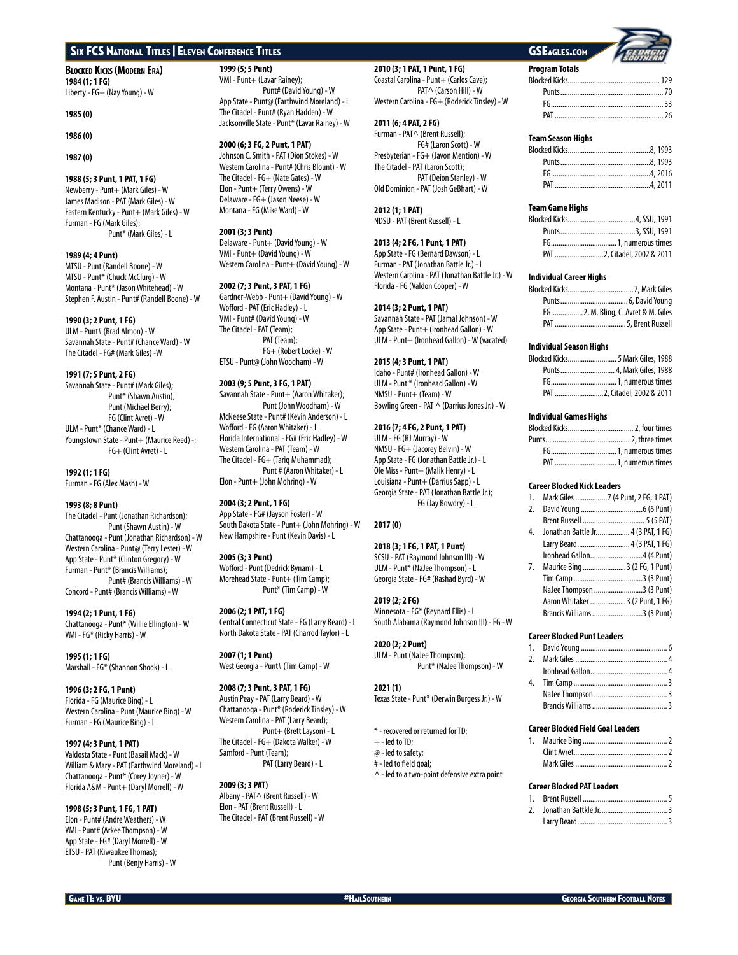**Blocked Kicks (Modern Era) 1984 (1; 1 FG)** Liberty - FG+ (Nay Young) - W

## **1985 (0)**

## **1986 (0)**

**1987 (0)**

## **1988 (5; 3 Punt, 1 PAT, 1 FG)**

Newberry - Punt+ (Mark Giles) - W James Madison - PAT (Mark Giles) - W Eastern Kentucky - Punt+ (Mark Giles) - W Furman - FG (Mark Giles); Punt\* (Mark Giles) - L

## **1989 (4; 4 Punt)**

MTSU - Punt (Randell Boone) - W MTSU - Punt\* (Chuck McClurg) - W Montana - Punt\* (Jason Whitehead) - W Stephen F. Austin - Punt# (Randell Boone) - W

## **1990 (3; 2 Punt, 1 FG)**

ULM - Punt# (Brad Almon) - W Savannah State - Punt# (Chance Ward) - W The Citadel - FG# (Mark Giles) -W

## **1991 (7; 5 Punt, 2 FG)**

Savannah State - Punt# (Mark Giles); Punt\* (Shawn Austin); Punt (Michael Berry); FG (Clint Avret) - W ULM - Punt\* (Chance Ward) - L Youngstown State - Punt+ (Maurice Reed) -; FG+ (Clint Avret) - L

## **1992 (1; 1 FG)**

Furman - FG (Alex Mash) - W

## **1993 (8; 8 Punt)**

The Citadel - Punt (Jonathan Richardson); Punt (Shawn Austin) - W Chattanooga - Punt (Jonathan Richardson) - W Western Carolina - Punt@ (Terry Lester) - W App State - Punt\* (Clinton Gregory) - W Furman - Punt\* (Brancis Williams); Punt# (Brancis Williams) - W Concord - Punt# (Brancis Williams) - W

**1994 (2; 1 Punt, 1 FG)** Chattanooga - Punt\* (Willie Ellington) - W VMI - FG\* (Ricky Harris) - W

**1995 (1; 1 FG)** Marshall - FG\* (Shannon Shook) - L

**1996 (3; 2 FG, 1 Punt)** Florida - FG (Maurice Bing) - L Western Carolina - Punt (Maurice Bing) - W Furman - FG (Maurice Bing) - L

**1997 (4; 3 Punt, 1 PAT)** Valdosta State - Punt (Basail Mack) - W William & Mary - PAT (Earthwind Moreland) - L Chattanooga - Punt\* (Corey Joyner) - W Florida A&M - Punt+ (Daryl Morrell) - W

**1998 (5; 3 Punt, 1 FG, 1 PAT)** Elon - Punt# (Andre Weathers) - W VMI - Punt# (Arkee Thompson) - W App State - FG# (Daryl Morrell) - W ETSU - PAT (Kiwaukee Thomas); Punt (Benjy Harris) - W **1999 (5; 5 Punt)**

VMI - Punt+ (Lavar Rainey); Punt# (David Young) - W App State - Punt@ (Earthwind Moreland) - L The Citadel - Punt# (Ryan Hadden) - W Jacksonville State - Punt\* (Lavar Rainey) - W

## **2000 (6; 3 FG, 2 Punt, 1 PAT)**

Johnson C. Smith - PAT (Dion Stokes) - W Western Carolina - Punt# (Chris Blount) - W The Citadel - FG+ (Nate Gates) - W Elon - Punt+ (Terry Owens) - W Delaware - FG+ (Jason Neese) - W Montana - FG (Mike Ward) - W

## **2001 (3; 3 Punt)**

Delaware - Punt+ (David Young) - W VMI - Punt+ (David Young) - W Western Carolina - Punt+ (David Young) - W

## **2002 (7; 3 Punt, 3 PAT, 1 FG)**

Gardner-Webb - Punt+ (David Young) - W Wofford - PAT (Eric Hadley) - L VMI - Punt# (David Young) - W The Citadel - PAT (Team); PAT (Team); FG+ (Robert Locke) - W ETSU - Punt@ (John Woodham) - W

## **2003 (9; 5 Punt, 3 FG, 1 PAT)**

Savannah State - Punt+ (Aaron Whitaker); Punt (John Woodham) - W McNeese State - Punt# (Kevin Anderson) - L Wofford - FG (Aaron Whitaker) - L Florida International - FG# (Eric Hadley) - W Western Carolina - PAT (Team) - W The Citadel - FG+ (Tariq Muhammad); Punt # (Aaron Whitaker) - L Elon - Punt+ (John Mohring) - W

## **2004 (3; 2 Punt, 1 FG)**

App State - FG# (Jayson Foster) - W South Dakota State - Punt+ (John Mohring) - W New Hampshire - Punt (Kevin Davis) - L

## **2005 (3; 3 Punt)**

Wofford - Punt (Dedrick Bynam) - L Morehead State - Punt+ (Tim Camp); Punt\* (Tim Camp) - W

## **2006 (2; 1 PAT, 1 FG)**

Central Connecticut State - FG (Larry Beard) - L North Dakota State - PAT (Charrod Taylor) - L

### **2007 (1; 1 Punt)** West Georgia - Punt# (Tim Camp) - W

# **2008 (7; 3 Punt, 3 PAT, 1 FG)**

Austin Peay - PAT (Larry Beard) - W Chattanooga - Punt\* (Roderick Tinsley) - W Western Carolina - PAT (Larry Beard); Punt+ (Brett Layson) - L The Citadel - FG+ (Dakota Walker) - W Samford - Punt (Team); PAT (Larry Beard) - L

## **2009 (3; 3 PAT)** Albany - PAT^ (Brent Russell) - W Elon - PAT (Brent Russell) - L The Citadel - PAT (Brent Russell) - W

**2010 (3; 1 PAT, 1 Punt, 1 FG)** Coastal Carolina - Punt+ (Carlos Cave); PAT^ (Carson Hill) - W Western Carolina - FG+ (Roderick Tinsley) - W

## **2011 (6; 4 PAT, 2 FG)**

Furman - PAT^ (Brent Russell); FG# (Laron Scott) - W Presbyterian - FG+ (Javon Mention) - W The Citadel - PAT (Laron Scott); PAT (Deion Stanley) - W Old Dominion - PAT (Josh GeBhart) - W

## **2012 (1; 1 PAT)**

NDSU - PAT (Brent Russell) - L

## **2013 (4; 2 FG, 1 Punt, 1 PAT)**

App State - FG (Bernard Dawson) - L Furman - PAT (Jonathan Battle Jr.) - L Western Carolina - PAT (Jonathan Battle Jr.) - W Florida - FG (Valdon Cooper) - W

## **2014 (3; 2 Punt, 1 PAT)**

Savannah State - PAT (Jamal Johnson) - W App State - Punt+ (Ironhead Gallon) - W ULM - Punt+ (Ironhead Gallon) - W (vacated)

## **2015 (4; 3 Punt, 1 PAT)**

Idaho - Punt# (Ironhead Gallon) - W ULM - Punt \* (Ironhead Gallon) - W NMSU - Punt+ (Team) - W Bowling Green - PAT ^ (Darrius Jones Jr.) - W

## **2016 (7; 4 FG, 2 Punt, 1 PAT)**

ULM - FG (RJ Murray) - W NMSU - FG+ (Jacorey Belvin) - W App State - FG (Jonathan Battle Jr.) - L Ole Miss - Punt+ (Malik Henry) - L Louisiana - Punt+ (Darrius Sapp) - L Georgia State - PAT (Jonathan Battle Jr.); FG (Jay Bowdry) - L

## **2017 (0)**

## **2018 (3; 1 FG, 1 PAT, 1 Punt)**

SCSU - PAT (Raymond Johnson III) - W ULM - Punt\* (NaJee Thompson) - L Georgia State - FG# (Rashad Byrd) - W

## **2019 (2; 2 FG)**

Minnesota - FG\* (Reynard Ellis) - L South Alabama (Raymond Johnson III) - FG - W

## **2020 (2; 2 Punt)**

ULM - Punt (NaJee Thompson); Punt\* (NaJee Thompson) - W

## **2021 (1)**

Texas State - Punt\* (Derwin Burgess Jr.) - W

- \* recovered or returned for TD;
- $+$  led to TD;
- @ led to safety;
- # led to field goal;
- $\wedge$  led to a two-point defensive extra point

## **Team Season Highs** Blocked Kicks............................................8, 1993 Punts................................................8, 1993 FG.....................................................4, 2016 PAT...................................................4, 2011

Punts.......................................................70 FG............................................................33 PAT..........................................................26

## **Team Game Highs**

**Program Totals** Blocked Kicks..........

| PAT 2, Citadel, 2002 & 2011 |
|-----------------------------|

## **Individual Career Highs**

| FG 2, M. Bling, C. Avret & M. Giles |
|-------------------------------------|
|                                     |

## **Individual Season Highs**

| Blocked Kicks 5 Mark Giles, 1988 |
|----------------------------------|
|                                  |
|                                  |
| PAT 2, Citadel, 2002 & 2011      |

## **Individual Games Highs**

## **Career Blocked Kick Leaders**

| 1.               | Mark Giles 7 (4 Punt, 2 FG, 1 PAT) |
|------------------|------------------------------------|
| $\overline{2}$ . |                                    |
|                  |                                    |
| 4.               | Jonathan Battle Jr 4 (3 PAT, 1 FG) |
|                  | Larry Beard 4 (3 PAT, 1 FG)        |
|                  |                                    |
| 7.               | Maurice Bing  3 (2 FG, 1 Punt)     |
|                  |                                    |
|                  | NaJee Thompson 3 (3 Punt)          |
|                  | Aaron Whitaker  3 (2 Punt, 1 FG)   |
|                  | Brancis Williams 3 (3 Punt)        |
|                  |                                    |
|                  |                                    |

## **Career Blocked Punt Leaders**

| $2^{\circ}$ |  |
|-------------|--|
|             |  |
|             |  |
|             |  |
|             |  |

## **Career Blocked Field Goal Leaders**

## **Career Blocked PAT Leaders**

1. Brent Russell .............................................5 2. Jonathan Battkle Jr....................................3 Larry Beard...............................

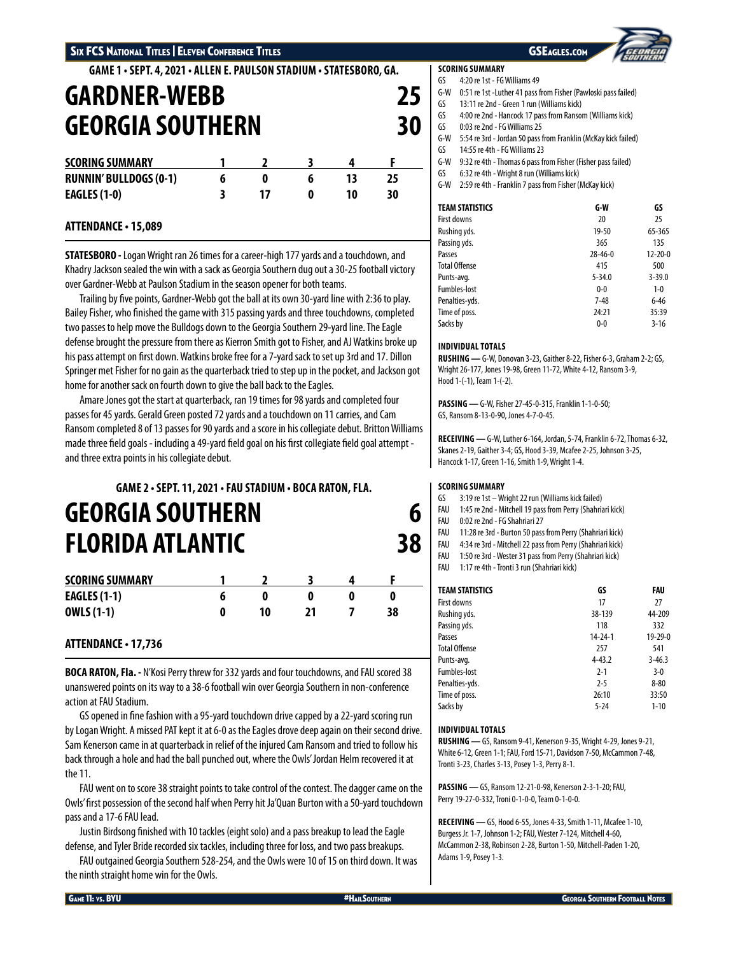**GAME 1 • SEPT. 4, 2021 • ALLEN E. PAULSON STADIUM • STATESBORO, GA.**

# **GARDNER-WEBB 25 GEORGIA SOUTHERN 30 SCORING SUMMARY 1 2 3 4 F RUNNIN' BULLDOGS (0-1) 6 0 6 13 25 EAGLES (1-0) 3 17 0 10 30**

# **ATTENDANCE • 15,089**

**STATESBORO -** Logan Wright ran 26 times for a career-high 177 yards and a touchdown, and Khadry Jackson sealed the win with a sack as Georgia Southern dug out a 30-25 football victory over Gardner-Webb at Paulson Stadium in the season opener for both teams.

Trailing by five points, Gardner-Webb got the ball at its own 30-yard line with 2:36 to play. Bailey Fisher, who finished the game with 315 passing yards and three touchdowns, completed two passes to help move the Bulldogs down to the Georgia Southern 29-yard line. The Eagle defense brought the pressure from there as Kierron Smith got to Fisher, and AJ Watkins broke up his pass attempt on first down. Watkins broke free for a 7-yard sack to set up 3rd and 17. Dillon Springer met Fisher for no gain as the quarterback tried to step up in the pocket, and Jackson got home for another sack on fourth down to give the ball back to the Eagles.

Amare Jones got the start at quarterback, ran 19 times for 98 yards and completed four passes for 45 yards. Gerald Green posted 72 yards and a touchdown on 11 carries, and Cam Ransom completed 8 of 13 passes for 90 yards and a score in his collegiate debut. Britton Williams made three field goals - including a 49-yard field goal on his first collegiate field goal attempt and three extra points in his collegiate debut.

# **GAME 2 • SEPT. 11, 2021 • FAU STADIUM • BOCA RATON, FLA. GEORGIA SOUTHERN 6 FLORIDA ATLANTIC 38**

| <b>SCORING SUMMARY</b> |    |  |    |
|------------------------|----|--|----|
| <b>EAGLES (1-1)</b>    |    |  | O  |
| <b>OWLS (1-1)</b>      | 10 |  | 38 |

# **ATTENDANCE • 17,736**

**BOCA RATON, Fla. -** N'Kosi Perry threw for 332 yards and four touchdowns, and FAU scored 38 unanswered points on its way to a 38-6 football win over Georgia Southern in non-conference action at FAU Stadium.

GS opened in fine fashion with a 95-yard touchdown drive capped by a 22-yard scoring run by Logan Wright. A missed PAT kept it at 6-0 as the Eagles drove deep again on their second drive. Sam Kenerson came in at quarterback in relief of the injured Cam Ransom and tried to follow his back through a hole and had the ball punched out, where the Owls' Jordan Helm recovered it at the 11.

FAU went on to score 38 straight points to take control of the contest. The dagger came on the Owls' first possession of the second half when Perry hit Ja'Quan Burton with a 50-yard touchdown pass and a 17-6 FAU lead.

Justin Birdsong finished with 10 tackles (eight solo) and a pass breakup to lead the Eagle defense, and Tyler Bride recorded six tackles, including three for loss, and two pass breakups.

FAU outgained Georgia Southern 528-254, and the Owls were 10 of 15 on third down. It was the ninth straight home win for the Owls.

## **SCORING SUMMARY**

GS 4:20 re 1st - FG Williams 49

- G-W 0:51 re 1st -Luther 41 pass from Fisher (Pawloski pass failed)
- GS 13:11 re 2nd Green 1 run (Williams kick)
- GS 4:00 re 2nd Hancock 17 pass from Ransom (Williams kick)
- GS 0:03 re 2nd FG Williams 25
- G-W 5:54 re 3rd Jordan 50 pass from Franklin (McKay kick failed)
- GS 14:55 re 4th FG Williams 23 G-W 9:32 re 4th - Thomas 6 pass from Fisher (Fisher pass failed)
- GS 6:32 re 4th Wright 8 run (Williams kick)
- G-W 2:59 re 4th Franklin 7 pass from Fisher (McKay kick)

| <b>TEAM STATISTICS</b> | G-W           | GS            |
|------------------------|---------------|---------------|
| First downs            | 20            | 25            |
| Rushing yds.           | 19-50         | 65-365        |
| Passing yds.           | 365           | 135           |
| Passes                 | $28 - 46 - 0$ | $12 - 20 - 0$ |
| <b>Total Offense</b>   | 415           | 500           |
| Punts-avg.             | $5 - 34.0$    | $3 - 39.0$    |
| <b>Fumbles-lost</b>    | $0 - 0$       | $1 - 0$       |
| Penalties-yds.         | $7 - 48$      | $6 - 46$      |
| Time of poss.          | 24:21         | 35:39         |
| Sacks by               | $0 - 0$       | $3 - 16$      |

## **INDIVIDUAL TOTALS**

**RUSHING —** G-W, Donovan 3-23, Gaither 8-22, Fisher 6-3, Graham 2-2; GS, Wright 26-177, Jones 19-98, Green 11-72, White 4-12, Ransom 3-9, Hood 1-(-1), Team 1-(-2).

**PASSING —** G-W, Fisher 27-45-0-315, Franklin 1-1-0-50; GS, Ransom 8-13-0-90, Jones 4-7-0-45.

**RECEIVING —** G-W, Luther 6-164, Jordan, 5-74, Franklin 6-72, Thomas 6-32, Skanes 2-19, Gaither 3-4; GS, Hood 3-39, Mcafee 2-25, Johnson 3-25, Hancock 1-17, Green 1-16, Smith 1-9, Wright 1-4.

## **SCORING SUMMARY**

- GS 3:19 re 1st Wright 22 run (Williams kick failed)
- FAU 1:45 re 2nd Mitchell 19 pass from Perry (Shahriari kick)
- FAU 0:02 re 2nd FG Shahriari 27
- FAU 11:28 re 3rd Burton 50 pass from Perry (Shahriari kick)
- FAU 4:34 re 3rd Mitchell 22 pass from Perry (Shahriari kick)
- FAU 1:50 re 3rd Wester 31 pass from Perry (Shahriari kick)
- FAU 1:17 re 4th Tronti 3 run (Shahriari kick)

| <b>TEAM STATISTICS</b> | GS            | FAU           |
|------------------------|---------------|---------------|
| First downs            | 17            | 27            |
| Rushing yds.           | 38-139        | 44-209        |
| Passing yds.           | 118           | 332           |
| Passes                 | $14 - 24 - 1$ | $19 - 29 - 0$ |
| <b>Total Offense</b>   | 257           | 541           |
| Punts-avg.             | $4 - 43.2$    | $3 - 46.3$    |
| <b>Fumbles-lost</b>    | $2 - 1$       | $3-0$         |
| Penalties-yds.         | $2 - 5$       | $8 - 80$      |
| Time of poss.          | 26:10         | 33:50         |
| Sacks by               | $5 - 24$      | $1 - 10$      |

## **INDIVIDUAL TOTALS**

**RUSHING —** GS, Ransom 9-41, Kenerson 9-35, Wright 4-29, Jones 9-21, White 6-12, Green 1-1; FAU, Ford 15-71, Davidson 7-50, McCammon 7-48, Tronti 3-23, Charles 3-13, Posey 1-3, Perry 8-1.

**PASSING —** GS, Ransom 12-21-0-98, Kenerson 2-3-1-20; FAU, Perry 19-27-0-332, Troni 0-1-0-0, Team 0-1-0-0.

**RECEIVING —** GS, Hood 6-55, Jones 4-33, Smith 1-11, Mcafee 1-10, Burgess Jr. 1-7, Johnson 1-2; FAU, Wester 7-124, Mitchell 4-60, McCammon 2-38, Robinson 2-28, Burton 1-50, Mitchell-Paden 1-20, Adams 1-9, Posey 1-3.

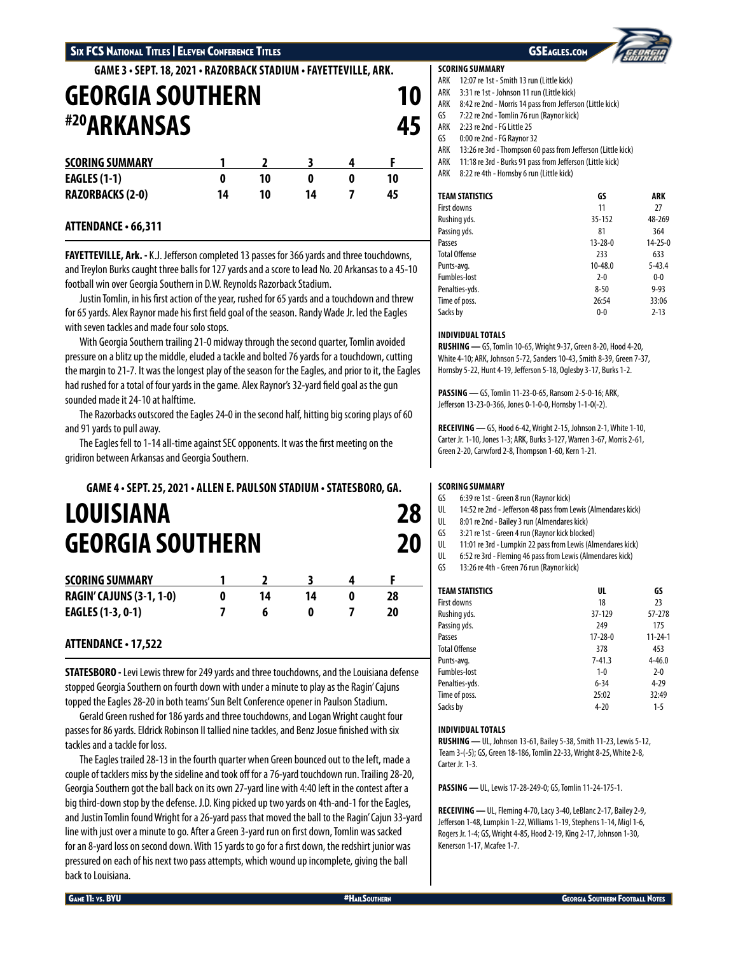# Six FCS National Titles | Eleven Conference Titles GSEAGLES.com GSEAGLES.com GSEAGLES.com

# **GAME 3 • SEPT. 18, 2021 • RAZORBACK STADIUM • FAYETTEVILLE, ARK.**

| <b>GEORGIA SOUTHERN</b><br><b><i>#20ARKANSAS</i></b> |    |    |    |   |    |    |
|------------------------------------------------------|----|----|----|---|----|----|
|                                                      |    |    |    |   |    | 45 |
| <b>SCORING SUMMARY</b>                               |    |    |    |   |    |    |
| <b>EAGLES (1-1)</b>                                  | 0  | 10 | 0  | 0 | 10 |    |
| <b>RAZORBACKS (2-0)</b>                              | 14 | 10 | 14 |   | 45 |    |

# **ATTENDANCE • 66,311**

**FAYETTEVILLE, Ark. -** K.J. Jefferson completed 13 passes for 366 yards and three touchdowns, and Treylon Burks caught three balls for 127 yards and a score to lead No. 20 Arkansas to a 45-10 football win over Georgia Southern in D.W. Reynolds Razorback Stadium.

Justin Tomlin, in his first action of the year, rushed for 65 yards and a touchdown and threw for 65 yards. Alex Raynor made his first field goal of the season. Randy Wade Jr. led the Eagles with seven tackles and made four solo stops.

With Georgia Southern trailing 21-0 midway through the second quarter, Tomlin avoided pressure on a blitz up the middle, eluded a tackle and bolted 76 yards for a touchdown, cutting the margin to 21-7. It was the longest play of the season for the Eagles, and prior to it, the Eagles had rushed for a total of four yards in the game. Alex Raynor's 32-yard field goal as the gun sounded made it 24-10 at halftime.

The Razorbacks outscored the Eagles 24-0 in the second half, hitting big scoring plays of 60 and 91 yards to pull away.

The Eagles fell to 1-14 all-time against SEC opponents. It was the first meeting on the gridiron between Arkansas and Georgia Southern.

# **GAME 4 • SEPT. 25, 2021 • ALLEN E. PAULSON STADIUM • STATESBORO, GA. LOUISIANA 28 GEORGIA SOUTHERN 20**

| <b>SCORING SUMMARY</b>          |  |  |  |
|---------------------------------|--|--|--|
| <b>RAGIN' CAJUNS (3-1, 1-0)</b> |  |  |  |
| <b>EAGLES (1-3, 0-1)</b>        |  |  |  |

# **ATTENDANCE • 17,522**

**STATESBORO -** Levi Lewis threw for 249 yards and three touchdowns, and the Louisiana defense stopped Georgia Southern on fourth down with under a minute to play as the Ragin' Cajuns topped the Eagles 28-20 in both teams' Sun Belt Conference opener in Paulson Stadium.

Gerald Green rushed for 186 yards and three touchdowns, and Logan Wright caught four passes for 86 yards. Eldrick Robinson II tallied nine tackles, and Benz Josue finished with six tackles and a tackle for loss.

The Eagles trailed 28-13 in the fourth quarter when Green bounced out to the left, made a couple of tacklers miss by the sideline and took off for a 76-yard touchdown run. Trailing 28-20, Georgia Southern got the ball back on its own 27-yard line with 4:40 left in the contest after a big third-down stop by the defense. J.D. King picked up two yards on 4th-and-1 for the Eagles, and Justin Tomlin found Wright for a 26-yard pass that moved the ball to the Ragin' Cajun 33-yard line with just over a minute to go. After a Green 3-yard run on first down, Tomlin was sacked for an 8-yard loss on second down. With 15 yards to go for a first down, the redshirt junior was pressured on each of his next two pass attempts, which wound up incomplete, giving the ball back to Louisiana.

## **SCORING SUMMARY**

- ARK 12:07 re 1st Smith 13 run (Little kick)
- ARK 3:31 re 1st Johnson 11 run (Little kick)
- ARK 8:42 re 2nd Morris 14 pass from Jefferson (Little kick)
- GS 7:22 re 2nd Tomlin 76 run (Raynor kick)
- ARK 2:23 re 2nd FG Little 25
- GS 0:00 re 2nd FG Raynor 32
- ARK 13:26 re 3rd Thompson 60 pass from Jefferson (Little kick)
- ARK 11:18 re 3rd Burks 91 pass from Jefferson (Little kick)
- ARK 8:22 re 4th Hornsby 6 run (Little kick)

| <b>TEAM STATISTICS</b> | GS            | ARK           |
|------------------------|---------------|---------------|
| First downs            | 11            | 27            |
| Rushing yds.           | 35-152        | 48-269        |
| Passing yds.           | 81            | 364           |
| Passes                 | $13 - 28 - 0$ | $14 - 25 - 0$ |
| <b>Total Offense</b>   | 233           | 633           |
| Punts-avg.             | 10-48.0       | $5 - 43.4$    |
| <b>Fumbles-lost</b>    | $2 - 0$       | $0-0$         |
| Penalties-yds.         | $8 - 50$      | $9 - 93$      |
| Time of poss.          | 26:54         | 33:06         |
| Sacks by               | $0 - 0$       | $2 - 13$      |

## **INDIVIDUAL TOTALS**

**RUSHING —** GS, Tomlin 10-65, Wright 9-37, Green 8-20, Hood 4-20, White 4-10; ARK, Johnson 5-72, Sanders 10-43, Smith 8-39, Green 7-37, Hornsby 5-22, Hunt 4-19, Jefferson 5-18, Oglesby 3-17, Burks 1-2.

**PASSING —** GS, Tomlin 11-23-0-65, Ransom 2-5-0-16; ARK, Jefferson 13-23-0-366, Jones 0-1-0-0, Hornsby 1-1-0(-2).

**RECEIVING —** GS, Hood 6-42, Wright 2-15, Johnson 2-1, White 1-10, Carter Jr. 1-10, Jones 1-3; ARK, Burks 3-127, Warren 3-67, Morris 2-61, Green 2-20, Carwford 2-8, Thompson 1-60, Kern 1-21.

## **SCORING SUMMARY**

- GS 6:39 re 1st Green 8 run (Raynor kick)
- UL 14:52 re 2nd Jefferson 48 pass from Lewis (Almendares kick)
- UL 8:01 re 2nd Bailey 3 run (Almendares kick)
- GS 3:21 re 1st Green 4 run (Raynor kick blocked)
- UL 11:01 re 3rd Lumpkin 22 pass from Lewis (Almendares kick)
- UL 6:52 re 3rd Fleming 46 pass from Lewis (Almendares kick)
- GS 13:26 re 4th Green 76 run (Raynor kick)

| <b>TEAM STATISTICS</b> | UL            | GS            |
|------------------------|---------------|---------------|
| First downs            | 18            | 23            |
| Rushing yds.           | 37-129        | 57-278        |
| Passing yds.           | 249           | 175           |
| Passes                 | $17 - 28 - 0$ | $11 - 24 - 1$ |
| <b>Total Offense</b>   | 378           | 453           |
| Punts-avg.             | $7 - 41.3$    | $4 - 46.0$    |
| <b>Fumbles-lost</b>    | $1 - 0$       | $2-0$         |
| Penalties-yds.         | $6 - 34$      | $4 - 29$      |
| Time of poss.          | 25:02         | 32:49         |
| Sacks by               | $4 - 20$      | $1 - 5$       |

## **INDIVIDUAL TOTALS**

**RUSHING —** UL, Johnson 13-61, Bailey 5-38, Smith 11-23, Lewis 5-12, Team 3-(-5); GS, Green 18-186, Tomlin 22-33, Wright 8-25, White 2-8, Carter Jr. 1-3.

**PASSING —** UL, Lewis 17-28-249-0; GS, Tomlin 11-24-175-1.

**RECEIVING —** UL, Fleming 4-70, Lacy 3-40, LeBlanc 2-17, Bailey 2-9, Jefferson 1-48, Lumpkin 1-22, Williams 1-19, Stephens 1-14, Migl 1-6, Rogers Jr. 1-4; GS, Wright 4-85, Hood 2-19, King 2-17, Johnson 1-30, Kenerson 1-17, Mcafee 1-7.

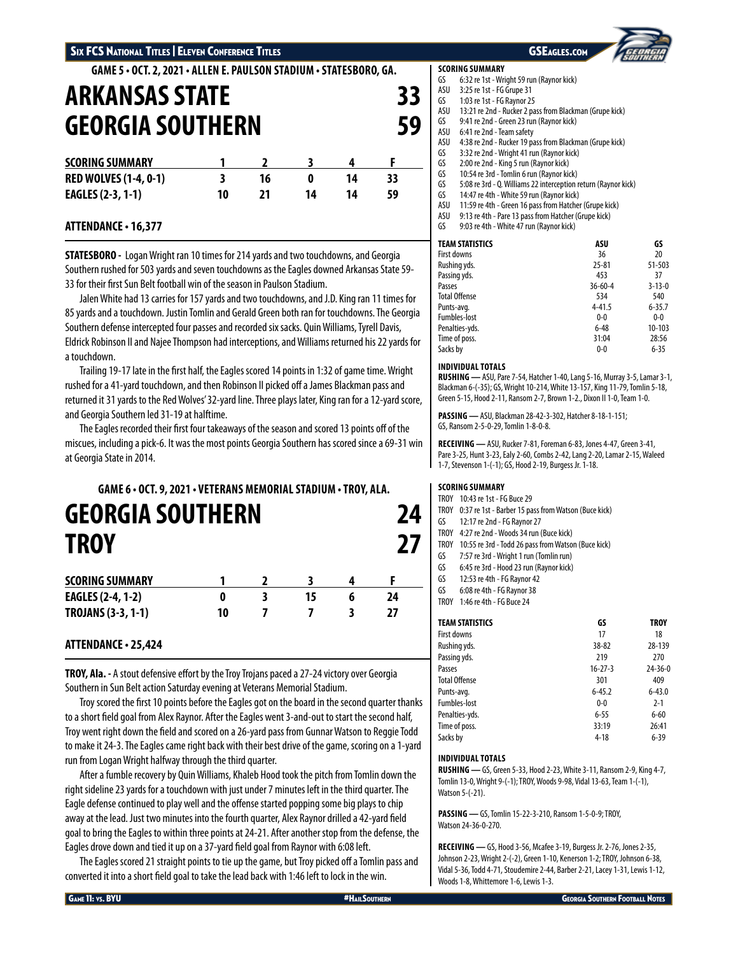**GAME 5 • OCT. 2, 2021 • ALLEN E. PAULSON STADIUM • STATESBORO, GA.**

# **ARKANSAS STATE 33 GEORGIA SOUTHERN 59 SCORING SUMMARY 1 2 3 4 F RED WOLVES (1-4, 0-1) 3 16 0 14 33 EAGLES (2-3, 1-1) 10 21 14 14 59**

# **ATTENDANCE • 16,377**

**STATESBORO -** Logan Wright ran 10 times for 214 yards and two touchdowns, and Georgia Southern rushed for 503 yards and seven touchdowns as the Eagles downed Arkansas State 59- 33 for their first Sun Belt football win of the season in Paulson Stadium.

Jalen White had 13 carries for 157 yards and two touchdowns, and J.D. King ran 11 times for 85 yards and a touchdown. Justin Tomlin and Gerald Green both ran for touchdowns. The Georgia Southern defense intercepted four passes and recorded six sacks. Quin Williams, Tyrell Davis, Eldrick Robinson II and Najee Thompson had interceptions, and Williams returned his 22 yards for a touchdown.

Trailing 19-17 late in the first half, the Eagles scored 14 points in 1:32 of game time. Wright rushed for a 41-yard touchdown, and then Robinson II picked off a James Blackman pass and returned it 31 yards to the Red Wolves' 32-yard line. Three plays later, King ran for a 12-yard score, and Georgia Southern led 31-19 at halftime.

The Eagles recorded their first four takeaways of the season and scored 13 points off of the miscues, including a pick-6. It was the most points Georgia Southern has scored since a 69-31 win at Georgia State in 2014.

# **GAME 6 • OCT. 9, 2021 • VETERANS MEMORIAL STADIUM • TROY, ALA. GEORGIA SOUTHERN 24 TROY 27**

| <b>SCORING SUMMARY</b>    |    |  |  |
|---------------------------|----|--|--|
| <b>EAGLES (2-4, 1-2)</b>  |    |  |  |
| <b>TROJANS (3-3, 1-1)</b> | 10 |  |  |

# **ATTENDANCE • 25,424**

**TROY, Ala. -** A stout defensive effort by the Troy Trojans paced a 27-24 victory over Georgia Southern in Sun Belt action Saturday evening at Veterans Memorial Stadium.

Troy scored the first 10 points before the Eagles got on the board in the second quarter thanks to a short field goal from Alex Raynor. After the Eagles went 3-and-out to start the second half, Troy went right down the field and scored on a 26-yard pass from Gunnar Watson to Reggie Todd to make it 24-3. The Eagles came right back with their best drive of the game, scoring on a 1-yard run from Logan Wright halfway through the third quarter.

After a fumble recovery by Quin Williams, Khaleb Hood took the pitch from Tomlin down the right sideline 23 yards for a touchdown with just under 7 minutes left in the third quarter. The Eagle defense continued to play well and the offense started popping some big plays to chip away at the lead. Just two minutes into the fourth quarter, Alex Raynor drilled a 42-yard field goal to bring the Eagles to within three points at 24-21. After another stop from the defense, the Eagles drove down and tied it up on a 37-yard field goal from Raynor with 6:08 left.

The Eagles scored 21 straight points to tie up the game, but Troy picked off a Tomlin pass and converted it into a short field goal to take the lead back with 1:46 left to lock in the win.

## **SCORING SUMMARY**

- GS 6:32 re 1st Wright 59 run (Raynor kick)
- ASU 3:25 re 1st FG Grupe 31
- GS 1:03 re 1st FG Raynor 25<br>ASU 13:21 re 2nd Rucker 2 pa 13:21 re 2nd - Rucker 2 pass from Blackman (Grupe kick)
- GS 9:41 re 2nd Green 23 run (Raynor kick)
- ASU 6:41 re 2nd Team safety
- ASU 4:38 re 2nd Rucker 19 pass from Blackman (Grupe kick)
- GS 3:32 re 2nd Wright 41 run (Raynor kick)<br>GS 2:00 re 2nd King 5 run (Raynor kick)
- 2:00 re 2nd King 5 run (Raynor kick)
- GS 10:54 re 3rd Tomlin 6 run (Raynor kick)<br>GS 5:08 re 3rd O. Williams 22 interception
- 5:08 re 3rd Q. Williams 22 interception return (Raynor kick)
- GS 14:47 re 4th White 59 run (Raynor kick)
- ASU 11:59 re 4th Green 16 pass from Hatcher (Grupe kick)
- ASU 9:13 re 4th Pare 13 pass from Hatcher (Grupe kick)
- GS 9:03 re 4th White 47 run (Raynor kick)

| <b>TEAM STATISTICS</b> | ASU           | GS           |
|------------------------|---------------|--------------|
| <b>First downs</b>     | 36            | 20           |
| Rushing yds.           | $25 - 81$     | 51-503       |
| Passing yds.           | 453           | 37           |
| Passes                 | $36 - 60 - 4$ | $3 - 13 - 0$ |
| <b>Total Offense</b>   | 534           | 540          |
| Punts-avg.             | $4 - 41.5$    | $6 - 35.7$   |
| Fumbles-lost           | $0 - 0$       | $0-0$        |
| Penalties-yds.         | $6 - 48$      | 10-103       |
| Time of poss.          | 31:04         | 28:56        |
| Sacks by               | $0-0$         | $6 - 35$     |

## **INDIVIDUAL TOTALS**

**RUSHING —** ASU, Pare 7-54, Hatcher 1-40, Lang 5-16, Murray 3-5, Lamar 3-1, Blackman 6-(-35); GS, Wright 10-214, White 13-157, King 11-79, Tomlin 5-18, Green 5-15, Hood 2-11, Ransom 2-7, Brown 1-2., Dixon II 1-0, Team 1-0.

**PASSING —** ASU, Blackman 28-42-3-302, Hatcher 8-18-1-151; GS, Ransom 2-5-0-29, Tomlin 1-8-0-8.

**RECEIVING —** ASU, Rucker 7-81, Foreman 6-83, Jones 4-47, Green 3-41, Pare 3-25, Hunt 3-23, Ealy 2-60, Combs 2-42, Lang 2-20, Lamar 2-15, Waleed 1-7, Stevenson 1-(-1); GS, Hood 2-19, Burgess Jr. 1-18.

## **SCORING SUMMARY**

- TROY 10:43 re 1st FG Buce 29
- TROY 0:37 re 1st Barber 15 pass from Watson (Buce kick)
- GS 12:17 re 2nd FG Raynor 27
- TROY 4:27 re 2nd Woods 34 run (Buce kick)
- TROY 10:55 re 3rd Todd 26 pass from Watson (Buce kick)
- GS 7:57 re 3rd Wright 1 run (Tomlin run)
- GS 6:45 re 3rd Hood 23 run (Raynor kick)
- GS 12:53 re 4th FG Raynor 42
- GS 6:08 re 4th FG Raynor 38
- TROY 1:46 re 4th FG Buce 24

| <b>TEAM STATISTICS</b> | GS            | <b>TROY</b>   |
|------------------------|---------------|---------------|
| First downs            | 17            | 18            |
| Rushing yds.           | 38-82         | 28-139        |
| Passing yds.           | 219           | 270           |
| Passes                 | $16 - 27 - 3$ | $24 - 36 - 0$ |
| <b>Total Offense</b>   | 301           | 409           |
| Punts-avg.             | $6 - 45.2$    | $6 - 43.0$    |
| <b>Fumbles-lost</b>    | $0 - 0$       | $2 - 1$       |
| Penalties-yds.         | $6 - 55$      | $6 - 60$      |
| Time of poss.          | 33:19         | 26:41         |
| Sacks by               | $4 - 18$      | $6 - 39$      |

## **INDIVIDUAL TOTALS**

**RUSHING —** GS, Green 5-33, Hood 2-23, White 3-11, Ransom 2-9, King 4-7, Tomlin 13-0, Wright 9-(-1); TROY, Woods 9-98, Vidal 13-63, Team 1-(-1), Watson 5-(-21).

**PASSING —** GS, Tomlin 15-22-3-210, Ransom 1-5-0-9; TROY, Watson 24-36-0-270.

**RECEIVING —** GS, Hood 3-56, Mcafee 3-19, Burgess Jr. 2-76, Jones 2-35, Johnson 2-23, Wright 2-(-2), Green 1-10, Kenerson 1-2; TROY, Johnson 6-38, Vidal 5-36, Todd 4-71, Stoudemire 2-44, Barber 2-21, Lacey 1-31, Lewis 1-12, Woods 1-8, Whittemore 1-6, Lewis 1-3.

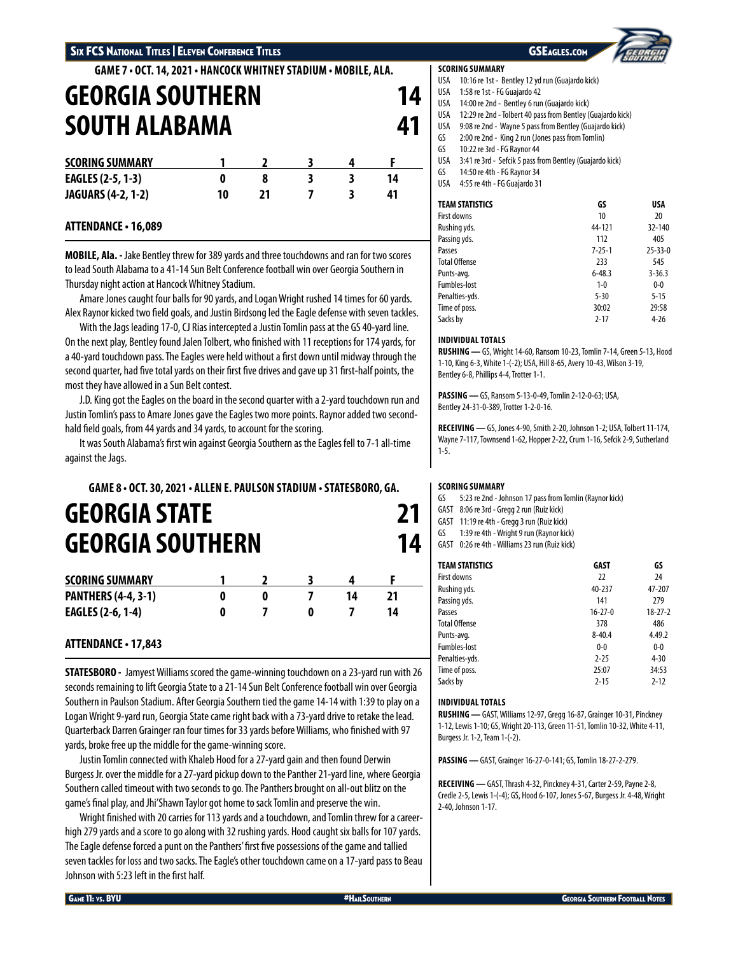# Six FCS National Titles | Eleven Conference Titles GSEAGLES.com GSEAGLES.com GSEAGLES.com

**GAME 7 • OCT. 14, 2021 • HANCOCK WHITNEY STADIUM • MOBILE, ALA.**

| <b>GEORGIA SOUTHERN</b><br><b>SOUTH ALABAMA</b> |    |    |  |   |    |  |
|-------------------------------------------------|----|----|--|---|----|--|
|                                                 |    |    |  |   |    |  |
| <b>SCORING SUMMARY</b>                          |    |    |  |   |    |  |
| EAGLES (2-5, 1-3)                               | 0  | 8  |  | 3 | 14 |  |
| <b>JAGUARS (4-2, 1-2)</b>                       | 10 | 71 |  |   | 41 |  |

# **ATTENDANCE • 16,089**

**MOBILE, Ala. -** Jake Bentley threw for 389 yards and three touchdowns and ran for two scores to lead South Alabama to a 41-14 Sun Belt Conference football win over Georgia Southern in Thursday night action at Hancock Whitney Stadium.

Amare Jones caught four balls for 90 yards, and Logan Wright rushed 14 times for 60 yards. Alex Raynor kicked two field goals, and Justin Birdsong led the Eagle defense with seven tackles.

With the Jags leading 17-0, CJ Rias intercepted a Justin Tomlin pass at the GS 40-yard line. On the next play, Bentley found Jalen Tolbert, who finished with 11 receptions for 174 yards, for a 40-yard touchdown pass. The Eagles were held without a first down until midway through the second quarter, had five total yards on their first five drives and gave up 31 first-half points, the most they have allowed in a Sun Belt contest.

J.D. King got the Eagles on the board in the second quarter with a 2-yard touchdown run and Justin Tomlin's pass to Amare Jones gave the Eagles two more points. Raynor added two secondhald field goals, from 44 yards and 34 yards, to account for the scoring.

It was South Alabama's first win against Georgia Southern as the Eagles fell to 7-1 all-time against the Jags.

# **GAME 8 • OCT. 30, 2021 • ALLEN E. PAULSON STADIUM • STATESBORO, GA. GEORGIA STATE 21 GEORGIA SOUTHERN 14**

| <b>SCORING SUMMARY</b>     |  |  |  |
|----------------------------|--|--|--|
| <b>PANTHERS (4-4, 3-1)</b> |  |  |  |
| <b>EAGLES (2-6, 1-4)</b>   |  |  |  |

# **ATTENDANCE • 17,843**

**STATESBORO -** Jamyest Williams scored the game-winning touchdown on a 23-yard run with 26 seconds remaining to lift Georgia State to a 21-14 Sun Belt Conference football win over Georgia Southern in Paulson Stadium. After Georgia Southern tied the game 14-14 with 1:39 to play on a Logan Wright 9-yard run, Georgia State came right back with a 73-yard drive to retake the lead. Quarterback Darren Grainger ran four times for 33 yards before Williams, who finished with 97 yards, broke free up the middle for the game-winning score.

Justin Tomlin connected with Khaleb Hood for a 27-yard gain and then found Derwin Burgess Jr. over the middle for a 27-yard pickup down to the Panther 21-yard line, where Georgia Southern called timeout with two seconds to go. The Panthers brought on all-out blitz on the game's final play, and Jhi'Shawn Taylor got home to sack Tomlin and preserve the win.

Wright finished with 20 carries for 113 yards and a touchdown, and Tomlin threw for a careerhigh 279 yards and a score to go along with 32 rushing yards. Hood caught six balls for 107 yards. The Eagle defense forced a punt on the Panthers' first five possessions of the game and tallied seven tackles for loss and two sacks. The Eagle's other touchdown came on a 17-yard pass to Beau Johnson with 5:23 left in the first half.

**SCORING SUMMARY**

USA 10:16 re 1st - Bentley 12 yd run (Guajardo kick) USA 1:58 re 1st - FG Guajardo 42 USA 14:00 re 2nd - Bentley 6 run (Guajardo kick) USA 12:29 re 2nd - Tolbert 40 pass from Bentley (Guajardo kick) USA 9:08 re 2nd - Wayne 5 pass from Bentley (Guajardo kick) GS 2:00 re 2nd - King 2 run (Jones pass from Tomlin) GS 10:22 re 3rd - FG Raynor 44 USA 3:41 re 3rd - Sefcik 5 pass from Bentley (Guajardo kick) GS 14:50 re 4th - FG Raynor 34 USA 4:55 re 4th - FG Guajardo 31 **TEAM STATISTICS GS USA**

| I LAM SIAIISIILS     | כט           | UJA           |
|----------------------|--------------|---------------|
| First downs          | 10           | 20            |
| Rushing yds.         | 44-121       | 32-140        |
| Passing yds.         | 112          | 405           |
| Passes               | $7 - 25 - 1$ | $25 - 33 - 0$ |
| <b>Total Offense</b> | 233          | 545           |
| Punts-avg.           | $6 - 48.3$   | $3 - 36.3$    |
| <b>Fumbles-lost</b>  | $1 - 0$      | $0-0$         |
| Penalties-yds.       | $5 - 30$     | $5 - 15$      |
| Time of poss.        | 30:02        | 29:58         |
| Sacks by             | $2 - 17$     | $4 - 26$      |
|                      |              |               |

## **INDIVIDUAL TOTALS**

**RUSHING —** GS, Wright 14-60, Ransom 10-23, Tomlin 7-14, Green 5-13, Hood 1-10, King 6-3, White 1-(-2); USA, Hill 8-65, Avery 10-43, Wilson 3-19, Bentley 6-8, Phillips 4-4, Trotter 1-1.

**PASSING —** GS, Ransom 5-13-0-49, Tomlin 2-12-0-63; USA, Bentley 24-31-0-389, Trotter 1-2-0-16.

**RECEIVING —** GS, Jones 4-90, Smith 2-20, Johnson 1-2; USA, Tolbert 11-174, Wayne 7-117, Townsend 1-62, Hopper 2-22, Crum 1-16, Sefcik 2-9, Sutherland 1-5.

## **SCORING SUMMARY**

- GS 5:23 re 2nd Johnson 17 pass from Tomlin (Raynor kick)
- GAST 8:06 re 3rd Gregg 2 run (Ruiz kick)

GAST 11:19 re 4th - Gregg 3 run (Ruiz kick)

- GS 1:39 re 4th Wright 9 run (Raynor kick)
- GAST 0:26 re 4th Williams 23 run (Ruiz kick)

| <b>TEAM STATISTICS</b> | GAST          | GS            |
|------------------------|---------------|---------------|
| <b>First downs</b>     | 22            | 24            |
| Rushing yds.           | 40-237        | 47-207        |
| Passing yds.           | 141           | 279           |
| Passes                 | $16 - 27 - 0$ | $18 - 27 - 2$ |
| <b>Total Offense</b>   | 378           | 486           |
| Punts-avg.             | $8 - 40.4$    | 4.49.2        |
| <b>Fumbles-lost</b>    | $0 - 0$       | $0 - 0$       |
| Penalties-yds.         | $2 - 25$      | $4 - 30$      |
| Time of poss.          | 25:07         | 34:53         |
| Sacks by               | $2 - 15$      | $2 - 12$      |

## **INDIVIDUAL TOTALS**

**RUSHING —** GAST, Williams 12-97, Gregg 16-87, Grainger 10-31, Pinckney 1-12, Lewis 1-10; GS, Wright 20-113, Green 11-51, Tomlin 10-32, White 4-11, Burgess Jr. 1-2, Team 1-(-2).

**PASSING —** GAST, Grainger 16-27-0-141; GS, Tomlin 18-27-2-279.

**RECEIVING —** GAST, Thrash 4-32, Pinckney 4-31, Carter 2-59, Payne 2-8, Credle 2-5, Lewis 1-(-4); GS, Hood 6-107, Jones 5-67, Burgess Jr. 4-48, Wright 2-40, Johnson 1-17.

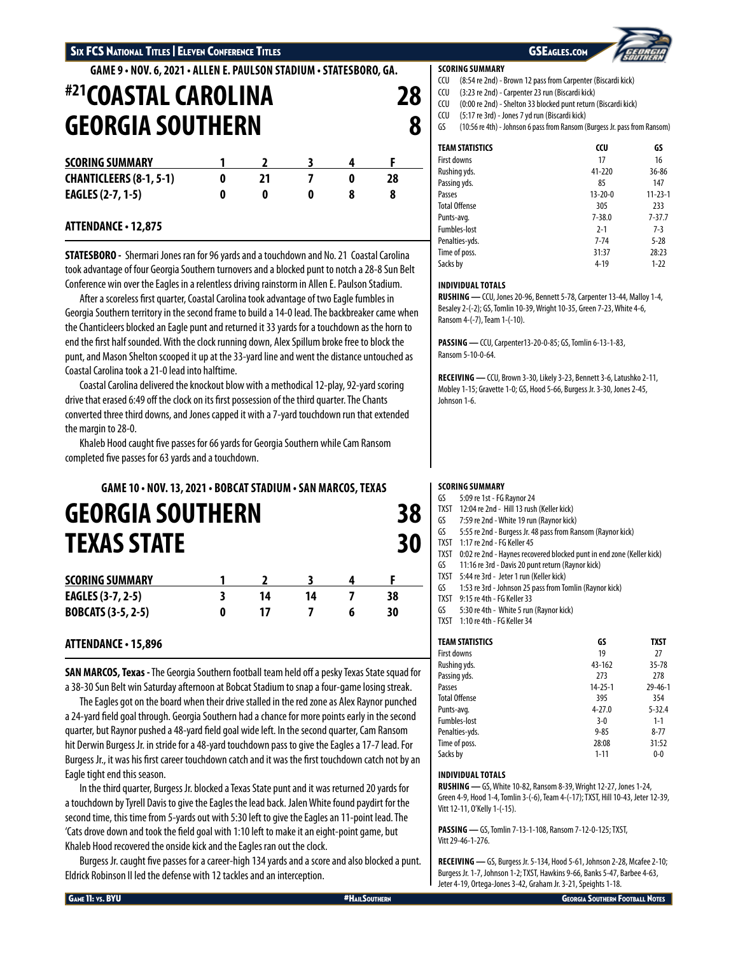**GAME 9 • NOV. 6, 2021 • ALLEN E. PAULSON STADIUM • STATESBORO, GA.**

# **#21COASTAL CAROLINA 28 GEORGIA SOUTHERN 8**

| <b>SCORING SUMMARY</b>         |  |  |  |
|--------------------------------|--|--|--|
| <b>CHANTICLEERS (8-1, 5-1)</b> |  |  |  |
| <b>EAGLES (2-7, 1-5)</b>       |  |  |  |

# **ATTENDANCE • 12,875**

**STATESBORO -** Shermari Jones ran for 96 yards and a touchdown and No. 21 Coastal Carolina took advantage of four Georgia Southern turnovers and a blocked punt to notch a 28-8 Sun Belt Conference win over the Eagles in a relentless driving rainstorm in Allen E. Paulson Stadium.

After a scoreless first quarter, Coastal Carolina took advantage of two Eagle fumbles in Georgia Southern territory in the second frame to build a 14-0 lead. The backbreaker came when the Chanticleers blocked an Eagle punt and returned it 33 yards for a touchdown as the horn to end the first half sounded. With the clock running down, Alex Spillum broke free to block the punt, and Mason Shelton scooped it up at the 33-yard line and went the distance untouched as Coastal Carolina took a 21-0 lead into halftime.

Coastal Carolina delivered the knockout blow with a methodical 12-play, 92-yard scoring drive that erased 6:49 off the clock on its first possession of the third quarter. The Chants converted three third downs, and Jones capped it with a 7-yard touchdown run that extended the margin to 28-0.

Khaleb Hood caught five passes for 66 yards for Georgia Southern while Cam Ransom completed five passes for 63 yards and a touchdown.

# **GAME 10 • NOV. 13, 2021 • BOBCAT STADIUM • SAN MARCOS, TEXAS GEORGIA SOUTHERN 38 TEXAS STATE 30**

| <b>SCORING SUMMARY</b>    |    |    |    |
|---------------------------|----|----|----|
| <b>EAGLES (3-7, 2-5)</b>  | 14 | 14 |    |
| <b>BOBCATS (3-5, 2-5)</b> |    |    | 30 |

# **ATTENDANCE • 15,896**

**SAN MARCOS, Texas -** The Georgia Southern football team held off a pesky Texas State squad for a 38-30 Sun Belt win Saturday afternoon at Bobcat Stadium to snap a four-game losing streak.

The Eagles got on the board when their drive stalled in the red zone as Alex Raynor punched a 24-yard field goal through. Georgia Southern had a chance for more points early in the second quarter, but Raynor pushed a 48-yard field goal wide left. In the second quarter, Cam Ransom hit Derwin Burgess Jr. in stride for a 48-yard touchdown pass to give the Eagles a 17-7 lead. For Burgess Jr., it was his first career touchdown catch and it was the first touchdown catch not by an Eagle tight end this season.

In the third quarter, Burgess Jr. blocked a Texas State punt and it was returned 20 yards for a touchdown by Tyrell Davis to give the Eagles the lead back. Jalen White found paydirt for the second time, this time from 5-yards out with 5:30 left to give the Eagles an 11-point lead. The 'Cats drove down and took the field goal with 1:10 left to make it an eight-point game, but Khaleb Hood recovered the onside kick and the Eagles ran out the clock.

Burgess Jr. caught five passes for a career-high 134 yards and a score and also blocked a punt. Eldrick Robinson II led the defense with 12 tackles and an interception.

## **SCORING SUMMARY**

- CCU (8:54 re 2nd) Brown 12 pass from Carpenter (Biscardi kick)
- CCU (3:23 re 2nd) Carpenter 23 run (Biscardi kick)
- CCU (0:00 re 2nd) Shelton 33 blocked punt return (Biscardi kick)
- CCU (5:17 re 3rd) Jones 7 yd run (Biscardi kick)
- GS (10:56 re 4th) Johnson 6 pass from Ransom (Burgess Jr. pass from Ransom)

| <b>TEAM STATISTICS</b> | CCU           | GS            |
|------------------------|---------------|---------------|
| First downs            | 17            | 16            |
| Rushing yds.           | 41-220        | 36-86         |
| Passing yds.           | 85            | 147           |
| Passes                 | $13 - 20 - 0$ | $11 - 23 - 1$ |
| <b>Total Offense</b>   | 305           | 233           |
| Punts-avg.             | $7 - 38.0$    | $7 - 37.7$    |
| <b>Fumbles-lost</b>    | $2 - 1$       | $7-3$         |
| Penalties-yds.         | $7 - 74$      | $5 - 28$      |
| Time of poss.          | 31:37         | 28:23         |
| Sacks by               | $4 - 19$      | $1-22$        |

## **INDIVIDUAL TOTALS**

**RUSHING —** CCU, Jones 20-96, Bennett 5-78, Carpenter 13-44, Malloy 1-4, Besaley 2-(-2); GS, Tomlin 10-39, Wright 10-35, Green 7-23, White 4-6, Ransom 4-(-7), Team 1-(-10).

**PASSING —** CCU, Carpenter13-20-0-85; GS, Tomlin 6-13-1-83, Ransom 5-10-0-64.

**RECEIVING —** CCU, Brown 3-30, Likely 3-23, Bennett 3-6, Latushko 2-11, Mobley 1-15; Gravette 1-0; GS, Hood 5-66, Burgess Jr. 3-30, Jones 2-45, Johnson 1-6.

## **SCORING SUMMARY**

- GS 5:09 re 1st FG Raynor 24
- TXST 12:04 re 2nd Hill 13 rush (Keller kick)
- GS 7:59 re 2nd White 19 run (Raynor kick)
- 5:55 re 2nd Burgess Jr. 48 pass from Ransom (Raynor kick)
- TXST 1:17 re 2nd FG Keller 45
- TXST 0:02 re 2nd Haynes recovered blocked punt in end zone (Keller kick)
- GS 11:16 re 3rd Davis 20 punt return (Raynor kick) TXST 5:44 re 3rd - Jeter 1 run (Keller kick)
- 
- GS 1:53 re 3rd Johnson 25 pass from Tomlin (Raynor kick)
- TXST 9:15 re 4th FG Keller 33
- GS 5:30 re 4th White 5 run (Raynor kick) TXST 1:10 re 4th - FG Keller 34

| <b>TEAM STATISTICS</b> | GS            | <b>TXST</b>   |
|------------------------|---------------|---------------|
| <b>First downs</b>     | 19            | 27            |
| Rushing yds.           | 43-162        | $35 - 78$     |
| Passing yds.           | 273           | 278           |
| Passes                 | $14 - 25 - 1$ | $29 - 46 - 1$ |
| <b>Total Offense</b>   | 395           | 354           |
| Punts-avg.             | $4 - 27.0$    | $5 - 32.4$    |
| <b>Fumbles-lost</b>    | $3-0$         | $1 - 1$       |
| Penalties-yds.         | $9 - 85$      | $8 - 77$      |
| Time of poss.          | 28:08         | 31:52         |
| Sacks by               | $1 - 11$      | $0 - 0$       |

## **INDIVIDUAL TOTALS**

**RUSHING —** GS, White 10-82, Ransom 8-39, Wright 12-27, Jones 1-24, Green 4-9, Hood 1-4, Tomlin 3-(-6), Team 4-(-17); TXST, Hill 10-43, Jeter 12-39, Vitt 12-11, O'Kelly 1-(-15).

**PASSING —** GS, Tomlin 7-13-1-108, Ransom 7-12-0-125; TXST, Vitt 29-46-1-276.

**RECEIVING —** GS, Burgess Jr. 5-134, Hood 5-61, Johnson 2-28, Mcafee 2-10; Burgess Jr. 1-7, Johnson 1-2; TXST, Hawkins 9-66, Banks 5-47, Barbee 4-63, Jeter 4-19, Ortega-Jones 3-42, Graham Jr. 3-21, Speights 1-18.

GAME 11: VS. BYU ALLY AND THE SOUTHERN HAILSOUTHERN HAILSOUTHERN GEORGIA SOUTHERN GEORGIA SOUTHERN FOOTBALL NOTES

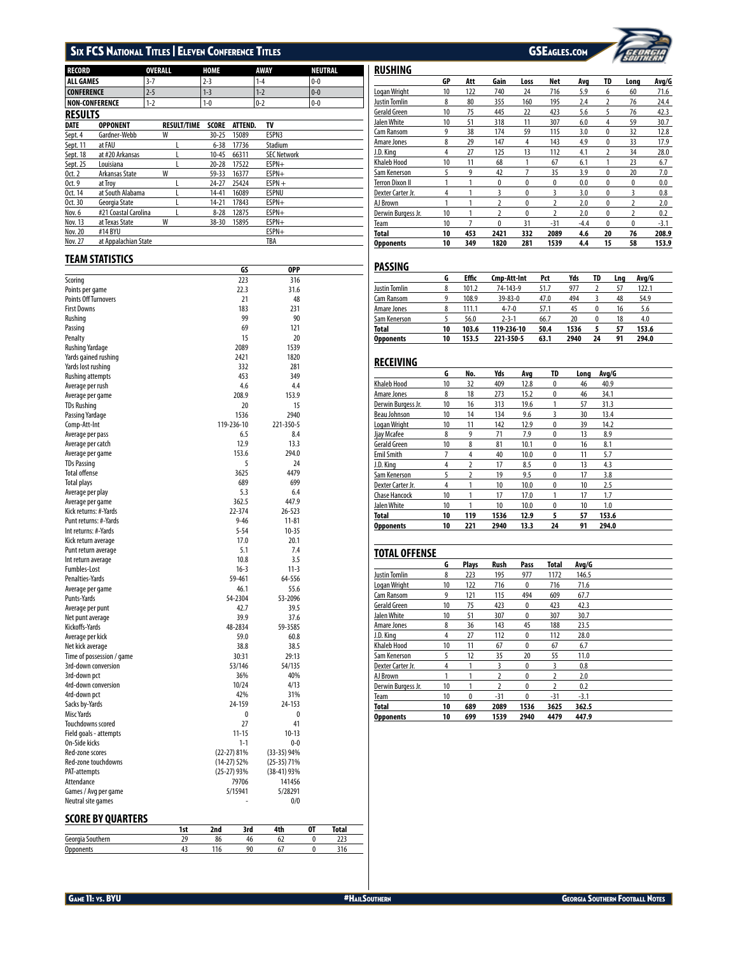# SIX FCS NATIONAL TITLES | ELEVEN CONFERENCE TITLES GSEAGLES.COM



| <b>RECORD</b>                      | OVERALL            | <b>HOME</b>             | AWAY               | NEUTRAL |
|------------------------------------|--------------------|-------------------------|--------------------|---------|
| <b>ALL GAMES</b>                   | $3-7$              | $2 - 3$                 | $1 - 4$            | $0 - 0$ |
| <b>CONFERENCE</b>                  | $2 - 5$            | $1 - 3$                 | $1 - 2$            | $0-0$   |
| <b>NON-CONFERENCE</b>              | $1 - 2$            | $1 - 0$                 | $0 - 2$            | $0-0$   |
| <b>RESULTS</b>                     |                    |                         |                    |         |
| <b>DATE</b><br><b>OPPONENT</b>     | <b>RESULT/TIME</b> | <b>SCORE</b><br>ATTEND. | TV                 |         |
| Gardner-Webb<br>Sept. 4            | W                  | $30 - 25$<br>15089      | ESPN3              |         |
| at FAU<br>Sept. 11                 | L                  | $6 - 38$<br>17736       | Stadium            |         |
| at #20 Arkansas<br>Sept. 18        | L                  | 10-45<br>66311          | <b>SEC Network</b> |         |
| Sept. 25<br>Louisiana              | L                  | $20 - 28$<br>17522      | ESPN+              |         |
| 0ct. 2<br>Arkansas State           | W                  | 59-33<br>16377          | ESPN+              |         |
| 0ct. 9<br>at Troy                  | L                  | 24-27<br>25424          | $ESPN +$           |         |
| at South Alabama<br>Oct. 14        | L                  | 14-41<br>16089          | <b>ESPNU</b>       |         |
| Oct. 30<br>Georgia State           | L                  | $14 - 21$<br>17843      | ESPN+              |         |
| #21 Coastal Carolina<br>Nov. 6     | L                  | $8 - 28$<br>12875       | ESPN+              |         |
| at Texas State<br><b>Nov. 13</b>   | W                  | 38-30<br>15895          | ESPN+              |         |
| <b>Nov. 20</b><br>#14 BYU          |                    |                         | ESPN+              |         |
| at Appalachian State<br>Nov. 27    |                    |                         | TBA                |         |
| TEAM STATISTICS                    |                    |                         |                    |         |
|                                    |                    | GS                      | 0PP                |         |
| Scoring                            |                    | 223                     | 316                |         |
| Points per game                    |                    | 22.3                    | 31.6               |         |
| <b>Points Off Turnovers</b>        |                    | 21                      | 48                 |         |
| <b>First Downs</b>                 |                    | 183                     | 231                |         |
| Rushing                            |                    | 99                      | 90                 |         |
| Passing                            |                    | 69                      | 121                |         |
| Penalty                            |                    | 15                      | 20                 |         |
| <b>Rushing Yardage</b>             |                    | 2089                    | 1539               |         |
| Yards gained rushing               |                    | 2421                    | 1820               |         |
| Yards lost rushing                 |                    | 332                     | 281                |         |
| <b>Rushing attempts</b>            |                    | 453                     | 349                |         |
| Average per rush                   |                    | 4.6                     | 4.4                |         |
| Average per game                   |                    | 208.9                   | 153.9              |         |
| <b>TDs Rushing</b>                 |                    | 20                      | 15                 |         |
| Passing Yardage                    |                    | 1536                    | 2940               |         |
| Comp-Att-Int                       |                    | 119-236-10              | 221-350-5          |         |
| Average per pass                   |                    | 6.5                     | 8.4                |         |
| Average per catch                  |                    | 12.9                    | 13.3               |         |
| Average per game                   |                    | 153.6                   | 294.0              |         |
| <b>TDs Passing</b>                 |                    | 5                       | 24                 |         |
| <b>Total offense</b>               |                    | 3625                    | 4479               |         |
| <b>Total plays</b>                 |                    | 689                     | 699                |         |
| Average per play                   |                    | 5.3                     | 6.4                |         |
| Average per game                   |                    | 362.5                   | 447.9              |         |
| Kick returns: #-Yards              |                    | 22-374                  | 26-523             |         |
| Punt returns: #-Yards              |                    | $9 - 46$                | $11 - 81$          |         |
| Int returns: #-Yards               |                    | $5 - 54$                | $10 - 35$          |         |
| Kick return average                |                    | 17.0                    | 20.1               |         |
| Punt return average                |                    | 5.1                     | 7.4                |         |
| Int return average                 |                    | 10.8                    | 3.5                |         |
| Fumbles-Lost                       |                    | $16-3$                  | $11-3$             |         |
| Penalties-Yards                    |                    | 59-461                  | 64-556             |         |
| Average per game<br>Punts-Yards    |                    | 46.1<br>54-2304         | 55.6<br>53-2096    |         |
|                                    |                    | 42.7                    | 39.5               |         |
| Average per punt                   |                    | 39.9                    | 37.6               |         |
| Net punt average<br>Kickoffs-Yards |                    | 48-2834                 | 59-3585            |         |
| Average per kick                   |                    | 59.0                    | 60.8               |         |
| Net kick average                   |                    | 38.8                    | 38.5               |         |
| Time of possession / game          |                    | 30:31                   | 29:13              |         |
| 3rd-down conversion                |                    | 53/146                  | 54/135             |         |
| 3rd-down pct                       |                    | 36%                     | 40%                |         |
| 4rd-down conversion                |                    | 10/24                   | 4/13               |         |
| 4rd-down pct                       |                    | 42%                     | 31%                |         |
| Sacks by-Yards                     |                    | 24-159                  | 24-153             |         |
| Misc Yards                         |                    | 0                       | 0                  |         |
| Touchdowns scored                  |                    | 27                      | 41                 |         |
| Field goals - attempts             |                    | $11 - 15$               | $10-13$            |         |
| On-Side kicks                      |                    | $1 - 1$                 | 0-0                |         |
| Red-zone scores                    |                    | $(22-27)$ 81%           | $(33-35)$ 94%      |         |
| Red-zone touchdowns                |                    | $(14-27)$ 52%           | $(25-35)$ 71%      |         |
| PAT-attempts                       |                    | (25-27) 93%             | (38-41) 93%        |         |
| Attendance                         |                    | 79706                   | 141456             |         |
| Games / Avg per game               |                    | 5/15941                 | 5/28291            |         |
| Neutral site games                 |                    |                         | 0/0                |         |

# **SCORE BY QUARTERS**

|                      | ы        |    |   |    | uai |  |
|----------------------|----------|----|---|----|-----|--|
| Gec                  | <u>.</u> | οс |   | υı | --- |  |
| $\overline{ }$<br>v. |          |    | n |    |     |  |

| <b>RUSHING</b>     |    |     |                |      |          |        |              |                |        |
|--------------------|----|-----|----------------|------|----------|--------|--------------|----------------|--------|
|                    | GP | Att | Gain           | Loss | Net      | Avq    | TD           | Long           | Avg/G  |
| Logan Wright       | 10 | 122 | 740            | 24   | 716      | 5.9    | 6            | 60             | 71.6   |
| Justin Tomlin      | 8  | 80  | 355            | 160  | 195      | 2.4    | 2            | 76             | 24.4   |
| Gerald Green       | 10 | 75  | 445            | 22   | 423      | 5.6    | 5            | 76             | 42.3   |
| Jalen White        | 10 | 51  | 318            | 11   | 307      | 6.0    | 4            | 59             | 30.7   |
| Cam Ransom         | 9  | 38  | 174            | 59   | 115      | 3.0    | 0            | 32             | 12.8   |
| Amare Jones        | 8  | 29  | 147            | 4    | 143      | 4.9    | $\mathbf{0}$ | 33             | 17.9   |
| J.D. Kina          | 4  | 27  | 125            | 13   | 112      | 4.1    | 2            | 34             | 28.0   |
| <b>Khaleb Hood</b> | 10 | 11  | 68             |      | 67       | 6.1    |              | 23             | 6.7    |
| Sam Kenerson       | 5  | 9   | 42             | 7    | 35       | 3.9    | 0            | 20             | 7.0    |
| Terron Dixon II    | 1  | 1   | 0              | 0    | $\bf{0}$ | 0.0    | 0            | $\mathbf{0}$   | 0.0    |
| Dexter Carter Jr.  | 4  |     | 3              | 0    | 3        | 3.0    | 0            | 3              | 0.8    |
| AJ Brown           | 1  | 1   | $\overline{2}$ | 0    | 2        | 2.0    | 0            | 2              | 2.0    |
| Derwin Burgess Jr. | 10 | 1   | $\overline{2}$ | 0    | 2        | 2.0    | 0            | $\overline{2}$ | 0.2    |
| Team               | 10 | 7   | 0              | 31   | $-31$    | $-4.4$ | $\mathbf{0}$ | $\mathbf{0}$   | $-3.1$ |
| Total              | 10 | 453 | 2421           | 332  | 2089     | 4.6    | 20           | 76             | 208.9  |
| <b>Opponents</b>   | 10 | 349 | 1820           | 281  | 1539     | 4.4    | 15           | 58             | 153.9  |

## **PASSING**

|                  | G  | <b>Effic</b> | Cmp-Att-Int | Pct  | Yds  | TD | Lna | Avg/G |  |
|------------------|----|--------------|-------------|------|------|----|-----|-------|--|
| Justin Tomlin    | 8  | 101.2        | 74-143-9    | 51.7 | 977  |    | 57  | 122.1 |  |
| Cam Ransom       | 9  | 108.9        | 39-83-0     | 47.0 | 494  |    | 48  | 54.9  |  |
| Amare Jones      | 8  | 111.1        | $4 - 7 - 0$ | 57.1 | 45   |    | 16  | 5.6   |  |
| Sam Kenerson     |    | 56.0         | $2 - 3 - 1$ | 66.7 | 20   | 0  | 18  | 4.0   |  |
| Total            | 10 | 103.6        | 119-236-10  | 50.4 | 1536 |    | 57  | 153.6 |  |
| <b>Opponents</b> | 10 | 153.5        | 221-350-5   | 63.1 | 2940 | 24 | 91  | 294.0 |  |

## **RECEIVING**

|                      | G  | No. | Yds  | Ava  | TD       | Lona | Avg/G |  |
|----------------------|----|-----|------|------|----------|------|-------|--|
| <b>Khaleb Hood</b>   | 10 | 32  | 409  | 12.8 | 0        | 46   | 40.9  |  |
| Amare Jones          | 8  | 18  | 273  | 15.2 | $\bf{0}$ | 46   | 34.1  |  |
| Derwin Burgess Jr.   | 10 | 16  | 313  | 19.6 |          | 57   | 31.3  |  |
| Beau Johnson         | 10 | 14  | 134  | 9.6  | 3        | 30   | 13.4  |  |
| Logan Wright         | 10 | 11  | 142  | 12.9 | $\bf{0}$ | 39   | 14.2  |  |
| Jjay Mcafee          | 8  | 9   | 71   | 7.9  | $\bf{0}$ | 13   | 8.9   |  |
| Gerald Green         | 10 | 8   | 81   | 10.1 | $\bf{0}$ | 16   | 8.1   |  |
| <b>Emil Smith</b>    | 7  | 4   | 40   | 10.0 | $\bf{0}$ | 11   | 5.7   |  |
| J.D. Kina            | 4  | 2   | 17   | 8.5  | $\bf{0}$ | 13   | 4.3   |  |
| Sam Kenerson         | 5  | 2   | 19   | 9.5  | $\bf{0}$ | 17   | 3.8   |  |
| Dexter Carter Jr.    | 4  | 1   | 10   | 10.0 | 0        | 10   | 2.5   |  |
| <b>Chase Hancock</b> | 10 |     | 17   | 17.0 |          | 17   | 1.7   |  |
| Jalen White          | 10 | 1   | 10   | 10.0 | $\bf{0}$ | 10   | 1.0   |  |
| <b>Total</b>         | 10 | 119 | 1536 | 12.9 | 5        | 57   | 153.6 |  |
| <b>Opponents</b>     | 10 | 221 | 2940 | 13.3 | 24       | 91   | 294.0 |  |

# **TOTAL OFFENSE G Plays Rush Pass Total Avg/G** Justin Tomlin 8 223 195 977 1172 146.5 Logan Wright 10 122 716 0 716 71.6 Cam Ransom 9 121 115 494 609 67.7<br>
Gerald Green 10 75 423 0 423 42.3 Gerald Green Jalen White 10 51 307 0 307 30.7 Amare Jones 8 36 143 45 188 23.5

| <b>Opponents</b>   | 10 | 699 | 1539 | 2940             | 4479  | 447.9  |  |
|--------------------|----|-----|------|------------------|-------|--------|--|
| <b>Total</b>       | 10 | 689 | 2089 | 1536             | 3625  | 362.5  |  |
| Team               | 10 | 0   | -31  | 0                | $-31$ | $-3.1$ |  |
| Derwin Burgess Jr. | 10 |     |      |                  |       | 0.2    |  |
| AJ Brown           |    |     |      |                  |       | 2.0    |  |
| Dexter Carter Jr.  | 4  |     |      | $\boldsymbol{0}$ |       | 0.8    |  |
| Sam Kenerson       |    | 12  | 35   | 20               | 55    | 11.0   |  |
| <b>Khaleb Hood</b> | 10 | 11  | 67   | 0                | 67    | 6.7    |  |
| J.D. King          | 4  | 27  | 112  |                  | 112   | 28.0   |  |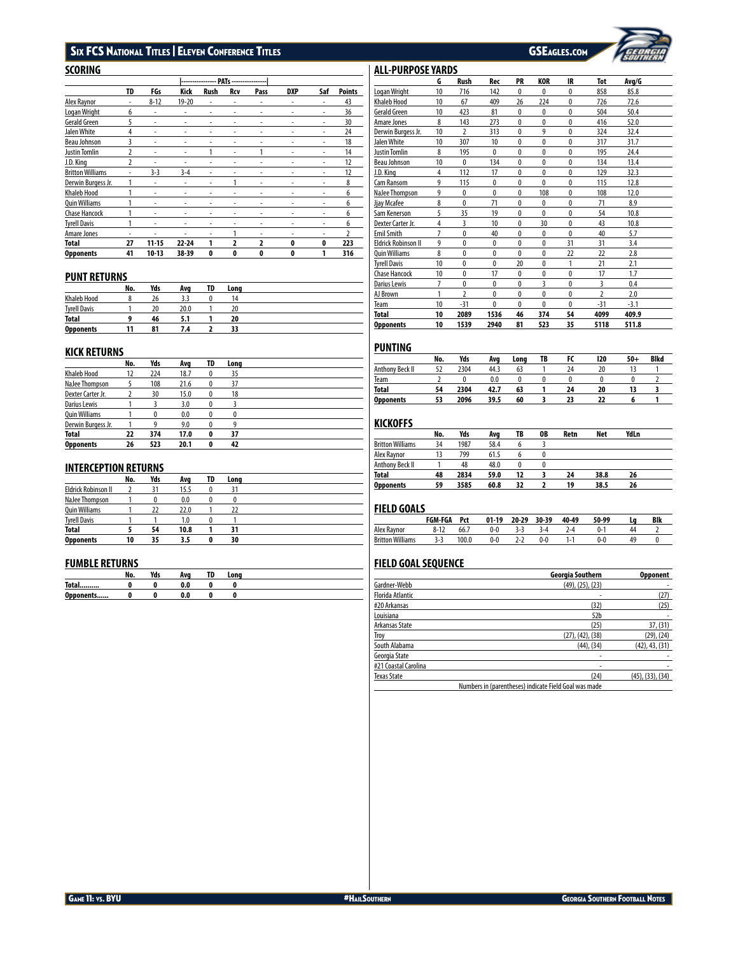# SIX FCS National Titles | Eleven Conference Titles GSEAGLES.com GSEAGLES.com

| SCORING                 |    |           |           |                                      |     |                         |            |     |                |
|-------------------------|----|-----------|-----------|--------------------------------------|-----|-------------------------|------------|-----|----------------|
|                         |    |           |           | --------------- PATs --------------- |     |                         |            |     |                |
|                         | TD | FGs       | Kick      | Rush                                 | Rcv | Pass                    | <b>DXP</b> | Saf | <b>Points</b>  |
| Alex Raynor             | ٠  | $8 - 12$  | $19 - 20$ | ٠                                    | ٠   | ۰                       | ٠          | ٠   | 43             |
| Logan Wright            | 6  | ٠         | ۰         | ٠                                    | ٠   | ۰                       | ٠          | ٠   | 36             |
| Gerald Green            | 5  | ٠         | ٠         | ٠                                    | ٠   | ٠                       | ٠          | ٠   | 30             |
| Jalen White             | 4  | ٠         | -         | ۰                                    |     | -                       |            |     | 24             |
| Beau Johnson            | 3  | ٠         | ۰         | ٠                                    | ٠   | ۰                       |            | ٠   | 18             |
| Justin Tomlin           | 2  | ٠         | ٠         | 1                                    | ٠   |                         |            | ٠   | 14             |
| J.D. King               | 2  |           |           |                                      | ٠   |                         |            |     | 12             |
| <b>Britton Williams</b> |    | $3-3$     | $3 - 4$   | ٠                                    |     | -                       |            |     | 12             |
| Derwin Burgess Jr.      |    | ٠         |           | ۰                                    | 1   | ۰                       |            | ٠   | 8              |
| Khaleb Hood             | 1  | ٠         | -         | ٠                                    | ٠   | ۰                       |            |     | 6              |
| Quin Williams           | 1  | ٠         | -         | ٠                                    | ٠   | -                       |            |     | 6              |
| Chase Hancock           |    | ٠         |           | ٠                                    | ٠   | ۰                       |            |     | 6              |
| <b>Tyrell Davis</b>     | 1  | ٠         | ٠         | ٠                                    | ٠   | ٠                       |            | ٠   | 6              |
| Amare Jones             | ٠  | ٠         | ۰         | ٠                                    | 1   | ۰                       | ۰          | ٠   | $\overline{2}$ |
| Total                   | 27 | $11 - 15$ | $22 - 24$ | 1                                    | 2   | $\overline{\mathbf{z}}$ | 0          | 0   | 223            |
| Opponents               | 41 | $10-13$   | 38-39     | 0                                    | 0   | 0                       | 0          | 1   | 316            |

## **PUNT RETURNS**

|                     | No. | Yds | Ava  | TD | Long |  |
|---------------------|-----|-----|------|----|------|--|
| <b>Khaleb Hood</b>  |     | 26  | 3.3  |    | 14   |  |
| <b>Tyrell Davis</b> |     | 20  | 20.0 |    | 20   |  |
| <b>Total</b>        |     | 46  | 5.1  |    | 20   |  |
| <b>Opponents</b>    | 11  | 81  | 7.4  |    |      |  |

# **KICK RETURNS**

|                      | No. | Yds | Ava  | TD | Long |  |
|----------------------|-----|-----|------|----|------|--|
| <b>Khaleb Hood</b>   | 12  | 224 | 18.7 |    | 35   |  |
| NaJee Thompson       |     | 108 | 21.6 | 0  | 37   |  |
| Dexter Carter Jr.    |     | 30  | 15.0 | 0  | 18   |  |
| Darius Lewis         |     |     | 3.0  |    |      |  |
| <b>Ouin Williams</b> |     | 0   | 0.0  | 0  | 0    |  |
| Derwin Burgess Jr.   |     | ٥   | 9.0  |    |      |  |
| <b>Total</b>         | 22  | 374 | 17.0 | 0  | 37   |  |
| <b>Opponents</b>     | 26  | 523 | 20.1 | 0  | 42   |  |

## **INTERCEPTION RETURNS**

|                            | No. | Yds | Ava  | TD | Lona |
|----------------------------|-----|-----|------|----|------|
| <b>Eldrick Robinson II</b> |     | 31  | 15.5 |    | 31   |
| NaJee Thompson             |     |     | 0.0  |    |      |
| <b>Quin Williams</b>       |     | 22  | 22.0 |    |      |
| <b>Tyrell Davis</b>        |     |     | 1.0  |    |      |
| Total                      |     | 54  | 10.8 |    | 31   |
| <b>Opponents</b>           | 10  | 35  | 3.5  | 0  | 30   |

## **FUMBLE RETURNS**

|              | NO. | VJ-<br>ius | Ava        | тn<br>1 V | Long |
|--------------|-----|------------|------------|-----------|------|
| <b>Total</b> |     |            | ሰ ሰ<br>v.u |           |      |
| Opponents    |     |            | 0.0        |           |      |

### Khaleb Hood 10 67 409 26 224 0 726 72.6 Gerald Green 10 423 81 0 0 0 504 50.4 Amare Jones 8 143 273 0 0 0 416 52.0<br>Derwin Burgess Jr. 10 2 313 0 9 0 324 32.4 Derwin Burgess Jr. 10 2 313 0 9 0 324 32.4 <u>Jalen White 10 307 10 0 0 0 317 31.7</u><br>J<u>ustin Tomlin 8 195 0 0 0 0 195 24.4</u> <u>Justin Tomlin 8 195 0 0 0 0 0</u><br>Beau Johnson 10 0 134 0 0 0 Beau Johnson 10 0 134 0 0 0 134 13.4 J.D. King 4 112 17 0 0 0 129 32.3 Cam Ransom **9** 115 0 0 0 0 115 12.8<br>
Nalee Thompson 9 0 0 0 108 0 108 12.0 NaJee Thompson 9 0 0 0 108 0 108 12.0 Jjay Mcafee 8 0 71 0 0 0 71 8.9<br>Sam Kenerson 5 35 19 0 0 0 54 10.8 Sam Kenerson 5 35 19 0 0 0 54 10.8<br>Dexter Carter Jr. 4 3 10 0 30 0 43 10.8 Dexter Carter Jr. 4 3 10 0 30 0 43 10.8 Emil Smith 7 0 40 0 0 0 40 5.7 Eldrick Robinson II 9 0 0 0 0 31 31 3.4 Quin Williams 8 0 0 0 0 22 22 2.8 1<br>
The Tell Davis 10 0 0 20 0 1 21 2.1<br>
Chase Hancock 10 0 17 0 0 0 17 1.7 Chase Hancock 10 0 17 0 0 0 17 1.7  $\overline{\phantom{0}}$ 0<br>
<u>AJ Brown 1 2 0 0 0 0 0 0 1</u><br>
AJ Brown 1 2 0 0 0 0  $\overline{a}$ AJ Brown 1 2 0 0 0 0 2 2.0  $\overline{\phantom{a}}$ Team 10 -31 0 0 0 0 -31 -3.1 L **Total 10 2089 1536 46 374 54 4099 409.9**  $\overline{a}$ **Opponents 10 1539 2940 81 523 35 5118 511.8**  $\overline{\phantom{0}}$

## **PUNTING**

ALL-PURPOSE YARDS

| .                |     |      |      |      |    |    |     |       |      |
|------------------|-----|------|------|------|----|----|-----|-------|------|
|                  | No. | Yds  | Ava  | Lona | TB |    | 120 | $50+$ | Bikd |
| Anthony Beck II  | 52  | 2304 | 44.3 | 63   |    | 24 | 20  |       |      |
| Team             |     |      | 0.0  |      |    |    |     |       |      |
| Total            | 54  | 2304 | 42.7 | 63   |    | 24 | 20  |       |      |
| <b>Opponents</b> | 53  | 2096 | 39.5 | 60   |    | 23 |     | n     |      |

**G Rush Rec PR KOR IR Tot Avg/G**

Logan Wright 10 716 142 0 0 0 858 85.8

## **KICKOFFS**

|                         | No. | Yds  | Ava  | TB | 0B | Retn | Net  | YdLn |  |
|-------------------------|-----|------|------|----|----|------|------|------|--|
| <b>Britton Williams</b> | 34  | 1987 | 58.4 |    |    |      |      |      |  |
| Alex Raynor             | 13  | 799  | 61.5 |    |    |      |      |      |  |
| Anthony Beck II         |     | 48   | 48.0 |    |    |      |      |      |  |
| <b>Total</b>            | 48  | 2834 | 59.0 | 12 |    | 24   | 38.8 | 26   |  |
| <b>Opponents</b>        | 59  | 3585 | 60.8 | 32 |    | 19   | 38.5 | 26   |  |

## **FIELD GOALS**

| .                       | <b>FGM-FGA</b> | Pct   | $01-19$ | $20 - 29$ | 30-39 | 40-49 | 50-99 | Blk |
|-------------------------|----------------|-------|---------|-----------|-------|-------|-------|-----|
| Alex Raynor             | $8-12$         | 66.7  |         |           |       | 7.4   | a. 1  |     |
| <b>Britton Williams</b> | 3.3            | 100.0 | 0-0     |           |       | 1.1   | .)-ი  |     |

## **FIELD GOAL SEQUENCE**

|                         | Georgia Southern                                      | <b>Opponent</b>          |
|-------------------------|-------------------------------------------------------|--------------------------|
| Gardner-Webb            | $(49)$ , $(25)$ , $(23)$                              |                          |
| <b>Florida Atlantic</b> |                                                       | (27)                     |
| #20 Arkansas            | (32)                                                  | (25)                     |
| Louisiana               | 52 <sub>b</sub>                                       |                          |
| Arkansas State          | (25)                                                  | 37, (31)                 |
| Troy                    | $(27)$ , $(42)$ , $(38)$                              | $(29)$ , $(24)$          |
| South Alabama           | (44), (34)                                            | $(42)$ , 43, $(31)$      |
| Georgia State           |                                                       |                          |
| #21 Coastal Carolina    |                                                       |                          |
| <b>Texas State</b>      | (24)                                                  | $(45)$ , $(33)$ , $(34)$ |
|                         | Numbers in (parentheses) indicate Field Goal was made |                          |

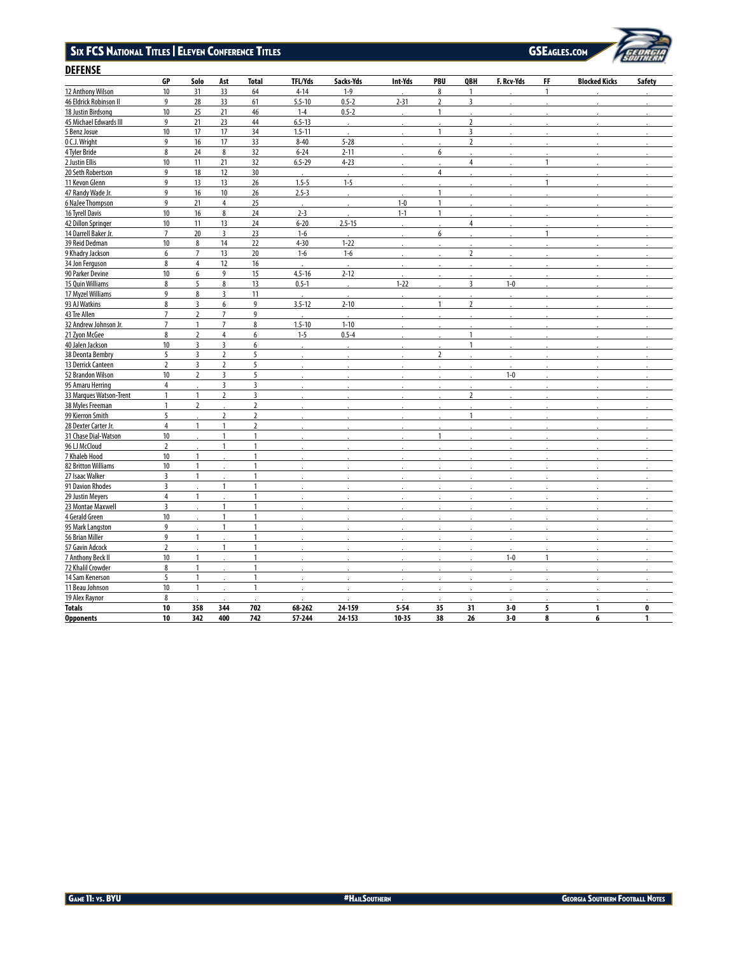### Six FC S National Titles Eleven Con feren e Titles | l

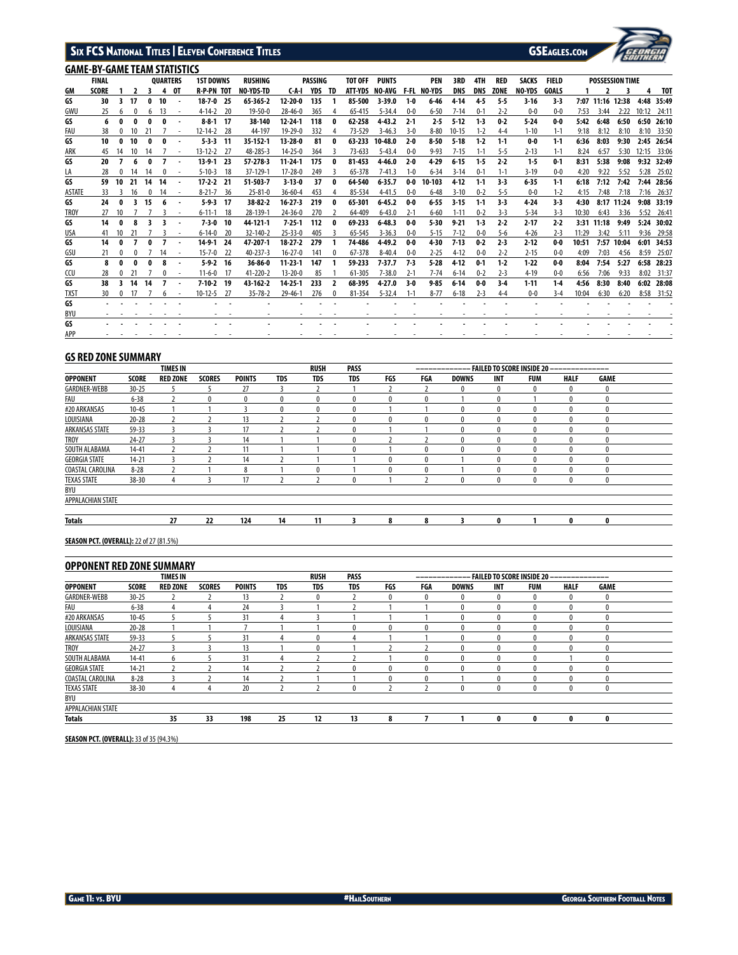# SIX FCS NATIONAL TITLES | ELEVEN CONFERENCE TITLES GSEAGLES.COM



# **GAME-BY-GAME TEAM STATISTICS**

|             | ONINE DI GAINE LEAIN JIAHUJIKU<br><b>FINAL</b> |            |    |    | <b>OUARTERS</b> |                          | <b>1ST DOWNS</b>  |      | <b>RUSHING</b>   |               | PASSING |                  | <b>TOT OFF</b> | <b>PUNTS</b>   |         | <b>PEN</b>         | 3RD        | 4TH        | <b>RED</b>  | <b>SACKS</b> | <b>FIELD</b> |       |       | <b>POSSESSION TIME</b> |       |            |
|-------------|------------------------------------------------|------------|----|----|-----------------|--------------------------|-------------------|------|------------------|---------------|---------|------------------|----------------|----------------|---------|--------------------|------------|------------|-------------|--------------|--------------|-------|-------|------------------------|-------|------------|
| GM          | <b>SCORE</b>                                   |            |    |    |                 | 0T                       | <b>R-P-PN TOT</b> |      | <b>NO-YDS-TD</b> | CA I          | YDS     | TD               |                | ATT-YDS NO-AVG |         | <b>F-FL NO-YDS</b> | <b>DNS</b> | <b>DNS</b> | <b>ZONE</b> | NO-YDS       | <b>GOALS</b> |       |       |                        |       | TOT        |
| GS          | 30                                             |            | 17 | O  | 10              |                          | $18 - 7 - 0$ 25   |      | 65-365-2         | $12 - 20 - 0$ | 135     |                  | 85-500         | $3 - 39.0$     | $1 - 0$ | $6 - 46$           | $4 - 14$   | 45         | $5-5$       | $3 - 16$     | $3 - 3$      |       |       | 7:07 11:16 12:38       |       | 4:48 35:49 |
| GWU         | 25                                             | 6          |    |    | 13              |                          | $4-14-2$ 20       |      | $19 - 50 - 0$    | $28 - 46 - 0$ | 365     |                  | 65-415         | $5 - 34.4$     | $0-0$   | $6 - 50$           | $7 - 14$   | $0 - 1$    | $2 - 2$     | $0-0$        | $0 - 0$      | 7:53  | 3:44  | 2:22                   | 10:12 | 24:11      |
| GS          | 6                                              | 0          | 0  |    |                 |                          | $8 - 8 - 1$ 17    |      | 38-140           | 12-24-1       | 118     | $\mathbf{0}$     | 62-258         | 4-43.2         | $2 - 1$ | $2 - 5$            | $5 - 12$   | $1-3$      | $0-2$       | $5 - 24$     | $0-0$        | 5:42  | 6:48  | 6:50                   | 6:50  | 26:10      |
| FAU         | 38                                             |            | 10 |    |                 | $\overline{\phantom{a}}$ | $12 - 14 - 2$ 28  |      | 44-197           | $19 - 29 - 0$ | 332     |                  | 73-529         | $3 - 46.3$     | $3-0$   | $8 - 80$           | $10 - 15$  | $1 - 2$    | $4 - 4$     | $1 - 10$     | $1 - 1$      | 9:18  | 8:12  | 8:10                   | 8:10  | 33:50      |
| GS          | 10                                             | 0          | 10 |    |                 |                          | $5-3-3$ 11        |      | 35 152 1         | 13-28-0       | 81      | 0                | 63-233         | 10-48.0        | $2 - 0$ | $8 - 50$           | $5 - 18$   | $1-2$      | $1-1$       | $0-0$        | $1-1$        | 6:36  | 8:03  | 9:30                   |       | 2:45 26:54 |
| ARK         | 45                                             | 14         | 10 | 14 |                 |                          | $13 - 12 - 2$ 27  |      | 48-285-3         | $14 - 25 - 0$ | 364     |                  | $73 - 633$     | $5 - 43.4$     | $0-0$   | $9 - 93$           | $7 - 15$   | $1-1$      | $5 - 5$     | $2 - 13$     | $1 - 1$      | 8:24  | 6:57  | 5:30                   | 12:15 | 33:06      |
| GS          | 20                                             |            |    | o  |                 |                          | 13-9-1 23         |      | 57-278-3         | 11-24-1       | 175     | 0                | 81-453         | 4-46.0         | $2 - 0$ | 4-29               | $6 - 15$   | -15        | $2 - 2$     | $1-5$        | $0 - 1$      | 8:31  | 5:38  | 9:08                   |       | 9:32 32:49 |
| LA          | 28                                             |            | 14 | 14 |                 | ٠                        | $5 - 10 - 3$      | -18  | 37-129-1         | $17 - 28 - 0$ | 249     |                  | 65-378         | $7 - 41.3$     | $1 - 0$ | $6 - 34$           | $3 - 14$   | $0 - 1$    | $1 - 1$     | $3 - 19$     | $0 - 0$      | 4:20  | 9:22  | 5:52                   | 5:28  | 25:02      |
| GS          | 59                                             | 10         | 21 | 14 | 14              | $\overline{\phantom{a}}$ | $17 - 2 - 2$ 21   |      | 51-503-7         | $3 - 13 - 0$  | 37      | $\mathbf{0}$     | 64-540         | $6 - 35.7$     | $0-0$   | 10-103             | 4-12       | $1-1$      | $3-3$       | $6 - 35$     | $1-1$        | 6:18  | 7:12  | 7:42                   | 7:44  | 28:56      |
| ASTATE      | 33                                             |            | 16 |    |                 | ٠                        | $8-21-7$ 36       |      | $25 - 81 - 0$    | $36 - 60 - 4$ | 453     |                  | 85-534         | $4 - 41.5$     | $0-0$   | $6 - 48$           | $3 - 10$   | $0 - 2$    | $5 - 5$     | $0-0$        | $1 - 2$      | 4:15  | 7:48  | 7:18                   | 7:16  | 26:37      |
| GS          | 24                                             |            |    | 15 |                 |                          | $5-9-3$ 17        |      | 38 82 2          | $16 - 27 - 3$ | 219     | 0                | 65-301         | $6-45.2$       | $0-0$   | $6 - 55$           | $3 - 15$   | $1-1$      | 3-3         | 4.24         | $3 - 3$      | 4:30  |       | 8:17 11:24             | 9:08  | 33:19      |
| <b>TROY</b> | 27                                             | 10         |    |    |                 |                          | $6 - 11 - 1$      | - 18 | 28-139-1         | $24 - 36 - 0$ | 270     |                  | 64-409         | $6 - 43.0$     | $2-1$   | $6 - 60$           | $1 - 11$   | $0 - 2$    | $3-3$       | $5 - 34$     | $3-3$        | 10:30 | 6:43  | 3:36                   | 5:52  | 26:41      |
| GS          | 14                                             | 0          |    |    |                 | $\overline{\phantom{a}}$ | $7 - 3 - 0$       | - 10 | 44-121-1         | $7 - 25 - 1$  | 112     | 0                | 69-233         | $6 - 48.3$     | $0-0$   | $5 - 30$           | $9-21$     | 1-3        | $2 - 2$     | $2 - 17$     | $2 - 2$      | 3:31  | 11:18 | 9:49                   |       | 5:24 30:02 |
| USA         | 41                                             | 10         | 21 |    |                 | $\overline{\phantom{a}}$ | $6 - 14 - 0$      | - 20 | 32-140-2         | $25 - 33 - 0$ | 405     |                  | 65-545         | $3 - 36.3$     | $0-0$   | $5 - 15$           | $7 - 12$   | $0 - 0$    | $5-6$       | $4 - 26$     | $2 - 3$      | 11:29 | 3:42  | 5:11                   | 9:36  | 29:58      |
| GS          | 14                                             | 0          |    |    |                 |                          | 14-9-1 24         |      | 47-207-1         | $18.27 - 2$   | 279     |                  | 74-486         | $4 - 49.2$     | $0-0$   | $4 - 30$           | $7 - 13$   | $0-2$      | $2-3$       | 2-12         | $0-0$        | 10:51 | 7:57  | 10:04                  | 6:01  | 34:53      |
| GSU         | 21                                             |            |    |    | 14              | ٠                        | $15 - 7 - 0$ 22   |      | 40-237-3         | $16 - 27 - 0$ | 141     |                  | 67-378         | $8 - 40.4$     | $0 - 0$ | $2 - 25$           | $4 - 12$   | $0 - 0$    | $2 - 2$     | $2 - 15$     | $0 - 0$      | 4:09  | 7:03  | 4:56                   | 8:59  | 25:07      |
| GS          | 8                                              | 0          |    |    |                 |                          | $5-9-2$ 16        |      | 36-86-0          | $11 - 23 - 1$ | 147     |                  | 59-233         | $7 - 37.7$     | 73      | $5 - 28$           | 4-12       | $0-1$      | $1-2$       | $1-22$       | $0-0$        | 8:04  | 7:54  | 5:27                   |       | 6:58 28:23 |
| CCU         | 28                                             |            |    |    |                 |                          | $11-6-0$          | -17  | 41-220-2         | $13 - 20 - 0$ | 85      |                  | 61-305         | $7 - 38.0$     | $2 - 1$ | $7 - 74$           | $6 - 14$   | $0 - 2$    | $2-3$       | $4 - 19$     | $0-0$        | 6:56  | 7:06  | 9:33                   |       | 8:02 31:37 |
| GS          | 38                                             | 3.         | 14 | 14 |                 |                          | $7 - 10 - 2$ 19   |      | 43-162-2         | $14 - 25 - 1$ | 233     | 2                | 68-395         | $4 - 27.0$     | $3-0$   | $9 - 85$           | $6 - 14$   | $0-0$      | $3-4$       | $1 - 11$     | $1-4$        | 4:56  | 8:30  | 8:40                   | 6:02  | 28:08      |
| <b>TXST</b> | 30                                             | $^{\circ}$ |    |    |                 | $\overline{\phantom{a}}$ | $10 - 12 - 5$     | - 27 | $35 - 78 - 2$    | $29 - 46 - 1$ | 276     | $\boldsymbol{0}$ | 81-354         | $5 - 32.4$     | $1 - 1$ | $8 - 77$           | $6 - 18$   | $2 - 3$    | $4 - 4$     | $0-0$        | $3 - 4$      | 10:04 | 6:30  | 6:20                   |       | 8:58 31:52 |
| GS          |                                                |            |    |    |                 |                          |                   |      |                  |               |         |                  |                |                |         |                    |            |            |             |              |              |       |       |                        |       |            |
| BYU         |                                                |            |    |    |                 |                          |                   |      |                  |               |         |                  |                |                |         |                    |            |            |             |              |              |       |       |                        |       |            |
| GS          |                                                |            |    |    |                 |                          |                   |      |                  |               |         |                  |                |                |         |                    |            |            |             |              |              |       |       |                        |       |            |
| APP         |                                                |            |    |    |                 |                          |                   |      |                  |               |         |                  |                |                |         |                    |            |            |             |              |              |       |       |                        |       |            |

# **GS RED ZONE SUMMARY**

|                         |              | <b>TIMES IN</b> |               |               |            | <b>RUSH</b>  | <b>PASS</b> |              |              |              |              | <b>FAILED TO SCORE INSIDE 20 -</b> | ___________ |              |  |
|-------------------------|--------------|-----------------|---------------|---------------|------------|--------------|-------------|--------------|--------------|--------------|--------------|------------------------------------|-------------|--------------|--|
| <b>OPPONENT</b>         | <b>SCORE</b> | <b>RED ZONE</b> | <b>SCORES</b> | <b>POINTS</b> | <b>TDS</b> | <b>TDS</b>   | <b>TDS</b>  | FGS          | FGA          | <b>DOWNS</b> | <b>INT</b>   | <b>FUM</b>                         | <b>HALF</b> | <b>GAME</b>  |  |
| GARDNER-WEBB            | $30 - 25$    |                 |               | 27            |            |              |             |              |              |              | $\mathbf{0}$ | 0                                  | 0           | $\mathbf{0}$ |  |
| FAU                     | $6 - 38$     |                 |               | $\mathbf{0}$  | 0          | $\mathbf{0}$ |             | $\mathbf{0}$ | $\mathbf{0}$ |              | $\mathbf{0}$ |                                    | 0           |              |  |
| #20 ARKANSAS            | $10 - 45$    |                 |               |               | 0          | $\mathbf{0}$ |             |              |              |              |              | 0                                  | 0           |              |  |
| LOUISIANA               | $20 - 28$    |                 |               | 13            |            |              |             | $\mathbf{0}$ |              |              | $\mathbf{0}$ | $\mathbf{0}$                       | 0           |              |  |
| ARKANSAS STATE          | 59-33        |                 |               | 17            |            |              |             |              |              |              | $\mathbf{0}$ | $\mathbf{0}$                       | 0           | U            |  |
| <b>TROY</b>             | $24 - 27$    |                 |               | 14            |            |              |             |              |              |              | $\mathbf{0}$ | $\mathbf{0}$                       | 0           |              |  |
| SOUTH ALABAMA           | $14 - 41$    |                 |               | 11            |            |              |             |              |              |              | $\Omega$     | $\mathbf{0}$                       | 0           |              |  |
| <b>GEORGIA STATE</b>    | $14 - 21$    |                 |               | 14            |            |              |             | 0            |              |              |              | 0                                  | 0           |              |  |
| <b>COASTAL CAROLINA</b> | $8 - 28$     |                 |               | 8             |            | 0            |             | 0            |              |              |              | 0                                  | 0           |              |  |
| <b>TEXAS STATE</b>      | $38 - 30$    | 4               |               | 17            |            |              |             |              |              | $\mathbf{0}$ | $\mathbf{0}$ | $\mathbf{0}$                       | 0           |              |  |
| BYU                     |              |                 |               |               |            |              |             |              |              |              |              |                                    |             |              |  |
| APPALACHIAN STATE       |              |                 |               |               |            |              |             |              |              |              |              |                                    |             |              |  |
| <b>Totals</b>           |              | 27              | 22            | 124           | 14         | 11           | 3           | 8            | 8            |              | 0            |                                    | 0           | 0            |  |

**SEASON PCT. (OVERALL):** 22 of 27 (81.5%)

# **OPPONENT RED ZONE SUMMARY**

|                      |              | <b>TIMES IN</b> |               |               |            | <b>RUSH</b> | <b>PASS</b>  |     | ------------ |              |              | – FAILED TO SCORE INSIDE 20 – | ____________ |              |  |
|----------------------|--------------|-----------------|---------------|---------------|------------|-------------|--------------|-----|--------------|--------------|--------------|-------------------------------|--------------|--------------|--|
| <b>OPPONENT</b>      | <b>SCORE</b> | <b>RED ZONE</b> | <b>SCORES</b> | <b>POINTS</b> | <b>TDS</b> | <b>TDS</b>  | <b>TDS</b>   | FGS | FGA          | <b>DOWNS</b> | <b>INT</b>   | <b>FUM</b>                    | <b>HALF</b>  | <b>GAME</b>  |  |
| GARDNER-WEBB         | $30 - 25$    |                 |               | 13            |            |             |              |     | 0            |              | $\mathbf{0}$ |                               | $\mathbf{0}$ | 0            |  |
| FAU                  | $6 - 38$     |                 |               | 24            |            |             |              |     |              |              | $\mathbf{0}$ |                               | $\mathbf{0}$ |              |  |
| #20 ARKANSAS         | $10 - 45$    |                 |               | 31            |            |             |              |     |              |              | 0            |                               | $\mathbf 0$  | $\mathbf{0}$ |  |
| LOUISIANA            | $20 - 28$    |                 |               |               |            |             | $\bf{0}$     |     |              |              | $\mathbf{0}$ |                               | $\mathbf{0}$ |              |  |
| ARKANSAS STATE       | 59-33        |                 |               | 31            |            |             | А            |     |              |              | $\mathbf{0}$ |                               | $\mathbf{0}$ |              |  |
| <b>TROY</b>          | $24 - 27$    |                 |               | 13            |            |             |              |     |              |              | $\Omega$     |                               | $\theta$     |              |  |
| SOUTH ALABAMA        | $14 - 41$    | <sub>6</sub>    |               | 31            |            |             |              |     | 0            |              | $\mathbf{0}$ |                               |              |              |  |
| <b>GEORGIA STATE</b> | $14 - 21$    |                 |               | 14            |            |             | $\mathbf{0}$ |     | $\mathbf{0}$ |              | $\mathbf{0}$ |                               | $\mathbf{0}$ |              |  |
| COASTAL CAROLINA     | $8 - 28$     |                 |               | 14            |            |             |              |     |              |              | $\Omega$     |                               |              |              |  |
| <b>TEXAS STATE</b>   | 38-30        | 4               | 4             | 20            |            |             | $\mathbf{0}$ |     |              |              | $\mathbf{0}$ | 0                             | $\mathbf{0}$ | $\mathbf{0}$ |  |
| BYU                  |              |                 |               |               |            |             |              |     |              |              |              |                               |              |              |  |
| APPALACHIAN STATE    |              |                 |               |               |            |             |              |     |              |              |              |                               |              |              |  |
| <b>Totals</b>        |              | 35              | 33            | 198           | 25         | 12          | 13           | 8   |              |              | $\bf{0}$     | 0                             | 0            | 0            |  |

**SEASON PCT. (OVERALL):** 33 of 35 (94.3%)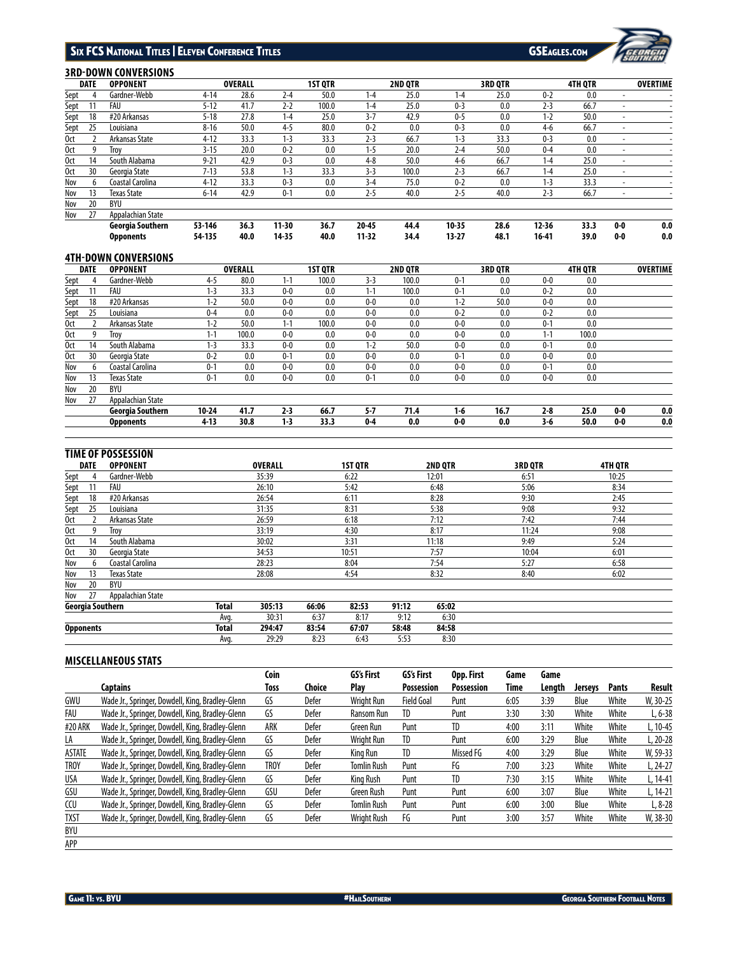

# **3RD-DOWN CONVERSIONS**

|                 | <b>DATE</b> | <b>OPPONENT</b>    |          | <b>OVERALL</b> |           | <b>1ST QTR</b> |           | 2ND QTR |           | <b>3RD QTR</b> |           | 4TH QTR |                          | <b>OVERTIME</b> |
|-----------------|-------------|--------------------|----------|----------------|-----------|----------------|-----------|---------|-----------|----------------|-----------|---------|--------------------------|-----------------|
| Sept            |             | Gardner-Webb       | $4 - 14$ | 28.6           | $2 - 4$   | 50.0           | $1 - 4$   | 25.0    | $1 - 4$   | 25.0           | $0 - 2$   | 0.0     |                          |                 |
| Sept            |             | FAU                | $5 - 12$ | 41.7           | $2 - 2$   | 100.0          | $1 - 4$   | 25.0    | $0 - 3$   | 0.0            | $2 - 3$   | 66.7    |                          |                 |
| Sept            | 18          | #20 Arkansas       | $5 - 18$ | 27.8           | $1 - 4$   | 25.0           | $3 - 7$   | 42.9    | $0 - 5$   | 0.0            | $1 - 2$   | 50.0    |                          |                 |
| <u>Sept</u>     | 25          | Louisiana          | $8 - 16$ | 50.0           | $4 - 5$   | 80.0           | $0 - 2$   | 0.0     | $0 - 3$   | 0.0            | $4-6$     | 66.7    |                          |                 |
| 0 <sub>ct</sub> |             | Arkansas State     | $4 - 12$ | 33.3           | $1 - 3$   | 33.3           | $2 - 3$   | 66.7    | $1 - 3$   | 33.3           | $0 - 3$   | 0.0     | $\overline{\phantom{a}}$ |                 |
| 0ct             |             | Trov               | $3 - 15$ | 20.0           | $0 - 2$   | 0.0            | $1 - 5$   | 20.0    | $2 - 4$   | 50.0           | $0 - 4$   | 0.0     |                          |                 |
| 0ct             | 14          | South Alabama      | $9 - 21$ | 42.9           | $0 - 3$   | 0.0            | $4 - 8$   | 50.0    | $4-6$     | 66.7           | $1 - 4$   | 25.0    |                          |                 |
| 0 <sub>ct</sub> | 30          | Georgia State      | $7 - 13$ | 53.8           | $1-3$     | 33.3           | $3-3$     | 100.0   | $2 - 3$   | 66.7           | $1 - 4$   | 25.0    |                          |                 |
| Nov             | h           | Coastal Carolina   | $4 - 12$ | 33.3           | $0 - 3$   | 0.0            | $3 - 4$   | 75.0    | $0 - 2$   | 0.0            | $1 - 3$   | 33.3    | ۰                        |                 |
| Nov             | 13          | <b>Texas State</b> | $6 - 14$ | 42.9           | $0 - 1$   | 0.0            | $2 - 5$   | 40.0    | $2 - 5$   | 40.0           | $2 - 3$   | 66.7    |                          |                 |
| Nov             | 20          | BYU                |          |                |           |                |           |         |           |                |           |         |                          |                 |
| Nov             | 27          | Appalachian State  |          |                |           |                |           |         |           |                |           |         |                          |                 |
|                 |             | Georgia Southern   | 53-146   | 36.3           | $11 - 30$ | 36.7           | $20 - 45$ | 44.4    | $10 - 35$ | 28.6           | $12 - 36$ | 33.3    | $0-0$                    | 0.0             |
|                 |             | <b>Opponents</b>   | 54-135   | 40.0           | 14-35     | 40.0           | $11 - 32$ | 34.4    | $13 - 27$ | 48.1           | 16-41     | 39.0    | $0-0$                    | 0.0             |

# **4TH-DOWN CONVERSIONS**

|                 | <b>DATE</b> | <b>OPPONENT</b>    |           | <b>OVERALL</b> |         | <b>1ST QTR</b> |         | 2ND QTR |         | <b>3RD QTR</b> |         | <b>4TH QTR</b> |       | <b>OVERTIME</b> |
|-----------------|-------------|--------------------|-----------|----------------|---------|----------------|---------|---------|---------|----------------|---------|----------------|-------|-----------------|
| <b>Sept</b>     |             | Gardner-Webb       | 4-5       | 80.0           | $1 - 1$ | 100.0          | $3-3$   | 100.0   | $0 - 1$ | 0.0            | $0-0$   | 0.0            |       |                 |
| <b>Sept</b>     |             | FAU                | $1 - 3$   | 33.3           | $0-0$   | 0.0            | 1-1     | 100.0   | $0 - 1$ | 0.0            | $0 - 2$ | 0.0            |       |                 |
| Sept            | 18          | #20 Arkansas       | $1 - 2$   | 50.0           | $0 - 0$ | 0.0            | $0 - 0$ | 0.0     | $1 - 2$ | 50.0           | $0 - 0$ | 0.0            |       |                 |
| Sept            | 25          | Louisiana          | $0 - 4$   | 0.0            | $0-0$   | 0.0            | $0-0$   | 0.0     | $0 - 2$ | 0.0            | $0 - 2$ | 0.0            |       |                 |
| 0ct             |             | Arkansas State     | $1 - 2$   | 50.0           | $1 - 1$ | 100.0          | $0-0$   | 0.0     | $0 - 0$ | 0.0            | $0 - 1$ | 0.0            |       |                 |
| 0ct             |             | Trov               | 1-1       | 100.0          | $0-0$   | 0.0            | $0-0$   | 0.0     | $0 - 0$ | 0.0            | $1 - 1$ | 100.0          |       |                 |
| 0 <sub>ct</sub> | 14          | South Alabama      | $1 - 3$   | 33.3           | $0-0$   | 0.0            | $1 - 2$ | 50.0    | $0-0$   | 0.0            | $0 - 1$ | 0.0            |       |                 |
| 0ct             | 30          | Georgia State      | $0 - 2$   | 0.0            | $0 - 1$ | 0.0            | $0-0$   | 0.0     | $0 - 1$ | 0.0            | $0-0$   | 0.0            |       |                 |
| Nov             | h           | Coastal Carolina   | $0 - 1$   | 0.0            | $0-0$   | 0.0            | $0-0$   | 0.0     | $0-0$   | 0.0            | $0 - 1$ | 0.0            |       |                 |
| Nov             | 13          | <b>Texas State</b> | $0 - 1$   | 0.0            | $0-0$   | 0.0            | $0 - 1$ | 0.0     | $0 - 0$ | 0.0            | $0-0$   | 0.0            |       |                 |
| Nov             | 20          | BYU                |           |                |         |                |         |         |         |                |         |                |       |                 |
| Nov             | 27          | Appalachian State  |           |                |         |                |         |         |         |                |         |                |       |                 |
|                 |             | Georgia Southern   | $10 - 24$ | 41.7           | $2 - 3$ | 66.7           | $5 - 7$ | 71.4    | $1-6$   | 16.7           | $2-8$   | 25.0           | $0-0$ | 0.0             |
|                 |             | <b>Opponents</b>   | $4 - 13$  | 30.8           | $1-3$   | 33.3           | $0-4$   | 0.0     | $0-0$   | 0.0            | 3-6     | 50.0           | $0-0$ | 0.0             |
|                 |             |                    |           |                |         |                |         |         |         |                |         |                |       |                 |

# **TIME OF POSSESSION**

|             | <b>DATE</b>      | <b>OPPONENT</b>    |              | <b>OVERALL</b> |       | <b>1ST QTR</b> |       | 2ND QTR | <b>3RD QTR</b> | 4TH QTR |  |
|-------------|------------------|--------------------|--------------|----------------|-------|----------------|-------|---------|----------------|---------|--|
| <u>Sept</u> |                  | Gardner-Webb       |              | 35:39          |       | 6:22           |       | 12:01   | 6:51           | 10:25   |  |
| <b>Sept</b> |                  | FAU                |              | 26:10          |       | 5:42           |       | 6:48    | 5:06           | 8:34    |  |
| <b>Sept</b> | 18               | #20 Arkansas       |              | 26:54          |       | 6:11           |       | 8:28    | 9:30           | 2:45    |  |
| <b>Sept</b> | 25               | Louisiana          |              | 31:35          |       | 8:31           |       | 5:38    | 9:08           | 9:32    |  |
| 0ct         |                  | Arkansas State     |              | 26:59          |       | 6:18           |       | 7:12    | 7:42           | 7:44    |  |
| 0ct         |                  | Trov               |              | 33:19          |       | 4:30           |       | 8:17    | 11:24          | 9:08    |  |
| 0ct         | 14               | South Alabama      |              | 30:02          |       | 3:31           |       | 11:18   | 9:49           | 5:24    |  |
| 0ct         | 30               | Georgia State      |              | 34:53          |       | 10:51          |       | 7:57    | 10:04          | 6:01    |  |
| Nov         |                  | Coastal Carolina   |              | 28:23          |       | 8:04           |       | 7:54    | 5:27           | 6:58    |  |
| Nov         | 13               | <b>Texas State</b> |              | 28:08          |       | 4:54           |       | 8:32    | 8:40           | 6:02    |  |
| Nov         | 20               | BYU                |              |                |       |                |       |         |                |         |  |
| Nov         | 27               | Appalachian State  |              |                |       |                |       |         |                |         |  |
|             | Georgia Southern |                    | <b>Total</b> | 305:13         | 66:06 | 82:53          | 91:12 | 65:02   |                |         |  |
|             |                  |                    | Avg.         | 30:31          | 6:37  | 8:17           | 9:12  | 6:30    |                |         |  |
|             | <b>Opponents</b> |                    | Total        | 294:47         | 83:54 | 67:07          | 58:48 | 84:58   |                |         |  |
|             |                  |                    | Avq.         | 29:29          | 8:23  | 6:43           | 5:53  | 8:30    |                |         |  |

# **MISCELLANEOUS STATS**

|               |                                                  | Coin        |        | GS's First         | GS's First        | Opp. First        | Game | Game   |                |              |           |
|---------------|--------------------------------------------------|-------------|--------|--------------------|-------------------|-------------------|------|--------|----------------|--------------|-----------|
|               | Captains                                         | Toss        | Choice | Plav               | <b>Possession</b> | <b>Possession</b> | Time | Lenath | <b>Jerseys</b> | <b>Pants</b> | Result    |
| GWU           | Wade Jr., Springer, Dowdell, King, Bradley-Glenn | GS          | Defer  | Wright Run         | <b>Field Goal</b> | Punt              | 6:05 | 3:39   | Blue           | White        | W, 30-25  |
| FAU           | Wade Jr., Springer, Dowdell, King, Bradley-Glenn | GS          | Defer  | Ransom Run         | TD                | Punt              | 3:30 | 3:30   | White          | White        | $L, 6-38$ |
| #20 ARK       | Wade Jr., Springer, Dowdell, King, Bradley-Glenn | ARK         | Defer  | Green Run          | Punt              | TD                | 4:00 | 3:11   | White          | White        | L, 10-45  |
| LA            | Wade Jr., Springer, Dowdell, King, Bradley-Glenn | GS          | Defer  | Wright Run         | TD                | Punt              | 6:00 | 3:29   | Blue           | White        | L, 20-28  |
| <b>ASTATE</b> | Wade Jr., Springer, Dowdell, King, Bradley-Glenn | GS          | Defer  | King Run           | <b>TD</b>         | Missed FG         | 4:00 | 3:29   | Blue           | White        | W, 59-33  |
| <b>TROY</b>   | Wade Jr., Springer, Dowdell, King, Bradley-Glenn | <b>TROY</b> | Defer  | <b>Tomlin Rush</b> | Punt              | FG                | 7:00 | 3:23   | White          | White        | L, 24-27  |
| <b>USA</b>    | Wade Jr., Springer, Dowdell, King, Bradley-Glenn | GS          | Defer  | Kina Rush          | Punt              | TD                | 7:30 | 3:15   | White          | White        | L, 14-41  |
| GSU           | Wade Jr., Springer, Dowdell, King, Bradley-Glenn | GSU         | Defer  | <b>Green Rush</b>  | Punt              | Punt              | 6:00 | 3:07   | Blue           | White        | L, 14-21  |
| CCU           | Wade Jr., Springer, Dowdell, King, Bradley-Glenn | GS          | Defer  | <b>Tomlin Rush</b> | Punt              | Punt              | 6:00 | 3:00   | Blue           | White        | $L, 8-28$ |
| <b>TXST</b>   | Wade Jr., Springer, Dowdell, King, Bradley-Glenn | GS          | Defer  | Wright Rush        | FG                | Punt              | 3:00 | 3:57   | White          | White        | W, 38-30  |
| BYU           |                                                  |             |        |                    |                   |                   |      |        |                |              |           |
| APP           |                                                  |             |        |                    |                   |                   |      |        |                |              |           |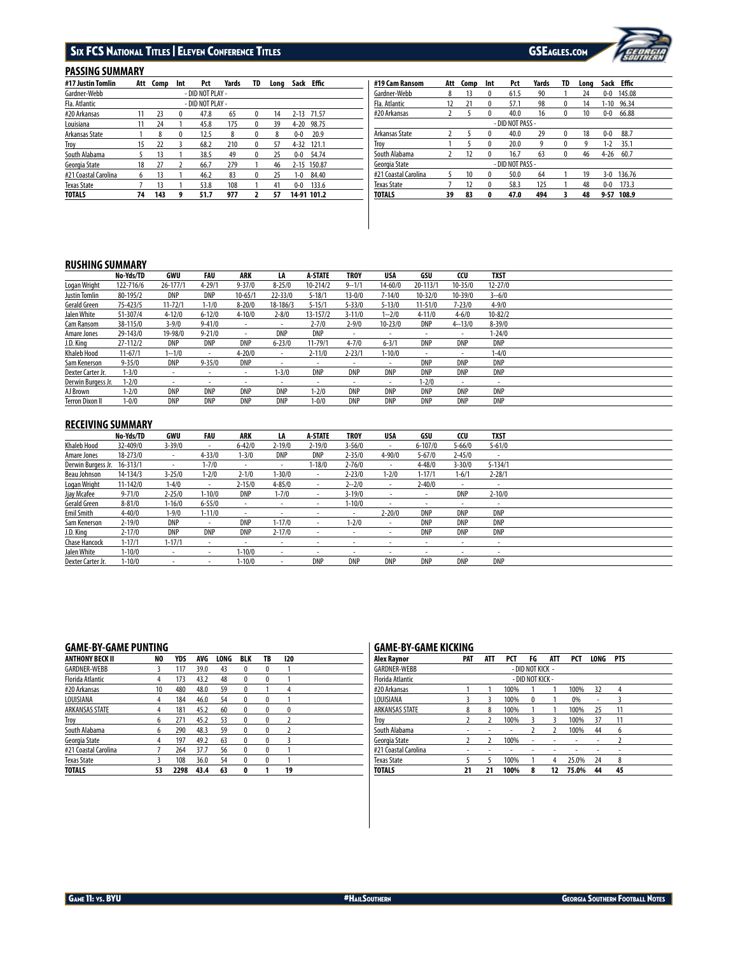# SIX FCS NATIONAL TITLES | ELEVEN CONFERENCE TITLES GSEAGLES.COM



# **PASSING SUMMARY**

| #17 Justin Tomlin    | Att | Comp | Int          | Pct              | Yards | TD       | Long | Sack     | <b>Effic</b> |  |
|----------------------|-----|------|--------------|------------------|-------|----------|------|----------|--------------|--|
| Gardner-Webb         |     |      |              | - DID NOT PLAY - |       |          |      |          |              |  |
| Fla. Atlantic        |     |      |              | - DID NOT PLAY - |       |          |      |          |              |  |
| #20 Arkansas         | 11  | 23   | $^{0}$       | 47.8             | 65    | 0        | 14   | $2 - 13$ | 71.57        |  |
| Louisiana            | 11  | 24   |              | 45.8             | 175   | $\bf{0}$ | 39   | $4 - 20$ | 98.75        |  |
| Arkansas State       |     | 8    | $\mathbf{0}$ | 12.5             | 8     | 0        | 8    | $0 - 0$  | 20.9         |  |
| Troy                 | 15  | 22   |              | 68.2             | 210   | 0        | 57   | $4 - 32$ | 121.1        |  |
| South Alabama        |     | 13   |              | 38.5             | 49    | 0        | 25   | $0-0$    | 54.74        |  |
| Georgia State        | 18  | 27   |              | 66.7             | 279   |          | 46   | $2 - 15$ | 150.87       |  |
| #21 Coastal Carolina | 6   | 13   |              | 46.2             | 83    | $\bf{0}$ | 25   | $1 - 0$  | 84.40        |  |
| <b>Texas State</b>   |     | 13   |              | 53.8             | 108   |          | 41   | $0 - 0$  | 133.6        |  |
| <b>TOTALS</b>        | 74  | 143  | 9            | 51.7             | 977   |          | 57   |          | 14 91 101.2  |  |

| #19 Cam Ransom       | Att | Comp | Int          | Pct              | Yards | TD | Lona |          | Sack Effic |
|----------------------|-----|------|--------------|------------------|-------|----|------|----------|------------|
| Gardner-Webb         | 8   | 13   | 0            | 61.5             | 90    |    | 24   | $0 - 0$  | 145.08     |
| Fla. Atlantic        | 12  | 21   | 0            | 57.1             | 98    | 0  | 14   | $1 - 10$ | 96.34      |
| #20 Arkansas         |     |      | 0            | 40.0             | 16    | 0  | 10   | $0-0$    | 66.88      |
|                      |     |      |              | - DID NOT PASS - |       |    |      |          |            |
| Arkansas State       |     | 5    | 0            | 40.0             | 29    | 0  | 18   | $0 - 0$  | 88.7       |
| Troy                 |     |      | 0            | 20.0             | 9     | 0  | 9    | $1-2$    | 35.1       |
| South Alabama        | 2   | 12   | 0            | 16.7             | 63    | 0  | 46   | $4 - 26$ | 60.7       |
| Georgia State        |     |      |              | - DID NOT PASS - |       |    |      |          |            |
| #21 Coastal Carolina | 5   | 10   | $\mathbf{0}$ | 50.0             | 64    |    | 19   | $3-0$    | 136.76     |
| <b>Texas State</b>   |     | 12   | 0            | 58.3             | 125   |    | 48   | $0 - 0$  | 173.3      |
| TOTALS               | 39  | 83   | 0            | 47.0             | 494   | 3  | 48   | $9 - 57$ | 108.9      |

# **RUSHING SUMMARY**

|                        | No-Yds/TD  | GWU                      | FAU        | ARK         | LA                       | <b>A-STATE</b>           | <b>TROY</b>              | USA                      | GSU                      | CCU         | <b>TXST</b>              |  |
|------------------------|------------|--------------------------|------------|-------------|--------------------------|--------------------------|--------------------------|--------------------------|--------------------------|-------------|--------------------------|--|
| Logan Wright           | 122-716/6  | $26 - 177/1$             | $4 - 29/1$ | $9 - 37/0$  | $8 - 25/0$               | $10 - 214/2$             | $9 - 1/1$                | $14 - 60/0$              | 20-113/1                 | $10 - 35/0$ | $12 - 27/0$              |  |
| Justin Tomlin          | 80-195/2   | DNP                      | <b>DNP</b> | $10 - 65/1$ | $22 - 33/0$              | $5 - 18/1$               | $13 - 0/0$               | $7 - 14/0$               | $10 - 32/0$              | $10 - 39/0$ | $3 - 6/0$                |  |
| Gerald Green           | 75-423/5   | $11 - 72/1$              | $1 - 1/0$  | $8 - 20/0$  | 18-186/3                 | $5 - 15/1$               | $5 - 33/0$               | $5 - 13/0$               | $11 - 51/0$              | $7 - 23/0$  | $4 - 9/0$                |  |
| Jalen White            | 51-307/4   | $4 - 12/0$               | $6 - 12/0$ | $4 - 10/0$  | $2 - 8/0$                | $13 - 157/2$             | $3 - 11/0$               | $1 - 2/0$                | $4 - 11/0$               | $4 - 6/0$   | $10 - 82/2$              |  |
| Cam Ransom             | 38-115/0   | $3 - 9/0$                | $9 - 41/0$ | $\sim$      | $\sim$                   | $2 - 7/0$                | $2 - 9/0$                | $10 - 23/0$              | DNP                      | $4 - 13/0$  | $8 - 39/0$               |  |
| Amare Jones            | 29-143/0   | 19-98/0                  | $9 - 21/0$ |             | DNP                      | DNP                      | $\overline{\phantom{a}}$ | $\sim$                   | $\overline{\phantom{a}}$ | ۰.          | $1 - 24/0$               |  |
| J.D. King              | 27-112/2   | DNP                      | <b>DNP</b> | DNP         | $6 - 23/0$               | $11 - 79/1$              | $4 - 7/0$                | $6 - 3/1$                | DNP                      | DNP         | DNP                      |  |
| Khaleb Hood            | $11-67/1$  | $1 - 1/0$                |            | $4 - 20/0$  | $\overline{\phantom{a}}$ | $2 - 11/0$               | $2 - 23/1$               | $1 - 10/0$               | $\overline{\phantom{a}}$ | ۰.          | $1 - 4/0$                |  |
| Sam Kenerson           | $9 - 35/0$ | <b>DNP</b>               | $9 - 35/0$ | <b>DNP</b>  | $\overline{\phantom{a}}$ |                          | $\,$                     | $\overline{\phantom{a}}$ | <b>DNP</b>               | <b>DNP</b>  | <b>DNP</b>               |  |
| Dexter Carter Jr.      | $1 - 3/0$  | $\sim$                   | $\sim$     |             | $1 - 3/0$                | DNP                      | <b>DNP</b>               | DNP                      | DNP                      | DNP         | <b>DNP</b>               |  |
| Derwin Burgess Jr.     | $1 - 2/0$  | $\overline{\phantom{a}}$ |            | ٠           | $\overline{\phantom{a}}$ | $\overline{\phantom{a}}$ | $\overline{\phantom{a}}$ | $\sim$                   | $1 - 2/0$                | ٠           | $\overline{\phantom{a}}$ |  |
| AJ Brown               | $1 - 2/0$  | DNP                      | <b>DNP</b> | DNP         | DNP                      | $1 - 2/0$                | DNP                      | DNP                      | DNP                      | <b>DNP</b>  | <b>DNP</b>               |  |
| <b>Terron Dixon II</b> | $1 - 0/0$  | DNP                      | DNP        | DNP         | DNP                      | $1 - 0/0$                | <b>DNP</b>               | DNP                      | DNP                      | DNP         | <b>DNP</b>               |  |

# **RECEIVING SUMMARY**

|                    | No-Yds/TD    | GWU        | FAU                      | <b>ARK</b>               | LA                       | <b>A-STATE</b> | <b>TROY</b>              | USA        | GSU         | CCU        | <b>TXST</b>              |
|--------------------|--------------|------------|--------------------------|--------------------------|--------------------------|----------------|--------------------------|------------|-------------|------------|--------------------------|
| <b>Khaleb Hood</b> | 32-409/0     | $3 - 39/0$ | $\sim$                   | $6 - 42/0$               | $2 - 19/0$               | $2 - 19/0$     | $3 - 56/0$               |            | $6 - 107/0$ | $5 - 66/0$ | $5 - 61/0$               |
| Amare Jones        | 18-273/0     | ٠          | $4 - 33/0$               | $1 - 3/0$                | DNP                      | DNP            | $2 - 35/0$               | $4 - 90/0$ | $5 - 67/0$  | $2 - 45/0$ | $\sim$                   |
| Derwin Burgess Jr. | $16 - 313/1$ | $\sim$     | $1 - 7/0$                | $\overline{\phantom{a}}$ | $\sim$                   | $1 - 18/0$     | $2 - 76/0$               |            | $4 - 48/0$  | $3 - 30/0$ | $5 - 134/1$              |
| Beau Johnson       | $14 - 134/3$ | $3 - 25/0$ | $1 - 2/0$                | $2 - 1/0$                | $1 - 30/0$               | ۰              | $2 - 23/0$               | $1 - 2/0$  | $1 - 17/1$  | $1 - 6/1$  | $2 - 28/1$               |
| Logan Wright       | $11 - 142/0$ | $1 - 4/0$  |                          | $2 - 15/0$               | $4 - 85/0$               | $\sim$         | $2 - 2/0$                | $\sim$     | $2 - 40/0$  |            | $\overline{\phantom{a}}$ |
| Jjay Mcafee        | $9 - 71/0$   | $2 - 25/0$ | $1 - 10/0$               | DNP                      | $1 - 7/0$                |                | $3 - 19/0$               | ۰          | $\sim$      | <b>DNP</b> | $2 - 10/0$               |
| Gerald Green       | $8 - 81/0$   | $1 - 16/0$ | $6 - 55/0$               | $\overline{\phantom{a}}$ | $\overline{\phantom{a}}$ | ٠              | $1 - 10/0$               | ۰          | $\,$        | ۰          | $\overline{\phantom{a}}$ |
| Emil Smith         | $4 - 40/0$   | $1 - 9/0$  | $1 - 11/0$               | ٠                        |                          |                | $\overline{\phantom{a}}$ | $2 - 20/0$ | DNP         | <b>DNP</b> | DNP                      |
| Sam Kenerson       | $2 - 19/0$   | DNP        | $\overline{\phantom{a}}$ | <b>DNP</b>               | $1 - 17/0$               | ۰.             | $1 - 2/0$                | $\sim$     | DNP         | <b>DNP</b> | <b>DNP</b>               |
| J.D. King          | $2 - 17/0$   | DNP        | <b>DNP</b>               | DNP                      | $2 - 17/0$               | $\sim$         | $\sim$                   |            | DNP         | <b>DNP</b> | <b>DNP</b>               |
| Chase Hancock      | $1 - 17/1$   | $1 - 17/1$ | $\overline{\phantom{a}}$ |                          | $\overline{\phantom{a}}$ |                |                          |            | $\sim$      |            |                          |
| Jalen White        | $1 - 10/0$   | ٠          | $\overline{\phantom{a}}$ | $1 - 10/0$               | $\sim$                   |                |                          |            | $\,$        | ۰          | ٠                        |
| Dexter Carter Jr.  | $1 - 10/0$   |            | $\overline{\phantom{a}}$ | $1 - 10/0$               | $\overline{\phantom{a}}$ | <b>DNP</b>     | <b>DNP</b>               | DNP        | <b>DNP</b>  | <b>DNP</b> | <b>DNP</b>               |

## **GAME-BY-GAME PUNTING**

| <b>ANTHONY BECK II</b>  | NO | YDS  | AVG  | LONG | <b>BLK</b>       | TB               | 120 |  |
|-------------------------|----|------|------|------|------------------|------------------|-----|--|
| <b>GARDNER-WEBB</b>     | 3  | 117  | 39.0 | 43   | 0                | $\bf{0}$         |     |  |
| <b>Florida Atlantic</b> | 4  | 173  | 43.2 | 48   | $\boldsymbol{0}$ | 0                |     |  |
| #20 Arkansas            | 10 | 480  | 48.0 | 59   | $\boldsymbol{0}$ |                  | 4   |  |
| LOUISIANA               | 4  | 184  | 46.0 | 54   | $\boldsymbol{0}$ | $\boldsymbol{0}$ |     |  |
| ARKANSAS STATE          | 4  | 181  | 45.2 | 60   | $\boldsymbol{0}$ | $\boldsymbol{0}$ | 0   |  |
| Troy                    | 6  | 271  | 45.2 | 53   | 0                | $\boldsymbol{0}$ | 7   |  |
| South Alabama           | 6  | 290  | 48.3 | 59   | 0                | $\boldsymbol{0}$ | 7   |  |
| Georgia State           | 4  | 197  | 49.2 | 63   | 0                | $\mathbf{0}$     | 3   |  |
| #21 Coastal Carolina    |    | 264  | 37.7 | 56   | 0                | $\boldsymbol{0}$ |     |  |
| <b>Texas State</b>      |    | 108  | 36.0 | 54   | $\Omega$         | $\boldsymbol{0}$ |     |  |
| <b>TOTALS</b>           | 53 | 2298 | 43.4 | 63   | 0                |                  | 19  |  |

## **GAME-BY-GAME KICKING**

| Alex Raynor             | <b>PAT</b>       | <b>ATT</b> | PCT  | FG       | <b>ATT</b> | PCT   | LONG | <b>PTS</b> |  |
|-------------------------|------------------|------------|------|----------|------------|-------|------|------------|--|
| <b>GARDNER-WEBB</b>     | - DID NOT KICK - |            |      |          |            |       |      |            |  |
| <b>Florida Atlantic</b> | - DID NOT KICK - |            |      |          |            |       |      |            |  |
| #20 Arkansas            |                  |            | 100% |          |            | 100%  | 32   | 4          |  |
| LOUISIANA               | 3                | 3          | 100% | $\bf{0}$ |            | 0%    | ٠    | ξ          |  |
| <b>ARKANSAS STATE</b>   | 8                | 8          | 100% |          |            | 100%  | 25   | 11         |  |
| Troy                    | 2                | 2          | 100% | 3        | 3          | 100%  | 37   | 11         |  |
| South Alabama           | ٠                | ٠          | ٠    | 2        |            | 100%  | 44   | 6          |  |
| Georgia State           | 2                | 2          | 100% | ٠        | ٠          | ۰     | ٠    |            |  |
| #21 Coastal Carolina    | ۰                | ۰          |      | ۰        | ۰          |       | ۰    | ۰          |  |
| <b>Texas State</b>      | 5                | 5          | 100% |          | 4          | 25.0% | 24   | 8          |  |
| <b>TOTALS</b>           | 21               | 21         | 100% | 8        | 12         | 75.0% | 44   | 45         |  |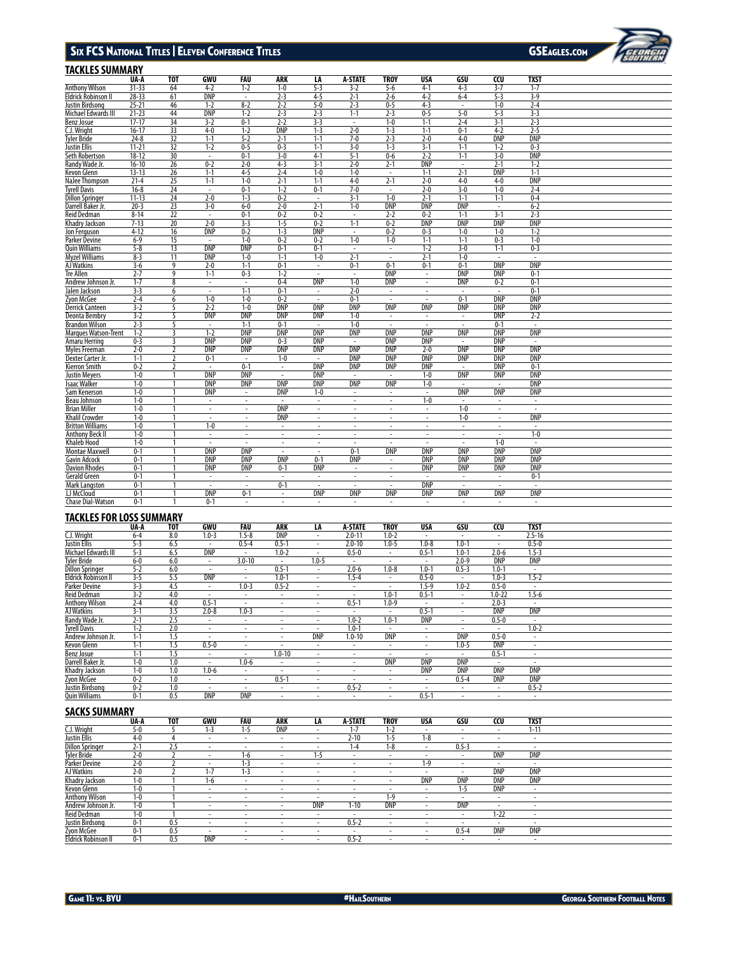### Six FC S National Titles Eleven Con feren e Titles | l

GSEAGLES.COM



|                                     |           |                              |                                        |                          |                              |                          |                          |                          |                          |                              |                                           |                          | <b>SUBTRAN</b> |
|-------------------------------------|-----------|------------------------------|----------------------------------------|--------------------------|------------------------------|--------------------------|--------------------------|--------------------------|--------------------------|------------------------------|-------------------------------------------|--------------------------|----------------|
| TACKLES SUMMARY                     |           |                              |                                        |                          |                              |                          |                          |                          |                          |                              |                                           |                          |                |
|                                     | UA-A      | <b>TOT</b>                   | GWU                                    | FAU                      | <b>ARK</b>                   | LA                       | <b>A-STATE</b>           | <b>TROY</b>              | <b>USA</b>               | GSU                          | $\overline{c}$                            | <b>TXST</b>              |                |
| Anthony Wilson                      | $31 - 33$ | 64                           | $4-2$                                  | $1 - 2$                  | $1 - 0$                      | $5 - 3$                  | $3-2$                    | $5 - 6$                  | $4-1$                    | $4 - 3$                      | $3 - 7$                                   | $1 - 7$                  |                |
| Eldrick Robinson II                 | $28 - 33$ | 61                           | <b>DNP</b>                             |                          | $2 - 3$                      | $4 - 5$                  | $2 - 1$                  | $2 - 6$                  | $4-2$                    | $6 - 4$                      | $5 - 3$                                   | $3-9$                    |                |
| Justin Birdsong                     | $25 - 21$ | 46                           | $1 - 2$                                | $8 - 2$                  | $2 - 2$                      | $5 - 0$                  | $2 - 3$                  | $0 - 5$                  | $4 - 3$                  | $\overline{\phantom{a}}$     | $1 - 0$                                   | $2 - 4$                  |                |
| Michael Edwards III                 | $21 - 23$ | 44                           | <b>DNP</b>                             | $1 - 2$                  | $2 - 3$                      | $2 - 3$                  | $1 - 1$                  | $2 - 3$                  | $0 - 5$                  | $5 - 0$                      | $5 - 3$                                   | $3-3$                    |                |
| Benz Josue                          | $17 - 17$ | 34                           | $3 - 2$                                | $0 - 1$                  | $2 - 2$                      | $3 - 3$                  | $\sim$                   | $1 - 0$                  | $1 - 1$                  | $2 - 4$                      | $3-1$                                     | $2 - 3$                  |                |
| C.J. Wright                         | $16 - 17$ | 33                           | $4 - 0$                                | $1 - 2$                  | <b>DNP</b>                   | $1 - 3$                  | $2 - 0$                  | $1 - 3$                  | $1 - 1$                  | $0 - 1$                      | $4 - 2$                                   | $2 - 5$                  |                |
| Tyler Bride                         | $24 - 8$  | 32                           | $1 - 1$                                | $5 - 2$                  | $2 - 1$                      | $1 - 1$                  | $7 - 0$                  | $2 - 3$                  | $2 - 0$                  | $4 - 0$                      | <b>DNP</b>                                | <b>DNP</b>               |                |
| Justin Ellis                        | $11 - 21$ | $\overline{32}$              | $1 - 2$                                | $0 - 5$                  | $0 - 3$                      | $1 - 1$                  | $3 - 0$                  | $1 - 3$                  | $3-1$                    | $1 - 1$                      | $1 - 2$                                   | $0 - 3$                  |                |
| Seth Robertson                      | $18 - 12$ | 30                           | $\sim$                                 | $0 - 1$                  | $3 - 0$                      | $4 - 1$                  | $5 - 1$                  | $0 - 6$                  | $2 - 2$                  | $1 - 1$                      | $3 - 0$                                   | <b>DNP</b>               |                |
| Randy Wade Jr.                      | $16 - 10$ | 26                           | $0 - 2$                                | $2 - 0$                  | $4 - 3$                      | $3 - 1$                  | $2 - 0$                  | $2 - 1$                  | <b>DNP</b>               | $\overline{\phantom{a}}$     | $2 - 1$                                   | $1 - 2$                  |                |
| Kevon Glenn                         | $13 - 13$ | 26                           | $1 - 1$                                | $4 - 5$                  | $2 - 4$                      | $1 - 0$                  | $1 - 0$                  | $\overline{\phantom{a}}$ | $1 - 1$                  | $2 - 1$                      | <b>DNP</b>                                | $1 - 1$                  |                |
| NaJee Thompson                      | $21 - 4$  | 25                           | $1 - 1$                                | $1 - 0$                  | $2 - 1$                      | $1 - 1$                  | $4 - 0$                  | $2 - 1$                  | $2 - 0$                  | $4 - 0$                      | $4 - 0$                                   | <b>DNP</b>               |                |
| <b>Tyrell Davis</b>                 | $16 - 8$  | 24                           |                                        | $0 - 1$                  | $1 - 2$                      | $0 - 1$                  | $7 - 0$                  |                          | $2 - 0$                  | $3 - 0$                      | $1 - 0$                                   | $2 - 4$                  |                |
| <b>Dillon Springer</b>              | $11 - 13$ | 24                           | $2 - 0$                                | $1-3$                    | $0 - 2$                      | $\overline{\phantom{a}}$ | $3 - 1$                  | $1 - 0$                  | $2 - 1$                  | $1 - 1$                      | $1 - 1$                                   | $0 - 4$                  |                |
| Darrell Baker Jr.                   | $20 - 3$  | 23                           | $3 - 0$                                | $6-0$                    | $2 - 0$                      | $2 - 1$                  | $1 - 0$                  | <b>DNP</b>               | <b>DNP</b>               | <b>DNP</b>                   | $\overline{\phantom{a}}$                  | $6 - 2$                  |                |
| Reid Dedman                         | $8 - 14$  | 22                           | $\sim$                                 | $0 - 1$                  | $0 - 2$                      | $0 - 2$                  | $\sim$                   | $2 - 2$                  | $0 - 2$                  | $1 - 1$                      | $3 - 1$                                   | $2-3$                    |                |
| Khadry Jackson                      | $7 - 13$  | 20                           | $2 - 0$                                | $3-3$                    | $1 - 5$                      | $0 - 2$                  | $1 - 1$                  | $0 - 2$                  | <b>DNP</b>               | <b>DNP</b>                   | <b>DNP</b>                                | <b>DNP</b>               |                |
| Jon Ferguson                        | $4 - 12$  | 16                           | <b>DNP</b>                             | $0 - 2$                  | $1 - 3$                      | <b>DNP</b>               | ÷,                       | $0 - 2$                  | $0 - 3$                  | $1 - 0$                      | $1 - 0$                                   | $1 - 2$                  |                |
| Parker Devine                       | $6 - 9$   | 15                           |                                        | $1 - 0$                  | $0 - 2$                      | $0 - 2$                  | $1 - 0$                  | $1 - 0$                  | $1 - 1$                  | $1 - 1$                      | $0 - 3$                                   | $1 - 0$                  |                |
| Quin Williams                       | $5 - 8$   | 13                           | <b>DNP</b>                             | <b>DNP</b>               | $0 - 1$                      | $0 - 1$                  |                          | $\overline{\phantom{a}}$ | $1 - 2$                  | $3 - 0$                      | $1 - 1$                                   | $0 - 3$                  |                |
| <b>Myzel Williams</b>               | $8-3$     | 11                           | <b>DNP</b>                             | $1 - 0$                  | $1 - 1$                      | $1 - 0$                  | $2 - 1$                  | $\overline{a}$           | $2 - 1$                  | $1 - 0$                      | ÷.                                        | ÷.                       |                |
| AJ Watkins                          | $3 - 6$   | 9                            | $2 - 0$                                | $1 - 1$                  | $0 - 1$                      | $\overline{\phantom{a}}$ | $0 - 1$                  | $0 - 1$                  | $0 - 1$                  | $0 - 1$                      | <b>DNP</b>                                | <b>DNP</b>               |                |
| Tre Allen                           | $2 - 7$   | 9                            | $1 - 1$                                | $0 - 3$                  | $1 - 2$                      | $\epsilon$               | $\overline{\phantom{a}}$ | <b>DNP</b>               | $\overline{\phantom{a}}$ | <b>DNP</b>                   | <b>DNP</b>                                | $0 - 1$                  |                |
| Andrew Johnson Jr.                  | $1 - 7$   | 8                            | $\overline{\phantom{a}}$               | $\sim$                   | $0 - 4$                      | <b>DNP</b>               | $1 - 0$                  | DNP                      | $\overline{\phantom{a}}$ | <b>DNP</b>                   | $0 - 2$                                   | $0 - 1$                  |                |
| Jalen Jackson                       | $3 - 3$   | 6                            | $\sim$                                 | $1 - 1$                  | $0 - 1$                      | $\sim$                   | $2 - 0$                  | $\epsilon$               | $\sim$                   | $\sim$                       | ÷.                                        | $0 - 1$                  |                |
| Zyon McGee                          | $2 - 4$   | 6                            | $1 - 0$                                | $1 - 0$                  | $0 - 2$                      | $\sim$                   | $0 - 1$                  | ٠                        | ٠                        | $0 - 1$                      | <b>DNP</b>                                | <b>DNP</b>               |                |
| <b>Derrick Canteen</b>              | $3-2$     | 5                            | $2 - 2$                                | $1 - 0$                  | <b>DNP</b>                   | <b>DNP</b>               | <b>DNP</b>               | <b>DNP</b>               | <b>DNP</b>               | <b>DNP</b>                   | <b>DNP</b>                                | DNP                      |                |
| Deonta Bembry                       | $3 - 2$   | 5                            | <b>DNP</b>                             | <b>DNP</b>               | <b>DNP</b>                   | <b>DNP</b>               | $1 - 0$                  | $\overline{\phantom{a}}$ | $\overline{\phantom{a}}$ | $\overline{\phantom{a}}$     | <b>DNP</b>                                | $2 - 2$                  |                |
| <b>Brandon Wilson</b>               | $2-3$     | 5                            |                                        | $1 - 1$                  | $0 - 1$                      | ä,                       | $1 - 0$                  | ÷,                       | ÷,                       |                              | $0 - 1$                                   | $\overline{\phantom{a}}$ |                |
| <b>Marques Watson-Trent</b>         | $1 - 2$   | 3                            | $1 - 2$                                | <b>DNP</b>               | <b>DNP</b>                   | <b>DNP</b>               | <b>DNP</b>               | <b>DNP</b>               | <b>DNP</b>               | <b>DNP</b>                   | <b>DNP</b>                                | <b>DNP</b>               |                |
| Amaru Herring                       | $0 - 3$   | 3                            | <b>DNP</b>                             | <b>DNP</b>               | $0 - 3$                      | <b>DNP</b>               |                          | <b>DNP</b>               | <b>DNP</b>               |                              | <b>DNP</b>                                | $\sim$                   |                |
| Myles Freeman                       | $2 - 0$   | $\overline{2}$               | <b>DNP</b>                             | <b>DNP</b>               | <b>DNP</b>                   | <b>DNP</b>               | <b>DNP</b>               | <b>DNP</b>               | $2 - 0$                  | <b>DNP</b>                   | <b>DNP</b>                                | <b>DNP</b>               |                |
| Dexter Carter Jr.                   | $1 - 1$   | $\overline{2}$               | $0 - 1$                                | $\sim$                   | $1 - 0$                      | $\sim$                   | <b>DNP</b>               | <b>DNP</b>               | <b>DNP</b>               | <b>DNP</b>                   | <b>DNP</b>                                | <b>DNP</b>               |                |
| Kierron Smith                       | $0 - 2$   | $\overline{2}$               | $\sim$                                 | $0 - 1$                  | $\sim$                       | <b>DNP</b>               | <b>DNP</b>               | DNP                      | <b>DNP</b>               | $\sim$                       | <b>DNP</b>                                | $0 - 1$                  |                |
| <b>Justin Meyers</b>                | $1 - 0$   |                              | <b>DNP</b>                             | <b>DNP</b>               |                              | <b>DNP</b>               |                          | $\overline{\phantom{a}}$ | $1 - 0$                  | <b>DNP</b>                   | <b>DNP</b>                                | <b>DNP</b>               |                |
| <b>Isaac Walker</b>                 | $1 - 0$   | $\mathbf{1}$                 | <b>DNP</b>                             | <b>DNP</b>               | <b>DNP</b>                   | <b>DNP</b>               | <b>DNP</b>               | <b>DNP</b>               | $1-0$                    | $\overline{\phantom{a}}$     |                                           | <b>DNP</b>               |                |
| Sam Kenerson                        | $1 - 0$   |                              | <b>DNP</b>                             | $\overline{\phantom{a}}$ | <b>DNP</b>                   | $1 - 0$                  | $\overline{\phantom{a}}$ | $\overline{\phantom{a}}$ | $\overline{\phantom{a}}$ | <b>DNP</b>                   | <b>DNP</b>                                | <b>DNP</b>               |                |
| Beau Johnson                        | $1 - 0$   | $\mathbf{1}$                 | $\overline{\phantom{a}}$               | $\overline{\phantom{a}}$ |                              | $\overline{\phantom{a}}$ | $\overline{\phantom{a}}$ | $\overline{\phantom{a}}$ | $1 - 0$                  | $\overline{a}$               |                                           | $\overline{\phantom{a}}$ |                |
| <b>Brian Miller</b>                 | $1 - 0$   | 1                            | $\sim$                                 | $\sim$                   | <b>DNP</b>                   | $\sim$                   | $\sim$                   | $\overline{\phantom{a}}$ | $\overline{\phantom{a}}$ | $1 - 0$                      | $\sim$                                    | $\sim$                   |                |
| <b>Khalil Crowder</b>               | $1 - 0$   |                              | $\overline{\phantom{a}}$               | $\overline{\phantom{a}}$ | <b>DNP</b>                   | ä,                       | ä,                       | $\overline{\phantom{a}}$ | $\overline{\phantom{a}}$ | $1 - 0$                      | ä,                                        | <b>DNP</b>               |                |
| <b>Britton Williams</b>             | $1 - 0$   | $\mathbf{1}$                 | $1-0$                                  | $\sim$                   | $\sim$                       | ÷.                       | ÷                        | $\sim$                   | $\sim$                   | $\sim$                       | ÷.                                        | $\sim$                   |                |
| <b>Anthony Beck II</b>              | $1 - 0$   |                              | $\overline{\phantom{a}}$               | $\overline{\phantom{a}}$ | $\overline{\phantom{a}}$     | $\overline{\phantom{a}}$ | $\overline{\phantom{a}}$ | $\overline{\phantom{a}}$ | $\sim$                   | $\sim$                       |                                           | $1 - 0$                  |                |
| <b>Khaleb Hood</b>                  | $1 - 0$   | 1                            | $\sim$                                 | $\sim$                   | $\sim$                       | $\sim$                   | $\sim$                   | $\sim$                   | $\sim$                   | $\sim$                       | $1 - 0$                                   | $\sim$                   |                |
| <b>Montae Maxwell</b>               | $0 - 1$   |                              | <b>DNP</b>                             | <b>DNP</b>               | $\overline{\phantom{a}}$     | $\overline{\phantom{a}}$ | $0 - 1$                  | <b>DNP</b>               | <b>DNP</b>               | <b>DNP</b>                   | <b>DNP</b>                                | <b>DNP</b>               |                |
| Gavin Adcock                        | $0 - 1$   |                              | <b>DNP</b>                             | <b>DNP</b>               | <b>DNP</b>                   | $0 - 1$                  | <b>DNP</b>               | $\overline{\phantom{a}}$ | <b>DNP</b>               | <b>DNP</b>                   | <b>DNP</b>                                | <b>DNP</b>               |                |
| <b>Davion Rhodes</b>                | $0 - 1$   |                              | <b>DNP</b>                             | <b>DNP</b>               | $0 - 1$                      | <b>DNP</b>               | $\overline{\phantom{a}}$ | $\overline{\phantom{a}}$ | <b>DNP</b>               | <b>DNP</b>                   | <b>DNP</b>                                | <b>DNP</b>               |                |
| <b>Gerald Green</b>                 | $0 - 1$   |                              | $\overline{\phantom{a}}$               | $\overline{\phantom{a}}$ | $\overline{\phantom{a}}$     | $\overline{\phantom{a}}$ | $\overline{\phantom{a}}$ | $\overline{\phantom{a}}$ | ÷,                       | $\overline{\phantom{a}}$     | ä,                                        | $0 - 1$                  |                |
| <b>Mark Langston</b>                | $0 - 1$   | $\mathbf{1}$                 | $\epsilon$                             | $\sim$                   | $0 - 1$                      | $\sim$                   | $\sim$                   | $\overline{\phantom{a}}$ | <b>DNP</b>               | $\sim$                       | ÷,                                        | $\sim$                   |                |
| LJ McCloud                          | $0 - 1$   | $\mathbf{1}$                 | <b>DNP</b>                             | $0 - 1$                  | $\overline{\phantom{a}}$     | <b>DNP</b>               | <b>DNP</b>               | <b>DNP</b>               | <b>DNP</b>               | <b>DNP</b>                   | <b>DNP</b>                                | <b>DNP</b>               |                |
| <b>Chase Dial-Watson</b>            | $0 - 1$   | $\mathbf{1}$                 | $0 - 1$                                | $\sim$                   | $\sim$                       | $\sim$                   | $\overline{\phantom{a}}$ | $\overline{\phantom{a}}$ | $\overline{\phantom{a}}$ | ÷.                           | ÷.                                        | $\sim$                   |                |
| <b>TACKLES FOR LOSS SUMMARY</b>     |           |                              |                                        |                          |                              |                          |                          |                          |                          |                              |                                           |                          |                |
|                                     |           |                              |                                        |                          |                              |                          |                          |                          |                          |                              |                                           |                          |                |
|                                     | UA-A      | TOT                          | GWU                                    | <b>FAU</b>               | <b>ARK</b>                   | LA                       | <b>A-STATE</b>           | <b>TROY</b>              | <b>USA</b>               | GSU                          | CCU                                       | <b>TXST</b>              |                |
| C.J. Wright                         | $6 - 4$   | 8.0                          | $1.0 - 3$                              | $1.5 - 8$                | <b>DNP</b>                   | $\overline{\phantom{a}}$ | $2.0 - 11$               | $1.0 - 2$                |                          | ä,                           |                                           | $2.5 - 16$               |                |
| Justin Ellis<br>Michael Edwards III | $5 - 3$   | 6.5<br>$\epsilon$ $\epsilon$ | $\overline{\phantom{a}}$<br><b>DND</b> | $0.5 - 4$                | $0.5 - 1$<br>10 <sup>1</sup> | $\sim$                   | $2.0 - 10$<br>n r        | $1.0 - 5$                | $1.0 - 8$<br>n r         | $1.0 - 1$<br>10 <sup>1</sup> | $\mathcal{L}$<br>$\overline{\phantom{a}}$ | $0.5 - 0$                |                |
|                                     |           |                              |                                        |                          |                              |                          |                          |                          |                          |                              |                                           |                          |                |

| Michael Edwards III    | $5-3$   | 6.5        | <b>DNP</b> | $\sim$     | $1.0 - 2$  | $\overline{\phantom{a}}$ | $0.5 - 0$      | ٠           | $0.5 - 1$  | $1.0 - 1$                | $2.0 - 6$                | $1.5 - 3$                |  |  |
|------------------------|---------|------------|------------|------------|------------|--------------------------|----------------|-------------|------------|--------------------------|--------------------------|--------------------------|--|--|
| <b>Tyler Bride</b>     | $6 - 0$ | 6.0        |            | $3.0 - 10$ |            | $1.0 - 5$                |                |             |            | $2.0 - 9$                | <b>DNP</b>               | <b>DNP</b>               |  |  |
| <b>Dillon Springer</b> | $5 - 2$ | 6.0        |            | ٠          | $0.5 - 1$  | $\sim$                   | $2.0 - 6$      | $1.0 - 8$   | $1.0 - 1$  | $0.5 - 3$                | $1.0 - 1$                | $\sim$                   |  |  |
| Eldrick Robinson II    | $3 - 5$ | 5.5        | DNP        | ٠.         | $1.0 - 1$  | $\sim$                   | $1.5 - 4$      | ٠.          | $0.5 - 0$  | $\sim$                   | $1.0 - 3$                | $1.5 - 2$                |  |  |
| Parker Devine          | $3-3$   | 4.5        | ٠          | $1.0 - 3$  | $0.5 - 2$  | $\overline{\phantom{a}}$ | ٠              | ٠           | $1.5 - 9$  | $1.0 - 2$                | $0.5 - 0$                | ٠                        |  |  |
| <b>Reid Dedman</b>     | $3 - 2$ | 4.0        | ۰.         | ٠          | ٠          | $\sim$                   |                | $1.0 - 1$   | $0.5 - 1$  | $\overline{\phantom{a}}$ | $1.0 - 22$               | $1.5 - 6$                |  |  |
| Anthony Wilson         | $2 - 4$ | 4.0        | $0.5 - 1$  | ٠          | ٠          | ٠                        | $0.5 -$        | $1.0 - 9$   | ٠          | ٠                        | $2.0 - 3$                | $\sim$                   |  |  |
| AJ Watkins             | $3-1$   | 3.5        | $2.0 - 8$  | $1.0 - 3$  | $\sim$     | ٠                        |                | ٠           | $0.5 - 1$  | $\overline{\phantom{a}}$ | <b>DNP</b>               | <b>DNP</b>               |  |  |
| Randy Wade Jr.         | $2 - 1$ | 2.5        |            | ٠          | $\sim$     | $\overline{\phantom{a}}$ | $1.0 - 2$      | $1.0 - 1$   | DNP        | $\overline{\phantom{a}}$ | $0.5 - 0$                | ٠                        |  |  |
| <b>Tyrell Davis</b>    | $1 - 2$ | 2.0        | ۰.         | ۰.         | ٠          | ٠                        | $1.0 - 1$      | ٠           | ٠          | ٠                        | $\overline{\phantom{a}}$ | $1.0 - 2$                |  |  |
| Andrew Johnson Jr.     | $1 - 1$ | 1.5        | ۰.         | ۰.         | ۰.         | <b>DNP</b>               | $1.0 - 10$     | <b>DNP</b>  | ٠          | <b>DNP</b>               | $0.5 - 0$                | ٠                        |  |  |
| Kevon Glenn            | $1 - 1$ | 1.5        | $0.5 - 0$  | ٠          |            | $\overline{\phantom{a}}$ | ٠              | ٠           |            | $1.0 - 5$                | DNP                      | ٠                        |  |  |
| <b>Benz Josue</b>      | $1 - 1$ | 1.5        |            | ٠          | $1.0 - 10$ | $\sim$                   | ٠              | ٠           |            | ٠                        | $0.5 - 1$                | $\overline{\phantom{a}}$ |  |  |
| Darrell Baker Jr.      | $1 - 0$ | 1.0        |            | $1.0 - 6$  | ٠          |                          |                | <b>DNP</b>  | <b>DNP</b> | <b>DNP</b>               | $\overline{\phantom{a}}$ | ٠                        |  |  |
| Khadry Jackson         | $1 - 0$ | 1.0        | $1.0 - 6$  | $\sim$     |            | $\overline{\phantom{a}}$ | ٠              | ٠           | <b>DNP</b> | <b>DNP</b>               | <b>DNP</b>               | <b>DNP</b>               |  |  |
| Zyon McGee             | $0 - 2$ | 1.0        |            | ٠          | $0.5 - 1$  | $\overline{\phantom{a}}$ |                | ٠           | ٠          | $0.5 - 4$                | <b>DNP</b>               | <b>DNP</b>               |  |  |
| Justin Birdsong        | $0 - 2$ | 1.0        | ۰.         | $\sim$     | ٠          | ٠                        | $0.5 - 2$      | ٠           | ٠          | $\overline{\phantom{a}}$ | $\overline{\phantom{a}}$ | $0.5 - 2$                |  |  |
| <b>Quin Williams</b>   | $0 - 1$ | 0.5        | <b>DNP</b> | <b>DNP</b> | $\sim$     | $\overline{\phantom{a}}$ | ٠              | ٠           | $0.5 - 1$  | ٠                        | ٠                        | $\overline{\phantom{a}}$ |  |  |
| SACKS SUMMARY          |         |            |            |            |            |                          |                |             |            |                          |                          |                          |  |  |
|                        | UA-A    | <b>TOT</b> | GWU        | <b>FAU</b> | <b>ARK</b> | LA                       | <b>A-STATE</b> | <b>TROY</b> | <b>USA</b> | GSU                      | CCU                      | <b>TXST</b>              |  |  |
| $\sqrt{I$ Wright       | $5 - 0$ |            | $1 - 3$    | 1.5        | <b>DNP</b> | ٠                        | $1 - 7$        | $1-2$       | $\sim$     | $\sim$                   |                          | $1 - 11$                 |  |  |

|                            | <b>WILD</b> |     |            |        | ,,,,,,     | .                        | .         |         | $-1$                     |                          |                          |            |  |
|----------------------------|-------------|-----|------------|--------|------------|--------------------------|-----------|---------|--------------------------|--------------------------|--------------------------|------------|--|
| C.J. Wright                | $5-0$       |     | $1-3$      | $1-5$  | <b>DNP</b> |                          | $1 - 7$   | $1 - 2$ |                          |                          | ٠                        | $1 - 11$   |  |
| <b>Justin Ellis</b>        | $4 - 0$     |     |            | $\sim$ |            |                          | $2 - 10$  | 1-5     | 1-8                      |                          | $\sim$                   |            |  |
| <b>Dillon Springer</b>     | $2 - 1$     | 2.5 |            |        |            |                          | $1 - 4$   | $1 - 8$ | $\blacksquare$           | $0.5 - 3$                |                          |            |  |
| <b>Tyler Bride</b>         | $2 - 0$     |     |            | 1-6    |            | ю                        |           |         | $\overline{\phantom{a}}$ |                          | <b>DNP</b>               | DNP        |  |
| Parker Devine              | $2 - 0$     |     |            | $1-3$  |            |                          |           |         | $1-9$                    |                          |                          | $\sim$     |  |
| AJ Watkins                 | $2 - 0$     |     | $1 - 7$    | $1-3$  |            |                          | ۰         |         |                          |                          | <b>DNP</b>               | <b>DNP</b> |  |
| <b>Khadry Jackson</b>      | $1 - 0$     |     | 1-6        |        |            |                          |           |         | DNP                      | DNP                      | DNP                      | <b>DNP</b> |  |
| Kevon Glenn                | $1 - 0$     |     |            |        |            |                          |           |         | $\,$                     | $1 - 5$                  | <b>DNP</b>               | $\,$       |  |
| <b>Anthony Wilson</b>      | $1 - 0$     |     | ۰          |        |            |                          |           | $1-9$   |                          |                          |                          |            |  |
| Andrew Johnson Jr.         | $1 - 0$     |     |            |        |            | <b>DNP</b>               | $1 - 10$  | DNP     |                          | DNP                      |                          |            |  |
| <b>Reid Dedman</b>         | $1 - 0$     |     | ۰          |        |            |                          |           |         |                          | $\overline{\phantom{a}}$ | $1-22$                   |            |  |
| Justin Birdsong            | $0 - 1$     | 0.5 |            |        |            |                          | $0.5 - 2$ |         |                          |                          | $\overline{\phantom{a}}$ |            |  |
| Zyon McGee                 | $0 - 1$     | 0.5 | ۰          |        |            |                          |           |         |                          | $0.5 - 4$                | <b>DNP</b>               | <b>DNP</b> |  |
| <b>Eldrick Robinson II</b> | $0 - 1$     | 0.5 | <b>DNP</b> |        |            | $\overline{\phantom{a}}$ | $0.5 - 2$ |         | $\,$                     | $\overline{\phantom{a}}$ | $\sim$                   |            |  |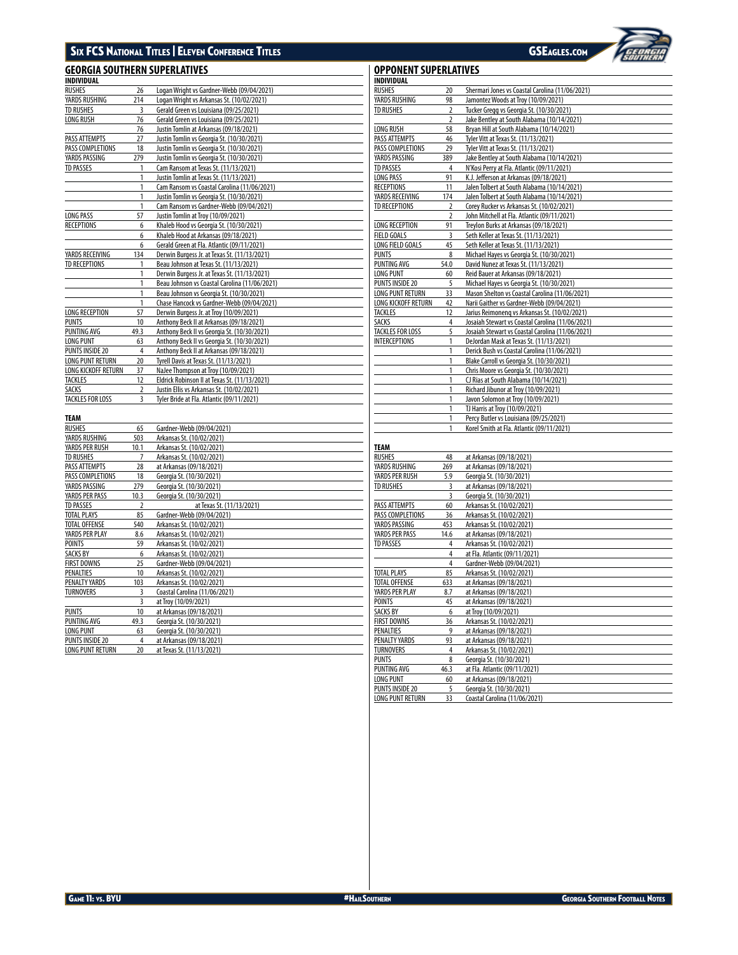# SIX FCS NATIONAL TITLES | ELEVEN CONFERENCE TITLES GSEAGLES.COM

# **GEORGIA SOUTHERN SUPERLATIVES**

| <b>INDIVIDUAL</b>       |                |                                               |
|-------------------------|----------------|-----------------------------------------------|
| <b>RUSHES</b>           | 26             | Logan Wright vs Gardner-Webb (09/04/2021)     |
| YARDS RUSHING           | 214            | Logan Wright vs Arkansas St. (10/02/2021)     |
| <b>TD RUSHES</b>        | 3              | Gerald Green vs Louisiana (09/25/2021)        |
| LONG RUSH               | 76             | Gerald Green vs Louisiana (09/25/2021)        |
|                         | 76             | Justin Tomlin at Arkansas (09/18/2021)        |
| PASS ATTEMPTS           | 27             | Justin Tomlin vs Georgia St. (10/30/2021)     |
| PASS COMPLETIONS        | 18             | Justin Tomlin vs Georgia St. (10/30/2021)     |
| YARDS PASSING           | 279            | Justin Tomlin vs Georgia St. (10/30/2021)     |
| <b>TD PASSES</b>        | 1              | Cam Ransom at Texas St. (11/13/2021)          |
|                         | 1              | Justin Tomlin at Texas St. (11/13/2021)       |
|                         | 1              | Cam Ransom vs Coastal Carolina (11/06/2021)   |
|                         | 1              | Justin Tomlin vs Georgia St. (10/30/2021)     |
|                         | 1              | Cam Ransom vs Gardner-Webb (09/04/2021)       |
| <b>LONG PASS</b>        | 57             | Justin Tomlin at Troy (10/09/2021)            |
| <b>RECEPTIONS</b>       | 6              | Khaleb Hood vs Georgia St. (10/30/2021)       |
|                         | 6              | Khaleb Hood at Arkansas (09/18/2021)          |
|                         | 6              | Gerald Green at Fla. Atlantic (09/11/2021)    |
| YARDS RECEIVING         | 134            | Derwin Burgess Jr. at Texas St. (11/13/2021)  |
| <b>TD RECEPTIONS</b>    | 1              | Beau Johnson at Texas St. (11/13/2021)        |
|                         | 1              | Derwin Burgess Jr. at Texas St. (11/13/2021)  |
|                         | 1              | Beau Johnson vs Coastal Carolina (11/06/2021) |
|                         | 1              | Beau Johnson vs Georgia St. (10/30/2021)      |
|                         | 1              | Chase Hancock vs Gardner-Webb (09/04/2021)    |
| LONG RECEPTION          | 57             | Derwin Burgess Jr. at Troy (10/09/2021)       |
| <b>PUNTS</b>            | 10             | Anthony Beck II at Arkansas (09/18/2021)      |
| PUNTING AVG             | 49.3           | Anthony Beck II vs Georgia St. (10/30/2021)   |
| <b>LONG PUNT</b>        | 63             | Anthony Beck II vs Georgia St. (10/30/2021)   |
| <b>PUNTS INSIDE 20</b>  | 4              | Anthony Beck II at Arkansas (09/18/2021)      |
| <b>LONG PUNT RETURN</b> | 20             | Tyrell Davis at Texas St. (11/13/2021)        |
| LONG KICKOFF RETURN     | 37             | NaJee Thompson at Troy (10/09/2021)           |
| <b>TACKLES</b>          | 12             | Eldrick Robinson II at Texas St. (11/13/2021) |
| <b>SACKS</b>            | $\overline{2}$ | Justin Ellis vs Arkansas St. (10/02/2021)     |
| TACKLES FOR LOSS        | $\overline{3}$ | Tyler Bride at Fla. Atlantic (09/11/2021)     |

| <b>TEAM</b>             |                |                               |
|-------------------------|----------------|-------------------------------|
| <b>RUSHES</b>           | 65             | Gardner-Webb (09/04/2021)     |
| YARDS RUSHING           | 503            | Arkansas St. (10/02/2021)     |
| YARDS PER RUSH          | 10.1           | Arkansas St. (10/02/2021)     |
| <b>TD RUSHES</b>        | 7              | Arkansas St. (10/02/2021)     |
| PASS ATTEMPTS           | 28             | at Arkansas (09/18/2021)      |
| PASS COMPLETIONS        | 18             | Georgia St. (10/30/2021)      |
| YARDS PASSING           | 279            | Georgia St. (10/30/2021)      |
| YARDS PER PASS          | 10.3           | Georgia St. (10/30/2021)      |
| <b>TD PASSES</b>        | $\overline{2}$ | at Texas St. (11/13/2021)     |
| <b>TOTAL PLAYS</b>      | 85             | Gardner-Webb (09/04/2021)     |
| <b>TOTAL OFFENSE</b>    | 540            | Arkansas St. (10/02/2021)     |
| YARDS PER PLAY          | 8.6            | Arkansas St. (10/02/2021)     |
| <b>POINTS</b>           | 59             | Arkansas St. (10/02/2021)     |
| <b>SACKS BY</b>         | 6              | Arkansas St. (10/02/2021)     |
| <b>FIRST DOWNS</b>      | 25             | Gardner-Webb (09/04/2021)     |
| PENALTIES               | 10             | Arkansas St. (10/02/2021)     |
| PENALTY YARDS           | 103            | Arkansas St. (10/02/2021)     |
| <b>TURNOVERS</b>        | 3              | Coastal Carolina (11/06/2021) |
|                         | 3              | at Troy (10/09/2021)          |
| <b>PUNTS</b>            | 10             | at Arkansas (09/18/2021)      |
| <b>PUNTING AVG</b>      | 49.3           | Georgia St. (10/30/2021)      |
| <b>LONG PUNT</b>        | 63             | Georgia St. (10/30/2021)      |
| <b>PUNTS INSIDE 20</b>  | 4              | at Arkansas (09/18/2021)      |
| <b>LONG PUNT RETURN</b> | 20             | at Texas St. (11/13/2021)     |

| INDIVIDUAL              |                         |                                                                               |
|-------------------------|-------------------------|-------------------------------------------------------------------------------|
| <b>RUSHES</b>           | 20                      | Shermari Jones vs Coastal Carolina (11/06/2021)                               |
| YARDS RUSHING           | 98                      | Jamontez Woods at Troy (10/09/2021)                                           |
| <b>TD RUSHES</b>        | $\overline{\mathbf{c}}$ | Tucker Gregg vs Georgia St. (10/30/2021)                                      |
|                         | $\overline{2}$          | Jake Bentley at South Alabama (10/14/2021)                                    |
| LONG RUSH               | 58                      | Bryan Hill at South Alabama (10/14/2021)                                      |
| PASS ATTEMPTS           | 46                      | Tyler Vitt at Texas St. (11/13/2021)                                          |
| PASS COMPLETIONS        | 29                      | Tyler Vitt at Texas St. (11/13/2021)                                          |
| YARDS PASSING           | 389                     | Jake Bentley at South Alabama (10/14/2021)                                    |
| <b>TD PASSES</b>        | 4                       | N'Kosi Perry at Fla. Atlantic (09/11/2021)                                    |
| LONG PASS               | 91                      | K.J. Jefferson at Arkansas (09/18/2021)                                       |
| <b>RECEPTIONS</b>       | 11                      | Jalen Tolbert at South Alabama (10/14/2021)                                   |
| YARDS RECEIVING         | 174                     | Jalen Tolbert at South Alabama (10/14/2021)                                   |
| <b>TD RECEPTIONS</b>    | $\overline{2}$          | Corey Rucker vs Arkansas St. (10/02/2021)                                     |
|                         | $\overline{2}$          | John Mitchell at Fla. Atlantic (09/11/2021)                                   |
| LONG RECEPTION          | 91                      | Treylon Burks at Arkansas (09/18/2021)                                        |
| <b>FIELD GOALS</b>      | 3                       | Seth Keller at Texas St. (11/13/2021)                                         |
| LONG FIELD GOALS        | 45                      | Seth Keller at Texas St. (11/13/2021)                                         |
| <b>PUNTS</b>            | 8                       | Michael Hayes vs Georgia St. (10/30/2021)                                     |
| PUNTING AVG             | 54.0                    | David Nunez at Texas St. (11/13/2021)                                         |
| LONG PUNT               | 60                      | Reid Bauer at Arkansas (09/18/2021)                                           |
| <b>PUNTS INSIDE 20</b>  | 5                       | Michael Hayes vs Georgia St. (10/30/2021)                                     |
| LONG PUNT RETURN        | 33                      | Mason Shelton vs Coastal Carolina (11/06/2021)                                |
| LONG KICKOFF RETURN     | 42                      | Narii Gaither vs Gardner-Webb (09/04/2021)                                    |
| TACKLES                 | 12                      | Jarius Reimoneng vs Arkansas St. (10/02/2021)                                 |
| <b>SACKS</b>            | 4                       | Josaiah Stewart vs Coastal Carolina (11/06/2021)                              |
| <b>TACKLES FOR LOSS</b> | 5                       | Josaiah Stewart vs Coastal Carolina (11/06/2021)                              |
| INTERCEPTIONS           | 1                       | DeJordan Mask at Texas St. (11/13/2021)                                       |
|                         | 1                       | Derick Bush vs Coastal Carolina (11/06/2021)                                  |
|                         | 1<br>1                  | Blake Carroll vs Georgia St. (10/30/2021)                                     |
|                         |                         | Chris Moore vs Georgia St. (10/30/2021)                                       |
|                         | 1<br>1                  | CJ Rias at South Alabama (10/14/2021)<br>Richard Jibunor at Troy (10/09/2021) |
|                         | 1                       | Javon Solomon at Troy (10/09/2021)                                            |
|                         | 1                       | TJ Harris at Troy (10/09/2021)                                                |
|                         | 1                       | Percy Butler vs Louisiana (09/25/2021)                                        |
|                         | 1                       | Korel Smith at Fla. Atlantic (09/11/2021)                                     |
|                         |                         |                                                                               |
| TEAM                    |                         |                                                                               |
| RUSHES                  | 48                      | at Arkansas (09/18/2021)                                                      |
| YARDS RUSHING           | 269                     | at Arkansas (09/18/2021)                                                      |
| YARDS PER RUSH          | 5.9                     | Georgia St. (10/30/2021)                                                      |
| <b>TD RUSHES</b>        | 3                       | at Arkansas (09/18/2021)                                                      |
|                         | 3                       | Georgia St. (10/30/2021)                                                      |
| PASS ATTEMPTS           | 60                      | Arkansas St. (10/02/2021)                                                     |
| PASS COMPLETIONS        | 36                      | Arkansas St. (10/02/2021)                                                     |
| YARDS PASSING           | 453                     | Arkansas St. (10/02/2021)                                                     |
| YARDS PER PASS          | 14.6                    | at Arkansas (09/18/2021)                                                      |
| <b>TD PASSES</b>        | 4                       | Arkansas St. (10/02/2021)                                                     |
|                         | 4                       | at Fla. Atlantic (09/11/2021)                                                 |
|                         | 4                       | Gardner-Webb (09/04/2021)                                                     |
| <b>TOTAL PLAYS</b>      | 85                      | Arkansas St. (10/02/2021)                                                     |
| <b>TOTAL OFFENSE</b>    | 633                     | at Arkansas (09/18/2021)                                                      |
| YARDS PER PLAY          | 8.7                     | at Arkansas (09/18/2021)                                                      |
| <b>POINTS</b>           | 45                      | at Arkansas (09/18/2021)                                                      |
| <b>SACKS BY</b>         | 6                       | at Troy (10/09/2021)                                                          |
| <b>FIRST DOWNS</b>      | 36                      | Arkansas St. (10/02/2021)                                                     |

FIRST DOWNS 36 Arkansas St. (10/02/2021) PENALTIES 9 at Arkansas (09/18/2021)<br>
PENALTY YARDS 93 at Arkansas (09/18/2021) PENALTY YARDS 93 at Arkansas (09/18/2021)<br>TURNOVERS 4 Arkansas St. (10/02/2021) TURNOVERS 4 Arkansas St. (10/02/2021)<br>
PUNTS 8 Georgia St. (10/30/2021)<br>
PUNTING AVG 46.3 at Fla. Atlantic (09/11/202 PUNTS 8 Georgia St. (10/30/2021) PUNTING AVG 46.3 at Fla. Atlantic (09/11/2021) LONG PUNT 60 at Arkansas (09/18/2021)<br>
<u>PUNTS INSIDE 20</u> 5 Georgia St. (10/30/2021)<br>
LONG PUNT RETURN 33 Coastal Carolina (11/06/20

5 Georgia St. (10/30/2021) 33 Coastal Carolina (11/06/2021)

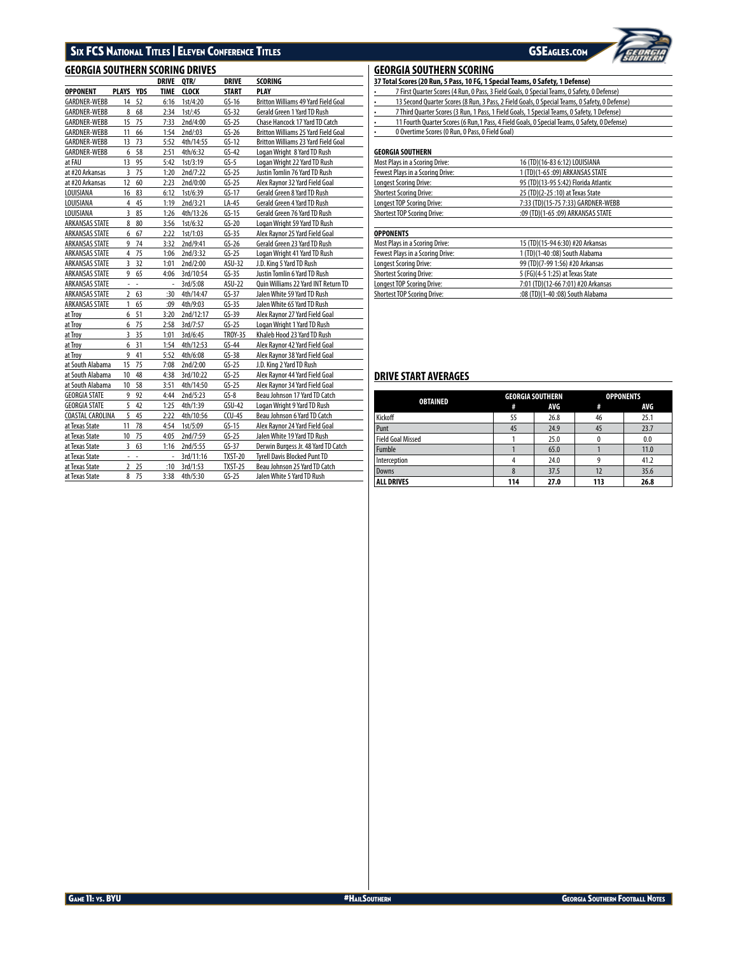# SIX FCS National Titles | Eleven Conference Titles GSEAGLES.com

# $\overline{GEORGIA}$  **SOUTHERN SCORING DRIVES**

|                       |                |            | <b>DRIVE</b> | OTR/         | <b>DRIVE</b>   | SCORING                                    |
|-----------------------|----------------|------------|--------------|--------------|----------------|--------------------------------------------|
| <b>OPPONENT</b>       | <b>PLAYS</b>   | <b>YDS</b> | <b>TIME</b>  | <b>CLOCK</b> | <b>START</b>   | <b>PLAY</b>                                |
| GARDNER-WEBB          | 14             | 52         | 6:16         | 1st/4:20     | $GS-16$        | <b>Britton Williams 49 Yard Field Goal</b> |
| <b>GARDNER-WEBB</b>   | 8              | 68         | 2:34         | $1st$ :45    | $GS-32$        | <b>Gerald Green 1 Yard TD Rush</b>         |
| <b>GARDNER-WEBB</b>   | 15             | 75         | 7:33         | 2nd/4:00     | $GS-25$        | Chase Hancock 17 Yard TD Catch             |
| <b>GARDNER-WEBB</b>   | 11             | 66         | 1:54         | $2nd$ :03    | $GS-26$        | Britton Williams 25 Yard Field Goal        |
| <b>GARDNER-WEBB</b>   | 13             | 73         | 5:52         | 4th/14:55    | $GS-12$        | <b>Britton Williams 23 Yard Field Goal</b> |
| <b>GARDNER-WEBB</b>   | 6              | 58         | 2:51         | 4th/6:32     | $GS-42$        | Logan Wright 8 Yard TD Rush                |
| at FAU                | 13             | 95         | 5:42         | 1st/3:19     | $GS-5$         | Logan Wright 22 Yard TD Rush               |
| at #20 Arkansas       | 3              | 75         | 1:20         | 2nd/7:22     | $GS-25$        | Justin Tomlin 76 Yard TD Rush              |
| at #20 Arkansas       | 12             | 60         | 2:23         | 2nd/0:00     | $GS-25$        | Alex Raynor 32 Yard Field Goal             |
| LOUISIANA             | 16             | 83         | 6:12         | 1st/6:39     | $GS-17$        | Gerald Green 8 Yard TD Rush                |
| LOUISIANA             | $\overline{4}$ | 45         | 1:19         | 2nd/3:21     | $LA-45$        | Gerald Green 4 Yard TD Rush                |
| LOUISIANA             | 3              | 85         | 1:26         | 4th/13:26    | $GS-15$        | Gerald Green 76 Yard TD Rush               |
| ARKANSAS STATE        | 8              | 80         | 3:56         | 1st/6:32     | $GS-20$        | Logan Wright 59 Yard TD Rush               |
| ARKANSAS STATE        | 6              | 67         | 2:22         | 1st/1:03     | $GS-35$        | Alex Raynor 25 Yard Field Goal             |
| ARKANSAS STATE        | 9              | 74         | 3:32         | 2nd/9:41     | $GS-26$        | Gerald Green 23 Yard TD Rush               |
| ARKANSAS STATE        | 4              | 75         | 1:06         | 2nd/3:32     | $GS-25$        | Logan Wright 41 Yard TD Rush               |
| ARKANSAS STATE        | 3              | 32         | 1:01         | 2nd/2:00     | ASU-32         | J.D. King 5 Yard TD Rush                   |
| ARKANSAS STATE        | 9              | 65         | 4:06         | 3rd/10:54    | $GS-35$        | Justin Tomlin 6 Yard TD Rush               |
| <b>ARKANSAS STATE</b> | $\overline{a}$ | L,         | L,           | 3rd/5:08     | ASU-22         | Quin Williams 22 Yard INT Return TD        |
| ARKANSAS STATE        | 2              | 63         | :30          | 4th/14:47    | $GS-37$        | Jalen White 59 Yard TD Rush                |
| ARKANSAS STATE        | 1              | 65         | :09          | 4th/9:03     | $GS-35$        | Jalen White 65 Yard TD Rush                |
| at Troy               | 6              | 51         | 3:20         | 2nd/12:17    | $GS-39$        | Alex Raynor 27 Yard Field Goal             |
| at Troy               | 6              | 75         | 2:58         | 3rd/7:57     | $GS-25$        | Logan Wright 1 Yard TD Rush                |
| at Troy               | 3              | 35         | 1:01         | 3rd/6:45     | <b>TROY-35</b> | Khaleb Hood 23 Yard TD Rush                |
| at Troy               | 6              | 31         | 1:54         | 4th/12:53    | $GS-44$        | Alex Raynor 42 Yard Field Goal             |
| at Troy               | 9              | 41         | 5:52         | 4th/6:08     | $GS-38$        | Alex Raynor 38 Yard Field Goal             |
| at South Alabama      | 15             | 75         | 7:08         | 2nd/2:00     | $GS-25$        | J.D. King 2 Yard TD Rush                   |
| at South Alabama      | 10             | 48         | 4:38         | 3rd/10:22    | $GS-25$        | Alex Raynor 44 Yard Field Goal             |
| at South Alabama      | 10             | 58         | 3:51         | 4th/14:50    | $GS-25$        | Alex Raynor 34 Yard Field Goal             |
| <b>GEORGIA STATE</b>  | 9              | 92         | 4:44         | 2nd/5:23     | $GS-8$         | Beau Johnson 17 Yard TD Catch              |
| <b>GEORGIA STATE</b>  | 5              | 42         | 1:25         | 4th/1:39     | $GSU-42$       | Logan Wright 9 Yard TD Rush                |
| COASTAL CAROLINA      | 5              | 45         | 2:22         | 4th/10:56    | $CCU-45$       | Beau Johnson 6 Yard TD Catch               |
| at Texas State        | 11             | 78         | 4:54         | 1st/5:09     | $GS-15$        | Alex Raynor 24 Yard Field Goal             |
| at Texas State        | 10             | 75         | 4:05         | 2nd/7:59     | $GS-25$        | Jalen White 19 Yard TD Rush                |
| at Texas State        | 3              | 63         | 1:16         | 2nd/5:55     | $GS-37$        | Derwin Burgess Jr. 48 Yard TD Catch        |
| at Texas State        | ÷              | ÷,         |              | 3rd/11:16    | <b>TXST-20</b> | <b>Tyrell Davis Blocked Punt TD</b>        |
| at Texas State        | $\overline{2}$ | 25         | :10          | 3rd/1:53     | <b>TXST-25</b> | Beau Johnson 25 Yard TD Catch              |
| at Texas State        | 8              | 75         | 3:38         | 4th/5:30     | $GS-25$        | Jalen White 5 Yard TD Rush                 |

## **GEORGIA SOUTHERN SCORING**

| 37 Total Scores (20 Run, 5 Pass, 10 FG, 1 Special Teams, 0 Safety, 1 Defense)                              |
|------------------------------------------------------------------------------------------------------------|
| 7 First Quarter Scores (4 Run, 0 Pass, 3 Field Goals, 0 Special Teams, 0 Safety, 0 Defense)<br>٠           |
| 13 Second Quarter Scores (8 Run, 3 Pass, 2 Field Goals, 0 Special Teams, 0 Safety, 0 Defense)<br>$\bullet$ |
| 7 Third Quarter Scores (3 Run, 1 Pass, 1 Field Goals, 1 Special Teams, 0 Safety, 1 Defense)<br>٠           |
| 11 Fourth Quarter Scores (6 Run, 1 Pass, 4 Field Goals, 0 Special Teams, 0 Safety, 0 Defense)<br>٠         |
| 0 Overtime Scores (0 Run, 0 Pass, 0 Field Goal)<br>٠                                                       |
|                                                                                                            |

# **GEORGIA SOUTHERN**

| Most Plays in a Scoring Drive:     | 16 (TD)(16-83 6:12) LOUISIANA        |
|------------------------------------|--------------------------------------|
| Fewest Plays in a Scoring Drive:   | 1 (TD)(1-65 :09) ARKANSAS STATE      |
| <b>Longest Scoring Drive:</b>      | 95 (TD)(13-95 5:42) Florida Atlantic |
| <b>Shortest Scoring Drive:</b>     | 25 (TD)(2-25 :10) at Texas State     |
| Longest TOP Scoring Drive:         | 7:33 (TD)(15-75 7:33) GARDNER-WEBB   |
| <b>Shortest TOP Scoring Drive:</b> | :09 (TD)(1-65 :09) ARKANSAS STATE    |
| <b>OPPONENTS</b>                   |                                      |
| Most Plays in a Scoring Drive:     | 15 (TD)(15-94 6:30) #20 Arkansas     |
| Fewest Plays in a Scoring Drive:   | 1 (TD)(1-40 :08) South Alabama       |
| <b>Longest Scoring Drive:</b>      | 99 (TD)(7-99 1:56) #20 Arkansas      |
| <b>Shortest Scoring Drive:</b>     | 5 (FG)(4-5 1:25) at Texas State      |
| Longest TOP Scoring Drive:         | 7:01 (TD)(12-66 7:01) #20 Arkansas   |
| <b>Shortest TOP Scoring Drive:</b> | :08 (TD)(1-40 :08) South Alabama     |
|                                    |                                      |

# **DRIVE START AVERAGES**

| <b>OBTAINED</b>   |     | <b>GEORGIA SOUTHERN</b> | <b>OPPONENTS</b> |      |  |
|-------------------|-----|-------------------------|------------------|------|--|
|                   | #   | AVG                     | #                | AVG  |  |
| Kickoff           | 55  | 26.8                    | 46               | 25.1 |  |
| Punt              | 45  | 24.9                    | 45               | 23.7 |  |
| Field Goal Missed |     | 25.0                    |                  | 0.0  |  |
| <b>Fumble</b>     |     | 65.0                    |                  | 11.0 |  |
| Interception      |     | 24.0                    |                  | 41.2 |  |
| Downs             |     | 37.5                    | 12               | 35.6 |  |
| <b>ALL DRIVES</b> | 114 | 27.0                    | 113              | 26.8 |  |